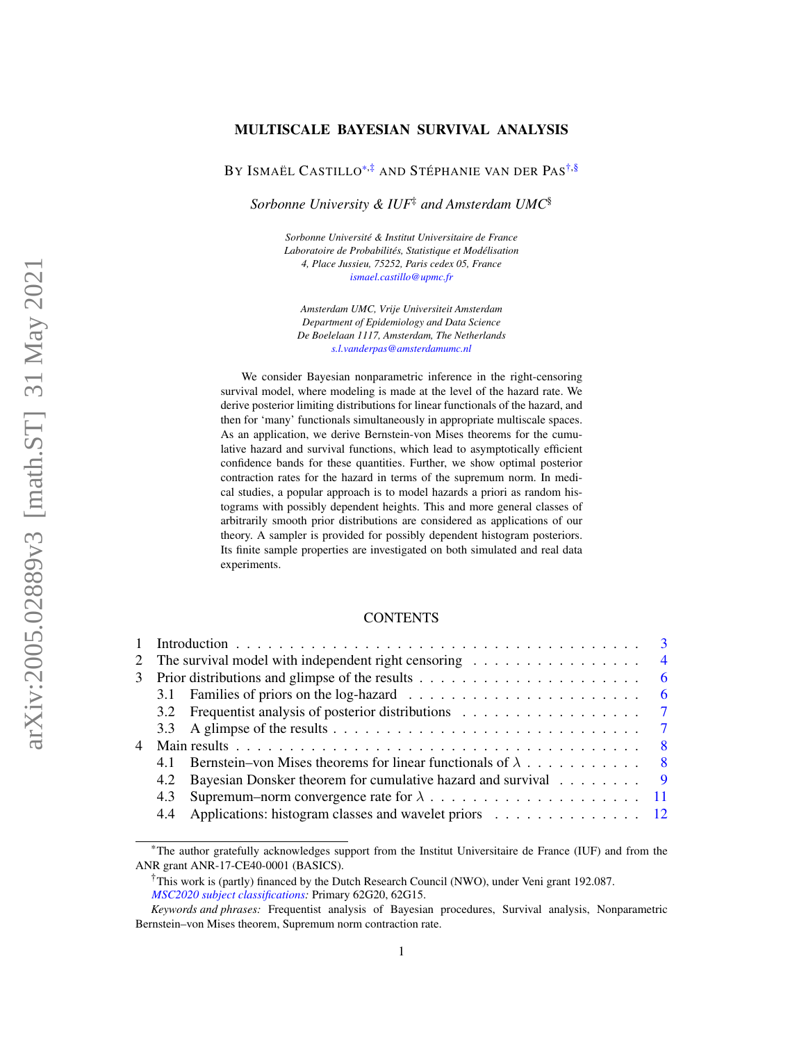# MULTISCALE BAYESIAN SURVIVAL ANALYSIS

BY ISMAËL CASTILLO<sup>[\\*](#page-0-0)[,‡](#page-0-1)</sup> AND STÉPHANIE VAN DER PAS<sup>[†,](#page-0-2)[§](#page-0-3)</sup>

*Sorbonne University & IUF*‡ *and Amsterdam UMC*§

<span id="page-0-3"></span><span id="page-0-1"></span>*Sorbonne Université & Institut Universitaire de France Laboratoire de Probabilités, Statistique et Modélisation 4, Place Jussieu, 75252, Paris cedex 05, France [ismael.castillo@upmc.fr](mailto:ismael.castillo@upmc.fr)*

*Amsterdam UMC, Vrije Universiteit Amsterdam Department of Epidemiology and Data Science De Boelelaan 1117, Amsterdam, The Netherlands [s.l.vanderpas@amsterdamumc.nl](mailto:s.l.vanderpas@amsterdamumc.nl)*

We consider Bayesian nonparametric inference in the right-censoring survival model, where modeling is made at the level of the hazard rate. We derive posterior limiting distributions for linear functionals of the hazard, and then for 'many' functionals simultaneously in appropriate multiscale spaces. As an application, we derive Bernstein-von Mises theorems for the cumulative hazard and survival functions, which lead to asymptotically efficient confidence bands for these quantities. Further, we show optimal posterior contraction rates for the hazard in terms of the supremum norm. In medical studies, a popular approach is to model hazards a priori as random histograms with possibly dependent heights. This and more general classes of arbitrarily smooth prior distributions are considered as applications of our theory. A sampler is provided for possibly dependent histogram posteriors. Its finite sample properties are investigated on both simulated and real data experiments.

## **CONTENTS**

|     | 2 The survival model with independent right censoring $\ldots \ldots \ldots \ldots \ldots$         |
|-----|----------------------------------------------------------------------------------------------------|
|     | 3 Prior distributions and glimpse of the results $\dots \dots \dots \dots \dots \dots \dots \dots$ |
|     |                                                                                                    |
|     |                                                                                                    |
|     |                                                                                                    |
|     |                                                                                                    |
|     | 4.1 Bernstein–von Mises theorems for linear functionals of $\lambda$ 8                             |
|     | 4.2 Bayesian Donsker theorem for cumulative hazard and survival 9                                  |
| 4.3 |                                                                                                    |
|     | 4.4 Applications: histogram classes and wavelet priors 12                                          |

<span id="page-0-0"></span><sup>\*</sup>The author gratefully acknowledges support from the Institut Universitaire de France (IUF) and from the ANR grant ANR-17-CE40-0001 (BASICS).

<span id="page-0-2"></span><sup>†</sup>This work is (partly) financed by the Dutch Research Council (NWO), under Veni grant 192.087. *[MSC2020 subject classifications:](https://mathscinet.ams.org/mathscinet/msc/msc2020.html)* Primary 62G20, 62G15.

*Keywords and phrases:* Frequentist analysis of Bayesian procedures, Survival analysis, Nonparametric Bernstein–von Mises theorem, Supremum norm contraction rate.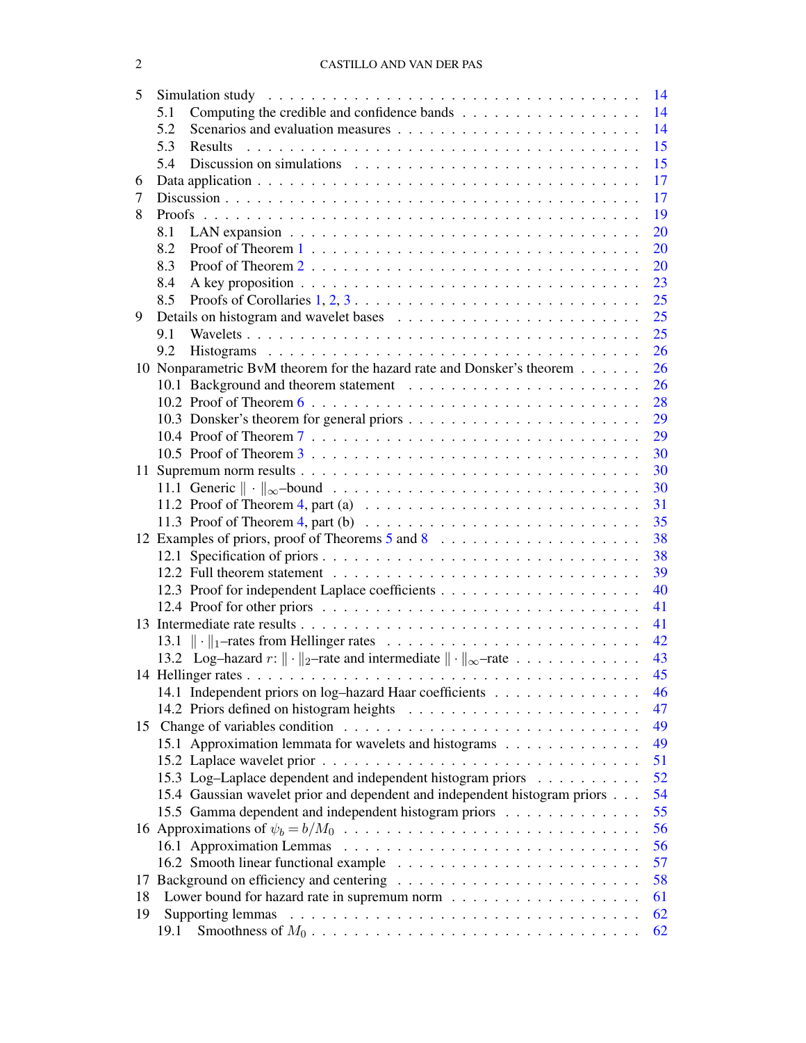| 5  | 14                                                                                                     |    |  |  |  |
|----|--------------------------------------------------------------------------------------------------------|----|--|--|--|
|    | 5.1                                                                                                    | 14 |  |  |  |
|    | 5.2                                                                                                    | 14 |  |  |  |
|    | 5.3                                                                                                    | 15 |  |  |  |
|    | 5.4                                                                                                    | 15 |  |  |  |
| 6  |                                                                                                        | 17 |  |  |  |
| 7  |                                                                                                        | 17 |  |  |  |
| 8  |                                                                                                        | 19 |  |  |  |
|    | 8.1                                                                                                    | 20 |  |  |  |
|    | 8.2<br>Proof of Theorem $1, \ldots, \ldots, \ldots, \ldots, \ldots, \ldots, \ldots, \ldots, \ldots$    | 20 |  |  |  |
|    | 8.3                                                                                                    | 20 |  |  |  |
|    | 8.4                                                                                                    | 23 |  |  |  |
|    | Proofs of Corollaries $1, 2, 3, \ldots, \ldots, \ldots, \ldots, \ldots, \ldots, \ldots, \ldots$<br>8.5 | 25 |  |  |  |
| 9  |                                                                                                        | 25 |  |  |  |
|    | 9.1                                                                                                    | 25 |  |  |  |
|    | 9.2                                                                                                    | 26 |  |  |  |
|    | 10 Nonparametric BvM theorem for the hazard rate and Donsker's theorem                                 | 26 |  |  |  |
|    |                                                                                                        | 26 |  |  |  |
|    |                                                                                                        | 28 |  |  |  |
|    |                                                                                                        | 29 |  |  |  |
|    |                                                                                                        | 29 |  |  |  |
|    |                                                                                                        | 30 |  |  |  |
|    |                                                                                                        | 30 |  |  |  |
|    |                                                                                                        | 30 |  |  |  |
|    | 11.2 Proof of Theorem 4, part (a) $\ldots \ldots \ldots \ldots \ldots \ldots \ldots \ldots$            | 31 |  |  |  |
|    | 11.3 Proof of Theorem 4, part (b) $\ldots \ldots \ldots \ldots \ldots \ldots \ldots \ldots \ldots$     | 35 |  |  |  |
|    |                                                                                                        | 38 |  |  |  |
|    |                                                                                                        | 38 |  |  |  |
|    |                                                                                                        | 39 |  |  |  |
|    |                                                                                                        | 40 |  |  |  |
|    |                                                                                                        | 41 |  |  |  |
|    |                                                                                                        | 41 |  |  |  |
|    |                                                                                                        | 42 |  |  |  |
|    |                                                                                                        | 43 |  |  |  |
|    | 13.2 Log-hazard $r: \ \cdot\ _2$ -rate and intermediate $\ \cdot\ _{\infty}$ -rate                     |    |  |  |  |
|    |                                                                                                        | 45 |  |  |  |
|    | 14.1 Independent priors on log-hazard Haar coefficients                                                | 46 |  |  |  |
|    |                                                                                                        | 47 |  |  |  |
|    |                                                                                                        | 49 |  |  |  |
|    | 15.1 Approximation lemmata for wavelets and histograms                                                 | 49 |  |  |  |
|    |                                                                                                        | 51 |  |  |  |
|    | 15.3 Log-Laplace dependent and independent histogram priors                                            | 52 |  |  |  |
|    | 15.4 Gaussian wavelet prior and dependent and independent histogram priors                             | 54 |  |  |  |
|    | 15.5 Gamma dependent and independent histogram priors                                                  | 55 |  |  |  |
|    |                                                                                                        | 56 |  |  |  |
|    |                                                                                                        | 56 |  |  |  |
|    |                                                                                                        | 57 |  |  |  |
| 17 |                                                                                                        | 58 |  |  |  |
| 18 |                                                                                                        | 61 |  |  |  |
| 19 |                                                                                                        | 62 |  |  |  |
|    | 19.1                                                                                                   | 62 |  |  |  |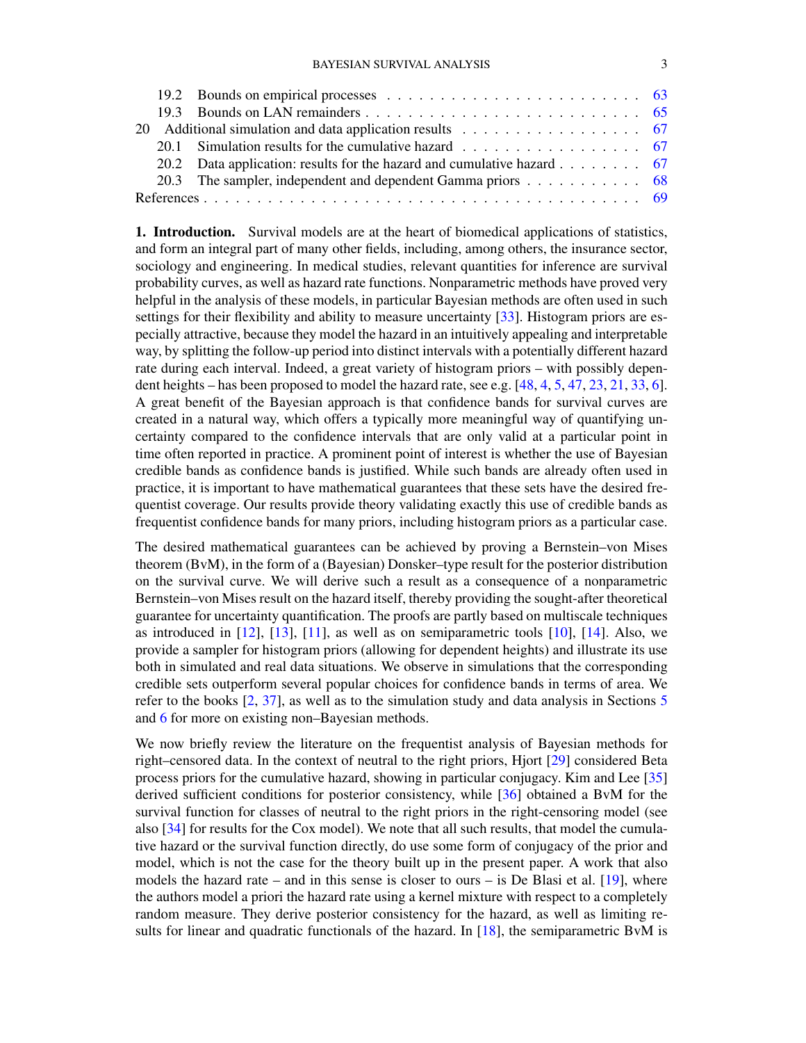|  | 20.1 Simulation results for the cumulative hazard $\ldots \ldots \ldots \ldots \ldots$ 67 |  |
|--|-------------------------------------------------------------------------------------------|--|
|  |                                                                                           |  |
|  | 20.3 The sampler, independent and dependent Gamma priors 68                               |  |
|  |                                                                                           |  |

<span id="page-2-0"></span>1. Introduction. Survival models are at the heart of biomedical applications of statistics, and form an integral part of many other fields, including, among others, the insurance sector, sociology and engineering. In medical studies, relevant quantities for inference are survival probability curves, as well as hazard rate functions. Nonparametric methods have proved very helpful in the analysis of these models, in particular Bayesian methods are often used in such settings for their flexibility and ability to measure uncertainty [\[33\]](#page-69-0). Histogram priors are especially attractive, because they model the hazard in an intuitively appealing and interpretable way, by splitting the follow-up period into distinct intervals with a potentially different hazard rate during each interval. Indeed, a great variety of histogram priors – with possibly dependent heights – has been proposed to model the hazard rate, see e.g. [\[48,](#page-70-0) [4,](#page-68-1) [5,](#page-68-2) [47,](#page-70-1) [23,](#page-69-1) [21,](#page-69-2) [33,](#page-69-0) [6\]](#page-68-3). A great benefit of the Bayesian approach is that confidence bands for survival curves are created in a natural way, which offers a typically more meaningful way of quantifying uncertainty compared to the confidence intervals that are only valid at a particular point in time often reported in practice. A prominent point of interest is whether the use of Bayesian credible bands as confidence bands is justified. While such bands are already often used in practice, it is important to have mathematical guarantees that these sets have the desired frequentist coverage. Our results provide theory validating exactly this use of credible bands as frequentist confidence bands for many priors, including histogram priors as a particular case.

The desired mathematical guarantees can be achieved by proving a Bernstein–von Mises theorem (BvM), in the form of a (Bayesian) Donsker–type result for the posterior distribution on the survival curve. We will derive such a result as a consequence of a nonparametric Bernstein–von Mises result on the hazard itself, thereby providing the sought-after theoretical guarantee for uncertainty quantification. The proofs are partly based on multiscale techniques as introduced in  $[12]$ ,  $[13]$ ,  $[11]$ , as well as on semiparametric tools  $[10]$ ,  $[14]$ . Also, we provide a sampler for histogram priors (allowing for dependent heights) and illustrate its use both in simulated and real data situations. We observe in simulations that the corresponding credible sets outperform several popular choices for confidence bands in terms of area. We refer to the books [\[2,](#page-68-6) [37\]](#page-70-2), as well as to the simulation study and data analysis in Sections [5](#page-13-0) and [6](#page-16-0) for more on existing non–Bayesian methods.

We now briefly review the literature on the frequentist analysis of Bayesian methods for right–censored data. In the context of neutral to the right priors, Hjort [\[29\]](#page-69-6) considered Beta process priors for the cumulative hazard, showing in particular conjugacy. Kim and Lee [\[35\]](#page-70-3) derived sufficient conditions for posterior consistency, while [\[36\]](#page-70-4) obtained a BvM for the survival function for classes of neutral to the right priors in the right-censoring model (see also [\[34\]](#page-69-7) for results for the Cox model). We note that all such results, that model the cumulative hazard or the survival function directly, do use some form of conjugacy of the prior and model, which is not the case for the theory built up in the present paper. A work that also models the hazard rate – and in this sense is closer to ours – is De Blasi et al.  $[19]$ , where the authors model a priori the hazard rate using a kernel mixture with respect to a completely random measure. They derive posterior consistency for the hazard, as well as limiting results for linear and quadratic functionals of the hazard. In [\[18\]](#page-69-9), the semiparametric BvM is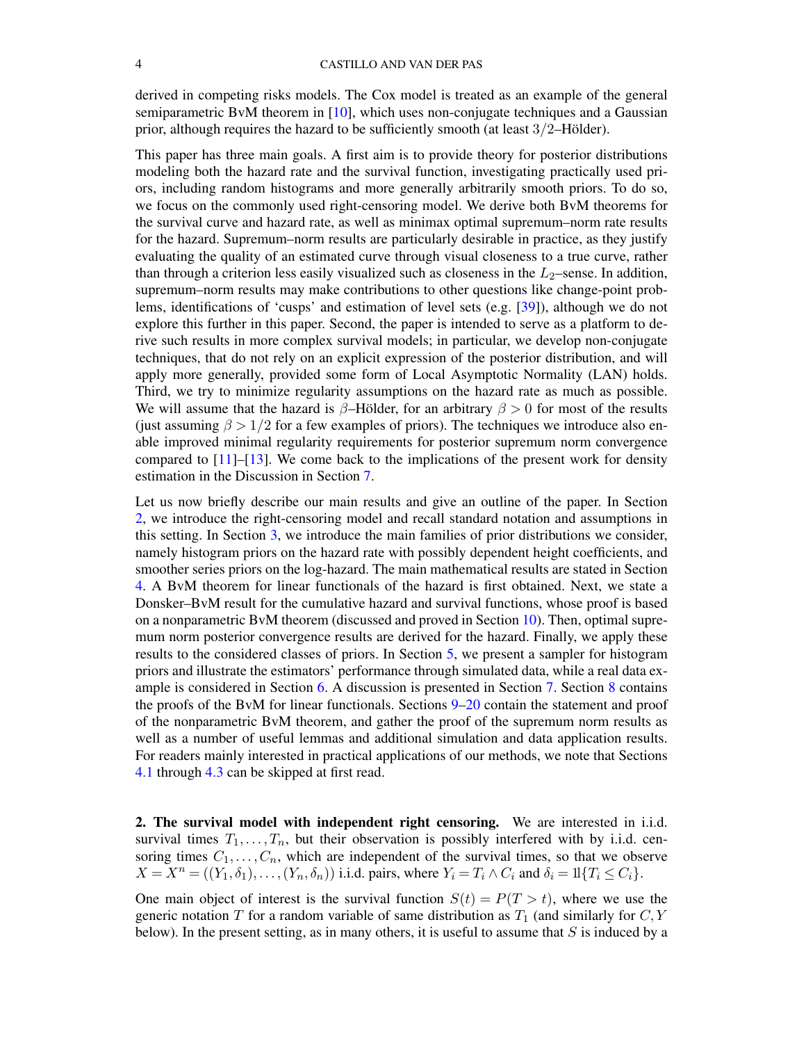derived in competing risks models. The Cox model is treated as an example of the general semiparametric BvM theorem in [\[10\]](#page-68-5), which uses non-conjugate techniques and a Gaussian prior, although requires the hazard to be sufficiently smooth (at least 3/2–Hölder).

This paper has three main goals. A first aim is to provide theory for posterior distributions modeling both the hazard rate and the survival function, investigating practically used priors, including random histograms and more generally arbitrarily smooth priors. To do so, we focus on the commonly used right-censoring model. We derive both BvM theorems for the survival curve and hazard rate, as well as minimax optimal supremum–norm rate results for the hazard. Supremum–norm results are particularly desirable in practice, as they justify evaluating the quality of an estimated curve through visual closeness to a true curve, rather than through a criterion less easily visualized such as closeness in the  $L_2$ –sense. In addition, supremum–norm results may make contributions to other questions like change-point problems, identifications of 'cusps' and estimation of level sets (e.g. [\[39\]](#page-70-5)), although we do not explore this further in this paper. Second, the paper is intended to serve as a platform to derive such results in more complex survival models; in particular, we develop non-conjugate techniques, that do not rely on an explicit expression of the posterior distribution, and will apply more generally, provided some form of Local Asymptotic Normality (LAN) holds. Third, we try to minimize regularity assumptions on the hazard rate as much as possible. We will assume that the hazard is  $\beta$ –Hölder, for an arbitrary  $\beta > 0$  for most of the results (just assuming  $\beta > 1/2$  for a few examples of priors). The techniques we introduce also enable improved minimal regularity requirements for posterior supremum norm convergence compared to  $[11]$ – $[13]$ . We come back to the implications of the present work for density estimation in the Discussion in Section [7.](#page-16-1)

Let us now briefly describe our main results and give an outline of the paper. In Section [2,](#page-3-0) we introduce the right-censoring model and recall standard notation and assumptions in this setting. In Section [3,](#page-5-0) we introduce the main families of prior distributions we consider, namely histogram priors on the hazard rate with possibly dependent height coefficients, and smoother series priors on the log-hazard. The main mathematical results are stated in Section [4.](#page-7-0) A BvM theorem for linear functionals of the hazard is first obtained. Next, we state a Donsker–BvM result for the cumulative hazard and survival functions, whose proof is based on a nonparametric BvM theorem (discussed and proved in Section [10\)](#page-25-1). Then, optimal supremum norm posterior convergence results are derived for the hazard. Finally, we apply these results to the considered classes of priors. In Section [5,](#page-13-0) we present a sampler for histogram priors and illustrate the estimators' performance through simulated data, while a real data example is considered in Section [6.](#page-16-0) A discussion is presented in Section [7.](#page-16-1) Section [8](#page-18-0) contains the proofs of the BvM for linear functionals. Sections [9](#page-24-1)[–20](#page-66-0) contain the statement and proof of the nonparametric BvM theorem, and gather the proof of the supremum norm results as well as a number of useful lemmas and additional simulation and data application results. For readers mainly interested in practical applications of our methods, we note that Sections [4.1](#page-7-1) through [4.3](#page-10-0) can be skipped at first read.

<span id="page-3-0"></span>2. The survival model with independent right censoring. We are interested in i.i.d. survival times  $T_1, \ldots, T_n$ , but their observation is possibly interfered with by i.i.d. censoring times  $C_1, \ldots, C_n$ , which are independent of the survival times, so that we observe  $X = X^n = ((Y_1, \delta_1), \ldots, (Y_n, \delta_n))$  i.i.d. pairs, where  $Y_i = T_i \wedge C_i$  and  $\delta_i = 1 | \{T_i \le C_i\}.$ 

One main object of interest is the survival function  $S(t) = P(T > t)$ , where we use the generic notation T for a random variable of same distribution as  $T_1$  (and similarly for  $C, Y$ below). In the present setting, as in many others, it is useful to assume that  $S$  is induced by a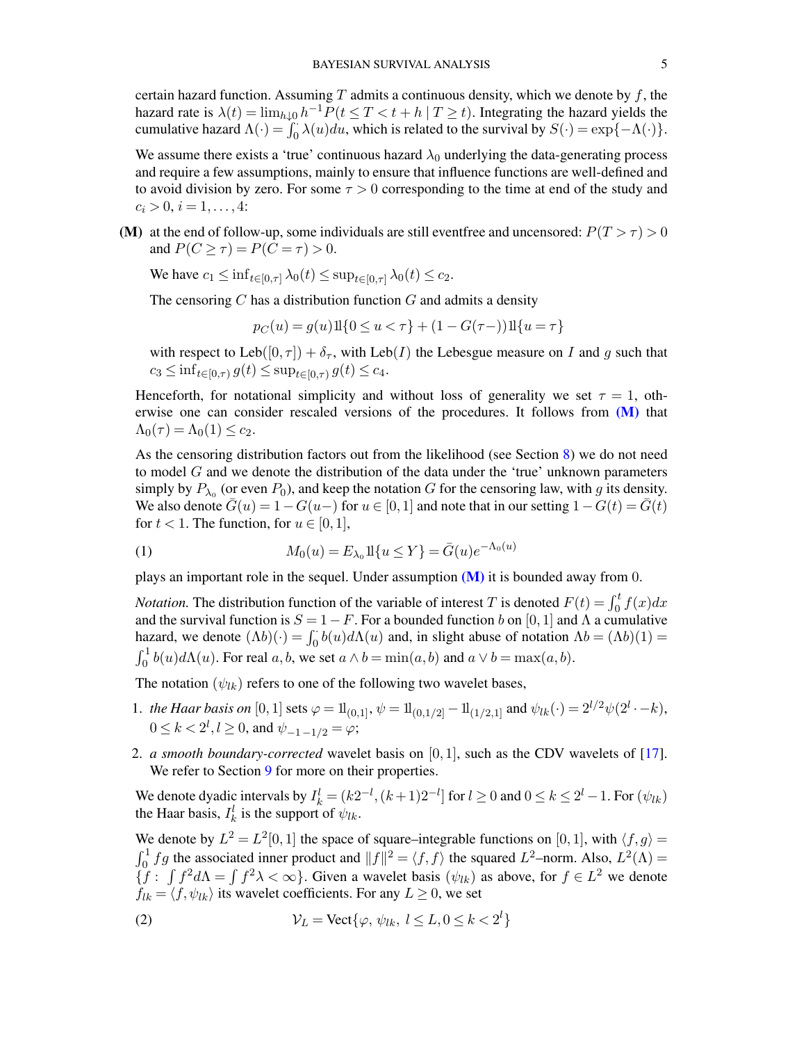certain hazard function. Assuming T admits a continuous density, which we denote by  $f$ , the hazard rate is  $\lambda(t) = \lim_{h \downarrow 0} h^{-1} P(t \leq T < t + h | T \geq t)$ . Integrating the hazard yields the cumulative hazard  $\Lambda(\cdot) = \int_0^{\infty} \lambda(u) du$ , which is related to the survival by  $S(\cdot) = \exp\{-\Lambda(\cdot)\}.$ 

We assume there exists a 'true' continuous hazard  $\lambda_0$  underlying the data-generating process and require a few assumptions, mainly to ensure that influence functions are well-defined and to avoid division by zero. For some  $\tau > 0$  corresponding to the time at end of the study and  $c_i > 0, i = 1, \ldots, 4$ :

<span id="page-4-0"></span>(M) at the end of follow-up, some individuals are still event free and uncensored:  $P(T > \tau) > 0$ and  $P(C \geq \tau) = P(C = \tau) > 0$ .

We have  $c_1 \leq \inf_{t \in [0,\tau]} \lambda_0(t) \leq \sup_{t \in [0,\tau]} \lambda_0(t) \leq c_2$ .

The censoring  $C$  has a distribution function  $G$  and admits a density

$$
p_C(u) = g(u)11\{0 \le u < \tau\} + (1 - G(\tau -))11\{u = \tau\}
$$

with respect to Leb([0,  $\tau$ ]) +  $\delta_{\tau}$ , with Leb(*I*) the Lebesgue measure on *I* and *g* such that  $c_3 \leq \inf_{t \in [0,\tau)} g(t) \leq \sup_{t \in [0,\tau)} g(t) \leq c_4.$ 

Henceforth, for notational simplicity and without loss of generality we set  $\tau = 1$ , otherwise one can consider rescaled versions of the procedures. It follows from [\(M\)](#page-4-0) that  $\Lambda_0(\tau) = \Lambda_0(1) \leq c_2.$ 

As the censoring distribution factors out from the likelihood (see Section [8\)](#page-18-0) we do not need to model  $G$  and we denote the distribution of the data under the 'true' unknown parameters simply by  $P_{\lambda_0}$  (or even  $P_0$ ), and keep the notation G for the censoring law, with g its density. We also denote  $\bar{G}(u) = 1 - G(u)$  for  $u \in [0, 1]$  and note that in our setting  $1 - G(t) = \bar{G}(t)$ for  $t < 1$ . The function, for  $u \in [0, 1]$ ,

<span id="page-4-1"></span>(1) 
$$
M_0(u) = E_{\lambda_0} 11\{u \le Y\} = \bar{G}(u)e^{-\Lambda_0(u)}
$$

plays an important role in the sequel. Under assumption  $(M)$  it is bounded away from 0.

*Notation.* The distribution function of the variable of interest T is denoted  $F(t) = \int_0^t f(x) dx$ and the survival function is  $S = 1 - F$ . For a bounded function b on [0, 1] and  $\Lambda$  a cumulative hazard, we denote  $($ Lambda b)(·) = \int\_0^{\cdot} b(u) d\Lambda(u) and, in slight abuse of notation  $\Lambda b = (\Lambda b)(1) =$  $\int_0^1 b(u)d\Lambda(u)$ . For real  $a, b$ , we set  $a \wedge b = \min(a, b)$  and  $a \vee b = \max(a, b)$ .

The notation  $(\psi_{lk})$  refers to one of the following two wavelet bases,

- 1. *the Haar basis on* [0, 1] sets  $\varphi = 1\mathbb{1}_{(0,1]}, \psi = 1\mathbb{1}_{(0,1/2]} 1\mathbb{1}_{(1/2,1]}$  and  $\psi_{lk}(\cdot) = 2^{l/2}\psi(2^l \cdot -k)$ ,  $0 \le k < 2^l, l \ge 0$ , and  $\psi_{-1 \1/2} = \varphi$ ;
- 2. *a smooth boundary-corrected* wavelet basis on [0, 1], such as the CDV wavelets of [\[17\]](#page-69-10). We refer to Section [9](#page-24-1) for more on their properties.

We denote dyadic intervals by  $I_k^l = (k2^{-l}, (k+1)2^{-l}]$  for  $l \ge 0$  and  $0 \le k \le 2^l - 1$ . For  $(\psi_{lk})$ the Haar basis,  $I_k^l$  is the support of  $\psi_{lk}$ .

We denote by  $L^2 = L^2[0,1]$  the space of square–integrable functions on  $[0,1]$ , with  $\langle f, g \rangle =$  $\int_0^1 fg$  the associated inner product and  $||f||^2 = \langle f, f \rangle$  the squared  $L^2$ -norm. Also,  $L^2(\Lambda)$  =  ${f : \int f^2 d\Lambda = \int f^2 \lambda < \infty}$ . Given a wavelet basis  $(\psi_{lk})$  as above, for  $f \in L^2$  we denote  $f_{lk} = \langle f, \psi_{lk} \rangle$  its wavelet coefficients. For any  $L \geq 0$ , we set

<span id="page-4-2"></span>(2) 
$$
\mathcal{V}_L = \text{Vect}\{\varphi, \psi_{lk}, l \leq L, 0 \leq k < 2^l\}
$$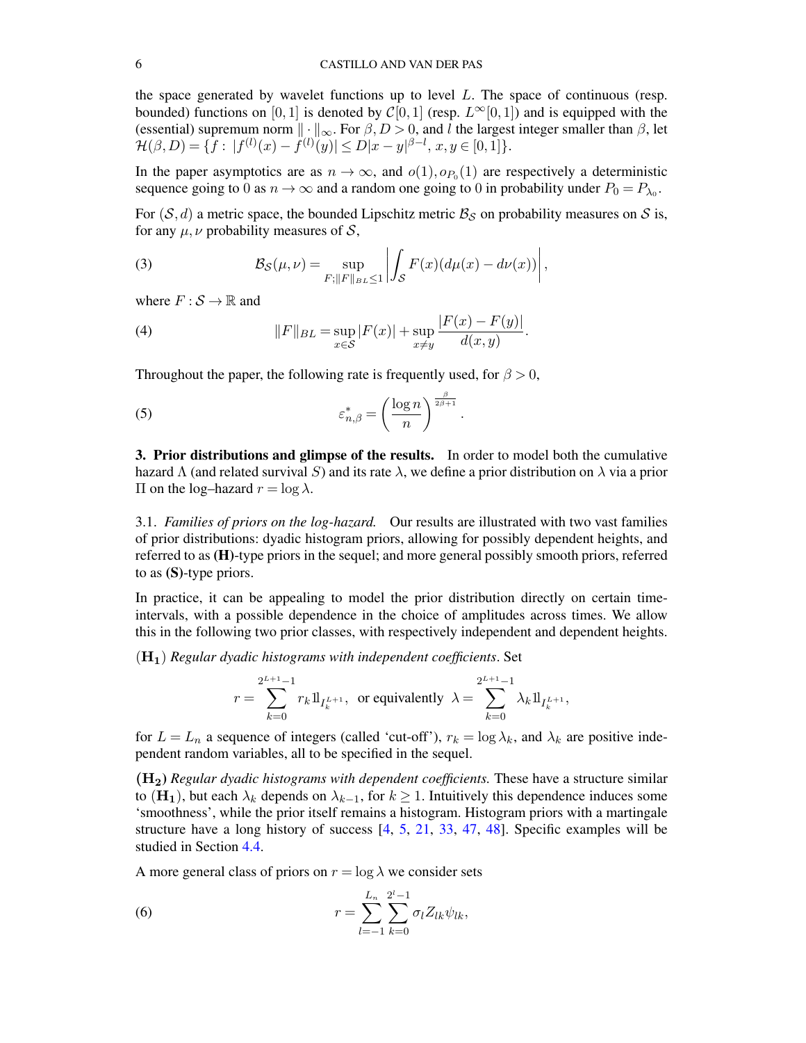the space generated by wavelet functions up to level  $L$ . The space of continuous (resp. bounded) functions on [0, 1] is denoted by  $C[0, 1]$  (resp.  $L^{\infty}[0, 1]$ ) and is equipped with the (essential) supremum norm  $\|\cdot\|_{\infty}$ . For  $\beta, D > 0$ , and l the largest integer smaller than  $\beta$ , let  $\mathcal{H}(\beta, D) = \{ f : |f^{(l)}(x) - f^{(l)}(y)| \le D|x - y|^{\beta - l}, x, y \in [0, 1] \}.$ 

In the paper asymptotics are as  $n \to \infty$ , and  $o(1), o_{P_0}(1)$  are respectively a deterministic sequence going to 0 as  $n \to \infty$  and a random one going to 0 in probability under  $P_0 = P_{\lambda_0}$ .

For  $(S, d)$  a metric space, the bounded Lipschitz metric  $\mathcal{B}_S$  on probability measures on S is, for any  $\mu$ ,  $\nu$  probability measures of S,

(3) 
$$
\mathcal{B}_{\mathcal{S}}(\mu,\nu)=\sup_{F;||F||_{BL}\leq 1}\left|\int_{\mathcal{S}}F(x)(d\mu(x)-d\nu(x))\right|,
$$

where  $F : \mathcal{S} \to \mathbb{R}$  and

(4) 
$$
||F||_{BL} = \sup_{x \in S} |F(x)| + \sup_{x \neq y} \frac{|F(x) - F(y)|}{d(x, y)}.
$$

Throughout the paper, the following rate is frequently used, for  $\beta > 0$ ,

<span id="page-5-3"></span>(5) 
$$
\varepsilon_{n,\beta}^* = \left(\frac{\log n}{n}\right)^{\frac{\beta}{2\beta+1}}.
$$

<span id="page-5-0"></span>3. Prior distributions and glimpse of the results. In order to model both the cumulative hazard  $\Lambda$  (and related survival S) and its rate  $\lambda$ , we define a prior distribution on  $\lambda$  via a prior Π on the log–hazard  $r = \log \lambda$ .

<span id="page-5-1"></span>3.1. *Families of priors on the log-hazard.* Our results are illustrated with two vast families of prior distributions: dyadic histogram priors, allowing for possibly dependent heights, and referred to as (H)-type priors in the sequel; and more general possibly smooth priors, referred to as (S)-type priors.

In practice, it can be appealing to model the prior distribution directly on certain timeintervals, with a possible dependence in the choice of amplitudes across times. We allow this in the following two prior classes, with respectively independent and dependent heights.

(H1) *Regular dyadic histograms with independent coefficients*. Set

$$
r = \sum_{k=0}^{2^{L+1}-1} r_k 1\!\mathrm{1}_{I_k^{L+1}}, \text{ or equivalently } \lambda = \sum_{k=0}^{2^{L+1}-1} \lambda_k 1\!\mathrm{1}_{I_k^{L+1}},
$$

for  $L = L_n$  a sequence of integers (called 'cut-off'),  $r_k = \log \lambda_k$ , and  $\lambda_k$  are positive independent random variables, all to be specified in the sequel.

(H2) *Regular dyadic histograms with dependent coefficients.* These have a structure similar to (H<sub>1</sub>), but each  $\lambda_k$  depends on  $\lambda_{k-1}$ , for  $k \geq 1$ . Intuitively this dependence induces some 'smoothness', while the prior itself remains a histogram. Histogram priors with a martingale structure have a long history of success [\[4,](#page-68-1) [5,](#page-68-2) [21,](#page-69-2) [33,](#page-69-0) [47,](#page-70-1) [48\]](#page-70-0). Specific examples will be studied in Section [4.4.](#page-11-0)

A more general class of priors on  $r = \log \lambda$  we consider sets

<span id="page-5-2"></span>(6) 
$$
r = \sum_{l=-1}^{L_n} \sum_{k=0}^{2^l-1} \sigma_l Z_{lk} \psi_{lk},
$$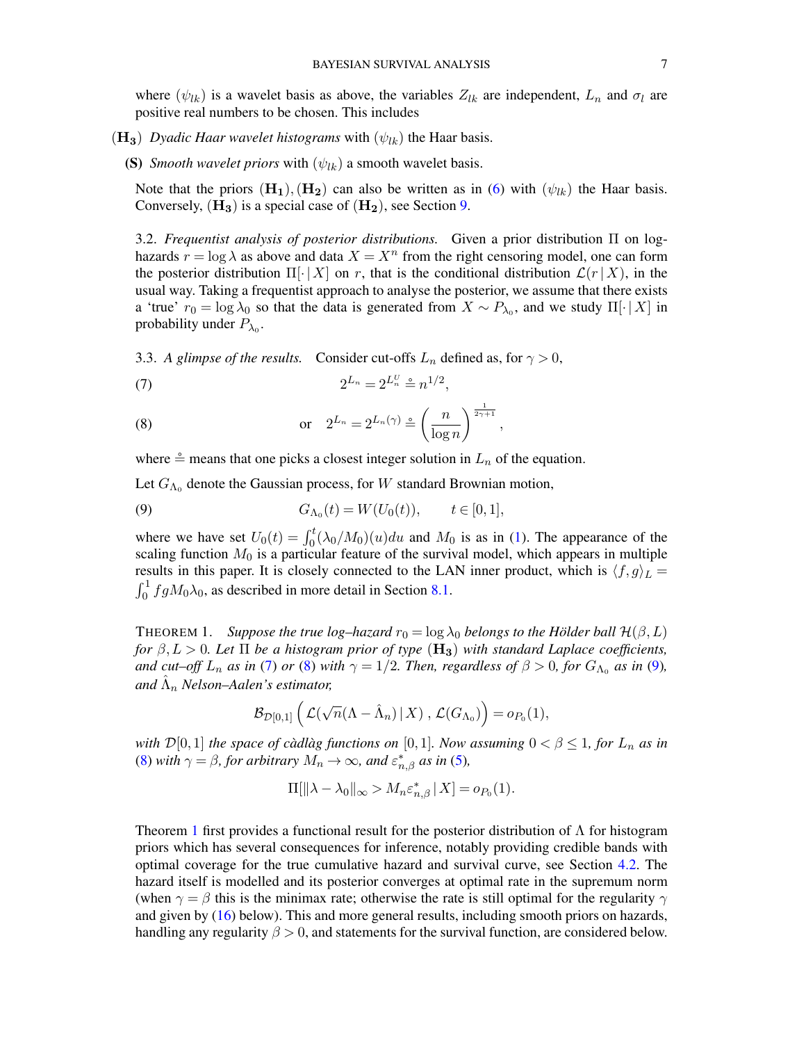where  $(\psi_{lk})$  is a wavelet basis as above, the variables  $Z_{lk}$  are independent,  $L_n$  and  $\sigma_l$  are positive real numbers to be chosen. This includes

- $(H_3)$  *Dyadic Haar wavelet histograms* with  $(\psi_{lk})$  the Haar basis.
	- (S) *Smooth wavelet priors* with  $(\psi_{lk})$  a smooth wavelet basis.

Note that the priors  $(H_1), (H_2)$  can also be written as in [\(6\)](#page-5-2) with  $(\psi_{lk})$  the Haar basis. Conversely,  $(H_3)$  is a special case of  $(H_2)$ , see Section [9.](#page-24-1)

<span id="page-6-0"></span>3.2. *Frequentist analysis of posterior distributions.* Given a prior distribution Π on loghazards  $r = \log \lambda$  as above and data  $X = X^n$  from the right censoring model, one can form the posterior distribution  $\Pi[\cdot|X]$  on r, that is the conditional distribution  $\mathcal{L}(r | X)$ , in the usual way. Taking a frequentist approach to analyse the posterior, we assume that there exists a 'true'  $r_0 = \log \lambda_0$  so that the data is generated from  $X \sim P_{\lambda_0}$ , and we study  $\Pi[\cdot | X]$  in probability under  $P_{\lambda_0}$ .

<span id="page-6-1"></span>3.3. *A glimpse of the results.* Consider cut-offs  $L_n$  defined as, for  $\gamma > 0$ ,

<span id="page-6-3"></span>(7) 
$$
2^{L_n} = 2^{L_n^U} \stackrel{\circ}{=} n^{1/2},
$$

<span id="page-6-4"></span>(8) or 
$$
2^{L_n} = 2^{L_n(\gamma)} \triangleq \left(\frac{n}{\log n}\right)^{\frac{1}{2\gamma+1}},
$$

where  $\stackrel{\circ}{=}$  means that one picks a closest integer solution in  $L_n$  of the equation.

Let  $G_{\Lambda_0}$  denote the Gaussian process, for W standard Brownian motion,

<span id="page-6-5"></span>(9) 
$$
G_{\Lambda_0}(t) = W(U_0(t)), \qquad t \in [0,1],
$$

where we have set  $U_0(t) = \int_0^t (\lambda_0/M_0)(u)du$  and  $M_0$  is as in [\(1\)](#page-4-1). The appearance of the scaling function  $M_0$  is a particular feature of the survival model, which appears in multiple results in this paper. It is closely connected to the LAN inner product, which is  $\langle f, g \rangle_L =$  $\int_0^1 f g M_0 \lambda_0$ , as described in more detail in Section [8.1.](#page-19-0)

<span id="page-6-2"></span>THEOREM 1. *Suppose the true log–hazard*  $r_0 = \log \lambda_0$  *belongs to the Hölder ball*  $\mathcal{H}(\beta, L)$ *for*  $\beta, L > 0$ *. Let*  $\Pi$  *be a histogram prior of type*  $(\mathbf{H_3})$  *with standard Laplace coefficients, and cut–off*  $L_n$  *as in* [\(7\)](#page-6-3) *or* [\(8\)](#page-6-4) *with*  $\gamma = 1/2$ *. Then, regardless of*  $\beta > 0$ *, for*  $G_{\Lambda_0}$  *as in* [\(9\)](#page-6-5)*, and* Λˆ <sup>n</sup> *Nelson–Aalen's estimator,*

$$
\mathcal{B}_{\mathcal{D}[0,1]}\left(\mathcal{L}(\sqrt{n}(\Lambda-\hat{\Lambda}_n) \,|\, X)\right.,\, \mathcal{L}(G_{\Lambda_0})\right)=o_{P_0}(1),
$$

*with*  $\mathcal{D}[0,1]$  *the space of càdlàg functions on*  $[0,1]$ *. Now assuming*  $0 < \beta \leq 1$ *, for*  $L_n$  *as in* [\(8\)](#page-6-4) *with*  $\gamma = \beta$ *, for arbitrary*  $M_n \to \infty$ *, and*  $\varepsilon_{n,\beta}^*$  *as in* [\(5\)](#page-5-3)*,* 

$$
\Pi[\|\lambda - \lambda_0\|_{\infty} > M_n \varepsilon_{n,\beta}^* \,|\, X] = o_{P_0}(1).
$$

Theorem [1](#page-6-2) first provides a functional result for the posterior distribution of  $\Lambda$  for histogram priors which has several consequences for inference, notably providing credible bands with optimal coverage for the true cumulative hazard and survival curve, see Section [4.2.](#page-8-0) The hazard itself is modelled and its posterior converges at optimal rate in the supremum norm (when  $\gamma = \beta$  this is the minimax rate; otherwise the rate is still optimal for the regularity  $\gamma$ and given by [\(16\)](#page-10-4) below). This and more general results, including smooth priors on hazards, handling any regularity  $\beta > 0$ , and statements for the survival function, are considered below.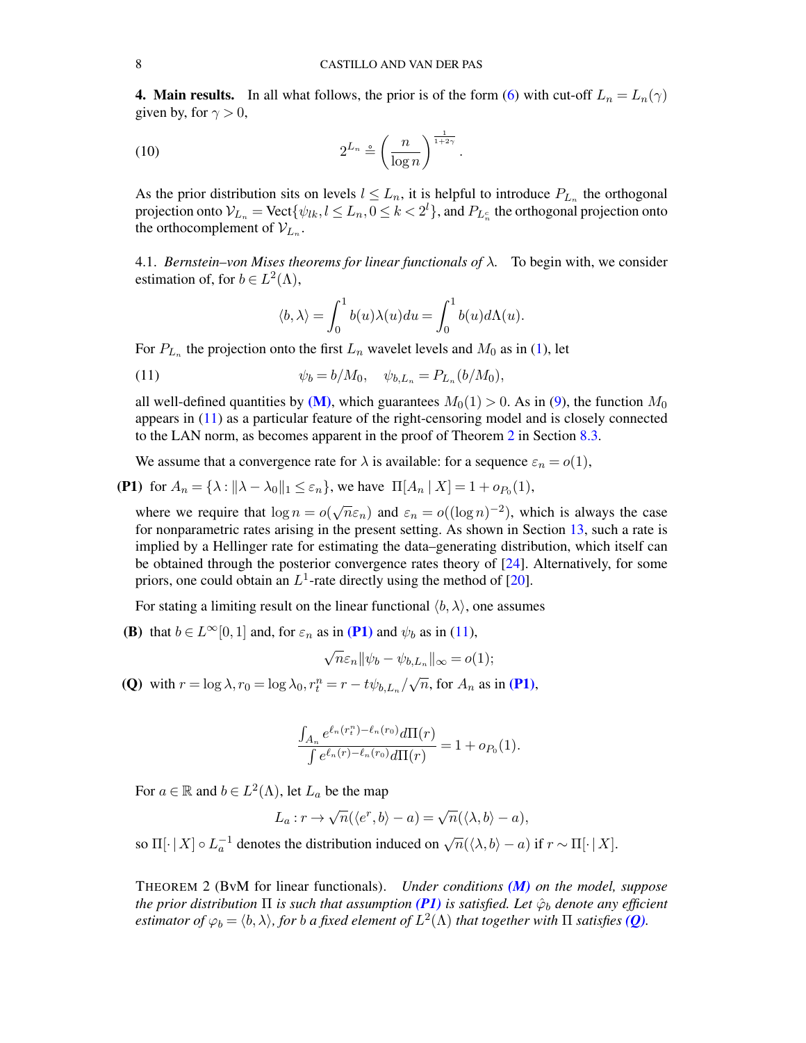<span id="page-7-0"></span>**4. Main results.** In all what follows, the prior is of the form [\(6\)](#page-5-2) with cut-off  $L_n = L_n(\gamma)$ given by, for  $\gamma > 0$ ,

$$
(10) \t\t 2^{L_n} \stackrel{\circ}{=} \left(\frac{n}{\log n}\right)^{\frac{1}{1+2\gamma}}.
$$

As the prior distribution sits on levels  $l \leq L_n$ , it is helpful to introduce  $P_{L_n}$  the orthogonal projection onto  $\mathcal{V}_{L_n} = \text{Vect}\{\psi_{lk}, l \leq L_n, 0 \leq k < 2^l\},$  and  $P_{L_n^c}$  the orthogonal projection onto the orthocomplement of  $V_{L_n}$ .

<span id="page-7-1"></span>4.1. *Bernstein–von Mises theorems for linear functionals of* λ*.* To begin with, we consider estimation of, for  $b \in L^2(\Lambda)$ ,

<span id="page-7-7"></span><span id="page-7-3"></span>
$$
\langle b, \lambda \rangle = \int_0^1 b(u) \lambda(u) du = \int_0^1 b(u) d\Lambda(u).
$$

For  $P_{L_n}$  the projection onto the first  $L_n$  wavelet levels and  $M_0$  as in [\(1\)](#page-4-1), let

(11) 
$$
\psi_b = b/M_0, \quad \psi_{b,L_n} = P_{L_n}(b/M_0),
$$

all well-defined quantities by  $(M)$ , which guarantees  $M_0(1) > 0$ . As in [\(9\)](#page-6-5), the function  $M_0$ appears in [\(11\)](#page-7-3) as a particular feature of the right-censoring model and is closely connected to the LAN norm, as becomes apparent in the proof of Theorem [2](#page-7-2) in Section [8.3.](#page-19-2)

<span id="page-7-4"></span>We assume that a convergence rate for  $\lambda$  is available: for a sequence  $\varepsilon_n = o(1)$ ,

**(P1)** for  $A_n = \{\lambda : ||\lambda - \lambda_0||_1 \le \varepsilon_n\}$ , we have  $\Pi[A_n | X] = 1 + o_{P_0}(1)$ ,

where we require that  $\log n = o$ √  $\overline{n}\varepsilon_n$ ) and  $\varepsilon_n = o((\log n)^{-2})$ , which is always the case for nonparametric rates arising in the present setting. As shown in Section [13,](#page-40-1) such a rate is implied by a Hellinger rate for estimating the data–generating distribution, which itself can be obtained through the posterior convergence rates theory of [\[24\]](#page-69-11). Alternatively, for some priors, one could obtain an  $L^1$ -rate directly using the method of [\[20\]](#page-69-12).

<span id="page-7-6"></span>For stating a limiting result on the linear functional  $\langle b, \lambda \rangle$ , one assumes

**(B)** that  $b \in L^{\infty}[0, 1]$  and, for  $\varepsilon_n$  as in **[\(P1\)](#page-7-4)** and  $\psi_b$  as in [\(11\)](#page-7-3),

$$
\sqrt{n}\varepsilon_n \|\psi_b - \psi_{b,L_n}\|_{\infty} = o(1);
$$

<span id="page-7-5"></span>(Q) with  $r = \log \lambda$ ,  $r_0 = \log \lambda_0$ ,  $r_t^n = r - t\psi_{b,L_n}/$ √  $\overline{n}$ , for  $A_n$  as in [\(P1\)](#page-7-4),

$$
\frac{\int_{A_n} e^{\ell_n(r_t^n) - \ell_n(r_0)} d\Pi(r)}{\int e^{\ell_n(r) - \ell_n(r_0)} d\Pi(r)} = 1 + o_{P_0}(1).
$$

For  $a \in \mathbb{R}$  and  $b \in L^2(\Lambda)$ , let  $L_a$  be the map

$$
L_a: r \to \sqrt{n}(\langle e^r, b \rangle - a) = \sqrt{n}(\langle \lambda, b \rangle - a),
$$

so  $\Pi[\cdot | X] \circ L_a^{-1}$  denotes the distribution induced on  $\sqrt{n}(\langle \lambda, b \rangle - a)$  if  $r \sim \Pi[\cdot | X]$ .

<span id="page-7-2"></span>THEOREM 2 (BvM for linear functionals). *Under conditions [\(M\)](#page-4-0) on the model, suppose the prior distribution*  $\Pi$  *is such that assumption* [\(P1\)](#page-7-4) *is satisfied. Let*  $\hat{\varphi}_b$  *denote any efficient* estimator of  $\varphi_b = \langle b, \lambda \rangle$ , for  $b$  a fixed element of  $L^2(\Lambda)$  that together with  $\Pi$  satisfies [\(Q\)](#page-7-5).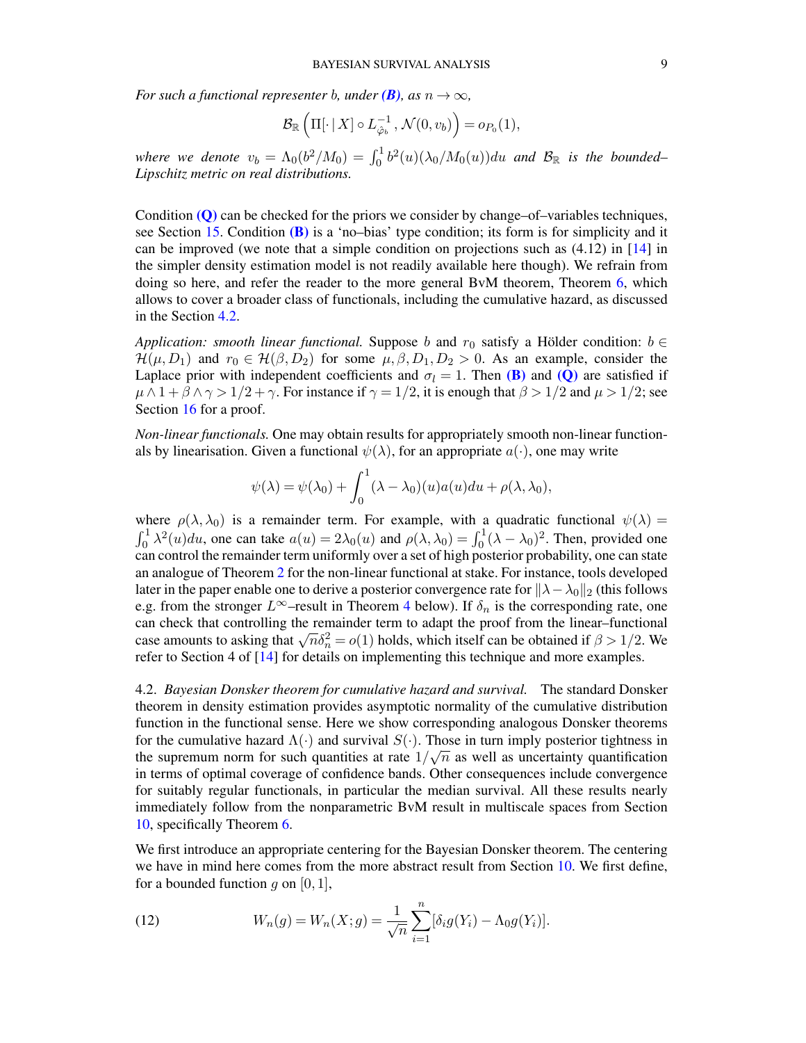*For such a functional representer b, under*  $(B)$ *, as*  $n \to \infty$ *,* 

$$
\mathcal{B}_{\mathbb{R}}\left(\Pi[\cdot | X] \circ L_{\hat{\varphi}_b}^{-1}, \mathcal{N}(0, v_b)\right) = o_{P_0}(1),
$$

where we denote  $v_b = \Lambda_0 (b^2/M_0) = \int_0^1 b^2(u) (\lambda_0/M_0(u)) du$  and  $\mathcal{B}_{\mathbb{R}}$  is the bounded– *Lipschitz metric on real distributions.*

Condition [\(Q\)](#page-7-5) can be checked for the priors we consider by change–of–variables techniques, see Section [15.](#page-48-0) Condition  $(B)$  is a 'no–bias' type condition; its form is for simplicity and it can be improved (we note that a simple condition on projections such as (4.12) in [\[14\]](#page-69-5) in the simpler density estimation model is not readily available here though). We refrain from doing so here, and refer the reader to the more general BvM theorem, Theorem [6,](#page-26-0) which allows to cover a broader class of functionals, including the cumulative hazard, as discussed in the Section [4.2.](#page-8-0)

*Application: smooth linear functional.* Suppose b and  $r_0$  satisfy a Hölder condition:  $b \in$  $\mathcal{H}(\mu, D_1)$  and  $r_0 \in \mathcal{H}(\beta, D_2)$  for some  $\mu, \beta, D_1, D_2 > 0$ . As an example, consider the Laplace prior with independent coefficients and  $\sigma_l = 1$ . Then [\(B\)](#page-7-6) and [\(Q\)](#page-7-5) are satisfied if  $\mu \wedge 1 + \beta \wedge \gamma > 1/2 + \gamma$ . For instance if  $\gamma = 1/2$ , it is enough that  $\beta > 1/2$  and  $\mu > 1/2$ ; see Section [16](#page-55-0) for a proof.

*Non-linear functionals.* One may obtain results for appropriately smooth non-linear functionals by linearisation. Given a functional  $\psi(\lambda)$ , for an appropriate  $a(\cdot)$ , one may write

$$
\psi(\lambda) = \psi(\lambda_0) + \int_0^1 (\lambda - \lambda_0)(u) a(u) du + \rho(\lambda, \lambda_0),
$$

where  $\rho(\lambda, \lambda_0)$  is a remainder term. For example, with a quadratic functional  $\psi(\lambda)$  =  $\int_0^1 \lambda^2(u) du$ , one can take  $a(u) = 2\lambda_0(u)$  and  $\rho(\lambda, \lambda_0) = \int_0^1 (\lambda - \lambda_0)^2$ . Then, provided one can control the remainder term uniformly over a set of high posterior probability, one can state an analogue of Theorem [2](#page-7-2) for the non-linear functional at stake. For instance, tools developed later in the paper enable one to derive a posterior convergence rate for  $\lambda - \lambda_0 \parallel_2$  (this follows e.g. from the stronger  $L^{\infty}$ –result in Theorem [4](#page-11-1) below). If  $\delta_n$  is the corresponding rate, one can check that controlling the remainder term to adapt the proof from the linear–functional can check that conforming the remainder term to adapt the proof from the finem-numeronal case amounts to asking that  $\sqrt{n}\delta_n^2 = o(1)$  holds, which itself can be obtained if  $\beta > 1/2$ . We refer to Section 4 of [\[14\]](#page-69-5) for details on implementing this technique and more examples.

<span id="page-8-0"></span>4.2. *Bayesian Donsker theorem for cumulative hazard and survival.* The standard Donsker theorem in density estimation provides asymptotic normality of the cumulative distribution function in the functional sense. Here we show corresponding analogous Donsker theorems for the cumulative hazard  $\Lambda(\cdot)$  and survival  $S(\cdot)$ . Those in turn imply posterior tightness in the supremum norm for such quantities at rate  $1/\sqrt{n}$  as well as uncertainty quantification in terms of optimal coverage of confidence bands. Other consequences include convergence for suitably regular functionals, in particular the median survival. All these results nearly immediately follow from the nonparametric BvM result in multiscale spaces from Section [10,](#page-25-1) specifically Theorem [6.](#page-26-0)

We first introduce an appropriate centering for the Bayesian Donsker theorem. The centering we have in mind here comes from the more abstract result from Section [10.](#page-25-1) We first define, for a bounded function g on  $[0, 1]$ ,

<span id="page-8-1"></span>(12) 
$$
W_n(g) = W_n(X; g) = \frac{1}{\sqrt{n}} \sum_{i=1}^n [\delta_i g(Y_i) - \Lambda_0 g(Y_i)].
$$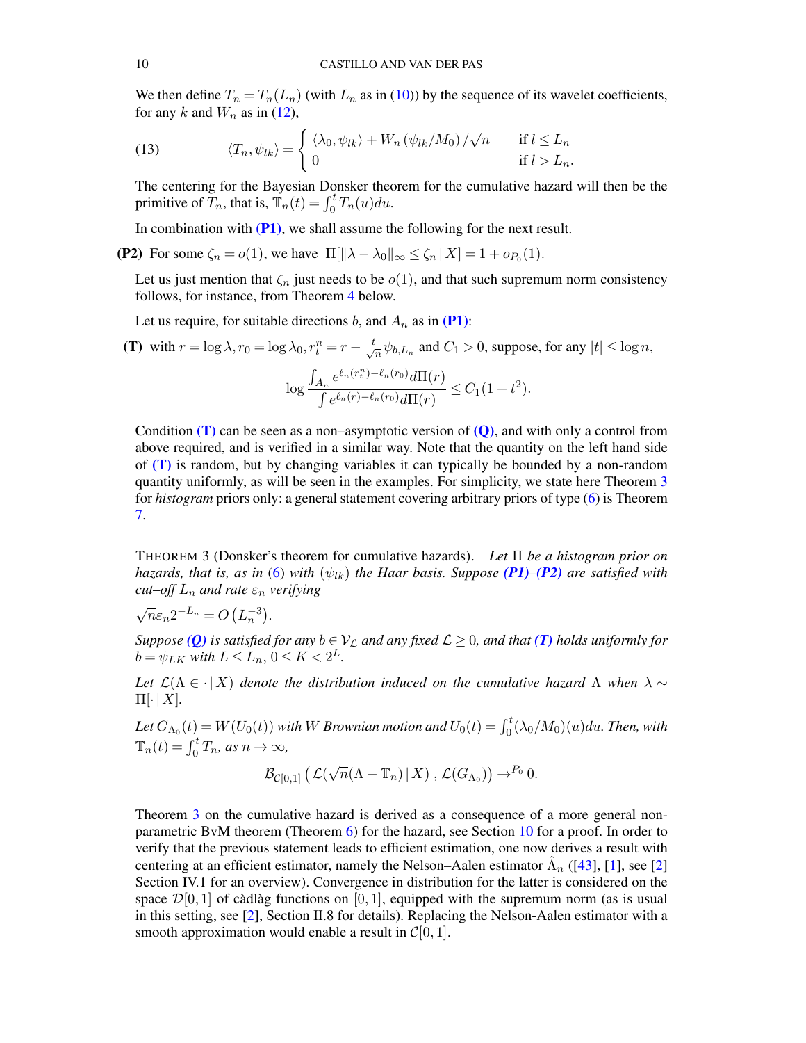We then define  $T_n = T_n(L_n)$  (with  $L_n$  as in [\(10\)](#page-7-7)) by the sequence of its wavelet coefficients, for any k and  $W_n$  as in [\(12\)](#page-8-1),

<span id="page-9-3"></span>(13) 
$$
\langle T_n, \psi_{lk} \rangle = \begin{cases} \langle \lambda_0, \psi_{lk} \rangle + W_n \left( \psi_{lk} / M_0 \right) / \sqrt{n} & \text{if } l \leq L_n \\ 0 & \text{if } l > L_n. \end{cases}
$$

The centering for the Bayesian Donsker theorem for the cumulative hazard will then be the primitive of  $\overline{T}_n$ , that is,  $\overline{T}_n(t) = \int_0^t T_n(u) du$ .

<span id="page-9-2"></span>In combination with  $(P1)$ , we shall assume the following for the next result.

**(P2)** For some  $\zeta_n = o(1)$ , we have  $\Pi[\|\lambda - \lambda_0\|_{\infty} \le \zeta_n | X] = 1 + o_{P_0}(1)$ .

Let us just mention that  $\zeta_n$  just needs to be  $o(1)$ , and that such supremum norm consistency follows, for instance, from Theorem [4](#page-11-1) below.

<span id="page-9-1"></span>Let us require, for suitable directions b, and  $A_n$  as in [\(P1\)](#page-7-4):

(T) with  $r = \log \lambda$ ,  $r_0 = \log \lambda_0$ ,  $r_t^n = r - \frac{t}{\sqrt{\lambda}}$  $\frac{1}{n}\psi_{b,L_n}$  and  $C_1 > 0$ , suppose, for any  $|t| \le \log n$ , log  $\int_{A_n} e^{\ell_n(r_t^n)-\ell_n(r_0)} d\Pi(r)$  $\frac{d_n}{\int e^{\ell_n(r)-\ell_n(r_0)}d\Pi(r)} \leq C_1(1+t^2).$ 

Condition  $(T)$  can be seen as a non–asymptotic version of  $(0)$ , and with only a control from above required, and is verified in a similar way. Note that the quantity on the left hand side of  $(T)$  is random, but by changing variables it can typically be bounded by a non-random quantity uniformly, as will be seen in the examples. For simplicity, we state here Theorem  $3$ for *histogram* priors only: a general statement covering arbitrary priors of type [\(6\)](#page-5-2) is Theorem [7.](#page-28-1)

<span id="page-9-0"></span>THEOREM 3 (Donsker's theorem for cumulative hazards). *Let* Π *be a histogram prior on hazards, that is, as in* [\(6\)](#page-5-2) *with*  $(\psi_{lk})$  *the Haar basis. Suppose [\(P1\)](#page-7-4)–[\(P2\)](#page-9-2) are satisfied with cut–off*  $L_n$  *and rate*  $\varepsilon_n$  *verifying* 

$$
\sqrt{n}\varepsilon_n 2^{-L_n} = O\left(L_n^{-3}\right).
$$

*Suppose* (*Q*) *is satisfied for any*  $b \in V_C$  *and any fixed*  $\mathcal{L} \geq 0$ *, and that* (*T*) *holds uniformly for*  $b = \psi_{LK}$  with  $L \le L_n$ ,  $0 \le K < 2^L$ .

*Let*  $\mathcal{L}(\Lambda \in \cdot | X)$  *denote the distribution induced on the cumulative hazard*  $\Lambda$  *when*  $\lambda \sim$  $\Pi[\cdot | X]$ .

Let  $G_{\Lambda_0}(t) = W(U_0(t))$  with  $W$  *Brownian motion and*  $U_0(t) = \int_0^t (\lambda_0/M_0)(u) du$ *. Then, with*  $\mathbb{T}_n(t) = \int_0^t T_n$ , as  $n \to \infty$ ,

$$
\mathcal{B}_{\mathcal{C}[0,1]}\left(\mathcal{L}(\sqrt{n}(\Lambda-\mathbb{T}_n)\,|\,X)\right),\mathcal{L}(G_{\Lambda_0})\right)\to^{P_0} 0.
$$

Theorem [3](#page-9-0) on the cumulative hazard is derived as a consequence of a more general nonparametric BvM theorem (Theorem [6\)](#page-26-0) for the hazard, see Section [10](#page-25-1) for a proof. In order to verify that the previous statement leads to efficient estimation, one now derives a result with centering at an efficient estimator, namely the Nelson–Aalen estimator  $\hat{\Lambda}_n$  ([\[43\]](#page-70-6), [\[1\]](#page-68-0), see [\[2\]](#page-68-6) Section IV.1 for an overview). Convergence in distribution for the latter is considered on the space  $\mathcal{D}[0, 1]$  of càdlàg functions on [0, 1], equipped with the supremum norm (as is usual in this setting, see [\[2\]](#page-68-6), Section II.8 for details). Replacing the Nelson-Aalen estimator with a smooth approximation would enable a result in  $C[0, 1]$ .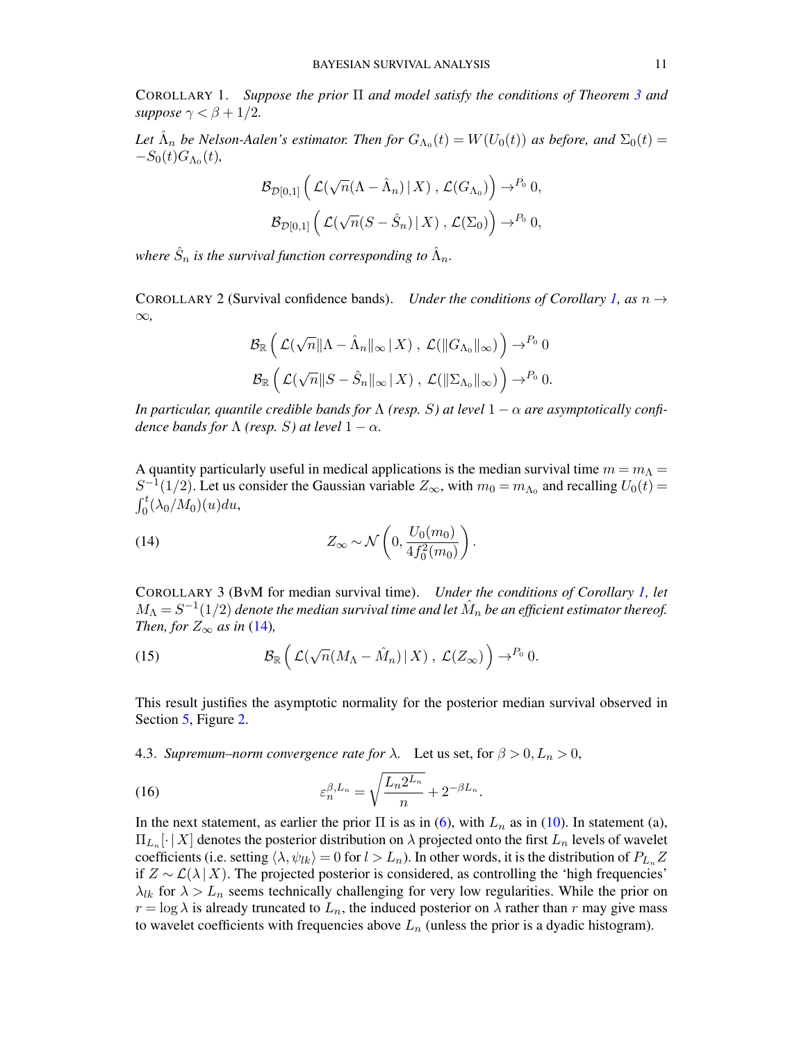<span id="page-10-1"></span>COROLLARY 1. *Suppose the prior* Π *and model satisfy the conditions of Theorem [3](#page-9-0) and suppose*  $\gamma < \beta + 1/2$ *.* 

Let  $\hat{\Lambda}_n$  be Nelson-Aalen's estimator. Then for  $G_{\Lambda_0}(t) = W(U_0(t))$  as before, and  $\Sigma_0(t) =$  $-S_0(t)G_{\Lambda_0}(t)$ ,

$$
\mathcal{B}_{\mathcal{D}[0,1]}\left(\mathcal{L}(\sqrt{n}(\Lambda-\hat{\Lambda}_n) | X), \mathcal{L}(G_{\Lambda_0})\right) \to^{P_0} 0,
$$
  

$$
\mathcal{B}_{\mathcal{D}[0,1]}\left(\mathcal{L}(\sqrt{n}(S-\hat{S}_n) | X), \mathcal{L}(\Sigma_0)\right) \to^{P_0} 0,
$$

where  $\hat{S}_n$  is the survival function corresponding to  $\hat{\Lambda}_n$ .

<span id="page-10-2"></span>COROLLARY 2 (Survival confidence bands). *Under the conditions of Corollary [1,](#page-10-1) as*  $n \rightarrow$ ∞*,*

$$
\mathcal{B}_{\mathbb{R}}\left(\mathcal{L}(\sqrt{n}\|\Lambda-\hat{\Lambda}_n\|_{\infty}\|X)\;,\;\mathcal{L}(\|G_{\Lambda_0}\|_{\infty})\right)\to^{P_0} 0
$$
  

$$
\mathcal{B}_{\mathbb{R}}\left(\mathcal{L}(\sqrt{n}\|S-\hat{S}_n\|_{\infty}\|X)\;,\;\mathcal{L}(\|\Sigma_{\Lambda_0}\|_{\infty})\right)\to^{P_0} 0.
$$

*In particular, quantile credible bands for*  $\Lambda$  *(resp. S) at level*  $1 - \alpha$  *are asymptotically confidence bands for*  $\Lambda$  *(resp. S) at level*  $1 - \alpha$ *.* 

A quantity particularly useful in medical applications is the median survival time  $m = m<sub>\Lambda</sub> =$  $S^{-1}(1/2)$ . Let us consider the Gaussian variable  $Z_{\infty}$ , with  $m_0 = m_{\Lambda_0}$  and recalling  $U_0(t) =$  $\int_0^t (\lambda_0/M_0)(u)du,$ 

<span id="page-10-5"></span>(14) 
$$
Z_{\infty} \sim \mathcal{N}\left(0, \frac{U_0(m_0)}{4f_0^2(m_0)}\right).
$$

<span id="page-10-3"></span>COROLLARY 3 (BvM for median survival time). *Under the conditions of Corollary [1,](#page-10-1) let*  $M_\Lambda = S^{-1}(1/2)$  denote the median survival time and let  $\hat M_n$  be an efficient estimator thereof. *Then, for*  $Z_{\infty}$  *as in* [\(14\)](#page-10-5)*,* 

(15) 
$$
\mathcal{B}_{\mathbb{R}}\left(\mathcal{L}(\sqrt{n}(M_{\Lambda}-\hat{M}_n)|X), \mathcal{L}(Z_{\infty})\right) \to^{P_0} 0.
$$

This result justifies the asymptotic normality for the posterior median survival observed in Section [5,](#page-13-0) Figure [2.](#page-15-0)

<span id="page-10-0"></span>4.3. *Supremum–norm convergence rate for*  $\lambda$ . Let us set, for  $\beta > 0, L_n > 0$ ,

<span id="page-10-4"></span>(16) 
$$
\varepsilon_n^{\beta, L_n} = \sqrt{\frac{L_n 2^{L_n}}{n}} + 2^{-\beta L_n}.
$$

In the next statement, as earlier the prior  $\Pi$  is as in [\(6\)](#page-5-2), with  $L_n$  as in [\(10\)](#page-7-7). In statement (a),  $\Pi_{L_n}[\cdot | X]$  denotes the posterior distribution on  $\lambda$  projected onto the first  $L_n$  levels of wavelet coefficients (i.e. setting  $\langle \lambda, \psi_{lk} \rangle = 0$  for  $l > L_n$ ). In other words, it is the distribution of  $P_{L_n}Z$ if  $Z \sim \mathcal{L}(\lambda | X)$ . The projected posterior is considered, as controlling the 'high frequencies'  $\lambda_{lk}$  for  $\lambda > L_n$  seems technically challenging for very low regularities. While the prior on  $r = \log \lambda$  is already truncated to  $L_n$ , the induced posterior on  $\lambda$  rather than r may give mass to wavelet coefficients with frequencies above  $L_n$  (unless the prior is a dyadic histogram).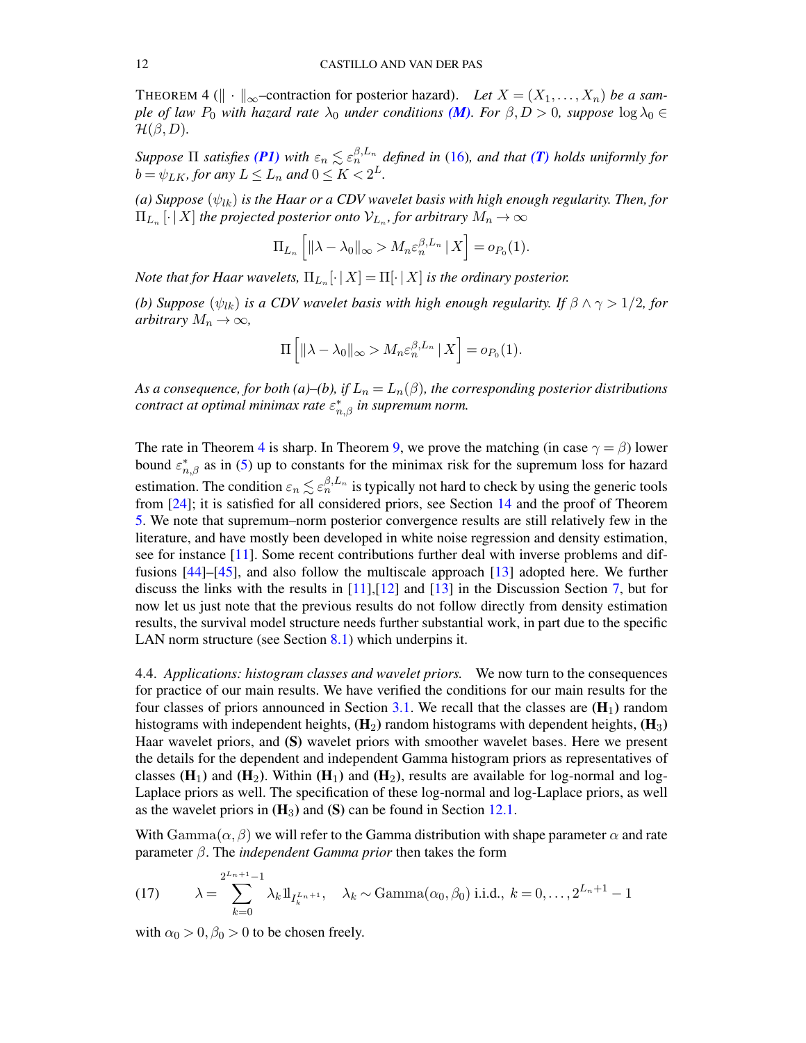<span id="page-11-1"></span>THEOREM 4 ( $\|\cdot\|_{\infty}$ -contraction for posterior hazard). Let  $X = (X_1, \ldots, X_n)$  be a sam*ple of law P*<sub>0</sub> *with hazard rate*  $\lambda_0$  *under conditions* (*M*)*. For*  $\beta$ ,  $D > 0$ *, suppose* log  $\lambda_0 \in$  $\mathcal{H}(\beta, D)$ .

*Suppose*  $\Pi$  *satisfies* [\(P1\)](#page-7-4) with  $\varepsilon_n \lesssim \varepsilon_n^{\beta,L_n}$  defined in [\(16\)](#page-10-4), and that [\(T\)](#page-9-1) holds uniformly for  $b = \psi_{LK}$ , for any  $L \le L_n$  and  $0 \le K < 2^L$ .

*(a) Suppose*  $(\psi_{lk})$  *is the Haar or a CDV wavelet basis with high enough regularity. Then, for*  $\Pi_{L_n}\left[ \cdot \, | \, X \right]$  the projected posterior onto  $\mathcal{V}_{L_n}$ , for arbitrary  $M_n \to \infty$ 

$$
\Pi_{L_n}\left[\|\lambda-\lambda_0\|_{\infty} > M_n \varepsilon_n^{\beta,L_n} \,|\, X\right] = o_{P_0}(1).
$$

*Note that for Haar wavelets,*  $\Pi_{L_n}[\cdot | X ] = \Pi[\cdot | X]$  *is the ordinary posterior.* 

*(b)* Suppose  $(\psi_{lk})$  *is a CDV wavelet basis with high enough regularity. If*  $\beta \wedge \gamma > 1/2$ *, for arbitrary*  $M_n \to \infty$ *,* 

$$
\Pi\left[\|\lambda-\lambda_0\|_{\infty} > M_n \varepsilon_n^{\beta,L_n} \,|\, X\right] = o_{P_0}(1).
$$

As a consequence, for both (a)–(b), if  $L_n = L_n(\beta)$ , the corresponding posterior distributions *contract at optimal minimax rate* ε ∗ n,β *in supremum norm.*

The rate in Theorem [4](#page-11-1) is sharp. In Theorem [9,](#page-60-1) we prove the matching (in case  $\gamma = \beta$ ) lower bound  $\varepsilon_{n,\beta}^*$  as in [\(5\)](#page-5-3) up to constants for the minimax risk for the supremum loss for hazard estimation. The condition  $\varepsilon_n \lesssim \varepsilon_n^{\beta,L_n}$  is typically not hard to check by using the generic tools from [\[24\]](#page-69-11); it is satisfied for all considered priors, see Section [14](#page-44-0) and the proof of Theorem [5.](#page-12-0) We note that supremum–norm posterior convergence results are still relatively few in the literature, and have mostly been developed in white noise regression and density estimation, see for instance [\[11\]](#page-68-4). Some recent contributions further deal with inverse problems and diffusions [\[44\]](#page-70-7)–[\[45\]](#page-70-8), and also follow the multiscale approach [\[13\]](#page-69-4) adopted here. We further discuss the links with the results in [\[11\]](#page-68-4),[\[12\]](#page-69-3) and [\[13\]](#page-69-4) in the Discussion Section [7,](#page-16-1) but for now let us just note that the previous results do not follow directly from density estimation results, the survival model structure needs further substantial work, in part due to the specific LAN norm structure (see Section [8.1\)](#page-19-0) which underpins it.

<span id="page-11-0"></span>4.4. *Applications: histogram classes and wavelet priors.* We now turn to the consequences for practice of our main results. We have verified the conditions for our main results for the four classes of priors announced in Section [3.1.](#page-5-1) We recall that the classes are  $(H_1)$  random histograms with independent heights,  $(H_2)$  random histograms with dependent heights,  $(H_3)$ Haar wavelet priors, and (S) wavelet priors with smoother wavelet bases. Here we present the details for the dependent and independent Gamma histogram priors as representatives of classes  $(H_1)$  and  $(H_2)$ . Within  $(H_1)$  and  $(H_2)$ , results are available for log-normal and log-Laplace priors as well. The specification of these log-normal and log-Laplace priors, as well as the wavelet priors in  $(H_3)$  and  $(S)$  can be found in Section [12.1.](#page-37-1)

With  $\text{Gamma}(\alpha, \beta)$  we will refer to the Gamma distribution with shape parameter  $\alpha$  and rate parameter β. The *independent Gamma prior* then takes the form

<span id="page-11-2"></span>(17) 
$$
\lambda = \sum_{k=0}^{2^{L_n+1}-1} \lambda_k 1_{I_k^{L_n+1}}, \quad \lambda_k \sim \text{Gamma}(\alpha_0, \beta_0) \text{ i.i.d., } k = 0, \dots, 2^{L_n+1} - 1
$$

with  $\alpha_0 > 0$ ,  $\beta_0 > 0$  to be chosen freely.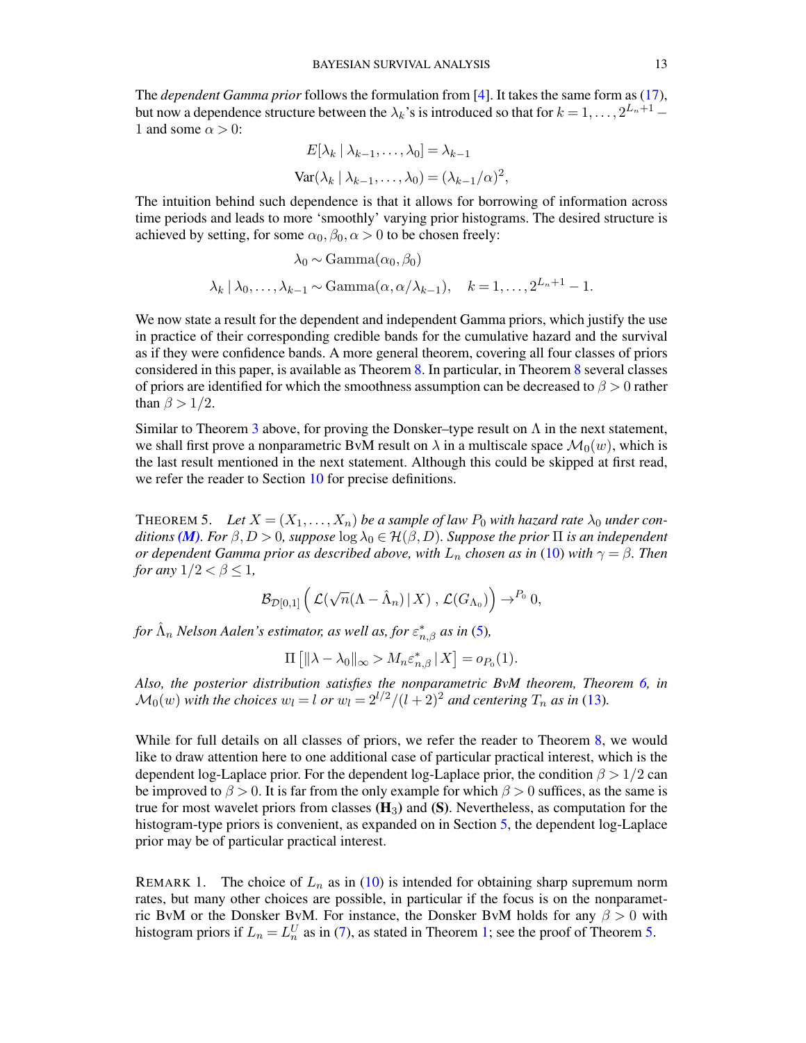The *dependent Gamma prior* follows the formulation from [\[4\]](#page-68-1). It takes the same form as [\(17\)](#page-11-2), but now a dependence structure between the  $\lambda_k$ 's is introduced so that for  $k = 1, \ldots, 2^{L_n+1} - 1$ 1 and some  $\alpha > 0$ :

$$
E[\lambda_k | \lambda_{k-1}, \dots, \lambda_0] = \lambda_{k-1}
$$

$$
Var(\lambda_k | \lambda_{k-1}, \dots, \lambda_0) = (\lambda_{k-1}/\alpha)^2,
$$

The intuition behind such dependence is that it allows for borrowing of information across time periods and leads to more 'smoothly' varying prior histograms. The desired structure is achieved by setting, for some  $\alpha_0$ ,  $\beta_0$ ,  $\alpha > 0$  to be chosen freely:

$$
\lambda_0 \sim \text{Gamma}(\alpha_0, \beta_0)
$$
  

$$
\lambda_k | \lambda_0, \dots, \lambda_{k-1} \sim \text{Gamma}(\alpha, \alpha/\lambda_{k-1}), \quad k = 1, \dots, 2^{L_n+1} - 1.
$$

We now state a result for the dependent and independent Gamma priors, which justify the use in practice of their corresponding credible bands for the cumulative hazard and the survival as if they were confidence bands. A more general theorem, covering all four classes of priors considered in this paper, is available as Theorem [8.](#page-38-0) In particular, in Theorem [8](#page-38-0) several classes of priors are identified for which the smoothness assumption can be decreased to  $\beta > 0$  rather than  $\beta > 1/2$ .

Similar to Theorem [3](#page-9-0) above, for proving the Donsker–type result on  $\Lambda$  in the next statement, we shall first prove a nonparametric BvM result on  $\lambda$  in a multiscale space  $\mathcal{M}_0(w)$ , which is the last result mentioned in the next statement. Although this could be skipped at first read, we refer the reader to Section [10](#page-25-1) for precise definitions.

<span id="page-12-0"></span>THEOREM 5. Let  $X = (X_1, \ldots, X_n)$  be a sample of law  $P_0$  with hazard rate  $\lambda_0$  under con*ditions* (*M*)*. For*  $\beta$ ,  $D > 0$ *, suppose*  $\log \lambda_0 \in \mathcal{H}(\beta, D)$ *. Suppose the prior*  $\Pi$  *is an independent or dependent Gamma prior as described above, with*  $L_n$  *chosen as in* [\(10\)](#page-7-7) *with*  $\gamma = \beta$ *. Then for any*  $1/2 < \beta \leq 1$ ,

$$
\mathcal{B}_{\mathcal{D}[0,1]}\left(\left.\mathcal{L}(\sqrt{n}(\Lambda-\hat{\Lambda}_n)\,|\,X)\right.,\mathcal{L}(G_{\Lambda_0})\right)\to^{P_0}0,
$$

for  $\hat{\Lambda}_n$  Nelson Aalen's estimator, as well as, for  $\varepsilon_{n,\beta}^*$  as in [\(5\)](#page-5-3),

$$
\Pi\left[\|\lambda-\lambda_0\|_{\infty} > M_n \varepsilon_{n,\beta}^* \,|\, X\right] = o_{P_0}(1).
$$

*Also, the posterior distribution satisfies the nonparametric BvM theorem, Theorem [6,](#page-26-0) in*  $\mathcal{M}_0(w)$  *with the choices*  $w_l = l$  *or*  $w_l = 2^{l/2}/(l+2)^2$  *and centering*  $T_n$  *as in* [\(13\)](#page-9-3)*.* 

While for full details on all classes of priors, we refer the reader to Theorem [8,](#page-38-0) we would like to draw attention here to one additional case of particular practical interest, which is the dependent log-Laplace prior. For the dependent log-Laplace prior, the condition  $\beta > 1/2$  can be improved to  $\beta > 0$ . It is far from the only example for which  $\beta > 0$  suffices, as the same is true for most wavelet priors from classes  $(H_3)$  and  $(S)$ . Nevertheless, as computation for the histogram-type priors is convenient, as expanded on in Section [5,](#page-13-0) the dependent log-Laplace prior may be of particular practical interest.

<span id="page-12-1"></span>REMARK 1. The choice of  $L_n$  as in [\(10\)](#page-7-7) is intended for obtaining sharp supremum norm rates, but many other choices are possible, in particular if the focus is on the nonparametric BvM or the Donsker BvM. For instance, the Donsker BvM holds for any  $\beta > 0$  with histogram priors if  $L_n = L_n^U$  as in [\(7\)](#page-6-3), as stated in Theorem [1;](#page-6-2) see the proof of Theorem [5.](#page-12-0)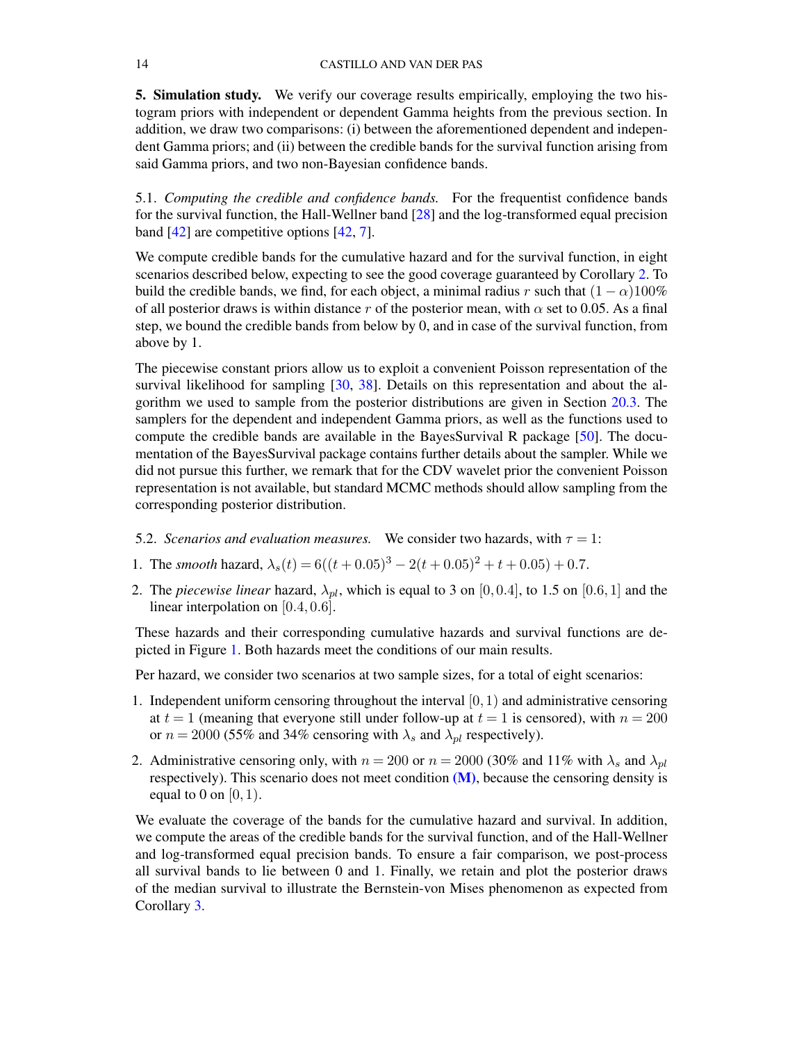<span id="page-13-0"></span>5. Simulation study. We verify our coverage results empirically, employing the two histogram priors with independent or dependent Gamma heights from the previous section. In addition, we draw two comparisons: (i) between the aforementioned dependent and independent Gamma priors; and (ii) between the credible bands for the survival function arising from said Gamma priors, and two non-Bayesian confidence bands.

<span id="page-13-1"></span>5.1. *Computing the credible and confidence bands.* For the frequentist confidence bands for the survival function, the Hall-Wellner band [\[28\]](#page-69-13) and the log-transformed equal precision band [\[42\]](#page-70-9) are competitive options [\[42,](#page-70-9) [7\]](#page-68-7).

We compute credible bands for the cumulative hazard and for the survival function, in eight scenarios described below, expecting to see the good coverage guaranteed by Corollary [2.](#page-10-2) To build the credible bands, we find, for each object, a minimal radius r such that  $(1 - \alpha)100\%$ of all posterior draws is within distance r of the posterior mean, with  $\alpha$  set to 0.05. As a final step, we bound the credible bands from below by 0, and in case of the survival function, from above by 1.

The piecewise constant priors allow us to exploit a convenient Poisson representation of the survival likelihood for sampling [\[30,](#page-69-14) [38\]](#page-70-10). Details on this representation and about the algorithm we used to sample from the posterior distributions are given in Section [20.3.](#page-67-0) The samplers for the dependent and independent Gamma priors, as well as the functions used to compute the credible bands are available in the BayesSurvival R package [\[50\]](#page-70-11). The documentation of the BayesSurvival package contains further details about the sampler. While we did not pursue this further, we remark that for the CDV wavelet prior the convenient Poisson representation is not available, but standard MCMC methods should allow sampling from the corresponding posterior distribution.

- <span id="page-13-2"></span>5.2. *Scenarios and evaluation measures.* We consider two hazards, with  $\tau = 1$ :
- 1. The *smooth* hazard,  $\lambda_s(t) = 6((t+0.05)^3 2(t+0.05)^2 + t + 0.05) + 0.7$ .
- 2. The *piecewise linear* hazard,  $\lambda_{pl}$ , which is equal to 3 on [0, 0.4], to 1.5 on [0.6, 1] and the linear interpolation on [0.4, 0.6].

These hazards and their corresponding cumulative hazards and survival functions are depicted in Figure [1.](#page-14-2) Both hazards meet the conditions of our main results.

Per hazard, we consider two scenarios at two sample sizes, for a total of eight scenarios:

- 1. Independent uniform censoring throughout the interval  $[0, 1)$  and administrative censoring at  $t = 1$  (meaning that everyone still under follow-up at  $t = 1$  is censored), with  $n = 200$ or  $n = 2000$  (55% and 34% censoring with  $\lambda_s$  and  $\lambda_{pl}$  respectively).
- 2. Administrative censoring only, with  $n = 200$  or  $n = 2000$  (30% and 11% with  $\lambda_s$  and  $\lambda_{pl}$ ) respectively). This scenario does not meet condition  $(M)$ , because the censoring density is equal to 0 on  $[0, 1)$ .

We evaluate the coverage of the bands for the cumulative hazard and survival. In addition, we compute the areas of the credible bands for the survival function, and of the Hall-Wellner and log-transformed equal precision bands. To ensure a fair comparison, we post-process all survival bands to lie between 0 and 1. Finally, we retain and plot the posterior draws of the median survival to illustrate the Bernstein-von Mises phenomenon as expected from Corollary [3.](#page-10-3)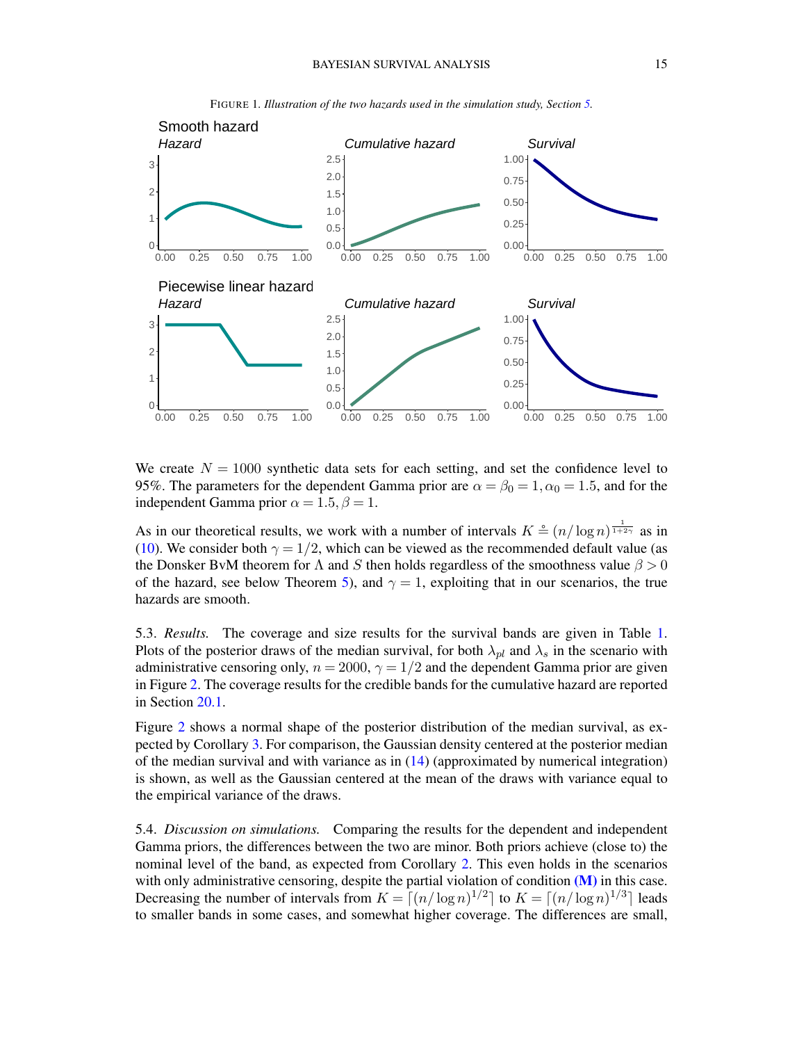

<span id="page-14-2"></span>FIGURE 1*. Illustration of the two hazards used in the simulation study, Section [5.](#page-13-0)*

We create  $N = 1000$  synthetic data sets for each setting, and set the confidence level to 95%. The parameters for the dependent Gamma prior are  $\alpha = \beta_0 = 1, \alpha_0 = 1.5$ , and for the independent Gamma prior  $\alpha = 1.5$ ,  $\beta = 1$ .

As in our theoretical results, we work with a number of intervals  $K \triangleq (n/\log n)^{\frac{1}{1+2\gamma}}$  as in [\(10\)](#page-7-7). We consider both  $\gamma = 1/2$ , which can be viewed as the recommended default value (as the Donsker BvM theorem for  $\Lambda$  and  $S$  then holds regardless of the smoothness value  $\beta > 0$ of the hazard, see below Theorem [5\)](#page-12-0), and  $\gamma = 1$ , exploiting that in our scenarios, the true hazards are smooth.

<span id="page-14-0"></span>5.3. *Results.* The coverage and size results for the survival bands are given in Table [1.](#page-15-1) Plots of the posterior draws of the median survival, for both  $\lambda_{pl}$  and  $\lambda_s$  in the scenario with administrative censoring only,  $n = 2000$ ,  $\gamma = 1/2$  and the dependent Gamma prior are given in Figure [2.](#page-15-0) The coverage results for the credible bands for the cumulative hazard are reported in Section [20.1.](#page-66-1)

Figure [2](#page-15-0) shows a normal shape of the posterior distribution of the median survival, as expected by Corollary [3.](#page-10-3) For comparison, the Gaussian density centered at the posterior median of the median survival and with variance as in [\(14\)](#page-10-5) (approximated by numerical integration) is shown, as well as the Gaussian centered at the mean of the draws with variance equal to the empirical variance of the draws.

<span id="page-14-1"></span>5.4. *Discussion on simulations.* Comparing the results for the dependent and independent Gamma priors, the differences between the two are minor. Both priors achieve (close to) the nominal level of the band, as expected from Corollary [2.](#page-10-2) This even holds in the scenarios with only administrative censoring, despite the partial violation of condition [\(M\)](#page-4-0) in this case. Decreasing the number of intervals from  $K = \lfloor (n/\log n)^{1/2} \rfloor$  to  $K = \lfloor (n/\log n)^{1/3} \rfloor$  leads to smaller bands in some cases, and somewhat higher coverage. The differences are small,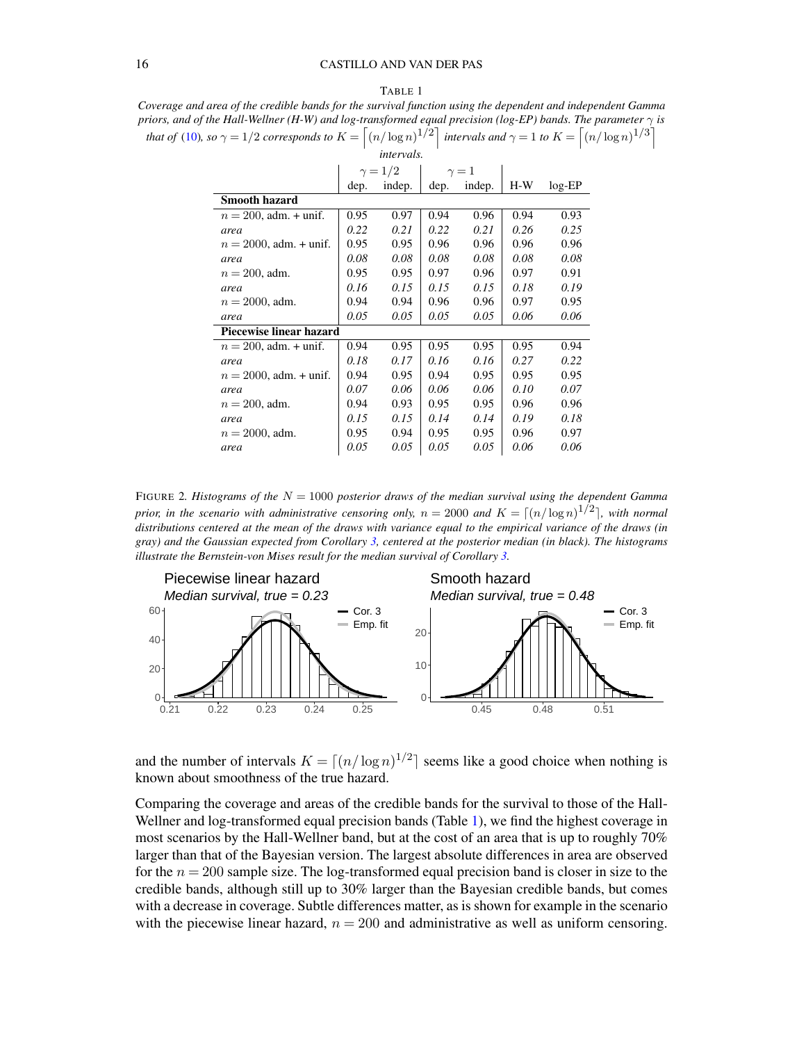#### TABLE 1

<span id="page-15-1"></span>*Coverage and area of the credible bands for the survival function using the dependent and independent Gamma priors, and of the Hall-Wellner (H-W) and log-transformed equal precision (log-EP) bands. The parameter* γ *is that of* [\(10\)](#page-7-7), so  $\gamma = 1/2$  *corresponds to*  $K = \left[ (n/\log n)^{1/2} \right]$  *intervals and*  $\gamma = 1$  *to*  $K = \left[ (n/\log n)^{1/3} \right]$ 

| <i>intervals.</i>         |                |        |            |        |       |           |
|---------------------------|----------------|--------|------------|--------|-------|-----------|
|                           | $\gamma = 1/2$ |        | $\gamma=1$ |        |       |           |
|                           | dep.           | indep. | dep.       | indep. | $H-W$ | $log$ -EP |
| <b>Smooth hazard</b>      |                |        |            |        |       |           |
| $n = 200$ , adm. + unif.  | 0.95           | 0.97   | 0.94       | 0.96   | 0.94  | 0.93      |
| area                      | 0.22           | 0.21   | 0.22       | 0.21   | 0.26  | 0.25      |
| $n = 2000$ , adm. + unif. | 0.95           | 0.95   | 0.96       | 0.96   | 0.96  | 0.96      |
| area                      | 0.08           | 0.08   | 0.08       | 0.08   | 0.08  | 0.08      |
| $n = 200$ , adm.          | 0.95           | 0.95   | 0.97       | 0.96   | 0.97  | 0.91      |
| area                      | 0.16           | 0.15   | 0.15       | 0.15   | 0.18  | 0.19      |
| $n = 2000$ , adm.         | 0.94           | 0.94   | 0.96       | 0.96   | 0.97  | 0.95      |
| area                      | 0.05           | 0.05   | 0.05       | 0.05   | 0.06  | 0.06      |
| Piecewise linear hazard   |                |        |            |        |       |           |
| $n = 200$ , adm. + unif.  | 0.94           | 0.95   | 0.95       | 0.95   | 0.95  | 0.94      |
| area                      | 0.18           | 0.17   | 0.16       | 0.16   | 0.27  | 0.22      |
| $n = 2000$ , adm. + unif. | 0.94           | 0.95   | 0.94       | 0.95   | 0.95  | 0.95      |
| area                      | 0.07           | 0.06   | 0.06       | 0.06   | 0.10  | 0.07      |
| $n = 200$ , adm.          | 0.94           | 0.93   | 0.95       | 0.95   | 0.96  | 0.96      |
| area                      | 0.15           | 0.15   | 0.14       | 0.14   | 0.19  | 0.18      |
| $n = 2000$ , adm.         | 0.95           | 0.94   | 0.95       | 0.95   | 0.96  | 0.97      |
| area                      | 0.05           | 0.05   | 0.05       | 0.05   | 0.06  | 0.06      |

<span id="page-15-0"></span>FIGURE 2. Histograms of the  $N = 1000$  posterior draws of the median survival using the dependent Gamma *prior, in the scenario with administrative censoring only,*  $n = 2000$  *and*  $K = \lceil (n/\log n)^{1/2} \rceil$ , with normal *distributions centered at the mean of the draws with variance equal to the empirical variance of the draws (in gray) and the Gaussian expected from Corollary [3,](#page-10-3) centered at the posterior median (in black). The histograms illustrate the Bernstein-von Mises result for the median survival of Corollary [3.](#page-10-3)*



and the number of intervals  $K = \lfloor (n/\log n)^{1/2} \rfloor$  seems like a good choice when nothing is known about smoothness of the true hazard.

Comparing the coverage and areas of the credible bands for the survival to those of the Hall-Wellner and log-transformed equal precision bands (Table [1\)](#page-15-1), we find the highest coverage in most scenarios by the Hall-Wellner band, but at the cost of an area that is up to roughly 70% larger than that of the Bayesian version. The largest absolute differences in area are observed for the  $n = 200$  sample size. The log-transformed equal precision band is closer in size to the credible bands, although still up to 30% larger than the Bayesian credible bands, but comes with a decrease in coverage. Subtle differences matter, as is shown for example in the scenario with the piecewise linear hazard,  $n = 200$  and administrative as well as uniform censoring.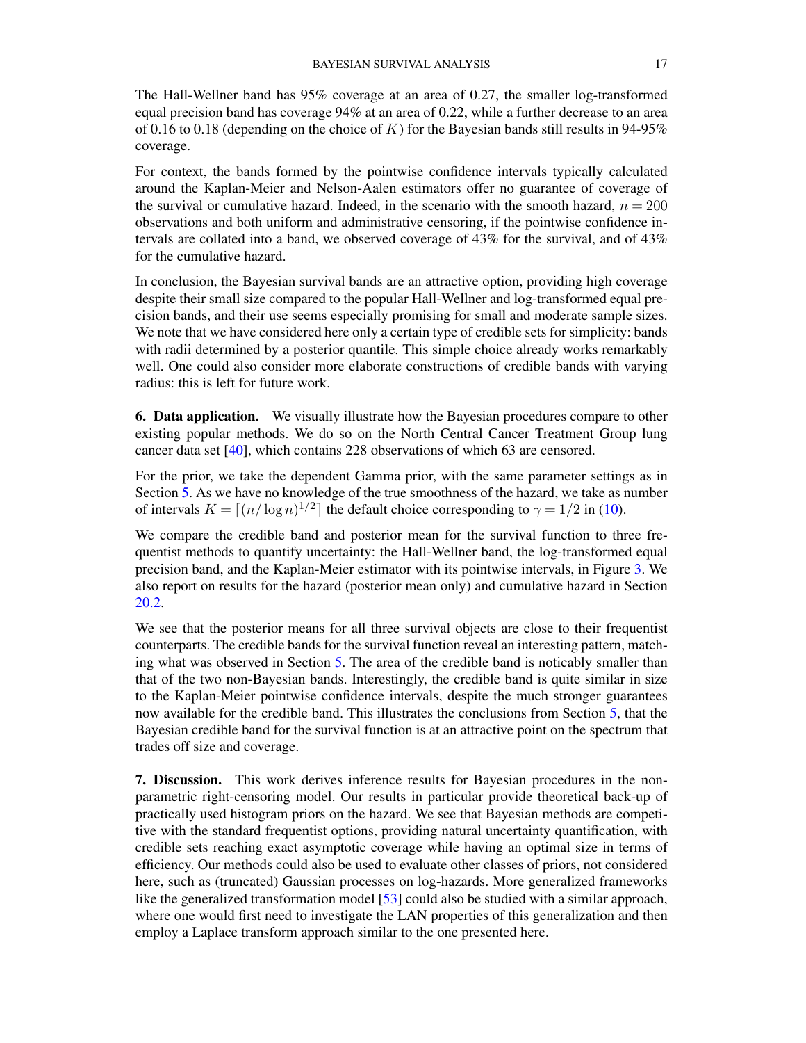The Hall-Wellner band has 95% coverage at an area of 0.27, the smaller log-transformed equal precision band has coverage 94% at an area of 0.22, while a further decrease to an area of 0.16 to 0.18 (depending on the choice of K) for the Bayesian bands still results in 94-95% coverage.

For context, the bands formed by the pointwise confidence intervals typically calculated around the Kaplan-Meier and Nelson-Aalen estimators offer no guarantee of coverage of the survival or cumulative hazard. Indeed, in the scenario with the smooth hazard,  $n = 200$ observations and both uniform and administrative censoring, if the pointwise confidence intervals are collated into a band, we observed coverage of 43% for the survival, and of 43% for the cumulative hazard.

In conclusion, the Bayesian survival bands are an attractive option, providing high coverage despite their small size compared to the popular Hall-Wellner and log-transformed equal precision bands, and their use seems especially promising for small and moderate sample sizes. We note that we have considered here only a certain type of credible sets for simplicity: bands with radii determined by a posterior quantile. This simple choice already works remarkably well. One could also consider more elaborate constructions of credible bands with varying radius: this is left for future work.

<span id="page-16-0"></span>6. Data application. We visually illustrate how the Bayesian procedures compare to other existing popular methods. We do so on the North Central Cancer Treatment Group lung cancer data set [\[40\]](#page-70-12), which contains 228 observations of which 63 are censored.

For the prior, we take the dependent Gamma prior, with the same parameter settings as in Section [5.](#page-13-0) As we have no knowledge of the true smoothness of the hazard, we take as number of intervals  $K = \lfloor (n/\log n)^{1/2} \rfloor$  the default choice corresponding to  $\gamma = 1/2$  in [\(10\)](#page-7-7).

We compare the credible band and posterior mean for the survival function to three frequentist methods to quantify uncertainty: the Hall-Wellner band, the log-transformed equal precision band, and the Kaplan-Meier estimator with its pointwise intervals, in Figure [3.](#page-17-0) We also report on results for the hazard (posterior mean only) and cumulative hazard in Section [20.2.](#page-66-2)

We see that the posterior means for all three survival objects are close to their frequentist counterparts. The credible bands for the survival function reveal an interesting pattern, matching what was observed in Section [5.](#page-13-0) The area of the credible band is noticably smaller than that of the two non-Bayesian bands. Interestingly, the credible band is quite similar in size to the Kaplan-Meier pointwise confidence intervals, despite the much stronger guarantees now available for the credible band. This illustrates the conclusions from Section [5,](#page-13-0) that the Bayesian credible band for the survival function is at an attractive point on the spectrum that trades off size and coverage.

<span id="page-16-1"></span>7. Discussion. This work derives inference results for Bayesian procedures in the nonparametric right-censoring model. Our results in particular provide theoretical back-up of practically used histogram priors on the hazard. We see that Bayesian methods are competitive with the standard frequentist options, providing natural uncertainty quantification, with credible sets reaching exact asymptotic coverage while having an optimal size in terms of efficiency. Our methods could also be used to evaluate other classes of priors, not considered here, such as (truncated) Gaussian processes on log-hazards. More generalized frameworks like the generalized transformation model [\[53\]](#page-70-13) could also be studied with a similar approach, where one would first need to investigate the LAN properties of this generalization and then employ a Laplace transform approach similar to the one presented here.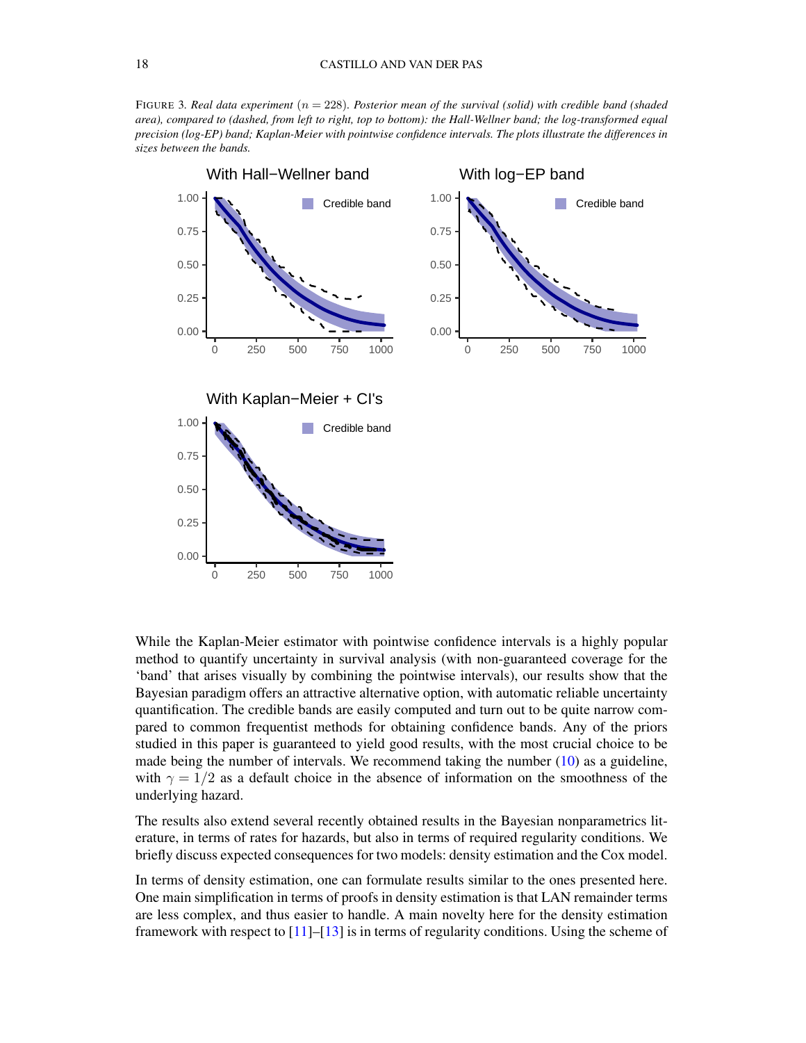<span id="page-17-0"></span>FIGURE 3*. Real data experiment* (n = 228)*. Posterior mean of the survival (solid) with credible band (shaded area), compared to (dashed, from left to right, top to bottom): the Hall-Wellner band; the log-transformed equal precision (log-EP) band; Kaplan-Meier with pointwise confidence intervals. The plots illustrate the differences in sizes between the bands.*



While the Kaplan-Meier estimator with pointwise confidence intervals is a highly popular method to quantify uncertainty in survival analysis (with non-guaranteed coverage for the 'band' that arises visually by combining the pointwise intervals), our results show that the Bayesian paradigm offers an attractive alternative option, with automatic reliable uncertainty quantification. The credible bands are easily computed and turn out to be quite narrow compared to common frequentist methods for obtaining confidence bands. Any of the priors studied in this paper is guaranteed to yield good results, with the most crucial choice to be made being the number of intervals. We recommend taking the number [\(10\)](#page-7-7) as a guideline, with  $\gamma = 1/2$  as a default choice in the absence of information on the smoothness of the underlying hazard.

The results also extend several recently obtained results in the Bayesian nonparametrics literature, in terms of rates for hazards, but also in terms of required regularity conditions. We briefly discuss expected consequences for two models: density estimation and the Cox model.

In terms of density estimation, one can formulate results similar to the ones presented here. One main simplification in terms of proofs in density estimation is that LAN remainder terms are less complex, and thus easier to handle. A main novelty here for the density estimation framework with respect to  $[11]$ – $[13]$  is in terms of regularity conditions. Using the scheme of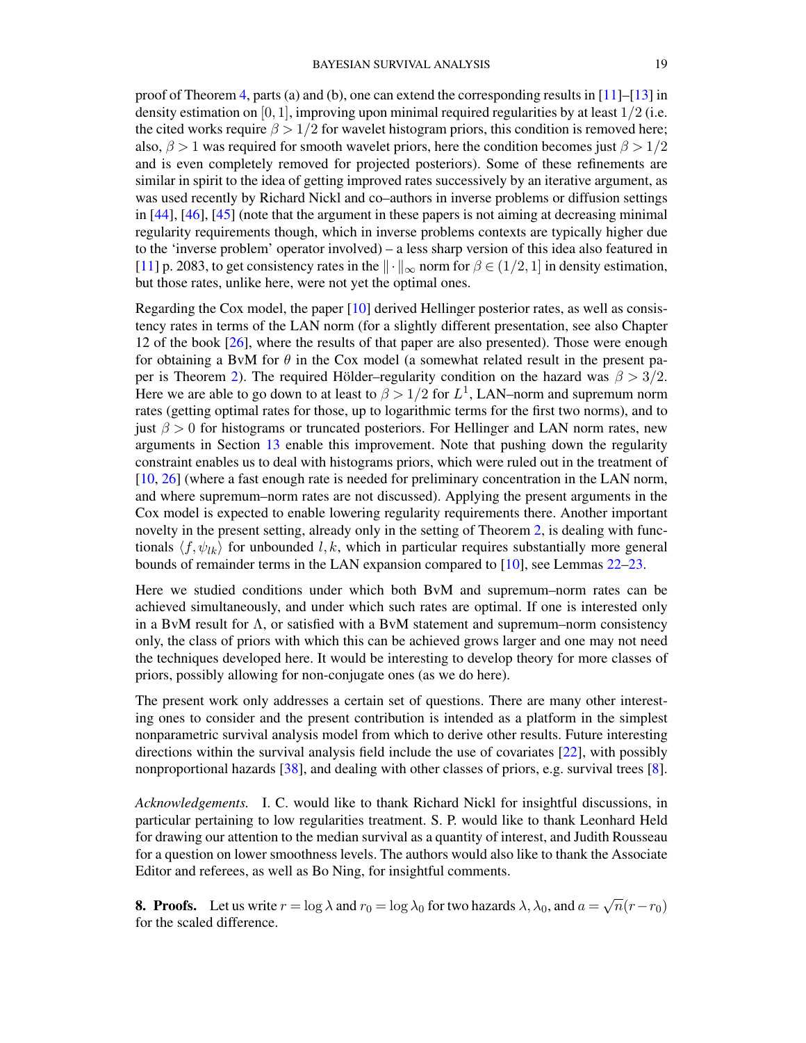proof of Theorem [4,](#page-11-1) parts (a) and (b), one can extend the corresponding results in  $[11]-[13]$  $[11]-[13]$  $[11]-[13]$  in density estimation on [0, 1], improving upon minimal required regularities by at least  $1/2$  (i.e. the cited works require  $\beta > 1/2$  for wavelet histogram priors, this condition is removed here; also,  $\beta > 1$  was required for smooth wavelet priors, here the condition becomes just  $\beta > 1/2$ and is even completely removed for projected posteriors). Some of these refinements are similar in spirit to the idea of getting improved rates successively by an iterative argument, as was used recently by Richard Nickl and co–authors in inverse problems or diffusion settings in [\[44\]](#page-70-7), [\[46\]](#page-70-14), [\[45\]](#page-70-8) (note that the argument in these papers is not aiming at decreasing minimal regularity requirements though, which in inverse problems contexts are typically higher due to the 'inverse problem' operator involved) – a less sharp version of this idea also featured in [\[11\]](#page-68-4) p. 2083, to get consistency rates in the  $\|\cdot\|_{\infty}$  norm for  $\beta \in (1/2, 1]$  in density estimation, but those rates, unlike here, were not yet the optimal ones.

Regarding the Cox model, the paper [\[10\]](#page-68-5) derived Hellinger posterior rates, as well as consistency rates in terms of the LAN norm (for a slightly different presentation, see also Chapter 12 of the book [\[26\]](#page-69-15), where the results of that paper are also presented). Those were enough for obtaining a BvM for  $\theta$  in the Cox model (a somewhat related result in the present pa-per is Theorem [2\)](#page-7-2). The required Hölder–regularity condition on the hazard was  $\beta > 3/2$ . Here we are able to go down to at least to  $\beta > 1/2$  for  $L^1$ , LAN–norm and supremum norm rates (getting optimal rates for those, up to logarithmic terms for the first two norms), and to just  $\beta > 0$  for histograms or truncated posteriors. For Hellinger and LAN norm rates, new arguments in Section [13](#page-40-1) enable this improvement. Note that pushing down the regularity constraint enables us to deal with histograms priors, which were ruled out in the treatment of [\[10,](#page-68-5) [26\]](#page-69-15) (where a fast enough rate is needed for preliminary concentration in the LAN norm, and where supremum–norm rates are not discussed). Applying the present arguments in the Cox model is expected to enable lowering regularity requirements there. Another important novelty in the present setting, already only in the setting of Theorem [2,](#page-7-2) is dealing with functionals  $\langle f, \psi_{lk} \rangle$  for unbounded l, k, which in particular requires substantially more general bounds of remainder terms in the LAN expansion compared to [\[10\]](#page-68-5), see Lemmas [22–](#page-64-1)[23.](#page-64-2)

Here we studied conditions under which both BvM and supremum–norm rates can be achieved simultaneously, and under which such rates are optimal. If one is interested only in a BvM result for  $\Lambda$ , or satisfied with a BvM statement and supremum–norm consistency only, the class of priors with which this can be achieved grows larger and one may not need the techniques developed here. It would be interesting to develop theory for more classes of priors, possibly allowing for non-conjugate ones (as we do here).

The present work only addresses a certain set of questions. There are many other interesting ones to consider and the present contribution is intended as a platform in the simplest nonparametric survival analysis model from which to derive other results. Future interesting directions within the survival analysis field include the use of covariates [\[22\]](#page-69-16), with possibly nonproportional hazards [\[38\]](#page-70-10), and dealing with other classes of priors, e.g. survival trees [\[8\]](#page-68-8).

*Acknowledgements.* I. C. would like to thank Richard Nickl for insightful discussions, in particular pertaining to low regularities treatment. S. P. would like to thank Leonhard Held for drawing our attention to the median survival as a quantity of interest, and Judith Rousseau for a question on lower smoothness levels. The authors would also like to thank the Associate Editor and referees, as well as Bo Ning, for insightful comments.

<span id="page-18-0"></span>**8. Proofs.** Let us write  $r = \log \lambda$  and  $r_0 = \log \lambda_0$  for two hazards  $\lambda, \lambda_0$ , and  $a =$  $\sqrt{n}(r-r_0)$ for the scaled difference.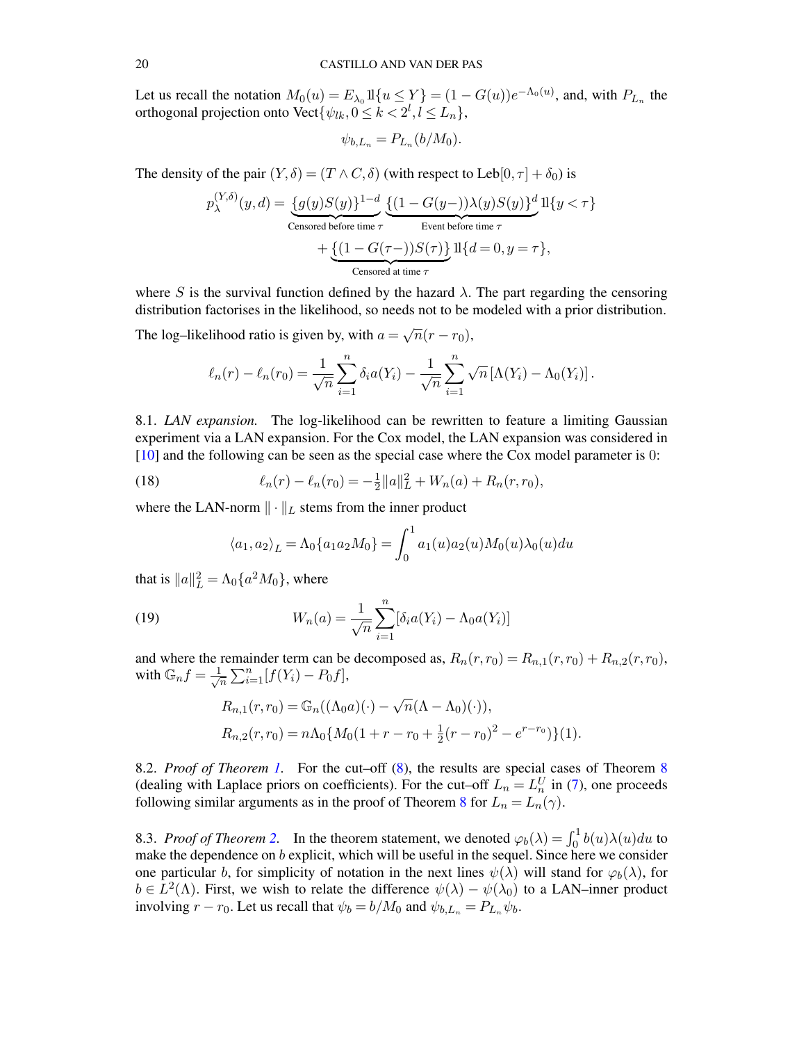Let us recall the notation  $M_0(u) = E_{\lambda_0} 1 \{u \le Y\} = (1 - G(u))e^{-\Lambda_0(u)}$ , and, with  $P_{L_n}$  the orthogonal projection onto Vect $\{\psi_{lk}, 0 \leq k < 2^l, l \leq L_n\},$ 

$$
\psi_{b,L_n} = P_{L_n}(b/M_0).
$$

The density of the pair  $(Y, \delta) = (T \wedge C, \delta)$  (with respect to Leb $[0, \tau] + \delta_0$ ) is

$$
p_{\lambda}^{(Y,\delta)}(y,d) = \underbrace{\{g(y)S(y)\}^{1-d}}_{\text{Censored before time }\tau} \underbrace{\{(1-G(y-))\lambda(y)S(y)\}^d}_{\text{Event before time }\tau} 1 \{y < \tau\} + \underbrace{\{(1-G(\tau-))S(\tau)\}^d}_{\text{Censored at time }\tau} 1 \{d = 0, y = \tau\},
$$

where S is the survival function defined by the hazard  $\lambda$ . The part regarding the censoring distribution factorises in the likelihood, so needs not to be modeled with a prior distribution.

The log–likelihood ratio is given by, with  $a =$  $\sqrt{n}(r-r_0)$ ,

$$
\ell_n(r) - \ell_n(r_0) = \frac{1}{\sqrt{n}} \sum_{i=1}^n \delta_i a(Y_i) - \frac{1}{\sqrt{n}} \sum_{i=1}^n \sqrt{n} \left[ \Lambda(Y_i) - \Lambda_0(Y_i) \right].
$$

<span id="page-19-0"></span>8.1. *LAN expansion.* The log-likelihood can be rewritten to feature a limiting Gaussian experiment via a LAN expansion. For the Cox model, the LAN expansion was considered in [\[10\]](#page-68-5) and the following can be seen as the special case where the Cox model parameter is 0:

(18) 
$$
\ell_n(r) - \ell_n(r_0) = -\frac{1}{2} ||a||_L^2 + W_n(a) + R_n(r, r_0),
$$

where the LAN-norm  $\|\cdot\|_L$  stems from the inner product

<span id="page-19-4"></span><span id="page-19-3"></span>
$$
\langle a_1, a_2 \rangle_L = \Lambda_0 \{ a_1 a_2 M_0 \} = \int_0^1 a_1(u) a_2(u) M_0(u) \lambda_0(u) du
$$

that is  $||a||_L^2 = \Lambda_0 \{a^2 M_0\}$ , where

(19) 
$$
W_n(a) = \frac{1}{\sqrt{n}} \sum_{i=1}^n [\delta_i a(Y_i) - \Lambda_0 a(Y_i)]
$$

and where the remainder term can be decomposed as,  $R_n(r,r_0) = R_{n,1}(r,r_0) + R_{n,2}(r,r_0)$ , with  $\mathbb{G}_n f = \frac{1}{\sqrt{2}}$  $\frac{1}{\overline{n}}\sum_{i=1}^{n}[f(Y_i)-P_0f],$ 

$$
R_{n,1}(r,r_0) = \mathbb{G}_n((\Lambda_0 a)(\cdot) - \sqrt{n}(\Lambda - \Lambda_0)(\cdot)),
$$
  
\n
$$
R_{n,2}(r,r_0) = n\Lambda_0 \{M_0(1+r-r_0 + \frac{1}{2}(r-r_0)^2 - e^{r-r_0})\}(1).
$$

<span id="page-19-1"></span>8.2. *Proof of Theorem [1.](#page-6-2)* For the cut–off [\(8\)](#page-6-4), the results are special cases of Theorem [8](#page-38-0) (dealing with Laplace priors on coefficients). For the cut–off  $L_n = L_n^U$  in [\(7\)](#page-6-3), one proceeds following similar arguments as in the proof of Theorem [8](#page-38-0) for  $L_n = L_n(\gamma)$ .

<span id="page-19-2"></span>8.3. *Proof of Theorem 2*. In the theorem statement, we denoted  $\varphi_b(\lambda) = \int_0^1 b(u)\lambda(u)du$  to make the dependence on b explicit, which will be useful in the sequel. Since here we consider one particular b, for simplicity of notation in the next lines  $\psi(\lambda)$  will stand for  $\varphi_b(\lambda)$ , for  $b \in L^2(\Lambda)$ . First, we wish to relate the difference  $\psi(\lambda) - \psi(\lambda_0)$  to a LAN–inner product involving  $r - r_0$ . Let us recall that  $\psi_b = b/M_0$  and  $\psi_{b,L_n} = P_{L_n} \psi_b$ .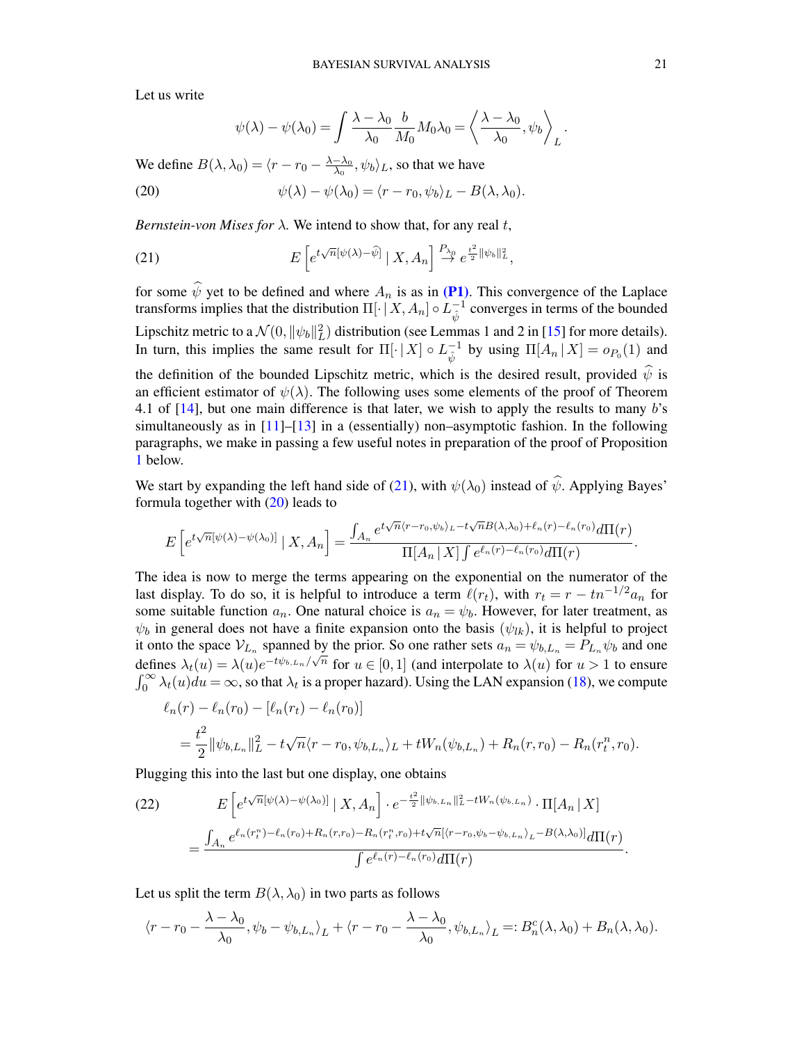Let us write

<span id="page-20-1"></span><span id="page-20-0"></span>
$$
\psi(\lambda) - \psi(\lambda_0) = \int \frac{\lambda - \lambda_0}{\lambda_0} \frac{b}{M_0} M_0 \lambda_0 = \left\langle \frac{\lambda - \lambda_0}{\lambda_0}, \psi_b \right\rangle_L.
$$

We define  $B(\lambda, \lambda_0) = \langle r - r_0 - \frac{\lambda - \lambda_0}{\lambda_0} \rangle$  $\frac{-\lambda_0}{\lambda_0}, \psi_b\rangle_L$ , so that we have

(20) 
$$
\psi(\lambda) - \psi(\lambda_0) = \langle r - r_0, \psi_b \rangle_L - B(\lambda, \lambda_0).
$$

*Bernstein-von Mises for*  $\lambda$ . We intend to show that, for any real t,

(21) 
$$
E\left[e^{t\sqrt{n}[\psi(\lambda)-\widehat{\psi}]} \mid X, A_n\right] \stackrel{P_{\lambda_0}}{\to} e^{\frac{t^2}{2} \|\psi_b\|_L^2},
$$

for some  $\psi$  yet to be defined and where  $A_n$  is as in [\(P1\)](#page-7-4). This convergence of the Laplace transforms implies that the distribution  $\Pi[\cdot | X, A_n] \circ L_{\hat{\lambda}}^{-1}$  $\psi^{-1}$  converges in terms of the bounded Lipschitz metric to a  $\mathcal{N}(0, ||\psi_b||_L^2)$  distribution (see Lemmas 1 and 2 in [\[15\]](#page-69-17) for more details). In turn, this implies the same result for  $\Pi[\cdot | X] \circ L_{\hat{\lambda}}^{-1}$  $_{\hat{\psi}}^{-1}$  by using  $\Pi[A_n | X] = o_{P_0}(1)$  and the definition of the bounded Lipschitz metric, which is the desired result, provided  $\hat{\psi}$  is an efficient estimator of  $\psi(\lambda)$ . The following uses some elements of the proof of Theorem 4.1 of  $[14]$ , but one main difference is that later, we wish to apply the results to many b's simultaneously as in  $[11]$ – $[13]$  in a (essentially) non–asymptotic fashion. In the following paragraphs, we make in passing a few useful notes in preparation of the proof of Proposition [1](#page-23-0) below.

We start by expanding the left hand side of [\(21\)](#page-20-0), with  $\psi(\lambda_0)$  instead of  $\hat{\psi}$ . Applying Bayes' formula together with  $(20)$  leads to

$$
E\left[e^{t\sqrt{n}[\psi(\lambda)-\psi(\lambda_0)]}\mid X,A_n\right] = \frac{\int_{A_n} e^{t\sqrt{n}\langle r-r_0,\psi_b\rangle_L - t\sqrt{n}B(\lambda,\lambda_0)+\ell_n(r)-\ell_n(r_0)}d\Pi(r)}{\Pi[A_n\mid X]\int e^{\ell_n(r)-\ell_n(r_0)}d\Pi(r)}.
$$

The idea is now to merge the terms appearing on the exponential on the numerator of the last display. To do so, it is helpful to introduce a term  $\ell(r_t)$ , with  $r_t = r - t n^{-1/2} a_n$  for some suitable function  $a_n$ . One natural choice is  $a_n = \psi_b$ . However, for later treatment, as  $\psi_b$  in general does not have a finite expansion onto the basis  $(\psi_{lk})$ , it is helpful to project it onto the space  $V_{L_n}$  spanned by the prior. So one rather sets  $a_n = \psi_{b,L_n} = P_{L_n} \psi_b$  and one defines  $\lambda_t(u) = \lambda(u)e^{-t\psi_{b,L_n}/\sqrt{n}}$  for  $u \in [0,1]$  (and interpolate to  $\lambda(u)$  for  $u > 1$  to ensure  $\int_0^\infty \lambda_t(u) du = \infty$ , so that  $\lambda_t$  is a proper hazard). Using the LAN expansion [\(18\)](#page-19-3), we compute

$$
\ell_n(r) - \ell_n(r_0) - [\ell_n(r_t) - \ell_n(r_0)]
$$
  
=  $\frac{t^2}{2} ||\psi_{b,L_n}||_L^2 - t\sqrt{n}\langle r - r_0, \psi_{b,L_n}\rangle_L + tW_n(\psi_{b,L_n}) + R_n(r,r_0) - R_n(r_t^n,r_0).$ 

Plugging this into the last but one display, one obtains

<span id="page-20-2"></span>(22) 
$$
E\left[e^{t\sqrt{n}[\psi(\lambda)-\psi(\lambda_0)]} | X, A_n\right] \cdot e^{-\frac{t^2}{2} \|\psi_{b, L_n}\|_L^2 - tW_n(\psi_{b, L_n})} \cdot \Pi[A_n | X] = \frac{\int_{A_n} e^{\ell_n(r_i^n) - \ell_n(r_0) + R_n(r, r_0) - R_n(r_i^n, r_0) + t\sqrt{n}[\langle r - r_0, \psi_b - \psi_{b, L_n} \rangle_L - B(\lambda, \lambda_0)]} d\Pi(r)}{\int e^{\ell_n(r) - \ell_n(r_0)} d\Pi(r)}.
$$

Let us split the term  $B(\lambda, \lambda_0)$  in two parts as follows

$$
\langle r - r_0 - \frac{\lambda - \lambda_0}{\lambda_0}, \psi_b - \psi_{b, L_n} \rangle_L + \langle r - r_0 - \frac{\lambda - \lambda_0}{\lambda_0}, \psi_{b, L_n} \rangle_L =: B_n^c(\lambda, \lambda_0) + B_n(\lambda, \lambda_0).
$$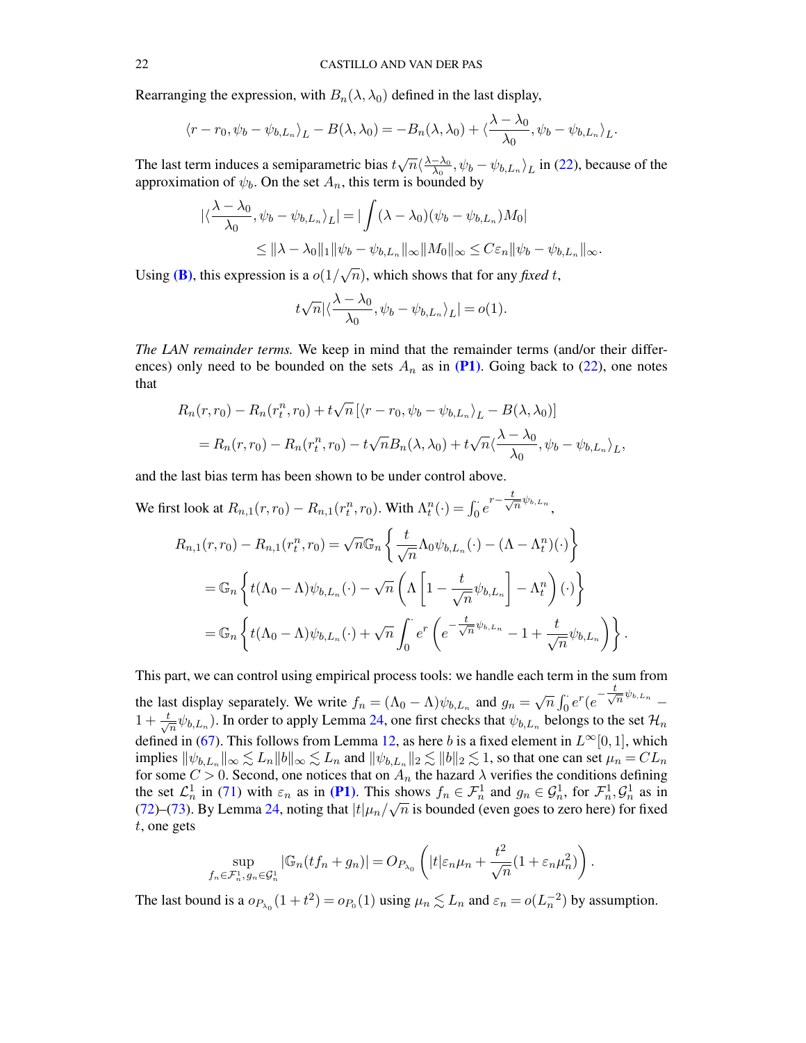Rearranging the expression, with  $B_n(\lambda, \lambda_0)$  defined in the last display,

$$
\langle r - r_0, \psi_b - \psi_{b, L_n} \rangle_L - B(\lambda, \lambda_0) = -B_n(\lambda, \lambda_0) + \langle \frac{\lambda - \lambda_0}{\lambda_0}, \psi_b - \psi_{b, L_n} \rangle_L.
$$

The last term induces a semiparametric bias  $t$  $\sqrt{n} \langle \frac{\lambda - \lambda_0}{\lambda_0} \rangle$  $\frac{-\lambda_0}{\lambda_0}$ ,  $\psi_b - \psi_{b,L_n}$  in [\(22\)](#page-20-2), because of the approximation of  $\psi_b$ . On the set  $A_n$ , this term is bounded by

$$
\begin{aligned} \left| \langle \frac{\lambda - \lambda_0}{\lambda_0}, \psi_b - \psi_{b, L_n} \rangle_L \right| &= \left| \int (\lambda - \lambda_0) (\psi_b - \psi_{b, L_n}) M_0 \right| \\ &\leq \|\lambda - \lambda_0\|_1 \|\psi_b - \psi_{b, L_n}\|_{\infty} \|M_0\|_{\infty} \leq C \varepsilon_n \|\psi_b - \psi_{b, L_n}\|_{\infty} .\end{aligned}
$$

Using (**B**), this expression is a  $o(1)$  $\overline{n}$ ), which shows that for any *fixed t*,

$$
t\sqrt{n}|\langle \frac{\lambda-\lambda_0}{\lambda_0}, \psi_b - \psi_{b,L_n}\rangle_L| = o(1).
$$

*The LAN remainder terms.* We keep in mind that the remainder terms (and/or their differences) only need to be bounded on the sets  $A_n$  as in [\(P1\)](#page-7-4). Going back to [\(22\)](#page-20-2), one notes that

$$
R_n(r,r_0) - R_n(r_t^n, r_0) + t\sqrt{n} \left[ \langle r - r_0, \psi_b - \psi_{b, L_n} \rangle_L - B(\lambda, \lambda_0) \right]
$$
  
= 
$$
R_n(r, r_0) - R_n(r_t^n, r_0) - t\sqrt{n}B_n(\lambda, \lambda_0) + t\sqrt{n}\langle \frac{\lambda - \lambda_0}{\lambda_0}, \psi_b - \psi_{b, L_n} \rangle_L,
$$

and the last bias term has been shown to be under control above.

We first look at 
$$
R_{n,1}(r,r_0) - R_{n,1}(r_t^n, r_0)
$$
. With  $\Lambda_t^n(\cdot) = \int_0^{\cdot} e^{r - \frac{t}{\sqrt{n}}\psi_{b, L_n}}$ ,  
\n
$$
R_{n,1}(r,r_0) - R_{n,1}(r_t^n, r_0) = \sqrt{n}\mathbb{G}_n\left\{\frac{t}{\sqrt{n}}\Lambda_0\psi_{b, L_n}(\cdot) - (\Lambda - \Lambda_t^n)(\cdot)\right\}
$$
\n
$$
= \mathbb{G}_n\left\{t(\Lambda_0 - \Lambda)\psi_{b, L_n}(\cdot) - \sqrt{n}\left(\Lambda\left[1 - \frac{t}{\sqrt{n}}\psi_{b, L_n}\right] - \Lambda_t^n\right)(\cdot)\right\}
$$
\n
$$
= \mathbb{G}_n\left\{t(\Lambda_0 - \Lambda)\psi_{b, L_n}(\cdot) + \sqrt{n}\int_0^{\cdot} e^r\left(e^{-\frac{t}{\sqrt{n}}\psi_{b, L_n}} - 1 + \frac{t}{\sqrt{n}}\psi_{b, L_n}\right)\right\}.
$$

This part, we can control using empirical process tools: we handle each term in the sum from the last display separately. We write  $f_n = (\Lambda_0 - \Lambda) \psi_{b,L_n}$  and  $g_n =$ √  $\overline{n} \int_0^{\cdot} e^r (e^{-\frac{t}{\sqrt{2}}}$  $\overline{n}^{\psi_{b,L_n}}$  –  $1 + \frac{t}{\sqrt{2}}$  $\frac{1}{n}\psi_{b,L_n}$ ). In order to apply Lemma [24,](#page-65-0) one first checks that  $\psi_{b,L_n}$  belongs to the set  $\mathcal{H}_n$ defined in [\(67\)](#page-64-3). This follows from Lemma [12,](#page-55-2) as here b is a fixed element in  $L^{\infty}[0, 1]$ , which implies  $\|\psi_{b,L_n}\|_\infty \lesssim L_n \|b\|_\infty \lesssim L_n$  and  $\|\psi_{b,L_n}\|_2 \lesssim \|b\|_2 \lesssim 1$ , so that one can set  $\mu_n = CL_n$ for some  $C > 0$ . Second, one notices that on  $A_n$  the hazard  $\lambda$  verifies the conditions defining the set  $\mathcal{L}_n^1$  in [\(71\)](#page-65-1) with  $\varepsilon_n$  as in [\(P1\)](#page-7-4). This shows  $f_n \in \mathcal{F}_n^1$  and  $g_n \in \mathcal{G}_n^1$ , for  $\mathcal{F}_n^1, \mathcal{G}_n^1$  as in [\(72\)](#page-65-2)–[\(73\)](#page-65-3). By Lemma [24,](#page-65-0) noting that  $|t|\mu_n/\sqrt{n}$  is bounded (even goes to zero here) for fixed t, one gets

$$
\sup_{f_n\in \mathcal{F}_n^1, \, g_n\in \mathcal{G}_n^1} \left|\mathbb{G}_n(t f_n + g_n)\right| = O_{P_{\lambda_0}}\left(|t| \varepsilon_n \mu_n + \frac{t^2}{\sqrt{n}}(1 + \varepsilon_n \mu_n^2)\right).
$$

The last bound is a  $o_{P_{\lambda_0}}(1+t^2) = o_{P_0}(1)$  using  $\mu_n \lesssim L_n$  and  $\varepsilon_n = o(L_n^{-2})$  by assumption.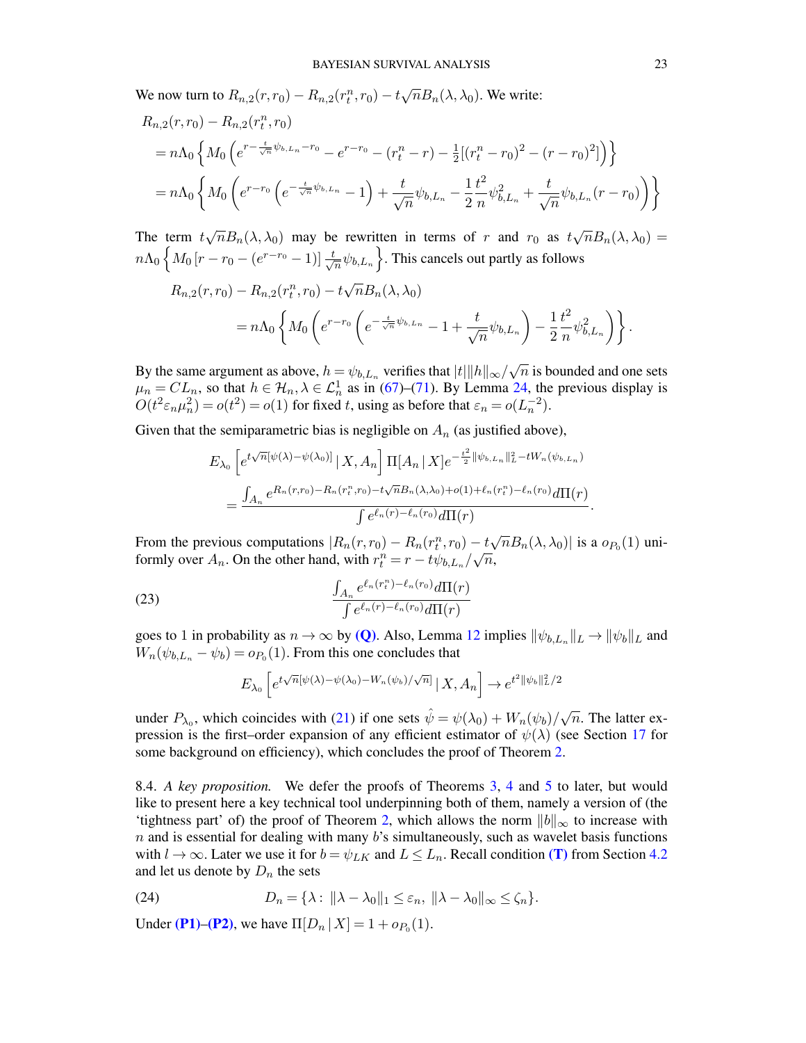We now turn to  $R_{n,2}(r,r_0) - R_{n,2}(r_t^n,r_0) - t \sqrt{\frac{r_t^n(r_0-r_0)}{r_0^2}}$  $\overline{n}B_n(\lambda, \lambda_0)$ . We write:

$$
R_{n,2}(r,r_0) - R_{n,2}(r_t^n, r_0)
$$
  
=  $n\Lambda_0 \left\{ M_0 \left( e^{r - \frac{t}{\sqrt{n}}\psi_{b,L_n} - r_0} - e^{r - r_0} - (r_t^n - r) - \frac{1}{2} [(r_t^n - r_0)^2 - (r - r_0)^2] \right) \right\}$   
=  $n\Lambda_0 \left\{ M_0 \left( e^{r - r_0} \left( e^{-\frac{t}{\sqrt{n}}\psi_{b,L_n}} - 1 \right) + \frac{t}{\sqrt{n}} \psi_{b,L_n} - \frac{1}{2} \frac{t^2}{n} \psi_{b,L_n}^2 + \frac{t}{\sqrt{n}} \psi_{b,L_n}(r - r_0) \right) \right\}$ 

The term  $t$ √  $\overline{n}B_n(\lambda, \lambda_0)$  may be rewritten in terms of r and  $r_0$  as t √  $\overline{n}B_n(\lambda,\lambda_0)=$  $n\Lambda_0\left\{M_0\left[r-r_0-(e^{r-r_0}-1)\right]\frac{t}{\sqrt{2}}\right\}$  $\left\{\frac{1}{n}\psi_{b,L_n}\right\}$ . This cancels out partly as follows

$$
R_{n,2}(r,r_0) - R_{n,2}(r_t^n, r_0) - t\sqrt{n}B_n(\lambda, \lambda_0)
$$
  
=  $n\Lambda_0 \left\{ M_0 \left( e^{r-r_0} \left( e^{-\frac{t}{\sqrt{n}}\psi_{b,L_n}} - 1 + \frac{t}{\sqrt{n}}\psi_{b,L_n} \right) - \frac{1}{2} \frac{t^2}{n} \psi_{b,L_n}^2 \right) \right\}.$ 

By the same argument as above,  $h = \psi_{b,L_n}$  verifies that  $|t| ||h||_{\infty}/\sqrt{2}$  $\overline{n}$  is bounded and one sets  $\mu_n = CL_n$ , so that  $h \in \mathcal{H}_n, \lambda \in \mathcal{L}_n^1$  as in [\(67\)](#page-64-3)–[\(71\)](#page-65-1). By Lemma [24,](#page-65-0) the previous display is  $O(t^2 \varepsilon_n \mu_n^2) = o(t^2) = o(1)$  for fixed t, using as before that  $\varepsilon_n = o(L_n^{-2})$ .

Given that the semiparametric bias is negligible on  $A_n$  (as justified above),

$$
E_{\lambda_0} \left[ e^{t\sqrt{n}[\psi(\lambda) - \psi(\lambda_0)]} \,|\, X, A_n \right] \Pi[A_n \,|\, X] e^{-\frac{t^2}{2} ||\psi_{b, L_n}||^2_L - tW_n(\psi_{b, L_n})} \\
= \frac{\int_{A_n} e^{R_n(r, r_0) - R_n(r_t^n, r_0) - t\sqrt{n}B_n(\lambda, \lambda_0) + o(1) + \ell_n(r_t^n) - \ell_n(r_0)} d\Pi(r)}{\int e^{\ell_n(r) - \ell_n(r_0)} d\Pi(r)}.
$$

From the previous computations  $|R_n(r,r_0) - R_n(r_t^n,r_0) - t\sqrt{n}B_n(\lambda, \lambda_0)|$  is a  $o_{P_0}(1)$  uniformly over  $A_n$ . On the other hand, with  $r_t^n = r - t\psi_{b,L_n}/\sqrt{n}$ ,

(23) 
$$
\frac{\int_{A_n} e^{\ell_n(r_t^n) - \ell_n(r_0)} d\Pi(r)}{\int e^{\ell_n(r) - \ell_n(r_0)} d\Pi(r)}
$$

goes to 1 in probability as  $n \to \infty$  by [\(Q\)](#page-7-5). Also, Lemma [12](#page-55-2) implies  $\|\psi_{b,L_n}\|_L \to \|\psi_b\|_L$  and  $W_n(\psi_{b,L_n} - \psi_b) = o_{P_0}(1)$ . From this one concludes that

$$
E_{\lambda_0}\left[e^{t\sqrt{n}[\psi(\lambda)-\psi(\lambda_0)-W_n(\psi_b)/\sqrt{n}]} \mid X, A_n\right] \to e^{t^2\|\psi_b\|_L^2/2}
$$

under  $P_{\lambda_0}$ , which coincides with [\(21\)](#page-20-0) if one sets  $\hat{\psi} = \psi(\lambda_0) + W_n(\psi_b)/\sqrt{2}$  $\overline{n}$ . The latter expression is the first–order expansion of any efficient estimator of  $\psi(\lambda)$  (see Section [17](#page-57-0) for some background on efficiency), which concludes the proof of Theorem [2.](#page-7-2)

<span id="page-22-0"></span>8.4. *A key proposition.* We defer the proofs of Theorems [3,](#page-9-0) [4](#page-11-1) and [5](#page-12-0) to later, but would like to present here a key technical tool underpinning both of them, namely a version of (the 'tightness part' of) the proof of Theorem [2,](#page-7-2) which allows the norm  $||b||_{\infty}$  to increase with  $n$  and is essential for dealing with many  $b$ 's simultaneously, such as wavelet basis functions with  $l \to \infty$ . Later we use it for  $b = \psi_{LK}$  and  $L \leq L_n$ . Recall condition [\(T\)](#page-9-1) from Section [4.2](#page-8-0) and let us denote by  $D_n$  the sets

<span id="page-22-1"></span>(24) 
$$
D_n = \{ \lambda : ||\lambda - \lambda_0||_1 \leq \varepsilon_n, ||\lambda - \lambda_0||_{\infty} \leq \zeta_n \}.
$$

Under [\(P1\)](#page-7-4)–[\(P2\)](#page-9-2), we have  $\Pi[D_n | X] = 1 + o_{P_0}(1)$ .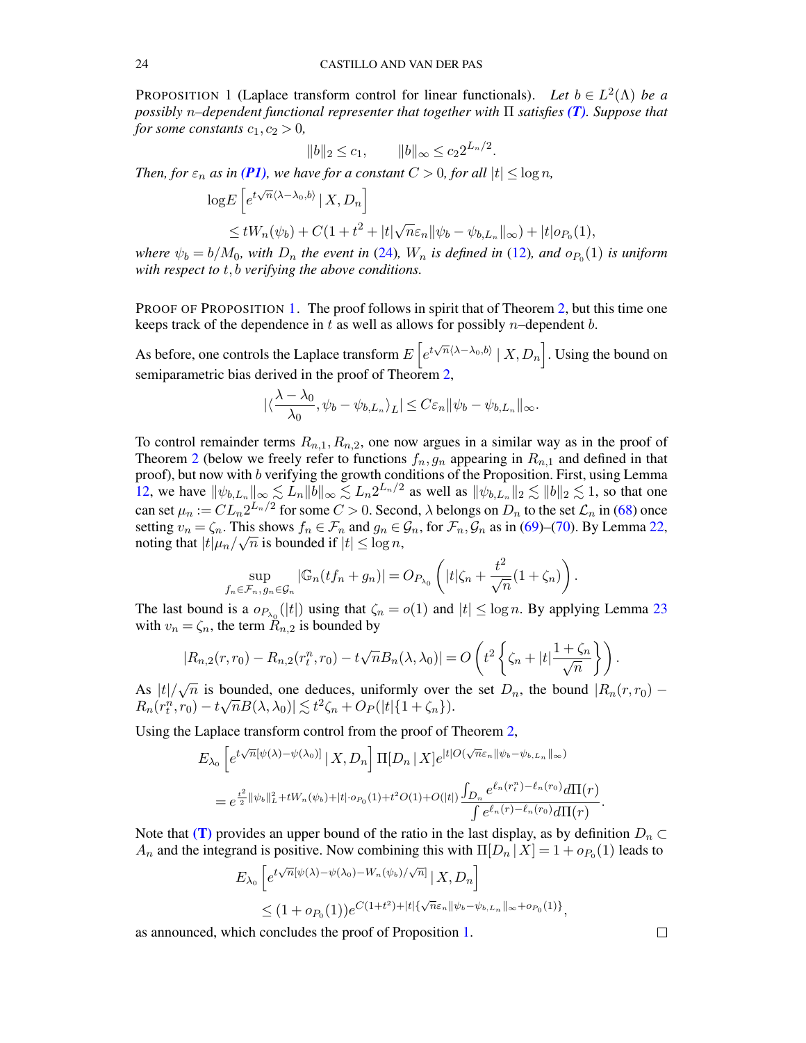<span id="page-23-0"></span>PROPOSITION 1 (Laplace transform control for linear functionals). Let  $b \in L^2(\Lambda)$  be a *possibly* n*–dependent functional representer that together with* Π *satisfies [\(T\)](#page-9-1). Suppose that for some constants*  $c_1, c_2 > 0$ *,* 

$$
||b||_2 \le c_1, \qquad ||b||_{\infty} \le c_2 2^{L_n/2}.
$$

*Then, for*  $\varepsilon_n$  *as in* [\(P1\)](#page-7-4), we have for a constant  $C > 0$ , for all  $|t| \leq \log n$ ,

$$
\log E\left[e^{t\sqrt{n}\langle\lambda-\lambda_0,b\rangle} \mid X, D_n\right]
$$
  

$$
\leq tW_n(\psi_b) + C(1+t^2+|t|\sqrt{n}\varepsilon_n||\psi_b - \psi_{b,L_n}||_{\infty}) + |t|o_{P_0}(1),
$$

*where*  $\psi_b = b/M_0$ , with  $D_n$  the event in [\(24\)](#page-22-1),  $W_n$  is defined in [\(12\)](#page-8-1), and  $o_{P_0}(1)$  is uniform *with respect to* t, b *verifying the above conditions.*

PROOF OF PROPOSITION [1.](#page-23-0) The proof follows in spirit that of Theorem [2,](#page-7-2) but this time one keeps track of the dependence in  $t$  as well as allows for possibly  $n$ –dependent  $b$ .

As before, one controls the Laplace transform  $E\left[e^{t\sqrt{n}\langle\lambda-\lambda_0,b\rangle} \mid X,D_n\right]$ . Using the bound on semiparametric bias derived in the proof of Theorem [2,](#page-7-2)

$$
|\langle \frac{\lambda - \lambda_0}{\lambda_0}, \psi_b - \psi_{b, L_n} \rangle_L| \leq C \varepsilon_n ||\psi_b - \psi_{b, L_n}||_{\infty}.
$$

To control remainder terms  $R_{n,1}, R_{n,2}$ , one now argues in a similar way as in the proof of Theorem [2](#page-7-2) (below we freely refer to functions  $f_n, g_n$  appearing in  $R_{n,1}$  and defined in that proof), but now with b verifying the growth conditions of the Proposition. First, using Lemma [12,](#page-55-2) we have  $\|\psi_{b,L_n}\|_{\infty} \lesssim L_n \|\bar{b}\|_{\infty} \lesssim L_n 2^{L_n/2}$  as well as  $\|\psi_{b,L_n}\|_2 \lesssim \|b\|_2 \lesssim 1$ , so that one can set  $\mu_n := CL_n 2^{L_n/2}$  for some  $C>0.$  Second,  $\lambda$  belongs on  $D_n$  to the set  $\mathcal{L}_n$  in [\(68\)](#page-64-4) once setting  $v_n = \zeta_n$ . This shows  $f_n \in \mathcal{F}_n$  and  $g_n \in \mathcal{G}_n$ , for  $\mathcal{F}_n, \mathcal{G}_n$  as in [\(69\)](#page-64-5)–[\(70\)](#page-64-6). By Lemma [22,](#page-64-1) noting that  $|t|\mu_n/\sqrt{n}$  is bounded if  $|t| \leq \log n$ ,

$$
\sup_{f_n \in \mathcal{F}_n, g_n \in \mathcal{G}_n} |\mathbb{G}_n(tf_n + g_n)| = O_{P_{\lambda_0}}\left(|t|\zeta_n + \frac{t^2}{\sqrt{n}}(1 + \zeta_n)\right).
$$

The last bound is a  $o_{P_{\lambda_0}}(|t|)$  using that  $\zeta_n = o(1)$  and  $|t| \le \log n$ . By applying Lemma [23](#page-64-2) with  $v_n = \zeta_n$ , the term  $\tilde{R}_{n,2}$  is bounded by

$$
|R_{n,2}(r,r_0) - R_{n,2}(r_t^n,r_0) - t\sqrt{n}B_n(\lambda,\lambda_0)| = O\left(t^2 \left\{\zeta_n + |t|\frac{1+\zeta_n}{\sqrt{n}}\right\}\right).
$$

As  $|t|/\sqrt{n}$  is bounded, one deduces, uniformly over the set  $D_n$ , the bound  $|R_n(r,r_0) R_n(r_t^n,r_0)-t\sqrt{n}B(\lambda,\lambda_0)| \lesssim t^2\zeta_n+O_P(|t|\{1+\zeta_n\}).$ 

Using the Laplace transform control from the proof of Theorem [2,](#page-7-2)

$$
E_{\lambda_0} \left[ e^{t\sqrt{n}[\psi(\lambda) - \psi(\lambda_0)]} \,|\, X, D_n \right] \Pi[D_n \,|\, X] e^{|t|O(\sqrt{n}\varepsilon_n || \psi_b - \psi_{b, L_n} ||_\infty)}
$$
\n
$$
= e^{\frac{t^2}{2} || \psi_b ||_L^2 + tW_n(\psi_b) + |t| \cdot o_{P_0}(1) + t^2 O(1) + O(|t|)} \frac{\int_{D_n} e^{\ell_n(r_t^n) - \ell_n(r_0)} d\Pi(r)}{\int e^{\ell_n(r) - \ell_n(r_0)} d\Pi(r)}
$$

Note that [\(T\)](#page-9-1) provides an upper bound of the ratio in the last display, as by definition  $D_n \subset$  $A_n$  and the integrand is positive. Now combining this with  $\Pi[D_n | X] = 1 + o_{P_0}(1)$  leads to

$$
E_{\lambda_0} \left[ e^{t\sqrt{n}[\psi(\lambda) - \psi(\lambda_0) - W_n(\psi_b)/\sqrt{n}]} \mid X, D_n \right]
$$
  

$$
\leq (1 + o_{P_0}(1)) e^{C(1+t^2) + |t| \{\sqrt{n} \varepsilon_n \| \psi_b - \psi_{b, L_n} \|_{\infty} + o_{P_0}(1) \}},
$$

as announced, which concludes the proof of Proposition [1.](#page-23-0)

 $\Box$ 

.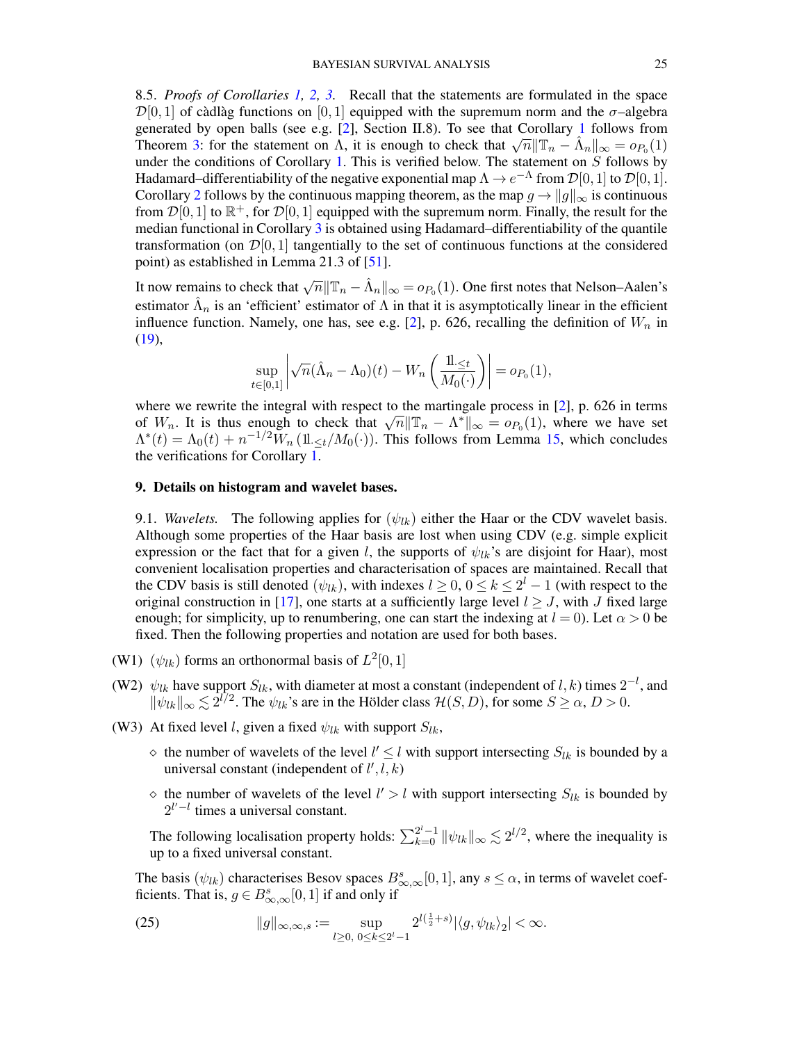<span id="page-24-0"></span>8.5. *Proofs of Corollaries [1,](#page-10-1) [2,](#page-10-2) [3.](#page-10-3)* Recall that the statements are formulated in the space  $\mathcal{D}[0,1]$  of càdlàg functions on  $[0,1]$  equipped with the supremum norm and the  $\sigma$ -algebra generated by open balls (see e.g.  $[2]$ , Section II.8). To see that Corollary [1](#page-10-1) follows from Theorem [3:](#page-9-0) for the statement on  $\Lambda$ , it is enough to check that  $\sqrt{n} ||\mathbb{T}_n - \hat{\Lambda}_n||_{\infty} = o_{P_0}(1)$ under the conditions of Corollary [1.](#page-10-1) This is verified below. The statement on  $S$  follows by Hadamard–differentiability of the negative exponential map  $\Lambda \to e^{-\Lambda}$  from  $\mathcal{D}[0,1]$  to  $\mathcal{D}[0,1]$ . Corollary [2](#page-10-2) follows by the continuous mapping theorem, as the map  $g \to ||g||_{\infty}$  is continuous from  $\mathcal{D}[0,1]$  to  $\mathbb{R}^+$ , for  $\mathcal{D}[0,1]$  equipped with the supremum norm. Finally, the result for the median functional in Corollary  $\overline{3}$  $\overline{3}$  $\overline{3}$  is obtained using Hadamard–differentiability of the quantile transformation (on  $\mathcal{D}[0, 1]$  tangentially to the set of continuous functions at the considered point) as established in Lemma 21.3 of [\[51\]](#page-70-15).

It now remains to check that  $\sqrt{n} \|\mathbb{T}_n - \hat{\Lambda}_n\|_{\infty} = o_{P_0}(1)$ . One first notes that Nelson–Aalen's estimator  $\hat{\Lambda}_n$  is an 'efficient' estimator of  $\Lambda$  in that it is asymptotically linear in the efficient influence function. Namely, one has, see e.g. [\[2\]](#page-68-6), p. 626, recalling the definition of  $W_n$  in [\(19\)](#page-19-4),

$$
\sup_{t\in[0,1]}\left|\sqrt{n}(\hat{\Lambda}_n-\Lambda_0)(t)-W_n\left(\frac{1}{M_0(\cdot)}\right)\right|=o_{P_0}(1),
$$

where we rewrite the integral with respect to the martingale process in [\[2\]](#page-68-6), p. 626 in terms where we rewrite the integral with respect to the martingale process in [2], p. 626 in terms of  $W_n$ . It is thus enough to check that  $\sqrt{n}||\mathbb{T}_n - \Lambda^*||_{\infty} = o_{P_0}(1)$ , where we have set  $\Lambda^*(t) = \Lambda_0(t) + n^{-1/2} \tilde{W}_n(\mathbb{1}_{\leq t}/M_0(\cdot)).$  This follows from Lemma [15,](#page-58-0) which concludes the verifications for Corollary  $\overline{1}$ .

## <span id="page-24-1"></span>9. Details on histogram and wavelet bases.

<span id="page-24-2"></span>9.1. *Wavelets.* The following applies for  $(\psi_{lk})$  either the Haar or the CDV wavelet basis. Although some properties of the Haar basis are lost when using CDV (e.g. simple explicit expression or the fact that for a given l, the supports of  $\psi_{lk}$ 's are disjoint for Haar), most convenient localisation properties and characterisation of spaces are maintained. Recall that the CDV basis is still denoted  $(\psi_{lk})$ , with indexes  $l \geq 0$ ,  $0 \leq k \leq 2^l - 1$  (with respect to the original construction in [\[17\]](#page-69-10), one starts at a sufficiently large level  $l \geq J$ , with J fixed large enough; for simplicity, up to renumbering, one can start the indexing at  $l = 0$ ). Let  $\alpha > 0$  be fixed. Then the following properties and notation are used for both bases.

- (W1)  $(\psi_{lk})$  forms an orthonormal basis of  $L^2[0,1]$
- (W2)  $\psi_{lk}$  have support  $S_{lk}$ , with diameter at most a constant (independent of  $l, k$ ) times  $2^{-l}$ , and  $\|\psi_{lk}\|_{\infty} \lesssim 2^{l/2}$ . The  $\psi_{lk}$ 's are in the Hölder class  $\mathcal{H}(S, D)$ , for some  $S \geq \alpha, D > 0$ .
- (W3) At fixed level l, given a fixed  $\psi_{lk}$  with support  $S_{lk}$ ,
	- $\Diamond$  the number of wavelets of the level  $l' \leq l$  with support intersecting  $S_{lk}$  is bounded by a universal constant (independent of  $l', l, k$ )
	- $\Diamond$  the number of wavelets of the level  $l' > l$  with support intersecting  $S_{lk}$  is bounded by  $2^{l'-l}$  times a universal constant.

The following localisation property holds:  $\sum_{k=0}^{2^l-1} ||\psi_{lk}||_{\infty} \lesssim 2^{l/2}$ , where the inequality is up to a fixed universal constant.

The basis  $(\psi_{lk})$  characterises Besov spaces  $B_{\infty,\infty}^s[0,1]$ , any  $s \leq \alpha$ , in terms of wavelet coefficients. That is,  $g \in B^s_{\infty,\infty}[0,1]$  if and only if

<span id="page-24-3"></span>(25) 
$$
||g||_{\infty,\infty,s} := \sup_{l\geq 0, 0\leq k\leq 2^l-1} 2^{l(\frac{1}{2}+s)}|\langle g,\psi_{lk}\rangle_2| < \infty.
$$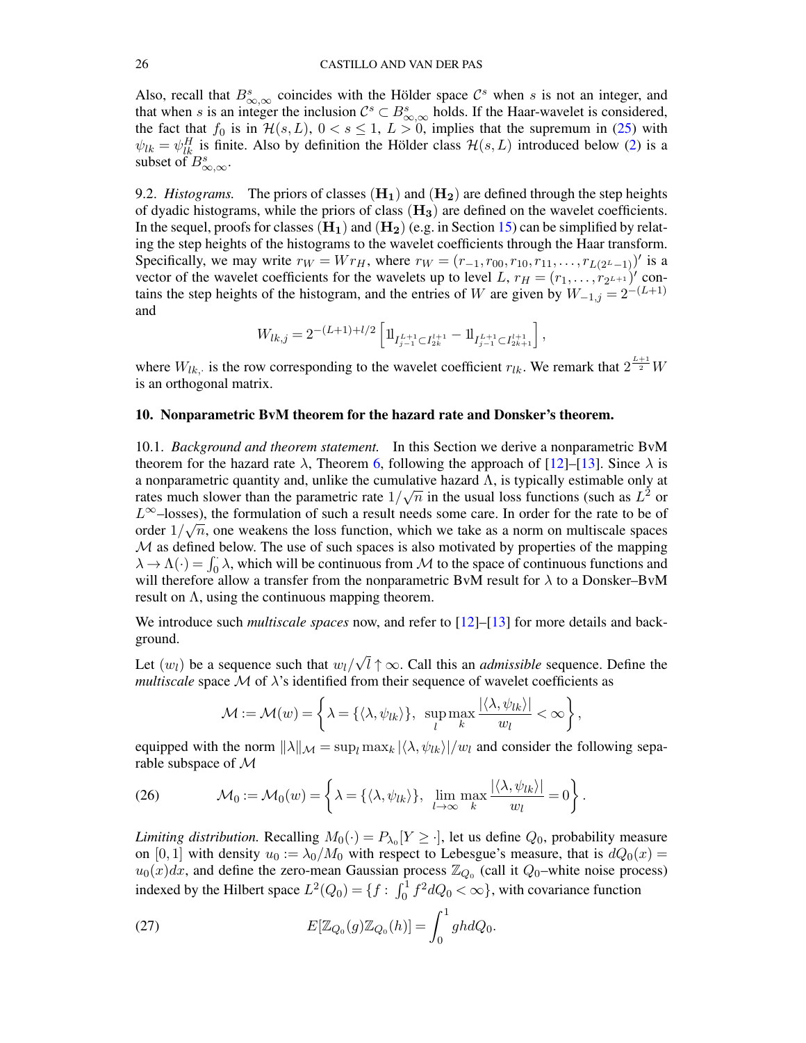Also, recall that  $B_{\infty,\infty}^s$  coincides with the Hölder space  $\mathcal{C}^s$  when s is not an integer, and that when s is an integer the inclusion  $\mathcal{C}^s \subset B^s_{\infty,\infty}$  holds. If the Haar-wavelet is considered, the fact that  $f_0$  is in  $\mathcal{H}(s, L)$ ,  $0 < s \le 1$ ,  $L > 0$ , implies that the supremum in [\(25\)](#page-24-3) with  $\psi_{lk} = \psi_{lk}^H$  is finite. Also by definition the Hölder class  $\mathcal{H}(s, L)$  introduced below [\(2\)](#page-4-2) is a subset of  $B^s_{\infty,\infty}$ .

<span id="page-25-0"></span>9.2. *Histograms.* The priors of classes  $(H_1)$  and  $(H_2)$  are defined through the step heights of dyadic histograms, while the priors of class  $(H_3)$  are defined on the wavelet coefficients. In the sequel, proofs for classes  $(H_1)$  and  $(H_2)$  (e.g. in Section [15\)](#page-48-0) can be simplified by relating the step heights of the histograms to the wavelet coefficients through the Haar transform. Specifically, we may write  $r_W = Wr_H$ , where  $r_W = (r_{-1}, r_{00}, r_{10}, r_{11}, \ldots, r_{L(2^L-1)})'$  is a vector of the wavelet coefficients for the wavelets up to level L,  $r_H = (r_1, \ldots, r_{2^{L+1}})'$  contains the step heights of the histogram, and the entries of W are given by  $W_{-1,j} = 2^{-(L+1)}$ and

$$
W_{lk,j} = 2^{-(L+1)+l/2} \left[ \mathrm{1\hspace{-0.90ex}l}_{I^{L+1}_{j-1} \subset I^{l+1}_{2k}} - \mathrm{1\hspace{-0.90ex}l}_{I^{L+1}_{j-1} \subset I^{l+1}_{2k+1}} \right],
$$

where  $W_{lk}$ , is the row corresponding to the wavelet coefficient  $r_{lk}$ . We remark that  $2^{\frac{L+1}{2}}W$ is an orthogonal matrix.

# <span id="page-25-1"></span>10. Nonparametric BvM theorem for the hazard rate and Donsker's theorem.

<span id="page-25-2"></span>10.1. *Background and theorem statement.* In this Section we derive a nonparametric BvM theorem for the hazard rate  $\lambda$ , Theorem [6,](#page-26-0) following the approach of [\[12\]](#page-69-3)–[\[13\]](#page-69-4). Since  $\lambda$  is a nonparametric quantity and, unlike the cumulative hazard  $\Lambda$ , is typically estimable only at rates much slower than the parametric rate  $1/\sqrt{n}$  in the usual loss functions (such as  $L^2$  or  $L^{\infty}$ –losses), the formulation of such a result needs some care. In order for the rate to be of order  $1/\sqrt{n}$ , one weakens the loss function, which we take as a norm on multiscale spaces  $M$  as defined below. The use of such spaces is also motivated by properties of the mapping  $\lambda \to \Lambda(\cdot) = \int_0^{\cdot} \lambda$ , which will be continuous from M to the space of continuous functions and will therefore allow a transfer from the nonparametric BvM result for  $\lambda$  to a Donsker–BvM result on  $\Lambda$ , using the continuous mapping theorem.

We introduce such *multiscale spaces* now, and refer to [\[12\]](#page-69-3)–[\[13\]](#page-69-4) for more details and background. √

Let  $(w_l)$  be a sequence such that  $w_l/$  $l \uparrow \infty$ . Call this an *admissible* sequence. Define the *multiscale* space  $M$  of  $\lambda$ 's identified from their sequence of wavelet coefficients as

$$
\mathcal{M} := \mathcal{M}(w) = \left\{\lambda = \{ \langle \lambda, \psi_{lk} \rangle \}, \ \sup_{l} \max_{k} \frac{|\langle \lambda, \psi_{lk} \rangle|}{w_l} < \infty \right\},\
$$

equipped with the norm  $\|\lambda\|_{\mathcal{M}} = \sup_l \max_k |\langle \lambda, \psi_{lk} \rangle|/w_l$  and consider the following separable subspace of M

(26) 
$$
\mathcal{M}_0 := \mathcal{M}_0(w) = \left\{ \lambda = \{ \langle \lambda, \psi_{lk} \rangle \}, \lim_{l \to \infty} \max_k \frac{|\langle \lambda, \psi_{lk} \rangle|}{w_l} = 0 \right\}.
$$

*Limiting distribution.* Recalling  $M_0(\cdot) = P_{\lambda_0}[Y \ge \cdot]$ , let us define  $Q_0$ , probability measure on [0, 1] with density  $u_0 := \lambda_0/M_0$  with respect to Lebesgue's measure, that is  $dQ_0(x) =$  $u_0(x)dx$ , and define the zero-mean Gaussian process  $\mathbb{Z}_{Q_0}$  (call it  $Q_0$ -white noise process) indexed by the Hilbert space  $L^2(Q_0) = \{f : \int_0^1 f^2 dQ_0 < \infty\}$ , with covariance function

<span id="page-25-3"></span>(27) 
$$
E[\mathbb{Z}_{Q_0}(g)\mathbb{Z}_{Q_0}(h)] = \int_0^1 g h dQ_0.
$$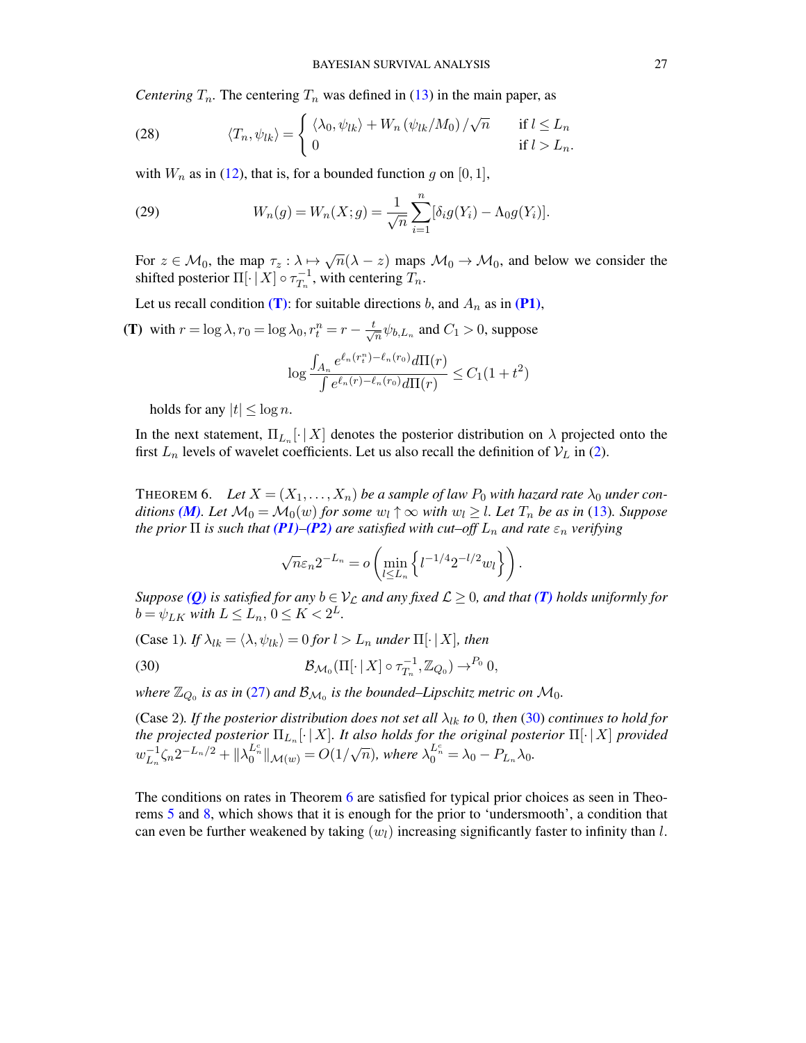*Centering*  $T_n$ . The centering  $T_n$  was defined in [\(13\)](#page-9-3) in the main paper, as

(28) 
$$
\langle T_n, \psi_{lk} \rangle = \begin{cases} \langle \lambda_0, \psi_{lk} \rangle + W_n \left( \psi_{lk} / M_0 \right) / \sqrt{n} & \text{if } l \leq L_n \\ 0 & \text{if } l > L_n. \end{cases}
$$

with  $W_n$  as in [\(12\)](#page-8-1), that is, for a bounded function g on [0, 1],

(29) 
$$
W_n(g) = W_n(X; g) = \frac{1}{\sqrt{n}} \sum_{i=1}^n [\delta_i g(Y_i) - \Lambda_0 g(Y_i)].
$$

For  $z \in \mathcal{M}_0$ , the map  $\tau_z : \lambda \mapsto \sqrt{n}(\lambda - z)$  maps  $\mathcal{M}_0 \to \mathcal{M}_0$ , and below we consider the shifted posterior  $\Pi[\cdot | X] \circ \tau_{T}^{-1}$  $T_n^{-1}$ , with centering  $T_n$ .

Let us recall condition [\(T\)](#page-9-1): for suitable directions b, and  $A_n$  as in [\(P1\)](#page-7-4),

(T) with  $r = \log \lambda$ ,  $r_0 = \log \lambda_0$ ,  $r_t^n = r - \frac{t}{\sqrt{\lambda}}$  $\frac{1}{n}\psi_{b,L_n}$  and  $C_1 > 0$ , suppose

$$
\log \frac{\int_{A_n} e^{\ell_n(r_t^n) - \ell_n(r_0)} d\Pi(r)}{\int e^{\ell_n(r) - \ell_n(r_0)} d\Pi(r)} \le C_1 (1 + t^2)
$$

holds for any  $|t| < \log n$ .

In the next statement,  $\Pi_{L_n}[\cdot | X]$  denotes the posterior distribution on  $\lambda$  projected onto the first  $L_n$  levels of wavelet coefficients. Let us also recall the definition of  $V_L$  in [\(2\)](#page-4-2).

<span id="page-26-0"></span>THEOREM 6. Let  $X = (X_1, \ldots, X_n)$  be a sample of law  $P_0$  with hazard rate  $\lambda_0$  under con*ditions* (*M*)*. Let*  $M_0 = M_0(w)$  *for some*  $w_l \uparrow \infty$  *with*  $w_l \geq l$ *. Let*  $T_n$  *be as in* [\(13\)](#page-9-3)*. Suppose the prior*  $\Pi$  *is such that [\(P1\)](#page-7-4)–[\(P2\)](#page-9-2) are satisfied with cut–off*  $L_n$  *and rate*  $\varepsilon_n$  *verifying* 

<span id="page-26-1"></span>
$$
\sqrt{n}\varepsilon_n 2^{-L_n} = o\left(\min_{l\leq L_n} \left\{l^{-1/4} 2^{-l/2} w_l\right\}\right).
$$

*Suppose* (*Q*) *is satisfied for any*  $b \in V_C$  *and any fixed*  $\mathcal{L} \geq 0$ *, and that* (*T*) *holds uniformly for*  $b = \psi_{LK}$  with  $L \le L_n$ ,  $0 \le K < 2^L$ .

(Case 1)*. If*  $\lambda_{lk} = \langle \lambda, \psi_{lk} \rangle = 0$  *for*  $l > L_n$  *under*  $\Pi[\cdot | X]$ *, then* 

(30) 
$$
\mathcal{B}_{\mathcal{M}_0}(\Pi[\cdot | X] \circ \tau_{T_n}^{-1}, \mathbb{Z}_{Q_0}) \to^{P_0} 0,
$$

where  $\mathbb{Z}_{Q_0}$  is as in [\(27\)](#page-25-3) and  $\mathcal{B}_{\mathcal{M}_0}$  is the bounded–Lipschitz metric on  $\mathcal{M}_0$ .

(Case 2). If the posterior distribution does not set all  $\lambda_{lk}$  to 0, then [\(30\)](#page-26-1) continues to hold for *the projected posterior*  $\Pi_{L_n}[\cdot | X]$ *. It also holds for the original posterior*  $\Pi[\cdot | X]$  *provided*  $w_L^{-1}$  $\sum_{L_n}^{-1} \zeta_n 2^{-L_n/2} + ||\lambda_0^{L_n^c}||_{\mathcal{M}(w)} = O(1/\sqrt{\frac{L_n}{\sqrt{\frac{L_n^c}{c^2}}}})$  $\overline{n}$ ), where  $\lambda_0^{L_n^c} = \lambda_0 - P_{L_n}\lambda_0$ .

The conditions on rates in Theorem [6](#page-26-0) are satisfied for typical prior choices as seen in Theorems [5](#page-12-0) and [8,](#page-38-0) which shows that it is enough for the prior to 'undersmooth', a condition that can even be further weakened by taking  $(w_l)$  increasing significantly faster to infinity than l.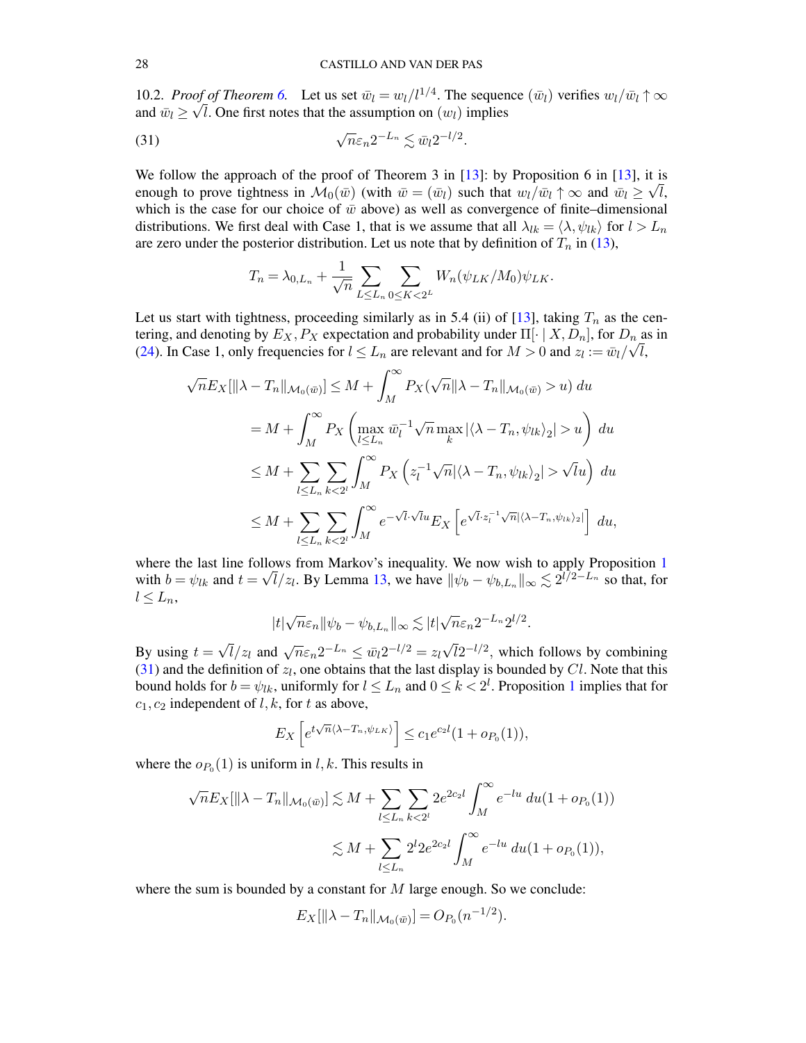<span id="page-27-0"></span>10.2. *Proof of Theorem 6*. Let us set  $\bar{w}_l = \frac{w_l}{l^{1/4}}$ . The sequence  $(\bar{w}_l)$  verifies  $\frac{w_l}{\bar{w}_l} \uparrow \infty$ and  $\bar{w}_l \ge \sqrt{l}$ . One first notes that the assumption on  $(w_l)$  implies

(31) 
$$
\sqrt{n}\varepsilon_n 2^{-L_n} \lesssim \bar{w}_l 2^{-l/2}.
$$

We follow the approach of the proof of Theorem 3 in [\[13\]](#page-69-4): by Proposition 6 in [13], it is enough to prove tightness in  $\mathcal{M}_0(\bar{w})$  (with  $\bar{w} = (\bar{w}_l)$  such that  $w_l/\bar{w}_l \uparrow \infty$  and  $\bar{w}_l \ge \sqrt{l}$ , which is the case for our choice of  $\bar{w}$  above) as well as convergence of finite–dimensional distributions. We first deal with Case 1, that is we assume that all  $\lambda_{lk} = \langle \lambda, \psi_{lk} \rangle$  for  $l > L_n$ are zero under the posterior distribution. Let us note that by definition of  $T_n$  in [\(13\)](#page-9-3),

<span id="page-27-1"></span>
$$
T_n = \lambda_{0,L_n} + \frac{1}{\sqrt{n}} \sum_{L \le L_n} \sum_{0 \le K < 2^L} W_n(\psi_{LK}/M_0) \psi_{LK}.
$$

Let us start with tightness, proceeding similarly as in 5.4 (ii) of  $[13]$ , taking  $T_n$  as the centering, and denoting by  $E_X, P_X$  expectation and probability under  $\Pi[\cdot | X, D_n]$ , for  $D_n$  as in [\(24\)](#page-22-1). In Case 1, only frequencies for  $l \leq L_n$  are relevant and for  $M > 0$  and  $z_l := \bar{w}_l / \sqrt{l}$ ,

$$
\sqrt{n}E_X[\|\lambda - T_n\|_{\mathcal{M}_0(\bar{w})}] \leq M + \int_M^{\infty} P_X(\sqrt{n} \|\lambda - T_n\|_{\mathcal{M}_0(\bar{w})} > u) du
$$
  
\n
$$
= M + \int_M^{\infty} P_X \left( \max_{l \leq L_n} \bar{w}_l^{-1} \sqrt{n} \max_k |\langle \lambda - T_n, \psi_{lk} \rangle_2| > u \right) du
$$
  
\n
$$
\leq M + \sum_{l \leq L_n} \sum_{k < 2^l} \int_M^{\infty} P_X \left( z_l^{-1} \sqrt{n} |\langle \lambda - T_n, \psi_{lk} \rangle_2| > \sqrt{l} u \right) du
$$
  
\n
$$
\leq M + \sum_{l \leq L_n} \sum_{k < 2^l} \int_M^{\infty} e^{-\sqrt{l} \cdot \sqrt{l} u} E_X \left[ e^{\sqrt{l} \cdot z_l^{-1} \sqrt{n} |\langle \lambda - T_n, \psi_{lk} \rangle_2|} \right] du,
$$

where the last line follows from Markov's inequality. We now wish to apply Proposition [1](#page-23-0) with  $b = \psi_{lk}$  and  $t = \sqrt{l}/z_l$ . By Lemma [13,](#page-55-3) we have  $\|\psi_b - \psi_{b,L_n}\|_{\infty} \lesssim 2^{\overline{l}/2 - L_n}$  so that, for  $l \leq L_n$ 

$$
|t|\sqrt{n}\varepsilon_n\|\psi_b-\psi_{b,L_n}\|_{\infty}\lesssim |t|\sqrt{n}\varepsilon_n2^{-L_n}2^{l/2}.
$$

By using  $t =$  $\sqrt{l}/z_l$  and  $\sqrt{n}\varepsilon_n 2^{-L_n} \leq \overline{w}_l 2^{-l/2} = z_l \sqrt{n}$  $\overline{l}2^{-l/2}$ , which follows by combining [\(31\)](#page-27-1) and the definition of  $z_l$ , one obtains that the last display is bounded by Cl. Note that this bound holds for  $b = \psi_{lk}$ , uniformly for  $l \leq L_n$  and  $0 \leq k < 2^l$ . Proposition [1](#page-23-0) implies that for  $c_1, c_2$  independent of l, k, for t as above,

$$
E_X\left[e^{t\sqrt{n}\langle\lambda-T_n,\psi_{LK}\rangle}\right] \le c_1 e^{c_2l}(1+o_{P_0}(1)),
$$

where the  $o_{P_0}(1)$  is uniform in l, k. This results in

$$
\sqrt{n}E_X[\|\lambda - T_n\|_{\mathcal{M}_0(\bar{w})}] \lesssim M + \sum_{l \le L_n} \sum_{k < 2^l} 2e^{2c_2l} \int_M^\infty e^{-lu} \, du(1 + o_{P_0}(1))
$$
\n
$$
\lesssim M + \sum_{l \le L_n} 2^l 2e^{2c_2l} \int_M^\infty e^{-lu} \, du(1 + o_{P_0}(1)),
$$

where the sum is bounded by a constant for  $M$  large enough. So we conclude:

$$
E_X[\|\lambda - T_n\|_{\mathcal{M}_0(\bar{w})}] = O_{P_0}(n^{-1/2}).
$$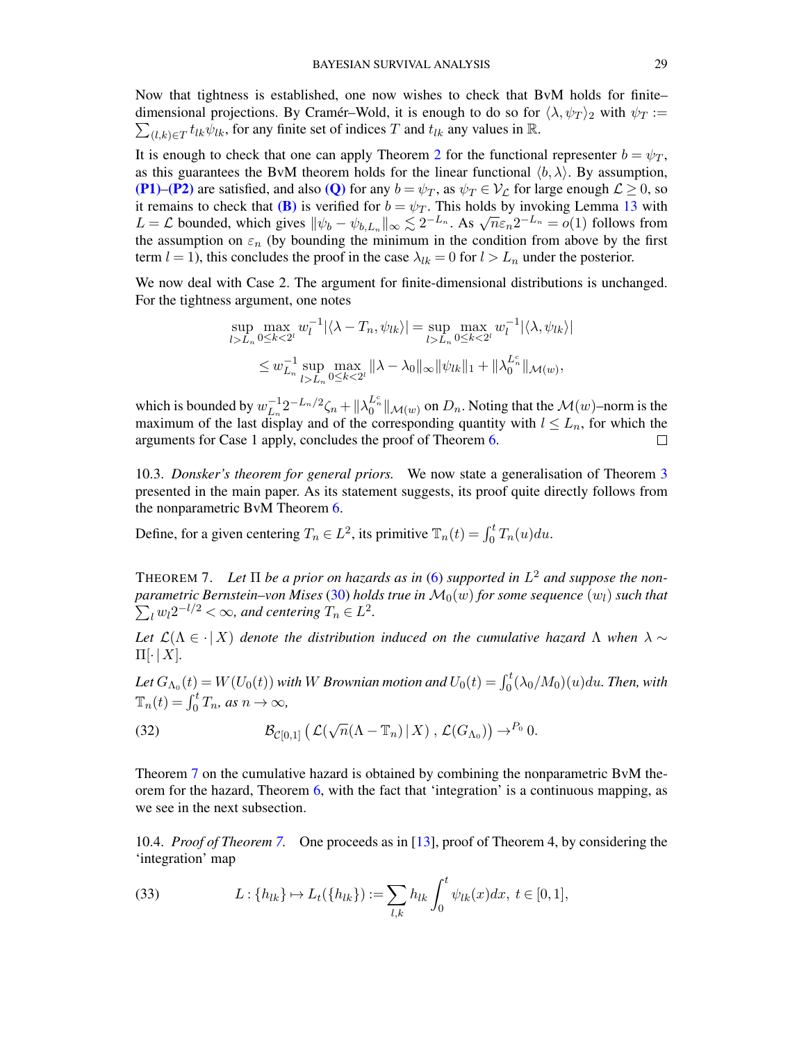Now that tightness is established, one now wishes to check that BvM holds for finite– dimensional projections. By Cramér–Wold, it is enough to do so for  $\langle \lambda, \psi_T \rangle_2$  with  $\psi_T :=$  $\sum_{(l,k)\in T} t_{lk}\psi_{lk}$ , for any finite set of indices T and  $t_{lk}$  any values in  $\mathbb{R}$ .

It is enough to check that one can apply Theorem [2](#page-7-2) for the functional representer  $b = \psi_T$ , as this guarantees the BvM theorem holds for the linear functional  $\langle b, \lambda \rangle$ . By assumption, [\(P1\)](#page-7-4)–[\(P2\)](#page-9-2) are satisfied, and also [\(Q\)](#page-7-5) for any  $b = \psi_T$ , as  $\psi_T \in V_c$  for large enough  $\mathcal{L} \geq 0$ , so it remains to check that [\(B\)](#page-7-6) is verified for  $b = \psi_T$ . This holds by invoking Lemma [13](#page-55-3) with It remains to check that **(b)** is verified for  $b = \psi_T$ . This holds by invoking Lemma 15 with  $L = \mathcal{L}$  bounded, which gives  $\|\psi_b - \psi_{b,L_n}\|_{\infty} \lesssim 2^{-L_n}$ . As  $\sqrt{n}\varepsilon_n 2^{-L_n} = o(1)$  follows from the assumption on  $\varepsilon_n$  (by bounding the minimum in the condition from above by the first term  $l = 1$ ), this concludes the proof in the case  $\lambda_{lk} = 0$  for  $l > L_n$  under the posterior.

We now deal with Case 2. The argument for finite-dimensional distributions is unchanged. For the tightness argument, one notes

$$
\sup_{l>L_n} \max_{0 \le k < 2^l} w_l^{-1} |\langle \lambda - T_n, \psi_{lk} \rangle| = \sup_{l > L_n} \max_{0 \le k < 2^l} w_l^{-1} |\langle \lambda, \psi_{lk} \rangle|
$$
\n
$$
\le w_{L_n}^{-1} \sup_{l > L_n} \max_{0 \le k < 2^l} \|\lambda - \lambda_0\|_{\infty} \|\psi_{lk}\|_1 + \|\lambda_0^{L_n^c}\|_{\mathcal{M}(w)},
$$

 $L_n^{-1}2^{-L_n/2}\zeta_n+\|\lambda_0^{L_n^c}\|_{\mathcal{M}(w)}$  on  $D_n$ . Noting that the  $\mathcal{M}(w)$ –norm is the which is bounded by  $w_{L_n}^{-1}$ maximum of the last display and of the corresponding quantity with  $l \leq L_n$ , for which the arguments for Case 1 apply, concludes the proof of Theorem [6.](#page-26-0)  $\Box$ 

<span id="page-28-0"></span>10.3. *Donsker's theorem for general priors.* We now state a generalisation of Theorem [3](#page-9-0) presented in the main paper. As its statement suggests, its proof quite directly follows from the nonparametric BvM Theorem [6.](#page-26-0)

Define, for a given centering  $T_n \in L^2$ , its primitive  $\mathbb{T}_n(t) = \int_0^t T_n(u) du$ .

<span id="page-28-1"></span>THEOREM 7. Let  $\Pi$  be a prior on hazards as in [\(6\)](#page-5-2) supported in  $L^2$  and suppose the non- $\emph{parametric Bernstein–von Mises (30) holds true in $\mathcal{M}_0(w)$ for some sequence $(w_l)$ such that}$  $\emph{parametric Bernstein–von Mises (30) holds true in $\mathcal{M}_0(w)$ for some sequence $(w_l)$ such that}$  $\emph{parametric Bernstein–von Mises (30) holds true in $\mathcal{M}_0(w)$ for some sequence $(w_l)$ such that}$  $\sum_{l} w_l 2^{-l/2} < \infty$ , and centering  $T_n \in L^2$ .

*Let*  $\mathcal{L}(\Lambda \in \cdot | X)$  *denote the distribution induced on the cumulative hazard*  $\Lambda$  *when*  $\lambda \sim$  $\Pi[\cdot | X]$ .

Let  $G_{\Lambda_0}(t) = W(U_0(t))$  with  $W$  *Brownian motion and*  $U_0(t) = \int_0^t (\lambda_0/M_0)(u) du$ *. Then, with*  $\mathbb{T}_n(t) = \int_0^t T_n$ , as  $n \to \infty$ ,

(32) 
$$
\mathcal{B}_{\mathcal{C}[0,1]}\left(\mathcal{L}(\sqrt{n}(\Lambda-\mathbb{T}_n)|X),\mathcal{L}(G_{\Lambda_0})\right)\to^{P_0} 0.
$$

Theorem [7](#page-28-1) on the cumulative hazard is obtained by combining the nonparametric BvM theorem for the hazard, Theorem [6,](#page-26-0) with the fact that 'integration' is a continuous mapping, as we see in the next subsection.

<span id="page-28-2"></span>10.4. *Proof of Theorem [7.](#page-28-1)* One proceeds as in [\[13\]](#page-69-4), proof of Theorem 4, by considering the 'integration' map

<span id="page-28-3"></span>(33) 
$$
L: \{h_{lk}\}\mapsto L_t(\{h_{lk}\}):=\sum_{l,k}h_{lk}\int_0^t\psi_{lk}(x)dx, \ t\in[0,1],
$$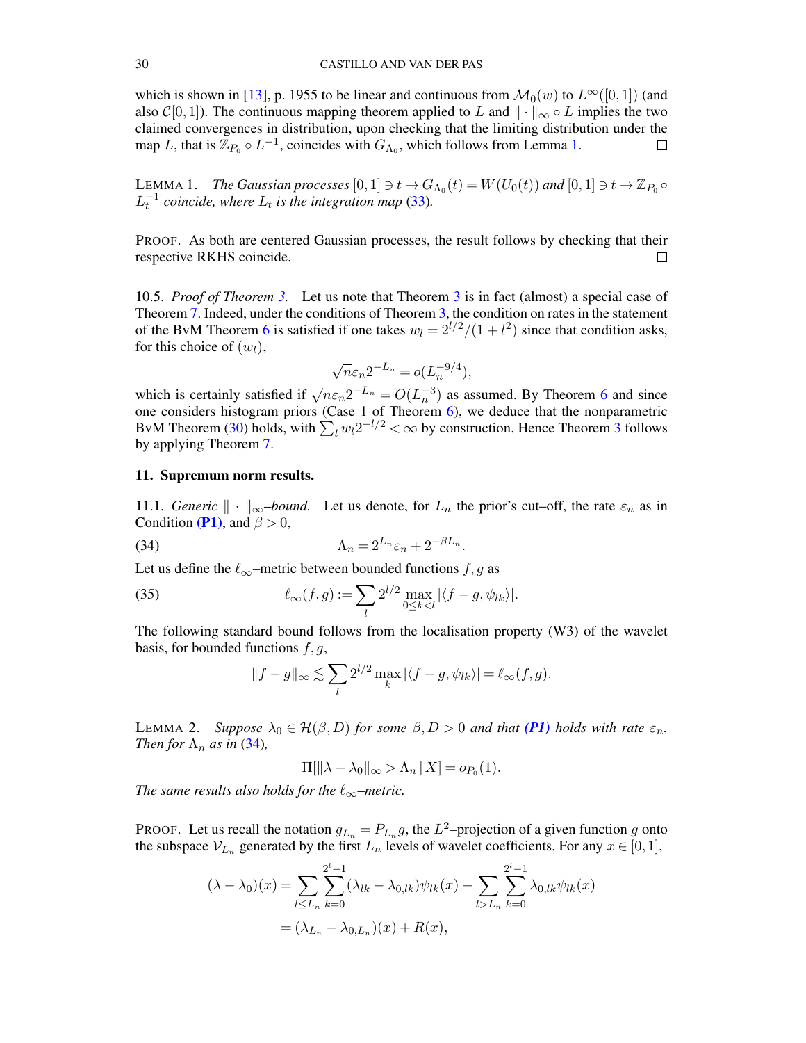which is shown in [\[13\]](#page-69-4), p. 1955 to be linear and continuous from  $\mathcal{M}_0(w)$  to  $L^{\infty}([0, 1])$  (and also  $\mathcal{C}[0,1]$ ). The continuous mapping theorem applied to L and  $\|\cdot\|_{\infty} \circ L$  implies the two claimed convergences in distribution, upon checking that the limiting distribution under the map L, that is  $\mathbb{Z}_{P_0} \circ L^{-1}$ , coincides with  $G_{\Lambda_0}$ , which follows from Lemma [1.](#page-29-3)  $\Box$ 

<span id="page-29-3"></span>LEMMA 1. *The Gaussian processes*  $[0,1] \ni t \to G_{\Lambda_0}(t) = W(U_0(t))$  and  $[0,1] \ni t \to \mathbb{Z}_{P_0}$  $L_t^{-1}$  coincide, where  $L_t$  is the integration map [\(33\)](#page-28-3).

PROOF. As both are centered Gaussian processes, the result follows by checking that their respective RKHS coincide.  $\Box$ 

<span id="page-29-0"></span>10.5. *Proof of Theorem [3.](#page-9-0)* Let us note that Theorem [3](#page-9-0) is in fact (almost) a special case of Theorem [7.](#page-28-1) Indeed, under the conditions of Theorem [3,](#page-9-0) the condition on rates in the statement of the BvM Theorem [6](#page-26-0) is satisfied if one takes  $w_l = 2^{l/2}/(1 + l^2)$  since that condition asks, for this choice of  $(w_l)$ ,

$$
\sqrt{n}\varepsilon_n 2^{-L_n} = o(L_n^{-9/4}),
$$

which is certainly satisfied if  $\sqrt{n}\epsilon_n 2^{-L_n} = O(L_n^{-3})$  as assumed. By Theorem [6](#page-26-0) and since one considers histogram priors (Case 1 of Theorem [6\)](#page-26-0), we deduce that the nonparametric BvM Theorem [\(30\)](#page-26-1) holds, with  $\sum_l w_l 2^{-l/2} < \infty$  by construction. Hence Theorem [3](#page-9-0) follows by applying Theorem [7.](#page-28-1)

#### <span id="page-29-1"></span>11. Supremum norm results.

<span id="page-29-2"></span>11.1. *Generic*  $\|\cdot\|_{\infty}$ *–bound.* Let us denote, for  $L_n$  the prior's cut–off, the rate  $\varepsilon_n$  as in Condition [\(P1\)](#page-7-4), and  $\beta > 0$ ,

(34) 
$$
\Lambda_n = 2^{L_n} \varepsilon_n + 2^{-\beta L_n}.
$$

Let us define the  $\ell_{\infty}$ –metric between bounded functions f, g as

(35) 
$$
\ell_{\infty}(f,g):=\sum_{l} 2^{l/2}\max_{0\leq k
$$

The following standard bound follows from the localisation property (W3) of the wavelet basis, for bounded functions  $f, g$ ,

<span id="page-29-6"></span><span id="page-29-4"></span>
$$
||f - g||_{\infty} \lesssim \sum_{l} 2^{l/2} \max_{k} |\langle f - g, \psi_{lk} \rangle| = \ell_{\infty}(f, g).
$$

<span id="page-29-5"></span>LEMMA 2. *Suppose*  $\lambda_0 \in \mathcal{H}(\beta, D)$  *for some*  $\beta, D > 0$  *and that* [\(P1\)](#page-7-4) *holds with rate*  $\varepsilon_n$ *. Then for*  $\Lambda_n$  *as in* [\(34\)](#page-29-4)*,* 

$$
\Pi[\|\lambda - \lambda_0\|_{\infty} > \Lambda_n | X] = o_{P_0}(1).
$$

*The same results also holds for the*  $\ell_{\infty}$ *–metric.* 

PROOF. Let us recall the notation  $g_{L_n} = P_{L_n} g$ , the  $L^2$ -projection of a given function g onto the subspace  $V_{L_n}$  generated by the first  $L_n$  levels of wavelet coefficients. For any  $x \in [0,1]$ ,

$$
(\lambda - \lambda_0)(x) = \sum_{l \le L_n} \sum_{k=0}^{2^l - 1} (\lambda_{lk} - \lambda_{0,lk}) \psi_{lk}(x) - \sum_{l > L_n} \sum_{k=0}^{2^l - 1} \lambda_{0,lk} \psi_{lk}(x)
$$
  
=  $(\lambda_{L_n} - \lambda_{0,L_n})(x) + R(x),$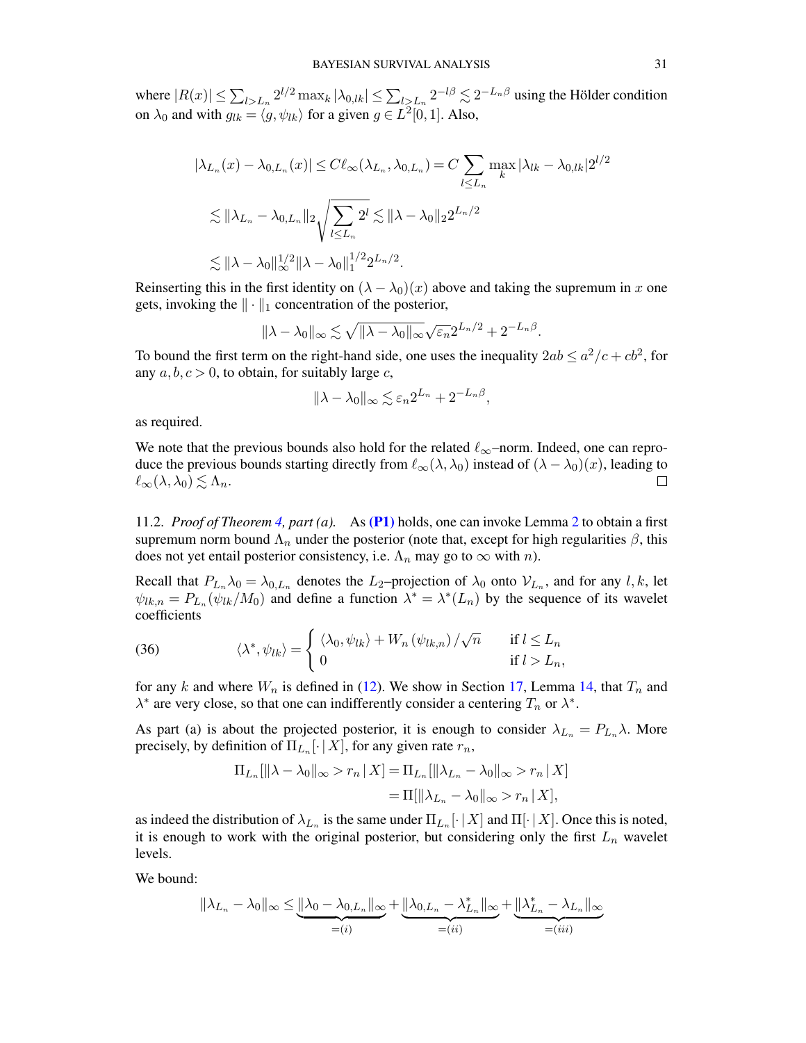where  $|R(x)| \le \sum_{l>L_n} 2^{l/2} \max_k |\lambda_{0,lk}| \le \sum_{l>L_n} 2^{-l\beta} \lesssim 2^{-L_n\beta}$  using the Hölder condition on  $\lambda_0$  and with  $g_{lk} = \langle g, \psi_{lk} \rangle$  for a given  $g \in L^2[0, 1]$ . Also,

$$
|\lambda_{L_n}(x) - \lambda_{0,L_n}(x)| \le C\ell_\infty(\lambda_{L_n}, \lambda_{0,L_n}) = C \sum_{l \le L_n} \max_k |\lambda_{lk} - \lambda_{0,lk}| 2^{l/2}
$$
  

$$
\lesssim ||\lambda_{L_n} - \lambda_{0,L_n}||_2 \sqrt{\sum_{l \le L_n} 2^l} \lesssim ||\lambda - \lambda_0||_2 2^{L_n/2}
$$
  

$$
\lesssim ||\lambda - \lambda_0||_{\infty}^{1/2} ||\lambda - \lambda_0||_1^{1/2} 2^{L_n/2}.
$$

Reinserting this in the first identity on  $(\lambda - \lambda_0)(x)$  above and taking the supremum in x one gets, invoking the  $\|\cdot\|_1$  concentration of the posterior,

$$
\|\lambda - \lambda_0\|_{\infty} \lesssim \sqrt{\|\lambda - \lambda_0\|_{\infty}} \sqrt{\varepsilon_n} 2^{L_n/2} + 2^{-L_n\beta}.
$$

To bound the first term on the right-hand side, one uses the inequality  $2ab \le a^2/c + cb^2$ , for any  $a, b, c > 0$ , to obtain, for suitably large c,

$$
\|\lambda-\lambda_0\|_{\infty} \lesssim \varepsilon_n 2^{L_n} + 2^{-L_n\beta},
$$

as required.

We note that the previous bounds also hold for the related  $\ell_{\infty}$ –norm. Indeed, one can reproduce the previous bounds starting directly from  $\ell_{\infty}(\lambda, \lambda_0)$  instead of  $(\lambda - \lambda_0)(x)$ , leading to  $\ell_{\infty}(\lambda, \lambda_0) \lesssim \Lambda_n$ .  $\Box$ 

<span id="page-30-0"></span>11.2. *Proof of Theorem [4,](#page-11-1) part (a).* As [\(P1\)](#page-7-4) holds, one can invoke Lemma [2](#page-29-5) to obtain a first supremum norm bound  $\Lambda_n$  under the posterior (note that, except for high regularities  $\beta$ , this does not yet entail posterior consistency, i.e.  $\Lambda_n$  may go to  $\infty$  with n).

Recall that  $P_{L_n}\lambda_0 = \lambda_{0,L_n}$  denotes the  $L_2$ -projection of  $\lambda_0$  onto  $V_{L_n}$ , and for any l, k, let  $\psi_{lk,n} = P_{L_n}(\psi_{lk}/M_0)$  and define a function  $\lambda^* = \lambda^*(L_n)$  by the sequence of its wavelet coefficients

<span id="page-30-1"></span>(36) 
$$
\langle \lambda^*, \psi_{lk} \rangle = \begin{cases} \langle \lambda_0, \psi_{lk} \rangle + W_n(\psi_{lk,n}) / \sqrt{n} & \text{if } l \le L_n \\ 0 & \text{if } l > L_n, \end{cases}
$$

for any k and where  $W_n$  is defined in [\(12\)](#page-8-1). We show in Section [17,](#page-57-0) Lemma [14,](#page-57-1) that  $T_n$  and  $\lambda^*$  are very close, so that one can indifferently consider a centering  $T_n$  or  $\lambda^*$ .

As part (a) is about the projected posterior, it is enough to consider  $\lambda_{L_n} = P_{L_n}\lambda$ . More precisely, by definition of  $\Pi_{L_n}[\cdot | X]$ , for any given rate  $r_n$ ,

$$
\Pi_{L_n}[\|\lambda - \lambda_0\|_{\infty} > r_n | X] = \Pi_{L_n}[\|\lambda_{L_n} - \lambda_0\|_{\infty} > r_n | X]
$$

$$
= \Pi[\|\lambda_{L_n} - \lambda_0\|_{\infty} > r_n | X],
$$

as indeed the distribution of  $\lambda_{L_n}$  is the same under  $\Pi_{L_n}[\cdot | X]$  and  $\Pi[\cdot | X]$ . Once this is noted, it is enough to work with the original posterior, but considering only the first  $L_n$  wavelet levels.

We bound:

$$
\|\lambda_{L_n} - \lambda_0\|_{\infty} \le \underbrace{\|\lambda_0 - \lambda_{0,L_n}\|_{\infty}}_{=(i)} + \underbrace{\|\lambda_{0,L_n} - \lambda_{L_n}^*\|_{\infty}}_{=(ii)} + \underbrace{\|\lambda_{L_n}^* - \lambda_{L_n}\|_{\infty}}_{=(iii)}
$$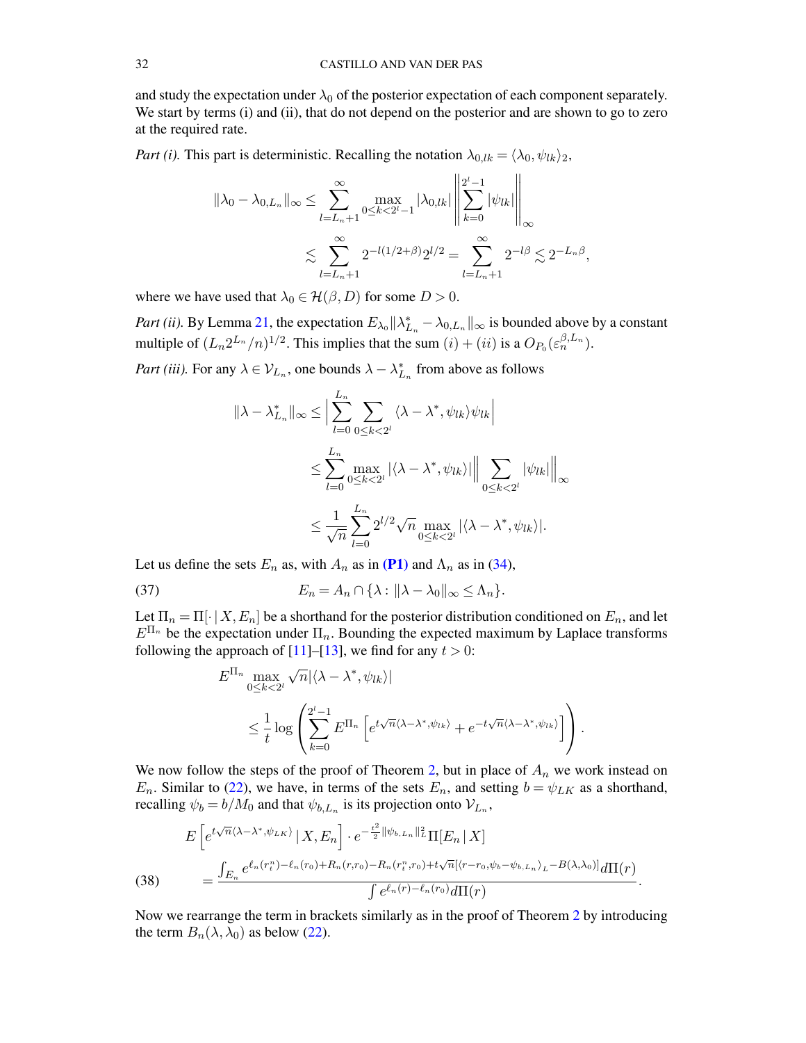and study the expectation under  $\lambda_0$  of the posterior expectation of each component separately. We start by terms (i) and (ii), that do not depend on the posterior and are shown to go to zero at the required rate.

*Part (i).* This part is deterministic. Recalling the notation  $\lambda_{0,lk} = \langle \lambda_0, \psi_{lk} \rangle_2$ ,

$$
\|\lambda_0 - \lambda_{0,L_n}\|_{\infty} \le \sum_{l=L_n+1}^{\infty} \max_{0 \le k < 2^l-1} |\lambda_{0,lk}| \left\| \sum_{k=0}^{2^l-1} |\psi_{lk}| \right\|_{\infty}
$$
  

$$
\lesssim \sum_{l=L_n+1}^{\infty} 2^{-l(1/2+\beta)} 2^{l/2} = \sum_{l=L_n+1}^{\infty} 2^{-l\beta} \lesssim 2^{-L_n\beta},
$$

where we have used that  $\lambda_0 \in \mathcal{H}(\beta, D)$  for some  $D > 0$ .

*Part (ii).* By Lemma [21,](#page-63-0) the expectation  $E_{\lambda_0} || \lambda_{L_n}^* - \lambda_{0,L_n} ||_{\infty}$  is bounded above by a constant multiple of  $(L_n 2^{L_n}/n)^{1/2}$ . This implies that the sum  $(i) + (ii)$  is a  $O_{P_0}(\varepsilon_n^{\beta, L_n})$ .

*Part (iii)*. For any  $\lambda \in V_{L_n}$ , one bounds  $\lambda - \lambda_{L_n}^*$  from above as follows

$$
\|\lambda - \lambda_{L_n}^*\|_{\infty} \le \Big|\sum_{l=0}^{L_n} \sum_{0 \le k < 2^l} \langle \lambda - \lambda^*, \psi_{lk} \rangle \psi_{lk} \Big|
$$
  

$$
\le \sum_{l=0}^{L_n} \max_{0 \le k < 2^l} |\langle \lambda - \lambda^*, \psi_{lk} \rangle| \Big\| \sum_{0 \le k < 2^l} |\psi_{lk}| \Big\|_{\infty}
$$
  

$$
\le \frac{1}{\sqrt{n}} \sum_{l=0}^{L_n} 2^{l/2} \sqrt{n} \max_{0 \le k < 2^l} |\langle \lambda - \lambda^*, \psi_{lk} \rangle|.
$$

Let us define the sets  $E_n$  as, with  $A_n$  as in [\(P1\)](#page-7-4) and  $\Lambda_n$  as in [\(34\)](#page-29-4),

(37) 
$$
E_n = A_n \cap \{\lambda : ||\lambda - \lambda_0||_{\infty} \leq \Lambda_n\}.
$$

Let  $\Pi_n = \Pi[\cdot | X, E_n]$  be a shorthand for the posterior distribution conditioned on  $E_n$ , and let  $E^{\Pi_n}$  be the expectation under  $\Pi_n$ . Bounding the expected maximum by Laplace transforms following the approach of  $[11]$ – $[13]$ , we find for any  $t > 0$ :

<span id="page-31-1"></span>
$$
E^{\Pi_n} \max_{0 \le k < 2^l} \sqrt{n} |\langle \lambda - \lambda^*, \psi_{lk} \rangle|
$$
  
\$\le \frac{1}{t} \log \left( \sum\_{k=0}^{2^l-1} E^{\Pi\_n} \left[ e^{t\sqrt{n}\langle \lambda - \lambda^\*, \psi\_{lk} \rangle} + e^{-t\sqrt{n}\langle \lambda - \lambda^\*, \psi\_{lk} \rangle} \right] \right).

We now follow the steps of the proof of Theorem [2,](#page-7-2) but in place of  $A_n$  we work instead on  $E_n$ . Similar to [\(22\)](#page-20-2), we have, in terms of the sets  $E_n$ , and setting  $b = \psi_{LK}$  as a shorthand, recalling  $\psi_b = b/M_0$  and that  $\psi_{b,L_n}$  is its projection onto  $\mathcal{V}_{L_n}$ ,

<span id="page-31-0"></span>(38) 
$$
E\left[e^{t\sqrt{n}\langle\lambda-\lambda^*,\psi_{LK}\rangle} \,|\, X,E_n\right] \cdot e^{-\frac{t^2}{2}\|\psi_{b,L_n}\|_L^2} \Pi[E_n \,|\, X] = \frac{\int_{E_n} e^{\ell_n(r_t^n) - \ell_n(r_0) + R_n(r,r_0) - R_n(r_t^n,r_0) + t\sqrt{n}[\langle r-r_0,\psi_b-\psi_{b,L_n}\rangle_L - B(\lambda,\lambda_0)]} d\Pi(r)}{\int e^{\ell_n(r) - \ell_n(r_0)} d\Pi(r)}.
$$

Now we rearrange the term in brackets similarly as in the proof of Theorem [2](#page-7-2) by introducing the term  $B_n(\lambda, \lambda_0)$  as below [\(22\)](#page-20-2).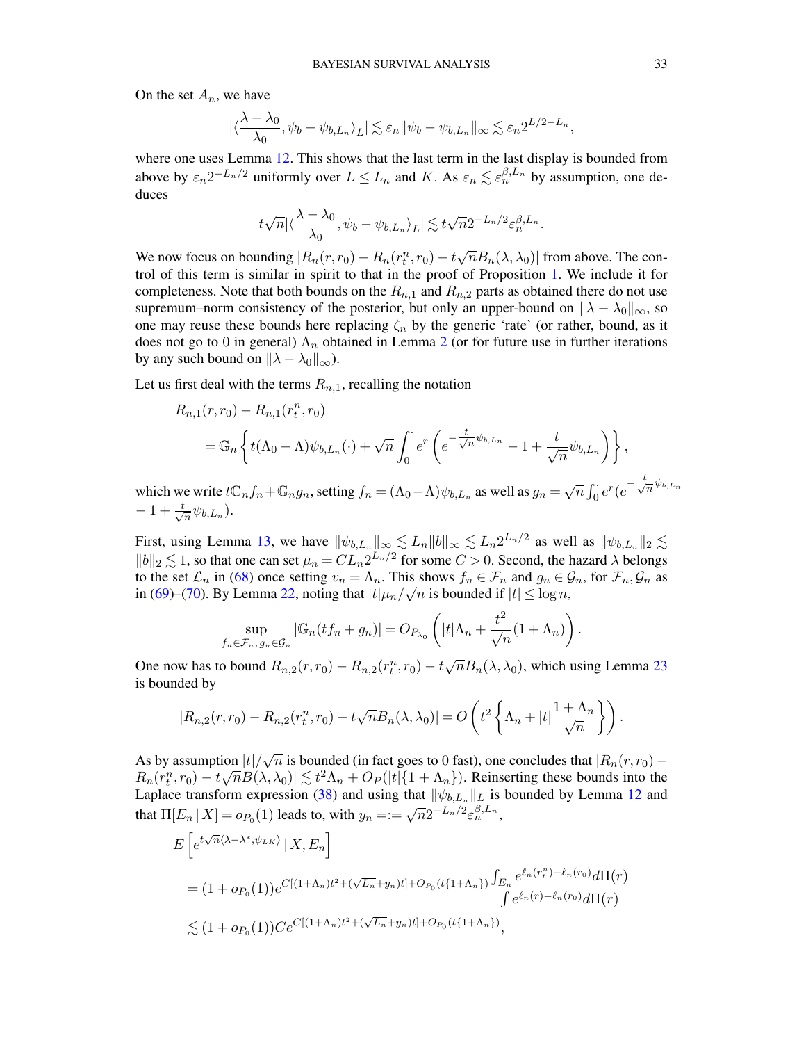On the set  $A_n$ , we have

$$
|\langle \frac{\lambda - \lambda_0}{\lambda_0}, \psi_b - \psi_{b, L_n} \rangle_L| \lesssim \varepsilon_n ||\psi_b - \psi_{b, L_n}||_{\infty} \lesssim \varepsilon_n 2^{L/2 - L_n},
$$

where one uses Lemma [12.](#page-55-2) This shows that the last term in the last display is bounded from above by  $\varepsilon_n 2^{-L_n/2}$  uniformly over  $L \leq L_n$  and K. As  $\varepsilon_n \lesssim \varepsilon_n^{\beta, L_n}$  by assumption, one deduces

$$
t\sqrt{n}|\langle\frac{\lambda-\lambda_0}{\lambda_0},\psi_b-\psi_{b,L_n}\rangle_L|\lesssim t\sqrt{n}2^{-L_n/2}\varepsilon_n^{\beta,L_n}.
$$

We now focus on bounding  $|R_n(r,r_0) - R_n(r_t^n,r_0) - t\sqrt{n}B_n(\lambda,\lambda_0)|$  from above. The control of this term is similar in spirit to that in the proof of Proposition [1.](#page-23-0) We include it for completeness. Note that both bounds on the  $R_{n,1}$  and  $R_{n,2}$  parts as obtained there do not use supremum–norm consistency of the posterior, but only an upper-bound on  $\|\lambda - \lambda_0\|_{\infty}$ , so one may reuse these bounds here replacing  $\zeta_n$  by the generic 'rate' (or rather, bound, as it does not go to 0 in general)  $\Lambda_n$  obtained in Lemma [2](#page-29-5) (or for future use in further iterations by any such bound on  $\|\lambda - \lambda_0\|_{\infty}$ ).

Let us first deal with the terms  $R_{n,1}$ , recalling the notation

$$
R_{n,1}(r,r_0) - R_{n,1}(r_t^n, r_0)
$$
  
=  $\mathbb{G}_n \left\{ t(\Lambda_0 - \Lambda) \psi_{b,L_n}(\cdot) + \sqrt{n} \int_0^{\cdot} e^r \left( e^{-\frac{t}{\sqrt{n}} \psi_{b,L_n}} - 1 + \frac{t}{\sqrt{n}} \psi_{b,L_n} \right) \right\},$ 

which we write  $t\mathbb{G}_n f_n + \mathbb{G}_n g_n$ , setting  $f_n = (\Lambda_0 - \Lambda)\psi_{b,L_n}$  as well as  $g_n =$ √  $\overline{n} \int_0^{\cdot} e^r (e^{-\frac{t}{\sqrt{2}}}$  $\frac{1}{n}$  $\psi_{b, L_n}$  $-1+\frac{t}{4}$  $\frac{1}{n}\psi_{b,L_n}).$ 

First, using Lemma [13,](#page-55-3) we have  $\|\psi_{b,L_n}\|_{\infty} \lesssim L_n \|b\|_{\infty} \lesssim L_n 2^{L_n/2}$  as well as  $\|\psi_{b,L_n}\|_2 \lesssim$  $||b||_2 \lesssim 1$ , so that one can set  $\mu_n = CL_n 2^{L_n/2}$  for some  $C > 0$ . Second, the hazard  $\lambda$  belongs to the set  $\mathcal{L}_n$  in [\(68\)](#page-64-4) once setting  $v_n = \Lambda_n$ . This shows  $f_n \in \mathcal{F}_n$  and  $g_n \in \mathcal{G}_n$ , for  $\mathcal{F}_n, \mathcal{G}_n$  as in [\(69\)](#page-64-5)–[\(70\)](#page-64-6). By Lemma [22,](#page-64-1) noting that  $|t|\mu_n/\sqrt{n}$  is bounded if  $|t| \leq \log n$ ,

$$
\sup_{f_n \in \mathcal{F}_n, g_n \in \mathcal{G}_n} |\mathbb{G}_n(t f_n + g_n)| = O_{P_{\lambda_0}}\left(|t|\Lambda_n + \frac{t^2}{\sqrt{n}}(1 + \Lambda_n)\right).
$$

One now has to bound  $R_{n,2}(r,r_0) - R_{n,2}(r_t^n,r_0) - t \sqrt{\frac{r_t^n}{r_0}}$  $\overline{n}B_n(\lambda, \lambda_0)$ , which using Lemma [23](#page-64-2) is bounded by

$$
|R_{n,2}(r,r_0)-R_{n,2}(r_t^n,r_0)-t\sqrt{n}B_n(\lambda,\lambda_0)|=O\left(t^2\left\{\Lambda_n+|t|\frac{1+\Lambda_n}{\sqrt{n}}\right\}\right).
$$

As by assumption  $|t|/\sqrt{n}$  is bounded (in fact goes to 0 fast), one concludes that  $|R_n(r, r_0) R_n(r_t^n, r_0) - t\sqrt{n}B(\lambda, \lambda_0)| \lesssim t^2 \Lambda_n + O_P(|t|\{1 + \Lambda_n\})$ . Reinserting these bounds into the Laplace transform expression [\(38\)](#page-31-0) and using that  $\|\psi_{b,L_n}\|_L$  is bounded by Lemma [12](#page-55-2) and that  $\Pi[E_n | X] = o_{P_0}(1)$  leads to, with  $y_n = := \sqrt{n} 2^{-L_n/2} \epsilon_n^{\beta, L_n}$ ,

$$
E\left[e^{t\sqrt{n}\langle\lambda-\lambda^*,\psi_{LK}\rangle} | X, E_n\right]
$$
  
=  $(1+o_{P_0}(1))e^{C[(1+\Lambda_n)t^2+(\sqrt{L_n}+y_n)t]+O_{P_0}(t\{1+\Lambda_n\})}\frac{\int_{E_n}e^{\ell_n(r^n_t)-\ell_n(r_0)}d\Pi(r)}{\int e^{\ell_n(r)-\ell_n(r_0)}d\Pi(r)}$   
 $\lesssim (1+o_{P_0}(1))Ce^{C[(1+\Lambda_n)t^2+(\sqrt{L_n}+y_n)t]+O_{P_0}(t\{1+\Lambda_n\})},$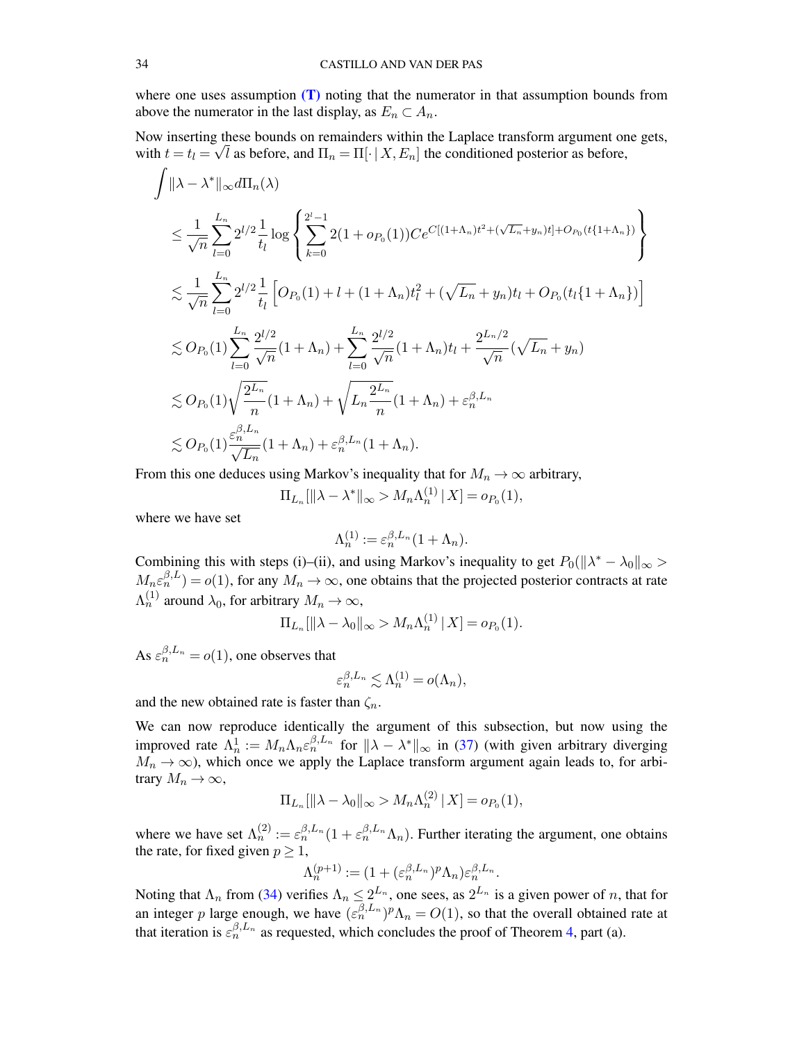where one uses assumption  $(T)$  noting that the numerator in that assumption bounds from above the numerator in the last display, as  $E_n \subset A_n$ .

Now inserting these bounds on remainders within the Laplace transform argument one gets, with  $t = t_l = \sqrt{l}$  as before, and  $\Pi_n = \Pi[\cdot | X, E_n]$  the conditioned posterior as before,

$$
\int ||\lambda - \lambda^*||_{\infty} d\Pi_n(\lambda)
$$
\n
$$
\leq \frac{1}{\sqrt{n}} \sum_{l=0}^{L_n} 2^{l/2} \frac{1}{t_l} \log \left\{ \sum_{k=0}^{2^l-1} 2(1 + o_{P_0}(1)) Ce^{C[(1+\Lambda_n)t^2 + (\sqrt{L_n} + y_n)t] + O_{P_0}(t\{1+\Lambda_n\})} \right\}
$$
\n
$$
\lesssim \frac{1}{\sqrt{n}} \sum_{l=0}^{L_n} 2^{l/2} \frac{1}{t_l} \left[ O_{P_0}(1) + l + (1 + \Lambda_n)t_l^2 + (\sqrt{L_n} + y_n)t_l + O_{P_0}(t_l\{1+\Lambda_n\}) \right]
$$
\n
$$
\lesssim O_{P_0}(1) \sum_{l=0}^{L_n} \frac{2^{l/2}}{\sqrt{n}} (1 + \Lambda_n) + \sum_{l=0}^{L_n} \frac{2^{l/2}}{\sqrt{n}} (1 + \Lambda_n)t_l + \frac{2^{L_n/2}}{\sqrt{n}} (\sqrt{L_n} + y_n)
$$
\n
$$
\lesssim O_{P_0}(1) \sqrt{\frac{2^{L_n}}{n}} (1 + \Lambda_n) + \sqrt{L_n \frac{2^{L_n}}{n}} (1 + \Lambda_n) + \varepsilon_n^{\beta, L_n}
$$
\n
$$
\lesssim O_{P_0}(1) \frac{\varepsilon_n^{\beta, L_n}}{\sqrt{L_n}} (1 + \Lambda_n) + \varepsilon_n^{\beta, L_n} (1 + \Lambda_n).
$$

From this one deduces using Markov's inequality that for  $M_n \to \infty$  arbitrary,

 $\Pi_{L_n}[\|\lambda - \lambda^*\|_{\infty} > M_n \Lambda_n^{(1)} | X] = o_{P_0}(1),$ 

where we have set

$$
\Lambda_n^{(1)} := \varepsilon_n^{\beta, L_n} (1 + \Lambda_n).
$$

Combining this with steps (i)–(ii), and using Markov's inequality to get  $P_0(||\lambda^* - \lambda_0||_{\infty} >$  $M_n \varepsilon_n^{\beta,L} = o(1)$ , for any  $M_n \to \infty$ , one obtains that the projected posterior contracts at rate  $\Lambda_n^{(1)}$  around  $\lambda_0$ , for arbitrary  $M_n \to \infty$ ,

$$
\Pi_{L_n}[\|\lambda - \lambda_0\|_{\infty} > M_n \Lambda_n^{(1)} | X] = o_{P_0}(1).
$$

As  $\varepsilon_n^{\beta,L_n} = o(1)$ , one observes that

$$
\varepsilon_n^{\beta, L_n} \lesssim \Lambda_n^{(1)} = o(\Lambda_n),
$$

and the new obtained rate is faster than  $\zeta_n$ .

We can now reproduce identically the argument of this subsection, but now using the improved rate  $\Lambda_n^1 := M_n \Lambda_n \varepsilon_n^{\beta, L_n}$  for  $\|\lambda - \lambda^*\|_{\infty}$  in [\(37\)](#page-31-1) (with given arbitrary diverging  $M_n \to \infty$ ), which once we apply the Laplace transform argument again leads to, for arbitrary  $M_n \to \infty$ ,

$$
\Pi_{L_n}[\|\lambda - \lambda_0\|_{\infty} > M_n \Lambda_n^{(2)} | X] = o_{P_0}(1),
$$

where we have set  $\Lambda_n^{(2)} := \varepsilon_n^{\beta, L_n} (1 + \varepsilon_n^{\beta, L_n} \Lambda_n)$ . Further iterating the argument, one obtains the rate, for fixed given  $p \geq 1$ ,

$$
\Lambda_n^{(p+1)} := (1 + (\varepsilon_n^{\beta, L_n})^p \Lambda_n) \varepsilon_n^{\beta, L_n}.
$$

Noting that  $\Lambda_n$  from [\(34\)](#page-29-4) verifies  $\Lambda_n \leq 2^{L_n}$ , one sees, as  $2^{L_n}$  is a given power of n, that for an integer p large enough, we have  $(\epsilon_n^{\beta,L_n})^p \Lambda_n = O(1)$ , so that the overall obtained rate at that iteration is  $\varepsilon_n^{\beta, L_n}$  as requested, which concludes the proof of Theorem [4,](#page-11-1) part (a).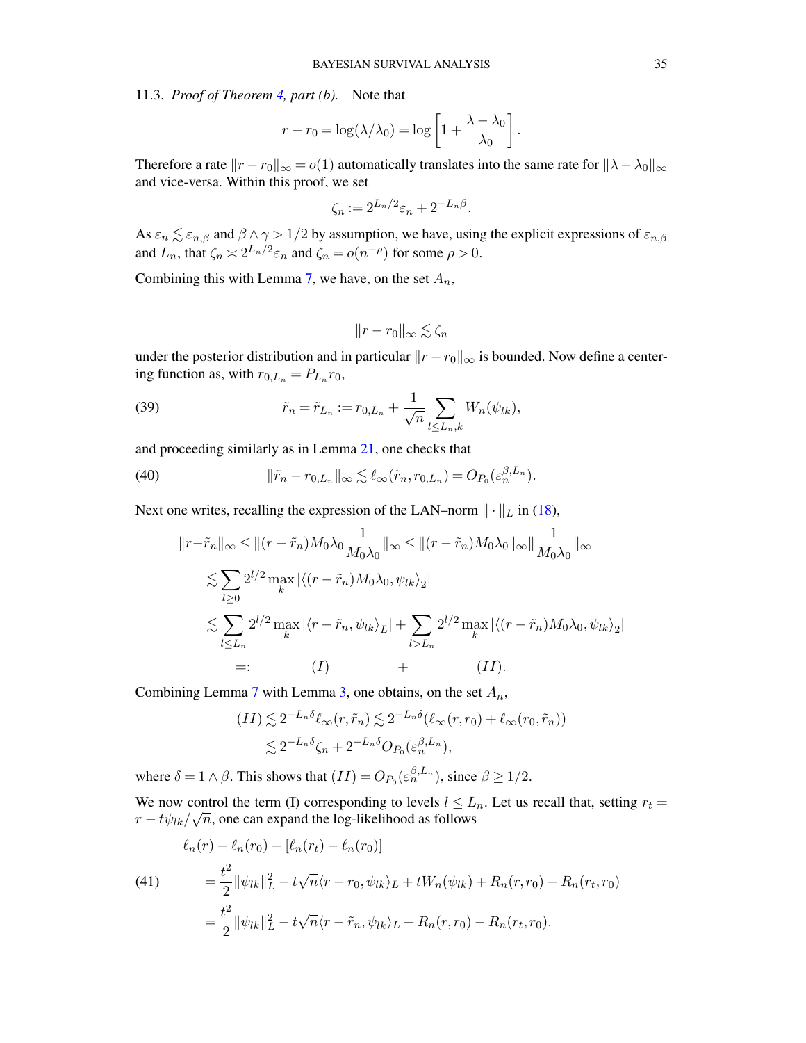<span id="page-34-0"></span>11.3. *Proof of Theorem [4,](#page-11-1) part (b).* Note that

$$
r - r_0 = \log(\lambda/\lambda_0) = \log\left[1 + \frac{\lambda - \lambda_0}{\lambda_0}\right]
$$

.

Therefore a rate  $||r - r_0||_{\infty} = o(1)$  automatically translates into the same rate for  $||\lambda - \lambda_0||_{\infty}$ and vice-versa. Within this proof, we set

$$
\zeta_n := 2^{L_n/2} \varepsilon_n + 2^{-L_n\beta}.
$$

As  $\varepsilon_n \lesssim \varepsilon_{n,\beta}$  and  $\beta \wedge \gamma > 1/2$  by assumption, we have, using the explicit expressions of  $\varepsilon_{n,\beta}$ and  $L_n$ , that  $\zeta_n \approx 2^{L_n/2} \varepsilon_n$  and  $\zeta_n = o(n^{-\rho})$  for some  $\rho > 0$ .

Combining this with Lemma [7,](#page-43-0) we have, on the set  $A_n$ ,

<span id="page-34-1"></span>
$$
||r - r_0||_{\infty} \lesssim \zeta_n
$$

under the posterior distribution and in particular  $||r - r_0||_{\infty}$  is bounded. Now define a centering function as, with  $r_{0,L_n} = P_{L_n} r_0$ ,

(39) 
$$
\tilde{r}_n = \tilde{r}_{L_n} := r_{0,L_n} + \frac{1}{\sqrt{n}} \sum_{l \le L_n, k} W_n(\psi_{lk}),
$$

and proceeding similarly as in Lemma [21,](#page-63-0) one checks that

(40) 
$$
\|\tilde{r}_n-r_{0,L_n}\|_{\infty}\lesssim \ell_{\infty}(\tilde{r}_n,r_{0,L_n})=O_{P_0}(\varepsilon_n^{\beta,L_n}).
$$

Next one writes, recalling the expression of the LAN–norm  $\|\cdot\|_L$  in [\(18\)](#page-19-3),

<span id="page-34-2"></span>
$$
||r-\tilde{r}_n||_{\infty} \le ||(r-\tilde{r}_n)M_0\lambda_0 \frac{1}{M_0\lambda_0}||_{\infty} \le ||(r-\tilde{r}_n)M_0\lambda_0||_{\infty}||\frac{1}{M_0\lambda_0}||_{\infty}
$$
  

$$
\lesssim \sum_{l\geq 0} 2^{l/2} \max_{k} |\langle (r-\tilde{r}_n)M_0\lambda_0, \psi_{lk} \rangle_2|
$$
  

$$
\lesssim \sum_{l\leq L_n} 2^{l/2} \max_{k} |\langle r-\tilde{r}_n, \psi_{lk} \rangle_L| + \sum_{l>L_n} 2^{l/2} \max_{k} |\langle (r-\tilde{r}_n)M_0\lambda_0, \psi_{lk} \rangle_2|
$$
  

$$
=: (I) + (II).
$$

Combining Lemma [7](#page-43-0) with Lemma [3,](#page-36-0) one obtains, on the set  $A_n$ ,

$$
(II) \lesssim 2^{-L_n \delta} \ell_{\infty}(r, \tilde{r}_n) \lesssim 2^{-L_n \delta} (\ell_{\infty}(r, r_0) + \ell_{\infty}(r_0, \tilde{r}_n))
$$
  

$$
\lesssim 2^{-L_n \delta} \zeta_n + 2^{-L_n \delta} O_{P_0}(\varepsilon_n^{\beta, L_n}),
$$

where  $\delta = 1 \wedge \beta$ . This shows that  $(II) = O_{P_0}(\varepsilon_n^{\beta, L_n})$ , since  $\beta \ge 1/2$ .

We now control the term (I) corresponding to levels  $l \leq L_n$ . Let us recall that, setting  $r_t =$  $r - t\psi_{lk}/\sqrt{n}$ , one can expand the log-likelihood as follows

(41)  
\n
$$
\ell_n(r) - \ell_n(r_0) - [\ell_n(r_t) - \ell_n(r_0)]
$$
\n
$$
= \frac{t^2}{2} ||\psi_{lk}||_L^2 - t\sqrt{n}\langle r - r_0, \psi_{lk} \rangle_L + tW_n(\psi_{lk}) + R_n(r, r_0) - R_n(r_t, r_0)
$$
\n
$$
= \frac{t^2}{2} ||\psi_{lk}||_L^2 - t\sqrt{n}\langle r - \tilde{r}_n, \psi_{lk} \rangle_L + R_n(r, r_0) - R_n(r_t, r_0).
$$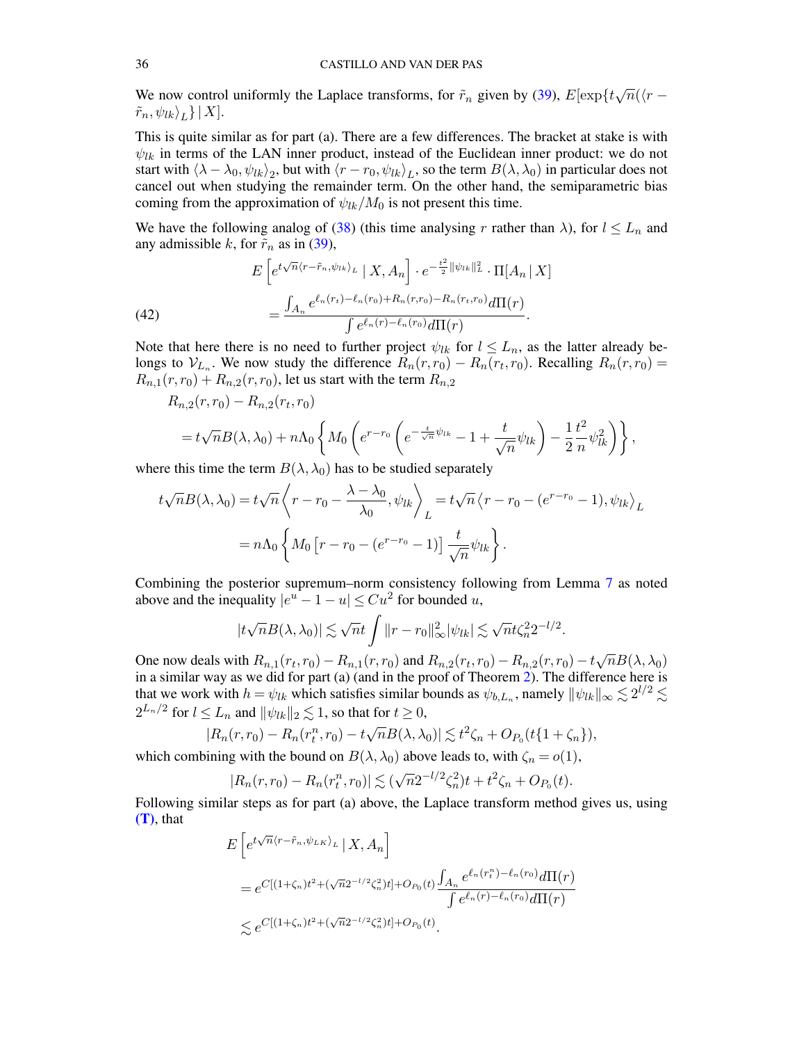We now control uniformly the Laplace transforms, for  $\tilde{r}_n$  given by [\(39\)](#page-34-1),  $E[\exp\{t\sqrt{n}(\langle r - \rangle)\}]$  $\left\vert \tilde{r}_{n},\psi_{lk}\right\rangle _{L}\}\,|\,X].$ 

This is quite similar as for part (a). There are a few differences. The bracket at stake is with  $\psi_{lk}$  in terms of the LAN inner product, instead of the Euclidean inner product: we do not start with  $\langle \lambda - \lambda_0, \psi_{lk} \rangle_2$ , but with  $\langle r - r_0, \psi_{lk} \rangle_L$ , so the term  $B(\lambda, \lambda_0)$  in particular does not cancel out when studying the remainder term. On the other hand, the semiparametric bias coming from the approximation of  $\psi_{lk}/M_0$  is not present this time.

We have the following analog of [\(38\)](#page-31-0) (this time analysing r rather than  $\lambda$ ), for  $l \leq L_n$  and any admissible k, for  $\tilde{r}_n$  as in [\(39\)](#page-34-1),

(42)  

$$
E\left[e^{t\sqrt{n}\langle r-\tilde{r}_n,\psi_{lk}\rangle_L} \mid X, A_n\right] \cdot e^{-\frac{t^2}{2} \|\psi_{lk}\|_L^2} \cdot \Pi[A_n \mid X] \\
= \frac{\int_{A_n} e^{\ell_n(r_t) - \ell_n(r_0) + R_n(r,r_0) - R_n(r_t,r_0)} d\Pi(r)}{\int e^{\ell_n(r) - \ell_n(r_0)} d\Pi(r)}.
$$

Note that here there is no need to further project  $\psi_{lk}$  for  $l \leq L_n$ , as the latter already belongs to  $V_{L_n}$ . We now study the difference  $R_n(r,r_0) - R_n(r_t,r_0)$ . Recalling  $R_n(r,r_0) =$  $R_{n,1}(r,r_0) + R_{n,2}(r,r_0)$ , let us start with the term  $R_{n,2}$ 

$$
R_{n,2}(r,r_0) - R_{n,2}(r_t,r_0)
$$
  
=  $t\sqrt{n}B(\lambda, \lambda_0) + n\Lambda_0 \left\{ M_0 \left( e^{r-r_0} \left( e^{-\frac{t}{\sqrt{n}}\psi_{lk}} - 1 + \frac{t}{\sqrt{n}}\psi_{lk} \right) - \frac{1}{2} \frac{t^2}{n} \psi_{lk}^2 \right) \right\},$ 

where this time the term  $B(\lambda, \lambda_0)$  has to be studied separately

$$
t\sqrt{n}B(\lambda,\lambda_0) = t\sqrt{n}\left\langle r - r_0 - \frac{\lambda - \lambda_0}{\lambda_0}, \psi_{lk} \right\rangle_L = t\sqrt{n}\left\langle r - r_0 - (e^{r - r_0} - 1), \psi_{lk} \right\rangle_L
$$

$$
= n\Lambda_0 \left\{ M_0 \left[ r - r_0 - (e^{r - r_0} - 1) \right] \frac{t}{\sqrt{n}} \psi_{lk} \right\}.
$$

Combining the posterior supremum–norm consistency following from Lemma [7](#page-43-0) as noted above and the inequality  $|e^u - 1 - u| \leq Cu^2$  for bounded u,

$$
|t\sqrt{n}B(\lambda,\lambda_0)| \lesssim \sqrt{n}t \int \|r - r_0\|_{\infty}^2 |\psi_{lk}| \lesssim \sqrt{n}t\zeta_n^2 2^{-l/2}
$$

.

One now deals with  $R_{n,1}(r_t, r_0) - R_{n,1}(r, r_0)$  and  $R_{n,2}(r_t, r_0) - R_{n,2}(r, r_0) - t \sqrt{r}$  $\overline{n}B(\lambda,\lambda_0)$ in a similar way as we did for part (a) (and in the proof of Theorem [2\)](#page-7-2). The difference here is that we work with  $h = \psi_{lk}$  which satisfies similar bounds as  $\psi_{b,L_n}$ , namely  $\|\psi_{lk}\|_{\infty} \lesssim 2^{l/2} \lesssim$  $2^{L_n/2}$  for  $l \leq L_n$  and  $\|\psi_{lk}\|_2 \lesssim 1$ , so that for  $t \geq 0$ ,

$$
|R_n(r,r_0) - R_n(r_t^n,r_0) - t\sqrt{n}B(\lambda,\lambda_0)| \lesssim t^2\zeta_n + O_{P_0}(t\{1+\zeta_n\}),
$$

which combining with the bound on  $B(\lambda, \lambda_0)$  above leads to, with  $\zeta_n = o(1)$ ,

$$
|R_n(r,r_0) - R_n(r_t^n,r_0)| \lesssim (\sqrt{n}2^{-l/2}\zeta_n^2)t + t^2\zeta_n + O_{P_0}(t).
$$

Following similar steps as for part (a) above, the Laplace transform method gives us, using [\(T\)](#page-9-1), that

$$
E\left[e^{t\sqrt{n}\langle r-\tilde{r}_n,\psi_{LK}\rangle_L} \mid X, A_n\right]
$$
  
=  $e^{C[(1+\zeta_n)t^2+(\sqrt{n}2^{-l/2}\zeta_n^2)t]+\mathcal{O}_{P_0}(t)}\frac{\int_{A_n}e^{\ell_n(r_t^n)-\ell_n(r_0)}d\Pi(r)}{\int e^{\ell_n(r)-\ell_n(r_0)}d\Pi(r)}$   
 $\lesssim e^{C[(1+\zeta_n)t^2+(\sqrt{n}2^{-l/2}\zeta_n^2)t]+\mathcal{O}_{P_0}(t)}.$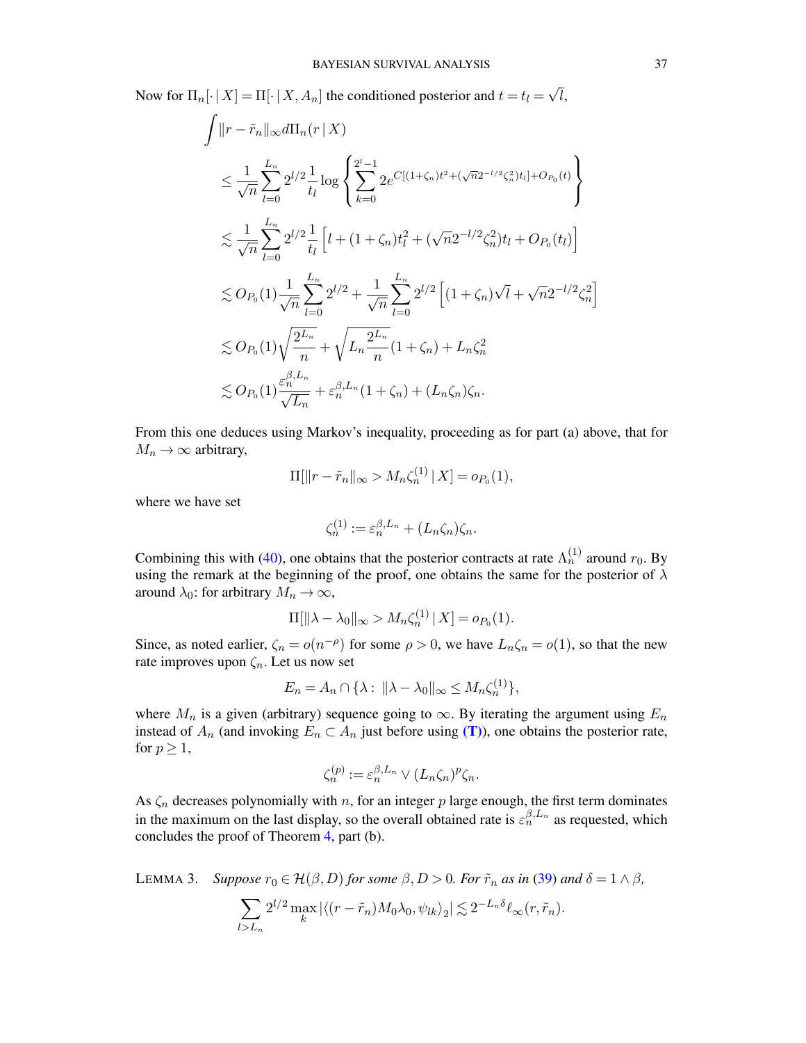Now for  $\Pi_n[\cdot | X] = \Pi[\cdot | X, A_n]$  the conditioned posterior and  $t = t_l =$ √ l,

$$
\int ||r - \tilde{r}_n||_{\infty} d\Pi_n(r|X)
$$
\n
$$
\leq \frac{1}{\sqrt{n}} \sum_{l=0}^{L_n} 2^{l/2} \frac{1}{t_l} \log \left\{ \sum_{k=0}^{2^{l}-1} 2e^{C[(1+\zeta_n)t^2 + (\sqrt{n}2^{-l/2}\zeta_n^2)t_l] + O_{P_0}(t)} \right\}
$$
\n
$$
\leq \frac{1}{\sqrt{n}} \sum_{l=0}^{L_n} 2^{l/2} \frac{1}{t_l} \left[ l + (1+\zeta_n)t_l^2 + (\sqrt{n}2^{-l/2}\zeta_n^2)t_l + O_{P_0}(t_l) \right]
$$
\n
$$
\leq O_{P_0}(1) \frac{1}{\sqrt{n}} \sum_{l=0}^{L_n} 2^{l/2} + \frac{1}{\sqrt{n}} \sum_{l=0}^{L_n} 2^{l/2} \left[ (1+\zeta_n)\sqrt{l} + \sqrt{n}2^{-l/2}\zeta_n^2 \right]
$$
\n
$$
\leq O_{P_0}(1) \sqrt{\frac{2^{L_n}}{n}} + \sqrt{L_n \frac{2^{L_n}}{n}} (1+\zeta_n) + L_n \zeta_n^2
$$
\n
$$
\leq O_{P_0}(1) \frac{\varepsilon_n^{\beta, L_n}}{\sqrt{L_n}} + \varepsilon_n^{\beta, L_n} (1+\zeta_n) + (L_n \zeta_n) \zeta_n.
$$

From this one deduces using Markov's inequality, proceeding as for part (a) above, that for  $M_n \to \infty$  arbitrary,

$$
\Pi[\|r - \tilde{r}_n\|_{\infty} > M_n \zeta_n^{(1)} | X] = o_{P_0}(1),
$$

where we have set

$$
\zeta_n^{(1)} := \varepsilon_n^{\beta, L_n} + (L_n \zeta_n) \zeta_n.
$$

Combining this with [\(40\)](#page-34-2), one obtains that the posterior contracts at rate  $\Lambda_n^{(1)}$  around  $r_0$ . By using the remark at the beginning of the proof, one obtains the same for the posterior of  $\lambda$ around  $\lambda_0$ : for arbitrary  $M_n \to \infty$ ,

$$
\Pi[\|\lambda - \lambda_0\|_{\infty} > M_n \zeta_n^{(1)} | X] = o_{P_0}(1).
$$

Since, as noted earlier,  $\zeta_n = o(n^{-\rho})$  for some  $\rho > 0$ , we have  $L_n \zeta_n = o(1)$ , so that the new rate improves upon  $\zeta_n$ . Let us now set

$$
E_n = A_n \cap \{ \lambda : ||\lambda - \lambda_0||_{\infty} \le M_n \zeta_n^{(1)} \},
$$

where  $M_n$  is a given (arbitrary) sequence going to  $\infty$ . By iterating the argument using  $E_n$ instead of  $A_n$  (and invoking  $E_n \subset A_n$  just before using [\(T\)](#page-9-1)), one obtains the posterior rate, for  $p \geq 1$ ,

$$
\zeta_n^{(p)} := \varepsilon_n^{\beta, L_n} \vee (L_n \zeta_n)^p \zeta_n.
$$

As  $\zeta_n$  decreases polynomially with n, for an integer p large enough, the first term dominates in the maximum on the last display, so the overall obtained rate is  $\varepsilon_n^{\beta,L_n}$  as requested, which concludes the proof of Theorem [4,](#page-11-1) part (b).

<span id="page-36-0"></span>LEMMA 3. *Suppose*  $r_0 \in \mathcal{H}(\beta, D)$  *for some*  $\beta, D > 0$ *. For*  $\tilde{r}_n$  *as in* [\(39\)](#page-34-1) *and*  $\delta = 1 \wedge \beta$ *,* 

$$
\sum_{l>L_n} 2^{l/2} \max_k |\langle (r - \tilde{r}_n) M_0 \lambda_0, \psi_{lk} \rangle_2| \lesssim 2^{-L_n \delta} \ell_\infty(r, \tilde{r}_n).
$$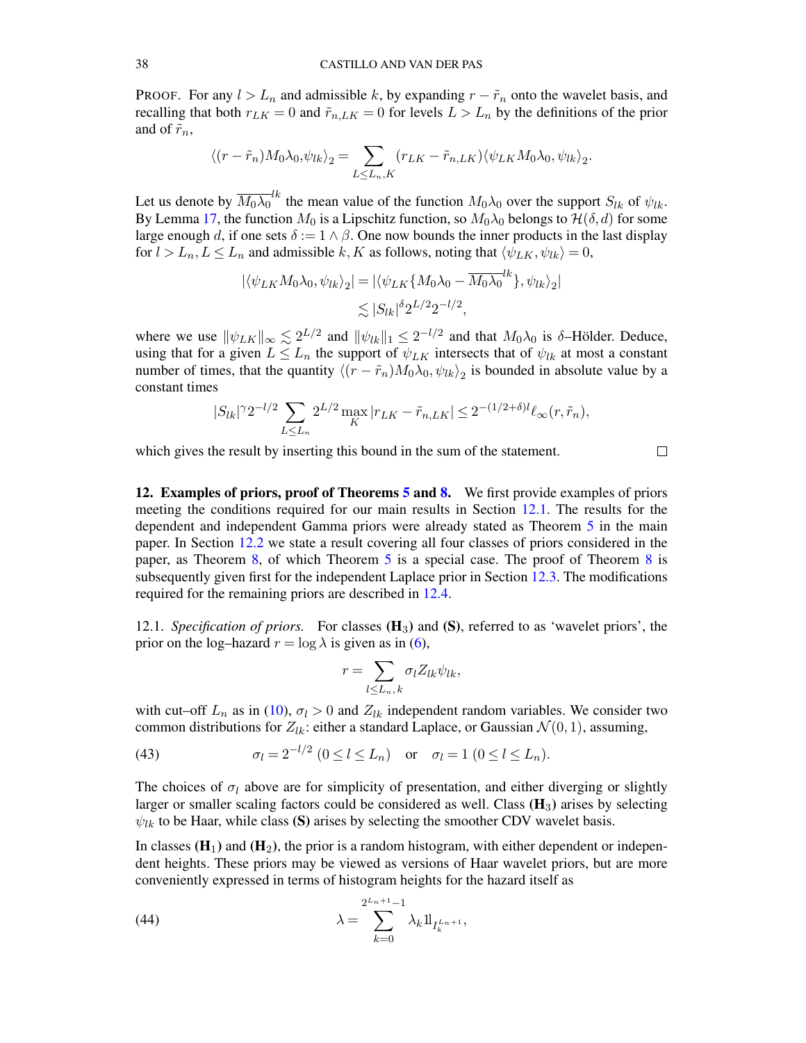PROOF. For any  $l > L_n$  and admissible k, by expanding  $r - \tilde{r}_n$  onto the wavelet basis, and recalling that both  $r_{LK} = 0$  and  $\tilde{r}_{n,LK} = 0$  for levels  $L > L_n$  by the definitions of the prior and of  $\tilde{r}_n$ ,

$$
\langle (r - \tilde{r}_n) M_0 \lambda_0, \psi_{lk} \rangle_2 = \sum_{L \le L_n, K} (r_{LK} - \tilde{r}_{n, LK}) \langle \psi_{LK} M_0 \lambda_0, \psi_{lk} \rangle_2.
$$

Let us denote by  $\overline{M_0 \lambda_0}^{lk}$  the mean value of the function  $M_0 \lambda_0$  over the support  $S_{lk}$  of  $\psi_{lk}$ . By Lemma [17,](#page-61-2) the function  $M_0$  is a Lipschitz function, so  $M_0\lambda_0$  belongs to  $\mathcal{H}(\delta, d)$  for some large enough d, if one sets  $\delta := 1 \wedge \beta$ . One now bounds the inner products in the last display for  $l > L_n$ ,  $L \leq L_n$  and admissible k, K as follows, noting that  $\langle \psi_{LK}, \psi_{lk} \rangle = 0$ ,

$$
\begin{aligned} |\langle \psi_{LK} M_0 \lambda_0, \psi_{lk} \rangle_2| &= |\langle \psi_{LK} \{ M_0 \lambda_0 - \overline{M_0 \lambda_0}^{lk} \}, \psi_{lk} \rangle_2| \\ &\lesssim |S_{lk}|^{\delta} 2^{L/2} 2^{-l/2}, \end{aligned}
$$

where we use  $\|\psi_{LK}\|_{\infty} \lesssim 2^{L/2}$  and  $\|\psi_{lk}\|_{1} \leq 2^{-l/2}$  and that  $M_0\lambda_0$  is  $\delta$ -Hölder. Deduce, using that for a given  $L \le L_n$  the support of  $\psi_{LK}$  intersects that of  $\psi_{lk}$  at most a constant number of times, that the quantity  $\langle (r - \tilde{r}_n) M_0 \lambda_0, \psi_{lk} \rangle_2$  is bounded in absolute value by a constant times

$$
|S_{lk}|^{\gamma} 2^{-l/2} \sum_{L \le L_n} 2^{L/2} \max_K |r_{LK} - \tilde{r}_{n,LK}| \le 2^{-(1/2 + \delta)l} \ell_{\infty}(r, \tilde{r}_n),
$$

which gives the result by inserting this bound in the sum of the statement.

 $\Box$ 

<span id="page-37-0"></span>12. Examples of priors, proof of Theorems [5](#page-12-0) and [8.](#page-38-0) We first provide examples of priors meeting the conditions required for our main results in Section [12.1.](#page-37-1) The results for the dependent and independent Gamma priors were already stated as Theorem [5](#page-12-0) in the main paper. In Section [12.2](#page-38-1) we state a result covering all four classes of priors considered in the paper, as Theorem [8,](#page-38-0) of which Theorem [5](#page-12-0) is a special case. The proof of Theorem [8](#page-38-0) is subsequently given first for the independent Laplace prior in Section [12.3.](#page-39-0) The modifications required for the remaining priors are described in [12.4.](#page-40-0)

<span id="page-37-1"></span>12.1. *Specification of priors.* For classes  $(H_3)$  and  $(S)$ , referred to as 'wavelet priors', the prior on the log–hazard  $r = \log \lambda$  is given as in [\(6\)](#page-5-2),

$$
r = \sum_{l \le L_n, k} \sigma_l Z_{lk} \psi_{lk},
$$

with cut–off  $L_n$  as in [\(10\)](#page-7-7),  $\sigma_l > 0$  and  $Z_{lk}$  independent random variables. We consider two common distributions for  $Z_{lk}$ : either a standard Laplace, or Gaussian  $\mathcal{N}(0, 1)$ , assuming,

<span id="page-37-2"></span>(43) 
$$
\sigma_l = 2^{-l/2} \ (0 \le l \le L_n)
$$
 or  $\sigma_l = 1 \ (0 \le l \le L_n)$ .

The choices of  $\sigma_l$  above are for simplicity of presentation, and either diverging or slightly larger or smaller scaling factors could be considered as well. Class  $(H_3)$  arises by selecting  $\psi_{lk}$  to be Haar, while class (S) arises by selecting the smoother CDV wavelet basis.

In classes  $(\mathbf{H}_1)$  and  $(\mathbf{H}_2)$ , the prior is a random histogram, with either dependent or independent heights. These priors may be viewed as versions of Haar wavelet priors, but are more conveniently expressed in terms of histogram heights for the hazard itself as

(44) 
$$
\lambda = \sum_{k=0}^{2^{L_n+1}-1} \lambda_k 1_{I_k^{L_n+1}},
$$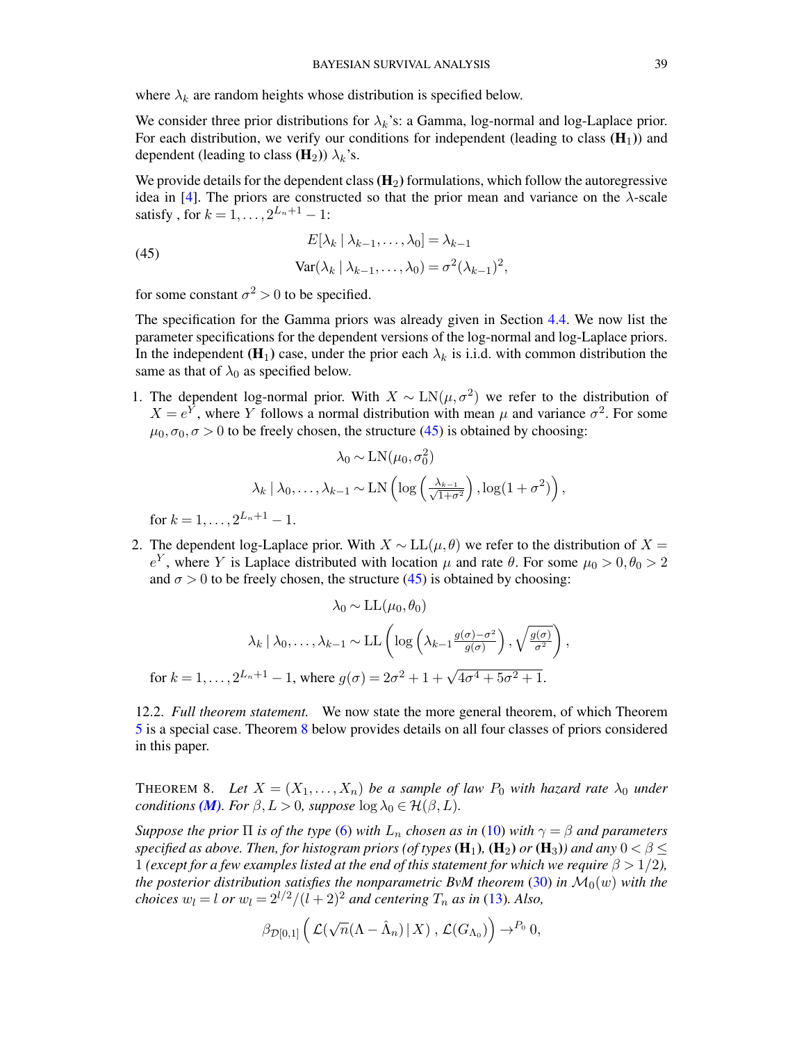where  $\lambda_k$  are random heights whose distribution is specified below.

We consider three prior distributions for  $\lambda_k$ 's: a Gamma, log-normal and log-Laplace prior. For each distribution, we verify our conditions for independent (leading to class  $(\mathbf{H}_1)$ ) and dependent (leading to class  $(\mathbf{H}_2)$ )  $\lambda_k$ 's.

We provide details for the dependent class  $(\mathbf{H}_2)$  formulations, which follow the autoregressive idea in [\[4\]](#page-68-1). The priors are constructed so that the prior mean and variance on the  $\lambda$ -scale satisfy, for  $k = 1, ..., 2^{L_n+1} - 1$ :

<span id="page-38-2"></span>(45)  

$$
E[\lambda_k | \lambda_{k-1}, \dots, \lambda_0] = \lambda_{k-1}
$$

$$
Var(\lambda_k | \lambda_{k-1}, \dots, \lambda_0) = \sigma^2(\lambda_{k-1})^2,
$$

for some constant  $\sigma^2 > 0$  to be specified.

The specification for the Gamma priors was already given in Section [4.4.](#page-11-0) We now list the parameter specifications for the dependent versions of the log-normal and log-Laplace priors. In the independent ( $\mathbf{H}_1$ ) case, under the prior each  $\lambda_k$  is i.i.d. with common distribution the same as that of  $\lambda_0$  as specified below.

1. The dependent log-normal prior. With  $X \sim \text{LN}(\mu, \sigma^2)$  we refer to the distribution of  $X = e^{\overline{Y}}$ , where Y follows a normal distribution with mean  $\mu$  and variance  $\sigma^2$ . For some  $\mu_0, \sigma_0, \sigma > 0$  to be freely chosen, the structure [\(45\)](#page-38-2) is obtained by choosing:

$$
\lambda_0 \sim \text{LN}(\mu_0, \sigma_0^2)
$$

$$
\lambda_k | \lambda_0, \dots, \lambda_{k-1} \sim \text{LN}\left(\log\left(\frac{\lambda_{k-1}}{\sqrt{1+\sigma^2}}\right), \log(1+\sigma^2)\right),
$$

for  $k = 1, \ldots, 2^{L_n+1} - 1$ .

2. The dependent log-Laplace prior. With  $X \sim LL(\mu, \theta)$  we refer to the distribution of  $X =$  $e<sup>Y</sup>$ , where Y is Laplace distributed with location  $\mu$  and rate θ. For some  $\mu_0 > 0, \theta_0 > 2$ and  $\sigma > 0$  to be freely chosen, the structure [\(45\)](#page-38-2) is obtained by choosing:

$$
\lambda_0 \sim \text{LL}(\mu_0, \theta_0)
$$

$$
\lambda_k | \lambda_0, \dots, \lambda_{k-1} \sim \text{LL} \left( \log \left( \lambda_{k-1} \frac{g(\sigma) - \sigma^2}{g(\sigma)} \right), \sqrt{\frac{g(\sigma)}{\sigma^2}} \right),
$$
for  $k = 1, \dots, 2^{L_n + 1} - 1$ , where  $g(\sigma) = 2\sigma^2 + 1 + \sqrt{4\sigma^4 + 5\sigma^2 + 1}$ .

<span id="page-38-1"></span>12.2. *Full theorem statement.* We now state the more general theorem, of which Theorem [5](#page-12-0) is a special case. Theorem [8](#page-38-0) below provides details on all four classes of priors considered in this paper.

<span id="page-38-0"></span>THEOREM 8. Let  $X = (X_1, \ldots, X_n)$  be a sample of law  $P_0$  with hazard rate  $\lambda_0$  under *conditions* (*M*)*. For*  $\beta$ ,  $L > 0$ *, suppose*  $\log \lambda_0 \in \mathcal{H}(\beta, L)$ *.* 

*Suppose the prior*  $\Pi$  *is of the type* [\(6\)](#page-5-2) *with*  $L_n$  *chosen as in* [\(10\)](#page-7-7) *with*  $\gamma = \beta$  *and parameters specified as above. Then, for histogram priors (of types*  $(H_1)$ ,  $(H_2)$  *or*  $(H_3)$ ) and any  $0 < \beta \le$ 1 *(except for a few examples listed at the end of this statement for which we require*  $\beta > 1/2$ ), *the posterior distribution satisfies the nonparametric BvM theorem* [\(30\)](#page-26-1) *in*  $\mathcal{M}_0(w)$  *with the choices*  $w_l = l$  *or*  $w_l = 2^{l/2}/(l+2)^2$  *and centering*  $T_n$  *as in* [\(13\)](#page-9-3)*. Also,* 

$$
\beta_{\mathcal{D}[0,1]}\left(\left.\mathcal{L}(\sqrt{n}(\Lambda-\hat{\Lambda}_n)\,|\,X)\right.,\mathcal{L}(G_{\Lambda_0})\right)\to^{P_0} 0,
$$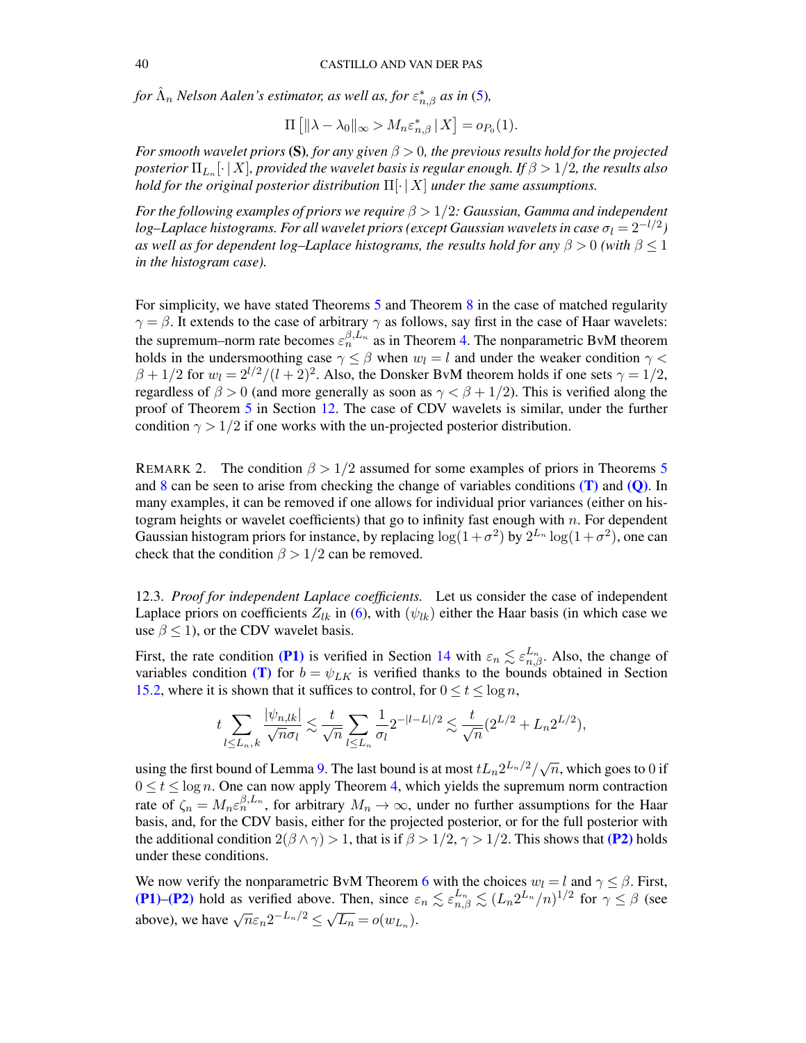for  $\hat{\Lambda}_n$  Nelson Aalen's estimator, as well as, for  $\varepsilon_{n,\beta}^*$  as in [\(5\)](#page-5-3),

$$
\Pi\left[\|\lambda-\lambda_0\|_{\infty} > M_n \varepsilon_{n,\beta}^* \,|\, X\right] = o_{P_0}(1).
$$

*For smooth wavelet priors* (S), *for any given*  $\beta > 0$ *, the previous results hold for the projected* posterior  $\Pi_{L_n}[\cdot\,|\,X]$ , provided the wavelet basis is regular enough. If  $\beta$   $>$   $1/2$ , the results also *hold for the original posterior distribution* Π[· | X] *under the same assumptions.*

*For the following examples of priors we require* β > 1/2*: Gaussian, Gamma and independent* log–Laplace histograms. For all wavelet priors (except Gaussian wavelets in case  $\sigma_l = 2^{-l/2})$ *as well as for dependent log–Laplace histograms, the results hold for any*  $\beta > 0$  *(with*  $\beta \leq 1$ *in the histogram case).*

For simplicity, we have stated Theorems [5](#page-12-0) and Theorem [8](#page-38-0) in the case of matched regularity  $\gamma = \beta$ . It extends to the case of arbitrary  $\gamma$  as follows, say first in the case of Haar wavelets: the supremum–norm rate becomes  $\varepsilon_n^{\beta,L_n}$  as in Theorem [4.](#page-11-1) The nonparametric BvM theorem holds in the undersmoothing case  $\gamma < \beta$  when  $w_l = l$  and under the weaker condition  $\gamma <$  $\beta + 1/2$  for  $w_l = 2^{l/2}/(l+2)^2$ . Also, the Donsker BvM theorem holds if one sets  $\gamma = 1/2$ , regardless of  $\beta > 0$  (and more generally as soon as  $\gamma < \beta + 1/2$ ). This is verified along the proof of Theorem [5](#page-12-0) in Section [12.](#page-37-0) The case of CDV wavelets is similar, under the further condition  $\gamma > 1/2$  if one works with the un-projected posterior distribution.

REMARK 2. The condition  $\beta > 1/2$  assumed for some examples of priors in Theorems [5](#page-12-0) and [8](#page-38-0) can be seen to arise from checking the change of variables conditions  $(T)$  and  $(Q)$ . In many examples, it can be removed if one allows for individual prior variances (either on histogram heights or wavelet coefficients) that go to infinity fast enough with  $n$ . For dependent Gaussian histogram priors for instance, by replacing  $\log(1+\sigma^2)$  by  $2^{L_n} \log(1+\sigma^2)$ , one can check that the condition  $\beta > 1/2$  can be removed.

<span id="page-39-0"></span>12.3. *Proof for independent Laplace coefficients.* Let us consider the case of independent Laplace priors on coefficients  $Z_{lk}$  in [\(6\)](#page-5-2), with ( $\psi_{lk}$ ) either the Haar basis (in which case we use  $\beta \leq 1$ ), or the CDV wavelet basis.

First, the rate condition [\(P1\)](#page-7-4) is verified in Section [14](#page-44-0) with  $\varepsilon_n \lesssim \varepsilon_{n,\beta}^{L_n}$ . Also, the change of variables condition [\(T\)](#page-9-1) for  $b = \psi_{LK}$  is verified thanks to the bounds obtained in Section [15.2,](#page-50-0) where it is shown that it suffices to control, for  $0 \le t \le \log n$ ,

$$
t\sum_{l\leq L_n,k}\frac{|\psi_{n,lk}|}{\sqrt{n}\sigma_l}\lesssim \frac{t}{\sqrt{n}}\sum_{l\leq L_n}\frac{1}{\sigma_l}2^{-|l-L|/2}\lesssim \frac{t}{\sqrt{n}}(2^{L/2}+L_n2^{L/2}),
$$

using the first bound of Lemma [9.](#page-48-2) The last bound is at most  $tL_n 2^{L_n/2}/\sqrt{n}$ , which goes to 0 if  $0 \le t \le \log n$ . One can now apply Theorem [4,](#page-11-1) which yields the supremum norm contraction rate of  $\zeta_n = M_n \varepsilon_n^{\beta, L_n}$ , for arbitrary  $M_n \to \infty$ , under no further assumptions for the Haar basis, and, for the CDV basis, either for the projected posterior, or for the full posterior with the additional condition  $2(\beta \wedge \gamma) > 1$ , that is if  $\beta > 1/2$ ,  $\gamma > 1/2$ . This shows that [\(P2\)](#page-9-2) holds under these conditions.

We now verify the nonparametric BvM Theorem [6](#page-26-0) with the choices  $w_l = l$  and  $\gamma \leq \beta$ . First, [\(P1\)](#page-7-4)–[\(P2\)](#page-9-2) hold as verified above. Then, since  $\varepsilon_n \lesssim \varepsilon_{n,\beta}^{L_n} \lesssim (L_n 2^{L_n}/n)^{1/2}$  for  $\gamma \leq \beta$  (see above), we have  $\sqrt{n}\varepsilon_n 2^{-L_n/2} \le \sqrt{L_n} = o(w_{L_n})$ .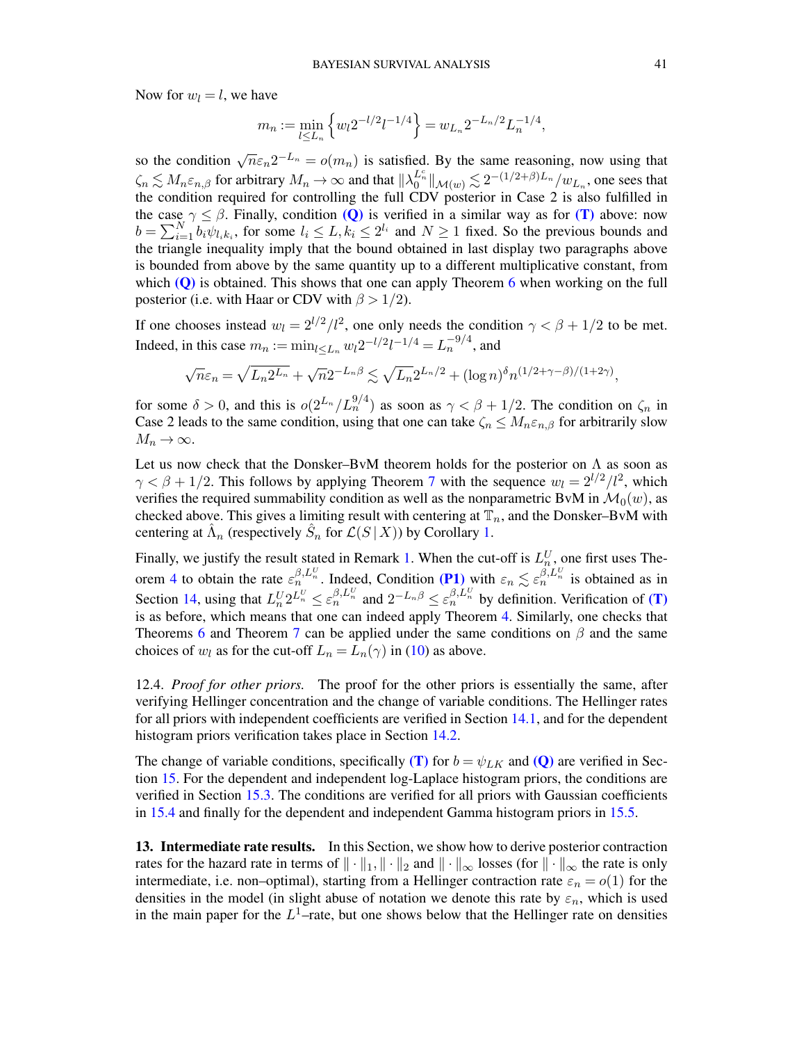Now for  $w_l = l$ , we have

$$
m_n := \min_{l \le L_n} \left\{ w_l 2^{-l/2} l^{-1/4} \right\} = w_{L_n} 2^{-L_n/2} L_n^{-1/4},
$$

so the condition  $\sqrt{n}\epsilon_n 2^{-L_n} = o(m_n)$  is satisfied. By the same reasoning, now using that  $\zeta_n \lesssim M_n \varepsilon_{n,\beta}$  for arbitrary  $M_n \to \infty$  and that  $\|\lambda_0^{L_n^c}\|_{\mathcal{M}(w)} \lesssim 2^{-(1/2+\beta)L_n}/w_{L_n}$ , one sees that the condition required for controlling the full CDV posterior in Case 2 is also fulfilled in the case  $\gamma \leq \beta$ . Finally, condition [\(Q\)](#page-7-5) is verified in a similar way as for [\(T\)](#page-9-1) above: now  $b = \sum_{i=1}^{N} b_i \psi_{l_i k_i}$ , for some  $l_i \leq L, k_i \leq 2^{l_i}$  and  $N \geq 1$  fixed. So the previous bounds and the triangle inequality imply that the bound obtained in last display two paragraphs above is bounded from above by the same quantity up to a different multiplicative constant, from which  $(Q)$  is obtained. This shows that one can apply Theorem [6](#page-26-0) when working on the full posterior (i.e. with Haar or CDV with  $\beta > 1/2$ ).

If one chooses instead  $w_l = 2^{l/2}/l^2$ , one only needs the condition  $\gamma < \beta + 1/2$  to be met. Indeed, in this case  $m_n := \min_{l \le L_n} w_l 2^{-l/2} l^{-1/4} = L_n^{-9/4}$ , and

$$
\sqrt{n}\varepsilon_n = \sqrt{L_n 2^{L_n}} + \sqrt{n} 2^{-L_n\beta} \lesssim \sqrt{L_n} 2^{L_n/2} + (\log n)^{\delta} n^{(1/2 + \gamma - \beta)/(1 + 2\gamma)},
$$

for some  $\delta > 0$ , and this is  $o(2^{L_n}/L_n^{9/4})$  as soon as  $\gamma < \beta + 1/2$ . The condition on  $\zeta_n$  in Case 2 leads to the same condition, using that one can take  $\zeta_n \leq M_n \varepsilon_{n,\beta}$  for arbitrarily slow  $M_n \to \infty$ .

Let us now check that the Donsker–BvM theorem holds for the posterior on  $\Lambda$  as soon as  $\gamma < \beta + 1/2$ . This follows by applying Theorem [7](#page-28-1) with the sequence  $w_l = 2^{l/2}/l^2$ , which verifies the required summability condition as well as the nonparametric BvM in  $\mathcal{M}_0(w)$ , as checked above. This gives a limiting result with centering at  $\mathbb{T}_n$ , and the Donsker–BvM with centering at  $\hat{\Lambda}_n$  (respectively  $\hat{S}_n$  for  $\mathcal{L}(S | X)$ ) by Corollary [1.](#page-10-1)

Finally, we justify the result stated in Remark [1.](#page-12-1) When the cut-off is  $L_n^U$ , one first uses The-orem [4](#page-11-1) to obtain the rate  $\varepsilon_n^{\beta,L_n^U}$ . Indeed, Condition [\(P1\)](#page-7-4) with  $\varepsilon_n \lesssim \varepsilon_n^{\beta,L_n^U}$  is obtained as in Section [14,](#page-44-0) using that  $L_n^U 2^{L_n^U} \leq \varepsilon_n^{\beta, L_n^U}$  and  $2^{-L_n\beta} \leq \varepsilon_n^{\beta, L_n^U}$  by definition. Verification of (**T**) is as before, which means that one can indeed apply Theorem [4.](#page-11-1) Similarly, one checks that Theorems [6](#page-26-0) and Theorem [7](#page-28-1) can be applied under the same conditions on  $\beta$  and the same choices of  $w_l$  as for the cut-off  $L_n = L_n(\gamma)$  in [\(10\)](#page-7-7) as above.

<span id="page-40-0"></span>12.4. *Proof for other priors.* The proof for the other priors is essentially the same, after verifying Hellinger concentration and the change of variable conditions. The Hellinger rates for all priors with independent coefficients are verified in Section [14.1,](#page-45-0) and for the dependent histogram priors verification takes place in Section [14.2.](#page-46-0)

The change of variable conditions, specifically [\(T\)](#page-9-1) for  $b = \psi_{LK}$  and [\(Q\)](#page-7-5) are verified in Section [15.](#page-48-0) For the dependent and independent log-Laplace histogram priors, the conditions are verified in Section [15.3.](#page-51-0) The conditions are verified for all priors with Gaussian coefficients in [15.4](#page-53-0) and finally for the dependent and independent Gamma histogram priors in [15.5.](#page-54-0)

<span id="page-40-1"></span>13. Intermediate rate results. In this Section, we show how to derive posterior contraction rates for the hazard rate in terms of  $\|\cdot\|_1, \|\cdot\|_2$  and  $\|\cdot\|_{\infty}$  losses (for  $\|\cdot\|_{\infty}$  the rate is only intermediate, i.e. non–optimal), starting from a Hellinger contraction rate  $\varepsilon_n = o(1)$  for the densities in the model (in slight abuse of notation we denote this rate by  $\varepsilon_n$ , which is used in the main paper for the  $L^1$ -rate, but one shows below that the Hellinger rate on densities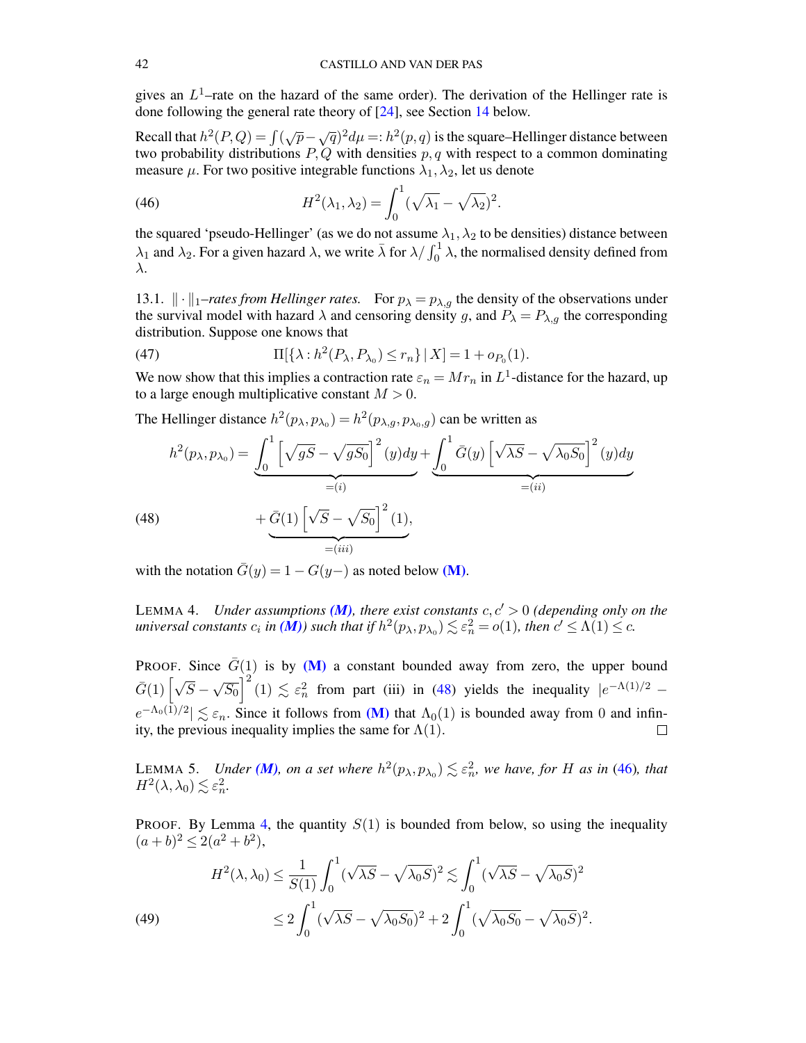gives an  $L^1$ -rate on the hazard of the same order). The derivation of the Hellinger rate is done following the general rate theory of [\[24\]](#page-69-11), see Section [14](#page-44-0) below.

Recall that  $h^2(P,Q) = \int (\sqrt{p} - \sqrt{q})^2 d\mu =: h^2(p,q)$  is the square–Hellinger distance between two probability distributions  $P, Q$  with densities  $p, q$  with respect to a common dominating measure  $\mu$ . For two positive integrable functions  $\lambda_1, \lambda_2$ , let us denote

<span id="page-41-2"></span>(46) 
$$
H^2(\lambda_1, \lambda_2) = \int_0^1 (\sqrt{\lambda_1} - \sqrt{\lambda_2})^2.
$$

the squared 'pseudo-Hellinger' (as we do not assume  $\lambda_1, \lambda_2$  to be densities) distance between  $\lambda_1$  and  $\lambda_2$ . For a given hazard  $\lambda$ , we write  $\bar{\lambda}$  for  $\lambda/\int_0^1 \lambda$ , the normalised density defined from λ.

<span id="page-41-0"></span>13.1.  $\|\cdot\|_1$ –rates from Hellinger rates. For  $p_{\lambda} = p_{\lambda,q}$  the density of the observations under the survival model with hazard  $\lambda$  and censoring density g, and  $P_{\lambda} = P_{\lambda,g}$  the corresponding distribution. Suppose one knows that

(47) 
$$
\Pi[\{\lambda : h^{2}(P_{\lambda}, P_{\lambda_{0}}) \leq r_{n}\} | X] = 1 + o_{P_{0}}(1).
$$

We now show that this implies a contraction rate  $\varepsilon_n = Mr_n$  in  $L^1$ -distance for the hazard, up to a large enough multiplicative constant  $M > 0$ .

The Hellinger distance  $h^2(p_\lambda, p_{\lambda_0}) = h^2(p_{\lambda,g}, p_{\lambda_0,g})$  can be written as

<span id="page-41-1"></span>(48) 
$$
h^{2}(p_{\lambda}, p_{\lambda_{0}}) = \underbrace{\int_{0}^{1} \left[ \sqrt{gS} - \sqrt{gS_{0}} \right]^{2}(y) dy}_{=(i)} + \underbrace{\int_{0}^{1} \bar{G}(y) \left[ \sqrt{\lambda S} - \sqrt{\lambda_{0} S_{0}} \right]^{2}(y) dy}_{=(ii)} + \underbrace{\bar{G}(1) \left[ \sqrt{S} - \sqrt{S_{0}} \right]^{2}(1)}_{=(iii)},
$$

with the notation  $\overline{G}(y) = 1 - G(y)$  as noted below [\(M\)](#page-4-0).

<span id="page-41-3"></span>LEMMA 4. *Under assumptions* (*M*), there exist constants  $c, c' > 0$  (depending only on the *universal constants*  $c_i$  *in*  $(M)$ *)* such that if  $h^2(p_\lambda, p_{\lambda_0}) \lesssim \varepsilon_n^2 = o(1)$ *, then*  $c' \le \Lambda(1) \le c$ *.* 

PROOF. Since  $\bar{G}(1)$  is by [\(M\)](#page-4-0) a constant bounded away from zero, the upper bound  $\bar{G}(1)\left[\sqrt{S}-\right]$ √  $\overline{S_0}$   $\Big|^2$  (1)  $\lesssim \varepsilon_n^2$  from part (iii) in [\(48\)](#page-41-1) yields the inequality  $|e^{-\Lambda(1)/2}$  $e^{-\Lambda_0(1)/2} \leq \varepsilon_n$ . Since it follows from [\(M\)](#page-4-0) that  $\Lambda_0(1)$  is bounded away from 0 and infinity, the previous inequality implies the same for  $\Lambda(1)$ .  $\Box$ 

<span id="page-41-5"></span>LEMMA 5. *Under* (*M*), on a set where  $h^2(p_\lambda, p_{\lambda_0}) \lesssim \varepsilon_n^2$ , we have, for H as in [\(46\)](#page-41-2), that  $H^2(\lambda, \lambda_0) \lesssim \varepsilon_n^2$ .

PROOF. By Lemma [4,](#page-41-3) the quantity  $S(1)$  is bounded from below, so using the inequality  $(a+b)^2 \leq 2(a^2+b^2),$ 

<span id="page-41-4"></span>(49)  

$$
H^{2}(\lambda, \lambda_{0}) \leq \frac{1}{S(1)} \int_{0}^{1} (\sqrt{\lambda S} - \sqrt{\lambda_{0} S})^{2} \lesssim \int_{0}^{1} (\sqrt{\lambda S} - \sqrt{\lambda_{0} S})^{2}
$$

$$
\leq 2 \int_{0}^{1} (\sqrt{\lambda S} - \sqrt{\lambda_{0} S_{0}})^{2} + 2 \int_{0}^{1} (\sqrt{\lambda_{0} S_{0}} - \sqrt{\lambda_{0} S})^{2}.
$$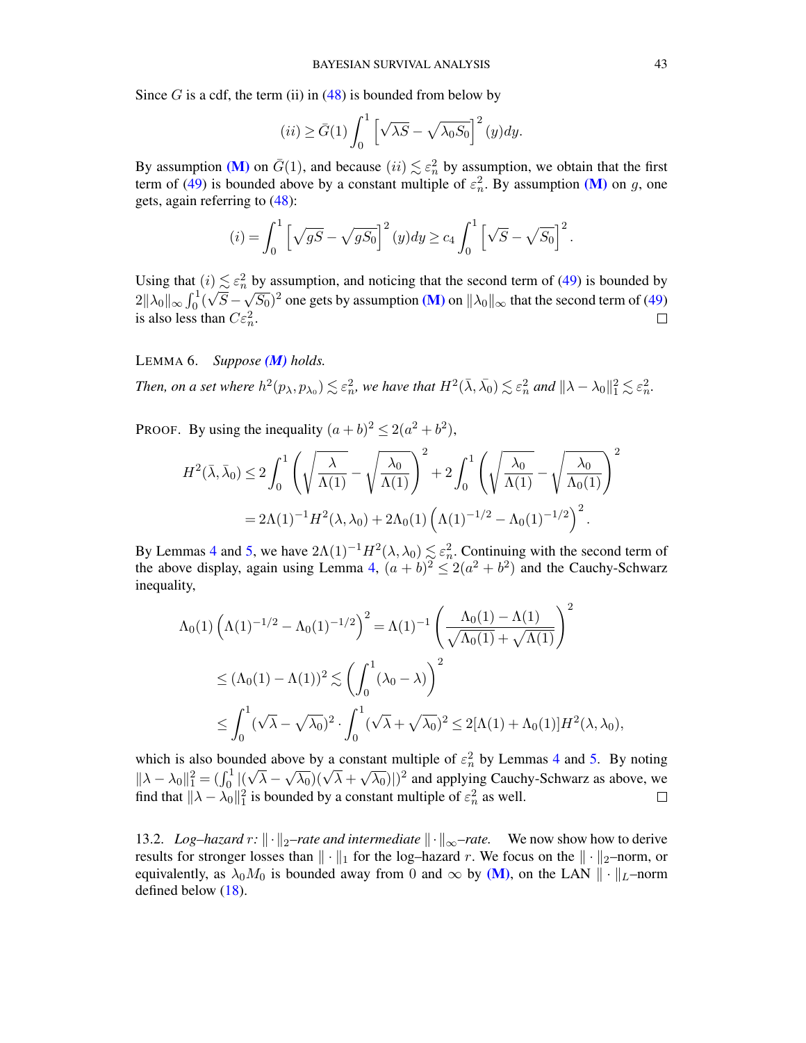Since G is a cdf, the term (ii) in  $(48)$  is bounded from below by

$$
(ii) \ge \bar{G}(1) \int_0^1 \left[ \sqrt{\lambda S} - \sqrt{\lambda_0 S_0} \right]^2 (y) dy.
$$

By assumption [\(M\)](#page-4-0) on  $\bar{G}(1)$ , and because  $(ii) \lesssim \varepsilon_n^2$  by assumption, we obtain that the first term of [\(49\)](#page-41-4) is bounded above by a constant multiple of  $\varepsilon_n^2$ . By assumption [\(M\)](#page-4-0) on g, one gets, again referring to [\(48\)](#page-41-1):

$$
(i) = \int_0^1 \left[ \sqrt{gS} - \sqrt{gS_0} \right]^2 (y) dy \ge c_4 \int_0^1 \left[ \sqrt{S} - \sqrt{S_0} \right]^2.
$$

Using that  $(i) \leq \varepsilon_n^2$  by assumption, and noticing that the second term of [\(49\)](#page-41-4) is bounded by  $2\|\lambda_0\|_{\infty}\int_0^1(\sqrt{S}-\sqrt{S_0})^2$  one gets by assumption [\(M\)](#page-4-0) on  $\|\lambda_0\|_{\infty}$  that the second term of [\(49\)](#page-41-4) is also less than  $C \varepsilon_n^2$ .  $\Box$ 

## <span id="page-42-1"></span>LEMMA 6. *Suppose [\(M\)](#page-4-0) holds.*

Then, on a set where 
$$
h^2(p_\lambda, p_{\lambda_0}) \lesssim \varepsilon_n^2
$$
, we have that  $H^2(\bar{\lambda}, \bar{\lambda_0}) \lesssim \varepsilon_n^2$  and  $\|\lambda - \lambda_0\|_1^2 \lesssim \varepsilon_n^2$ .

PROOF. By using the inequality  $(a+b)^2 \le 2(a^2+b^2)$ ,

$$
H^2(\bar{\lambda}, \bar{\lambda}_0) \le 2 \int_0^1 \left( \sqrt{\frac{\lambda}{\Lambda(1)}} - \sqrt{\frac{\lambda_0}{\Lambda(1)}} \right)^2 + 2 \int_0^1 \left( \sqrt{\frac{\lambda_0}{\Lambda(1)}} - \sqrt{\frac{\lambda_0}{\Lambda_0(1)}} \right)^2
$$
  
=  $2\Lambda(1)^{-1}H^2(\lambda, \lambda_0) + 2\Lambda_0(1) \left( \Lambda(1)^{-1/2} - \Lambda_0(1)^{-1/2} \right)^2$ .

By Lemmas [4](#page-41-3) and [5,](#page-41-5) we have  $2\Lambda(1)^{-1}H^2(\lambda,\lambda_0) \lesssim \varepsilon_n^2$ . Continuing with the second term of the above display, again using Lemma [4,](#page-41-3)  $(a + b)^2 \leq 2(a^2 + b^2)$  and the Cauchy-Schwarz inequality,

$$
\Lambda_0(1) \left( \Lambda(1)^{-1/2} - \Lambda_0(1)^{-1/2} \right)^2 = \Lambda(1)^{-1} \left( \frac{\Lambda_0(1) - \Lambda(1)}{\sqrt{\Lambda_0(1)} + \sqrt{\Lambda(1)}} \right)^2
$$
  
\$\leq (\Lambda\_0(1) - \Lambda(1))^2 \lesssim \left( \int\_0^1 (\lambda\_0 - \lambda) \right)^2\$  
\$\leq \int\_0^1 (\sqrt{\lambda} - \sqrt{\lambda\_0})^2 \cdot \int\_0^1 (\sqrt{\lambda} + \sqrt{\lambda\_0})^2 \leq 2[\Lambda(1) + \Lambda\_0(1)] H^2(\lambda, \lambda\_0),

which is also bounded above by a constant multiple of  $\varepsilon_n^2$  by Lemmas [4](#page-41-3) and [5.](#page-41-5) By noting  $\|\lambda-\lambda_0\|_1^2 = (\int_0^1 |(\sqrt{\lambda} \sqrt{\lambda_0}$ )( $\sqrt{\lambda}$  + √  $\overline{\lambda_0}$ )|)<sup>2</sup> and applying Cauchy-Schwarz as above, we find that  $\|\lambda - \lambda_0\|_1^2$  is bounded by a constant multiple of  $\varepsilon_n^2$  as well.

<span id="page-42-0"></span>13.2. *Log–hazard*  $r: \| \cdot \|_2$ –rate and intermediate  $\| \cdot \|_{\infty}$ –rate. We now show how to derive results for stronger losses than  $\|\cdot\|_1$  for the log–hazard r. We focus on the  $\|\cdot\|_2$ –norm, or equivalently, as  $\lambda_0 M_0$  is bounded away from 0 and  $\infty$  by [\(M\)](#page-4-0), on the LAN  $\|\cdot\|_L$ –norm defined below [\(18\)](#page-19-3).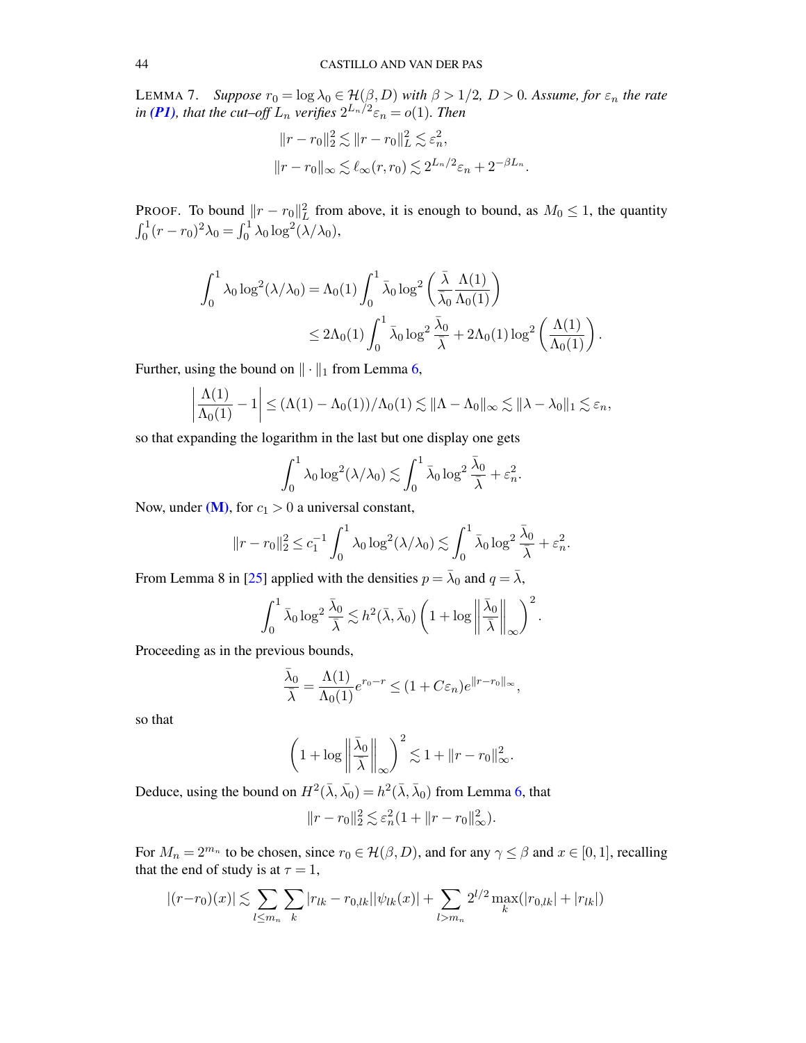<span id="page-43-0"></span>LEMMA 7. *Suppose*  $r_0 = \log \lambda_0 \in \mathcal{H}(\beta, D)$  *with*  $\beta > 1/2$ ,  $D > 0$ *. Assume, for*  $\varepsilon_n$  *the rate* in [\(P1\)](#page-7-4), that the cut–off  $L_n$  verifies  $2^{L_n/2} \varepsilon_n = o(1)$ . Then

$$
||r - r_0||_2^2 \lesssim ||r - r_0||_L^2 \lesssim \varepsilon_n^2,
$$
  

$$
||r - r_0||_{\infty} \lesssim \ell_\infty(r, r_0) \lesssim 2^{L_n/2} \varepsilon_n + 2^{-\beta L_n}.
$$

PROOF. To bound  $||r - r_0||_L^2$  from above, it is enough to bound, as  $M_0 \le 1$ , the quantity  $\int_0^1 (r - r_0)^2 \lambda_0 = \int_0^1 \lambda_0 \log^2(\lambda/\lambda_0),$ 

$$
\begin{aligned} \int_0^1 \lambda_0 \log^2(\lambda/\lambda_0) &= \Lambda_0(1) \int_0^1 \bar{\lambda}_0 \log^2\left(\frac{\bar{\lambda}}{\bar{\lambda}_0} \frac{\Lambda(1)}{\Lambda_0(1)}\right) \\ &\leq 2\Lambda_0(1) \int_0^1 \bar{\lambda}_0 \log^2\frac{\bar{\lambda}_0}{\bar{\lambda}} + 2\Lambda_0(1) \log^2\left(\frac{\Lambda(1)}{\Lambda_0(1)}\right). \end{aligned}
$$

Further, using the bound on  $\|\cdot\|_1$  from Lemma [6,](#page-42-1)

$$
\left|\frac{\Lambda(1)}{\Lambda_0(1)}-1\right|\leq (\Lambda(1)-\Lambda_0(1))/\Lambda_0(1)\lesssim \|\Lambda-\Lambda_0\|_{\infty}\lesssim \|\lambda-\lambda_0\|_1\lesssim \varepsilon_n,
$$

so that expanding the logarithm in the last but one display one gets

$$
\int_0^1 \lambda_0 \log^2(\lambda/\lambda_0) \lesssim \int_0^1 \bar{\lambda}_0 \log^2 \frac{\bar{\lambda}_0}{\bar{\lambda}} + \varepsilon_n^2.
$$

Now, under  $(M)$ , for  $c_1 > 0$  a universal constant,

$$
||r - r_0||_2^2 \le c_1^{-1} \int_0^1 \lambda_0 \log^2(\lambda/\lambda_0) \lesssim \int_0^1 \bar{\lambda}_0 \log^2 \frac{\bar{\lambda}_0}{\bar{\lambda}} + \varepsilon_n^2.
$$

From Lemma 8 in [\[25\]](#page-69-18) applied with the densities  $p = \bar{\lambda}_0$  and  $q = \bar{\lambda}$ ,

$$
\int_0^1 \bar{\lambda}_0 \log^2 \frac{\bar{\lambda}_0}{\bar{\lambda}} \lesssim h^2(\bar{\lambda}, \bar{\lambda}_0) \left(1 + \log \left\| \frac{\bar{\lambda}_0}{\bar{\lambda}} \right\|_{\infty} \right)^2.
$$

Proceeding as in the previous bounds,

$$
\frac{\bar{\lambda}_0}{\bar{\lambda}} = \frac{\Lambda(1)}{\Lambda_0(1)} e^{r_0 - r} \le (1 + C\varepsilon_n) e^{\|r - r_0\|_{\infty}},
$$

so that

$$
\left(1 + \log \left\|\frac{\bar{\lambda}_0}{\bar{\lambda}}\right\|_{\infty}\right)^2 \lesssim 1 + \|r - r_0\|_{\infty}^2.
$$

Deduce, using the bound on  $H^2(\bar\lambda, \bar{\lambda_0}) = h^2(\bar\lambda, \bar{\lambda_0})$  from Lemma [6,](#page-42-1) that

$$
||r - r_0||_2^2 \lesssim \varepsilon_n^2 (1 + ||r - r_0||_{\infty}^2).
$$

For  $M_n = 2^{m_n}$  to be chosen, since  $r_0 \in \mathcal{H}(\beta, D)$ , and for any  $\gamma \leq \beta$  and  $x \in [0, 1]$ , recalling that the end of study is at  $\tau = 1$ ,

$$
|(r-r_0)(x)| \lesssim \sum_{l \leq m_n} \sum_k |r_{lk} - r_{0,lk}| |\psi_{lk}(x)| + \sum_{l > m_n} 2^{l/2} \max_k (|r_{0,lk}| + |r_{lk}|)
$$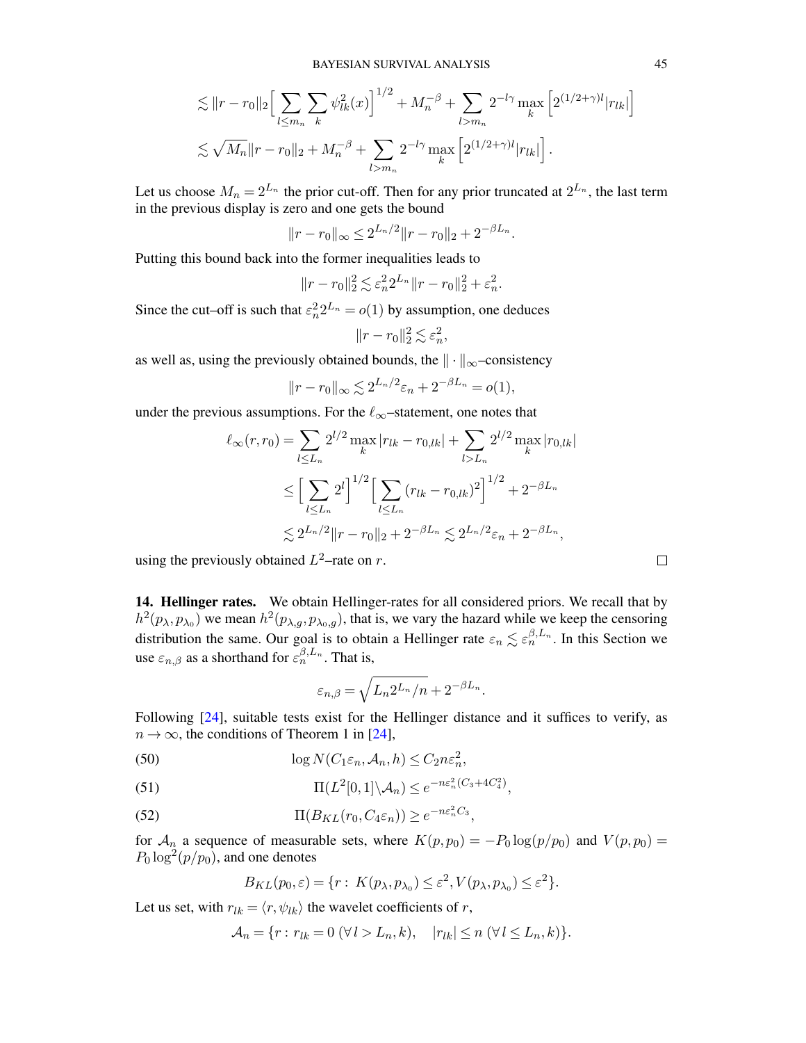$$
\lesssim ||r - r_0||_2 \Big[ \sum_{l \le m_n} \sum_k \psi_{lk}^2(x) \Big]^{1/2} + M_n^{-\beta} + \sum_{l > m_n} 2^{-l\gamma} \max_k \Big[ 2^{(1/2 + \gamma)l} |r_{lk}| \Big] \lesssim \sqrt{M_n} ||r - r_0||_2 + M_n^{-\beta} + \sum_{l > m_n} 2^{-l\gamma} \max_k \Big[ 2^{(1/2 + \gamma)l} |r_{lk}| \Big].
$$

Let us choose  $M_n = 2^{L_n}$  the prior cut-off. Then for any prior truncated at  $2^{L_n}$ , the last term in the previous display is zero and one gets the bound

$$
||r - r_0||_{\infty} \le 2^{L_n/2} ||r - r_0||_2 + 2^{-\beta L_n}.
$$

Putting this bound back into the former inequalities leads to

$$
||r - r_0||_2^2 \lesssim \varepsilon_n^2 2^{L_n} ||r - r_0||_2^2 + \varepsilon_n^2.
$$

Since the cut–off is such that  $\varepsilon_n^2 2^{L_n} = o(1)$  by assumption, one deduces

$$
||r - r_0||_2^2 \lesssim \varepsilon_n^2,
$$

as well as, using the previously obtained bounds, the  $\|\cdot\|_{\infty}$ –consistency

$$
||r - r_0||_{\infty} \lesssim 2^{L_n/2} \varepsilon_n + 2^{-\beta L_n} = o(1),
$$

under the previous assumptions. For the  $\ell_{\infty}$ –statement, one notes that

$$
\ell_{\infty}(r, r_0) = \sum_{l \le L_n} 2^{l/2} \max_{k} |r_{lk} - r_{0,lk}| + \sum_{l > L_n} 2^{l/2} \max_{k} |r_{0,lk}|
$$
  
\n
$$
\le \left[ \sum_{l \le L_n} 2^l \right]^{1/2} \left[ \sum_{l \le L_n} (r_{lk} - r_{0,lk})^2 \right]^{1/2} + 2^{-\beta L_n}
$$
  
\n
$$
\lesssim 2^{L_n/2} \|r - r_0\|_2 + 2^{-\beta L_n} \lesssim 2^{L_n/2} \varepsilon_n + 2^{-\beta L_n},
$$

using the previously obtained  $L^2$ –rate on r.

<span id="page-44-0"></span>14. Hellinger rates. We obtain Hellinger-rates for all considered priors. We recall that by  $h^2(p_\lambda, p_{\lambda_0})$  we mean  $h^2(p_{\lambda,g}, p_{\lambda_0,g})$ , that is, we vary the hazard while we keep the censoring distribution the same. Our goal is to obtain a Hellinger rate  $\varepsilon_n \lesssim \varepsilon_n^{\beta,L_n}$ . In this Section we use  $\varepsilon_{n,\beta}$  as a shorthand for  $\varepsilon_n^{\beta,L_n}$ . That is,

$$
\varepsilon_{n,\beta} = \sqrt{L_n 2^{L_n}/n} + 2^{-\beta L_n}
$$

.

Following [\[24\]](#page-69-11), suitable tests exist for the Hellinger distance and it suffices to verify, as  $n \to \infty$ , the conditions of Theorem 1 in [\[24\]](#page-69-11),

<span id="page-44-2"></span>(50) 
$$
\log N(C_1\varepsilon_n, \mathcal{A}_n, h) \le C_2 n \varepsilon_n^2,
$$

<span id="page-44-1"></span>(51) 
$$
\Pi(L^2[0,1]\setminus\mathcal{A}_n) \leq e^{-n\epsilon_n^2(C_3 + 4C_4^2)},
$$

<span id="page-44-3"></span>(52)  $\Pi(B_{KL}(r_0, C_4\varepsilon_n)) \geq e^{-n\varepsilon_n^2 C_3},$ 

for  $\mathcal{A}_n$  a sequence of measurable sets, where  $K(p, p_0) = -P_0 \log(p/p_0)$  and  $V(p, p_0) =$  $P_0 \log^2(p/p_0)$ , and one denotes

$$
B_{KL}(p_0,\varepsilon) = \{r: K(p_\lambda, p_{\lambda_0}) \leq \varepsilon^2, V(p_\lambda, p_{\lambda_0}) \leq \varepsilon^2\}.
$$

Let us set, with  $r_{lk} = \langle r, \psi_{lk} \rangle$  the wavelet coefficients of r,

$$
\mathcal{A}_n = \{r : r_{lk} = 0 \ (\forall l > L_n, k), \quad |r_{lk}| \le n \ (\forall l \le L_n, k)\}.
$$

 $\Box$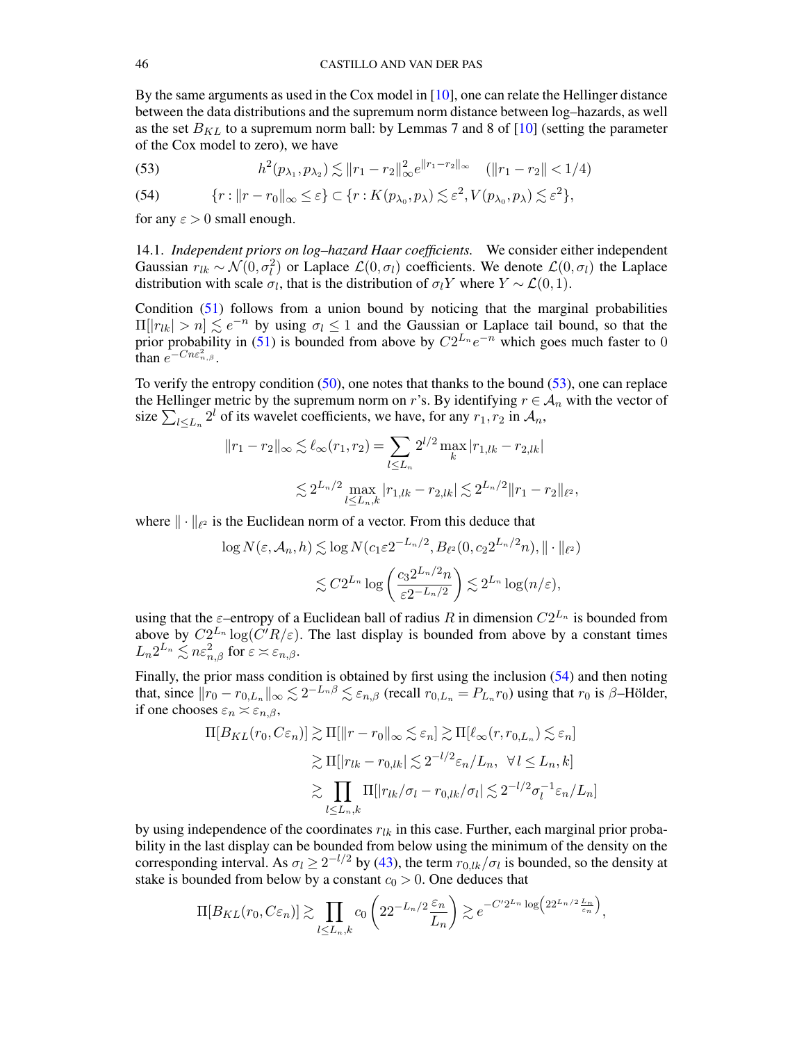By the same arguments as used in the Cox model in [\[10\]](#page-68-5), one can relate the Hellinger distance between the data distributions and the supremum norm distance between log–hazards, as well as the set  $B_{KL}$  to a supremum norm ball: by Lemmas 7 and 8 of [\[10\]](#page-68-5) (setting the parameter of the Cox model to zero), we have

<span id="page-45-1"></span>(53) 
$$
h^{2}(p_{\lambda_{1}}, p_{\lambda_{2}}) \lesssim ||r_{1} - r_{2}||_{\infty}^{2} e^{||r_{1} - r_{2}||_{\infty}} \quad (||r_{1} - r_{2}|| < 1/4)
$$

<span id="page-45-2"></span>(54) 
$$
\{r: ||r - r_0||_{\infty} \leq \varepsilon\} \subset \{r: K(p_{\lambda_0}, p_{\lambda}) \lesssim \varepsilon^2, V(p_{\lambda_0}, p_{\lambda}) \lesssim \varepsilon^2\},\
$$

for any  $\varepsilon > 0$  small enough.

<span id="page-45-0"></span>14.1. *Independent priors on log–hazard Haar coefficients.* We consider either independent Gaussian  $r_{lk} \sim \mathcal{N}(0, \sigma_l^2)$  or Laplace  $\mathcal{L}(0, \sigma_l)$  coefficients. We denote  $\mathcal{L}(0, \sigma_l)$  the Laplace distribution with scale  $\sigma_l$ , that is the distribution of  $\sigma_l Y$  where  $Y \sim \mathcal{L}(0, 1)$ .

Condition [\(51\)](#page-44-1) follows from a union bound by noticing that the marginal probabilities  $\Pi[|r_{lk}| > n] \lesssim e^{-n}$  by using  $\sigma_l \leq 1$  and the Gaussian or Laplace tail bound, so that the prior probability in [\(51\)](#page-44-1) is bounded from above by  $C2^{L_n}e^{-n}$  which goes much faster to 0 than  $e^{-Cn\epsilon_{n,\beta}^2}$ .

To verify the entropy condition [\(50\)](#page-44-2), one notes that thanks to the bound [\(53\)](#page-45-1), one can replace the Hellinger metric by the supremum norm on r's. By identifying  $r \in A_n$  with the vector of size  $\sum_{l \le L_n} 2^l$  of its wavelet coefficients, we have, for any  $r_1, r_2$  in  $\mathcal{A}_n$ ,

$$
||r_1 - r_2||_{\infty} \lesssim \ell_{\infty}(r_1, r_2) = \sum_{l \le L_n} 2^{l/2} \max_{k} |r_{1,lk} - r_{2,lk}|
$$
  

$$
\lesssim 2^{L_n/2} \max_{l \le L_n, k} |r_{1,lk} - r_{2,lk}| \lesssim 2^{L_n/2} ||r_1 - r_2||_{\ell^2},
$$

where  $\|\cdot\|_{\ell^2}$  is the Euclidean norm of a vector. From this deduce that

$$
\log N(\varepsilon, \mathcal{A}_n, h) \lesssim \log N(c_1 \varepsilon 2^{-L_n/2}, B_{\ell^2}(0, c_2 2^{L_n/2} n), \|\cdot\|_{\ell^2})
$$
  

$$
\lesssim C 2^{L_n} \log \left( \frac{c_3 2^{L_n/2} n}{\varepsilon 2^{-L_n/2}} \right) \lesssim 2^{L_n} \log(n/\varepsilon),
$$

using that the  $\varepsilon$ -entropy of a Euclidean ball of radius R in dimension  $C2^{L_n}$  is bounded from above by  $C2^{L_n}\log(\overline{C'}R/\varepsilon)$ . The last display is bounded from above by a constant times  $L_n 2^{L_n} \lesssim n \varepsilon_{n,\beta}^2 \text{ for } \varepsilon \asymp \varepsilon_{n,\beta}.$ 

Finally, the prior mass condition is obtained by first using the inclusion [\(54\)](#page-45-2) and then noting that, since  $||r_0 - r_{0,L_n}||_{\infty} \lesssim 2^{-L_n\beta} \lesssim \varepsilon_{n,\beta}$  (recall  $r_{0,L_n} = P_{L_n}r_0$ ) using that  $r_0$  is  $\beta$ -Hölder, if one chooses  $\varepsilon_n \asymp \varepsilon_{n,\beta}$ ,

$$
\Pi[B_{KL}(r_0, C\varepsilon_n)] \gtrsim \Pi[\|r - r_0\|_{\infty} \lesssim \varepsilon_n] \gtrsim \Pi[\ell_{\infty}(r, r_{0, L_n}) \lesssim \varepsilon_n]
$$
  

$$
\gtrsim \Pi[|r_{lk} - r_{0, lk}| \lesssim 2^{-l/2} \varepsilon_n/L_n, \ \forall l \le L_n, k]
$$
  

$$
\gtrsim \prod_{l \le L_n, k} \Pi[|r_{lk}/\sigma_l - r_{0, lk}/\sigma_l| \lesssim 2^{-l/2} \sigma_l^{-1} \varepsilon_n/L_n]
$$

by using independence of the coordinates  $r_{lk}$  in this case. Further, each marginal prior probability in the last display can be bounded from below using the minimum of the density on the corresponding interval. As  $\sigma_l \geq 2^{-l/2}$  by [\(43\)](#page-37-2), the term  $r_{0,lk}/\sigma_l$  is bounded, so the density at stake is bounded from below by a constant  $c_0 > 0$ . One deduces that

$$
\Pi[B_{KL}(r_0, C\varepsilon_n)] \gtrsim \prod_{l \le L_n, k} c_0 \left( 22^{-L_n/2} \frac{\varepsilon_n}{L_n} \right) \gtrsim e^{-C' 2^{L_n} \log \left( 22^{L_n/2} \frac{L_n}{\varepsilon_n} \right)},
$$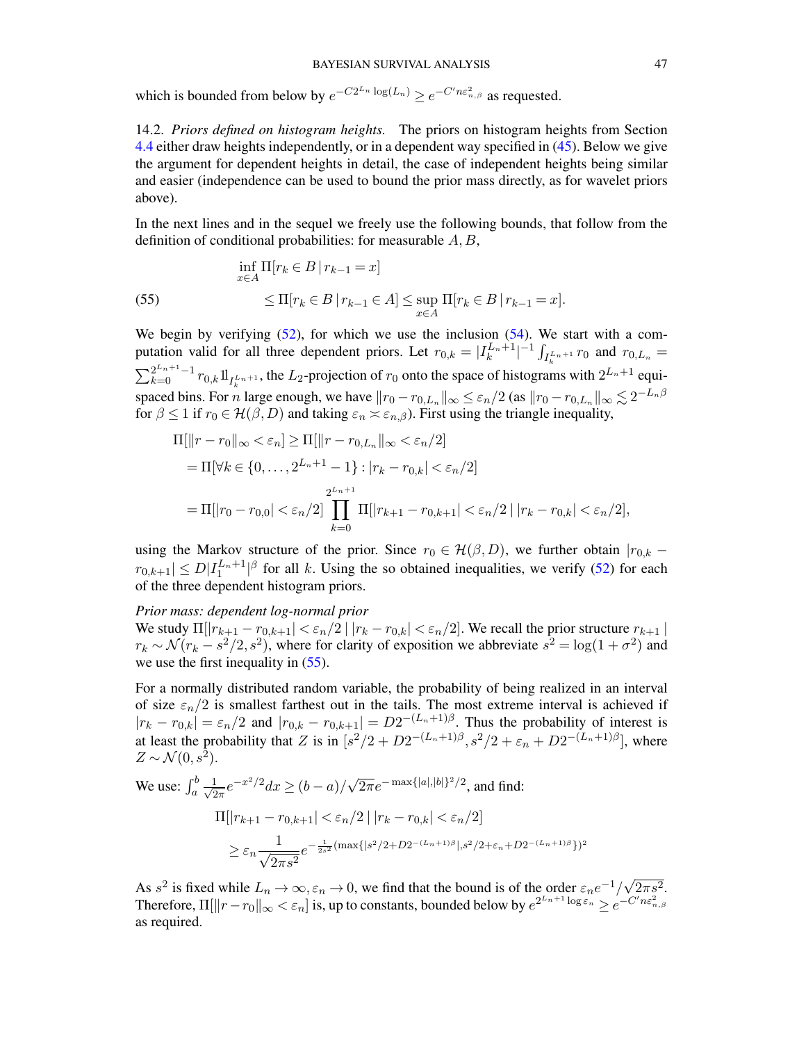which is bounded from below by  $e^{-C2^{L_n} \log(L_n)} \geq e^{-C'n \varepsilon_{n,\beta}^2}$  as requested.

<span id="page-46-0"></span>14.2. *Priors defined on histogram heights.* The priors on histogram heights from Section [4.4](#page-11-0) either draw heights independently, or in a dependent way specified in [\(45\)](#page-38-2). Below we give the argument for dependent heights in detail, the case of independent heights being similar and easier (independence can be used to bound the prior mass directly, as for wavelet priors above).

In the next lines and in the sequel we freely use the following bounds, that follow from the definition of conditional probabilities: for measurable  $A, B$ ,

<span id="page-46-1"></span>(55) 
$$
\inf_{x \in A} \Pi[r_k \in B \mid r_{k-1} = x] \le \Pi[r_k \in B \mid r_{k-1} \in A] \le \sup_{x \in A} \Pi[r_k \in B \mid r_{k-1} = x].
$$

We begin by verifying  $(52)$ , for which we use the inclusion  $(54)$ . We start with a computation valid for all three dependent priors. Let  $r_{0,k} = |I_k^{L_n+1}|^{-1} \int_{I_k^{L_n+1}} r_0$  and  $r_{0,L_n} =$  $\sum_{k=0}^{2^{L_n+1}-1} r_{0,k} 1\!I_{I_n^{L_n+1}}$ , the L<sub>2</sub>-projection of  $r_0$  onto the space of histograms with  $2^{L_n+1}$  equispaced bins. For *n* large enough, we have  $||r_0 - r_{0,L_n}||_{\infty} \le \varepsilon_n/2$  (as  $||r_0 - r_{0,L_n}||_{\infty} \lesssim 2^{-L_n\beta}$ for  $\beta \leq 1$  if  $r_0 \in \mathcal{H}(\beta, D)$  and taking  $\varepsilon_n \asymp \varepsilon_{n,\beta}$ ). First using the triangle inequality,

$$
\Pi[\|r - r_0\|_{\infty} < \varepsilon_n] \ge \Pi[\|r - r_{0,L_n}\|_{\infty} < \varepsilon_n/2]
$$
\n
$$
= \Pi[\forall k \in \{0, \dots, 2^{L_n + 1} - 1\} : |r_k - r_{0,k}| < \varepsilon_n/2]
$$
\n
$$
= \Pi[|r_0 - r_{0,0}| < \varepsilon_n/2] \prod_{k=0}^{2^{L_n + 1}} \Pi[|r_{k+1} - r_{0,k+1}| < \varepsilon_n/2 \mid |r_k - r_{0,k}| < \varepsilon_n/2],
$$

using the Markov structure of the prior. Since  $r_0 \in \mathcal{H}(\beta, D)$ , we further obtain  $|r_{0,k}$  –  $|r_{0,k+1}| \le D|I_1^{L_n+1}|^{\beta}$  for all k. Using the so obtained inequalities, we verify [\(52\)](#page-44-3) for each of the three dependent histogram priors.

## *Prior mass: dependent log-normal prior*

We study  $\Pi[|r_{k+1}-r_{0,k+1}|<\varepsilon_n/2|$   $|r_k-r_{0,k}|<\varepsilon_n/2]$ . We recall the prior structure  $r_{k+1}$  |  $r_k \sim \mathcal{N}(r_k - s^2/2, s^2)$ , where for clarity of exposition we abbreviate  $s^2 = \log(1 + \sigma^2)$  and we use the first inequality in [\(55\)](#page-46-1).

For a normally distributed random variable, the probability of being realized in an interval of size  $\varepsilon_n/2$  is smallest farthest out in the tails. The most extreme interval is achieved if  $|r_k - r_{0,k}| = \varepsilon_n/2$  and  $|r_{0,k} - r_{0,k+1}| = D2^{-(L_n+1)\beta}$ . Thus the probability of interest is at least the probability that Z is in  $[s^2/2 + D2^{-(L_n+1)\beta}, s^2/2 + \varepsilon_n + D2^{-(L_n+1)\beta}],$  where  $Z \sim \mathcal{N}(0, s^2)$ .

We use: 
$$
\int_{a}^{b} \frac{1}{\sqrt{2\pi}} e^{-x^{2}/2} dx \ge (b-a)/\sqrt{2\pi} e^{-\max\{|a|,|b|\}^{2}/2}, \text{ and find:}
$$

$$
\Pi[|r_{k+1} - r_{0,k+1}| < \varepsilon_{n}/2 | |r_{k} - r_{0,k}| < \varepsilon_{n}/2]
$$

$$
\ge \varepsilon_{n} \frac{1}{\sqrt{2\pi s^{2}}} e^{-\frac{1}{2s^{2}}(\max\{|s^{2}/2 + D2^{-(L_{n}+1)\beta}|, s^{2}/2 + \varepsilon_{n} + D2^{-(L_{n}+1)\beta}\})^{2}}
$$

As  $s^2$  is fixed while  $L_n \to \infty, \varepsilon_n \to 0$ , we find that the bound is of the order  $\varepsilon_n e^{-1}/$ √  $2\pi s^2$ . Therefore,  $\Pi[\|r-r_0\|_\infty<\varepsilon_n]$  is, up to constants, bounded below by  $e^{2^{L_n+1}\log \varepsilon_n}\geq e^{-C'n\varepsilon^2_{n,\beta}}$ as required.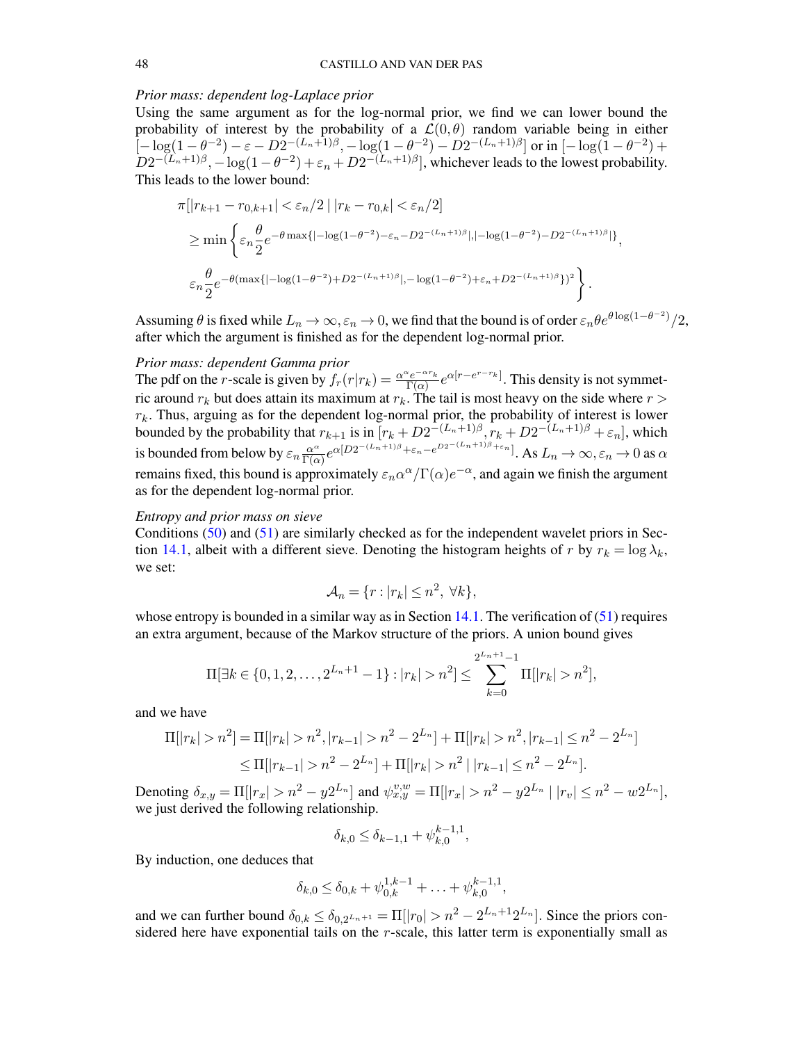## *Prior mass: dependent log-Laplace prior*

Using the same argument as for the log-normal prior, we find we can lower bound the probability of interest by the probability of a  $\mathcal{L}(0, \theta)$  random variable being in either  $\left[-\log(1-\theta^{-2}) - \varepsilon - D2^{-(L_n+1)\beta}, -\log(1-\theta^{-2}) - D2^{-(L_n+1)\beta}\right]$  or in  $\left[-\log(1-\theta^{-2}) + \varepsilon\right]$  $D2^{-(L_n+1)\beta}, -\log(1-\theta^{-2})+\varepsilon_n+D2^{-(L_n+1)\beta}$ , whichever leads to the lowest probability. This leads to the lower bound:

$$
\pi[|r_{k+1} - r_{0,k+1}| < \varepsilon_n/2 \mid |r_k - r_{0,k}| < \varepsilon_n/2]
$$
\n
$$
\geq \min \left\{ \varepsilon_n \frac{\theta}{2} e^{-\theta \max\{|-\log(1-\theta^{-2}) - \varepsilon_n - D2^{-(L_n+1)\beta}|, |-\log(1-\theta^{-2}) - D2^{-(L_n+1)\beta}| \}} \right\},
$$
\n
$$
\varepsilon_n \frac{\theta}{2} e^{-\theta (\max\{|-\log(1-\theta^{-2}) + D2^{-(L_n+1)\beta}|, -\log(1-\theta^{-2}) + \varepsilon_n + D2^{-(L_n+1)\beta}\})^2} \right\}.
$$

Assuming  $\theta$  is fixed while  $L_n \to \infty, \varepsilon_n \to 0$ , we find that the bound is of order  $\varepsilon_n \theta e^{\theta \log(1-\theta^{-2})}/2$ , after which the argument is finished as for the dependent log-normal prior.

#### *Prior mass: dependent Gamma prior*

The pdf on the r-scale is given by  $f_r(r|r_k) = \frac{\alpha^{\alpha}e^{-\alpha r_k}}{\Gamma(\alpha)}$  $\frac{\sum_{e}^{k}e^{-\alpha r_{k}}}{\Gamma(\alpha)}e^{\alpha[r-e^{r-r_{k}}]}.$  This density is not symmetric around  $r_k$  but does attain its maximum at  $r_k$ . The tail is most heavy on the side where  $r >$  $r_k$ . Thus, arguing as for the dependent log-normal prior, the probability of interest is lower bounded by the probability that  $r_{k+1}$  is in  $[r_k + D2^{-(L_n+1)\beta}, r_k + D2^{-(L_n+1)\beta} + \varepsilon_n]$ , which is bounded from below by  $\varepsilon_n \frac{\alpha^{\alpha}}{\Gamma(\alpha)}$  $\frac{\alpha^{\alpha}}{\Gamma(\alpha)}e^{\alpha[D2^{-(L_n+1)\beta}+\varepsilon_n-e^{D2^{-(L_n+1)\beta}+\varepsilon_n}]}$ . As  $L_n \to \infty, \varepsilon_n \to 0$  as  $\alpha$ remains fixed, this bound is approximately  $\varepsilon_n \alpha^{\alpha}/\Gamma(\alpha) e^{-\alpha}$ , and again we finish the argument as for the dependent log-normal prior.

## *Entropy and prior mass on sieve*

Conditions [\(50\)](#page-44-2) and [\(51\)](#page-44-1) are similarly checked as for the independent wavelet priors in Sec-tion [14.1,](#page-45-0) albeit with a different sieve. Denoting the histogram heights of r by  $r_k = \log \lambda_k$ , we set:

$$
\mathcal{A}_n = \{r : |r_k| \le n^2, \ \forall k\},\
$$

whose entropy is bounded in a similar way as in Section  $14.1$ . The verification of  $(51)$  requires an extra argument, because of the Markov structure of the priors. A union bound gives

$$
\Pi[\exists k \in \{0, 1, 2, \dots, 2^{L_n+1} - 1\} : |r_k| > n^2] \le \sum_{k=0}^{2^{L_n+1}-1} \Pi[|r_k| > n^2],
$$

and we have

$$
\Pi[|r_k| > n^2] = \Pi[|r_k| > n^2, |r_{k-1}| > n^2 - 2^{L_n}] + \Pi[|r_k| > n^2, |r_{k-1}| \le n^2 - 2^{L_n}]
$$
  

$$
\le \Pi[|r_{k-1}| > n^2 - 2^{L_n}] + \Pi[|r_k| > n^2 | |r_{k-1}| \le n^2 - 2^{L_n}].
$$

Denoting  $\delta_{x,y} = \Pi[|r_x| > n^2 - y2^{L_n}]$  and  $\psi_{x,y}^{v,w} = \Pi[|r_x| > n^2 - y2^{L_n} | |r_v| \leq n^2 - w2^{L_n}]$ , we just derived the following relationship.

$$
\delta_{k,0} \le \delta_{k-1,1} + \psi_{k,0}^{k-1,1},
$$

By induction, one deduces that

$$
\delta_{k,0} \le \delta_{0,k} + \psi_{0,k}^{1,k-1} + \ldots + \psi_{k,0}^{k-1,1},
$$

and we can further bound  $\delta_{0,k} \le \delta_{0,2^{L_n+1}} = \prod |r_0| > n^2 - 2^{L_n+1} 2^{L_n}$ . Since the priors considered here have exponential tails on the  $r$ -scale, this latter term is exponentially small as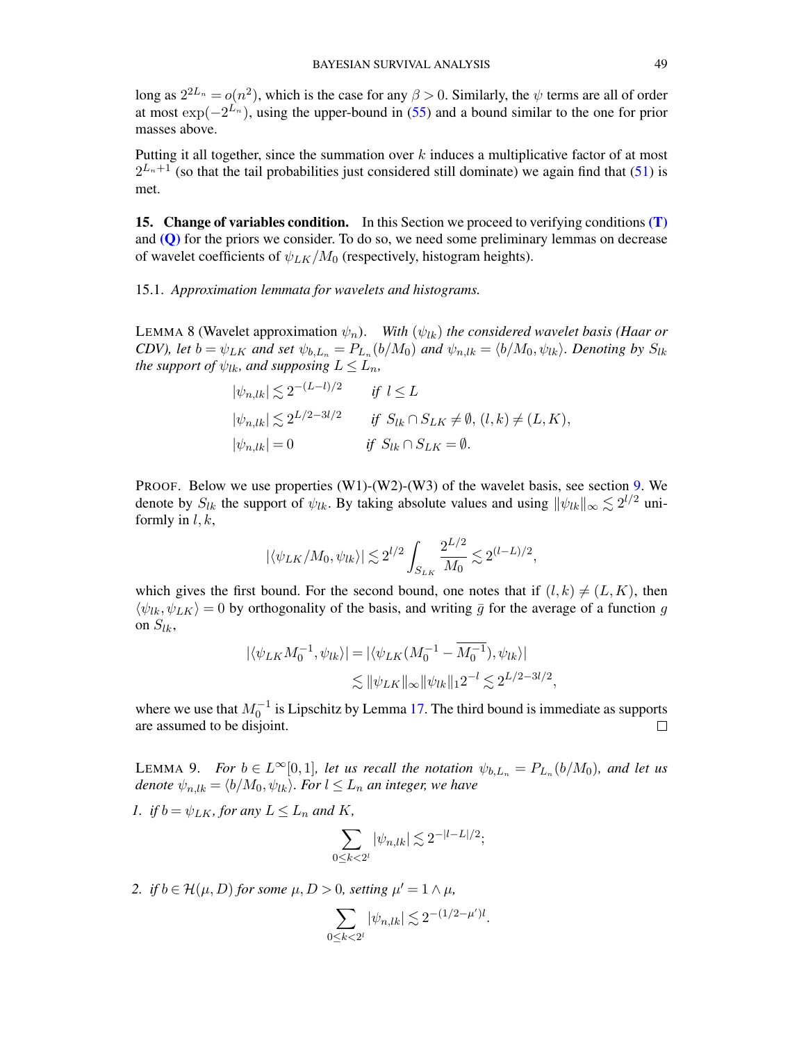long as  $2^{2L_n} = o(n^2)$ , which is the case for any  $\beta > 0$ . Similarly, the  $\psi$  terms are all of order at most  $\exp(-2^{L_n})$ , using the upper-bound in [\(55\)](#page-46-1) and a bound similar to the one for prior masses above.

Putting it all together, since the summation over  $k$  induces a multiplicative factor of at most  $2^{L_n+1}$  (so that the tail probabilities just considered still dominate) we again find that [\(51\)](#page-44-1) is met.

<span id="page-48-0"></span>15. Change of variables condition. In this Section we proceed to verifying conditions [\(T\)](#page-9-1) and  $(Q)$  for the priors we consider. To do so, we need some preliminary lemmas on decrease of wavelet coefficients of  $\psi_{LK}/M_0$  (respectively, histogram heights).

## <span id="page-48-1"></span>15.1. *Approximation lemmata for wavelets and histograms.*

<span id="page-48-3"></span>LEMMA 8 (Wavelet approximation  $\psi_n$ ). *With*  $(\psi_{lk})$  *the considered wavelet basis (Haar or CDV*), let  $b = \psi_{LK}$  and set  $\psi_{b,L_n} = P_{L_n}(b/M_0)$  and  $\psi_{n,lk} = \langle b/M_0, \psi_{lk} \rangle$ . Denoting by  $S_{lk}$ *the support of*  $\psi_{lk}$ *, and supposing*  $L \le L_n$ *,*  $(\mathbf{r}-\mathbf{r})/\alpha$ 

$$
\begin{aligned}\n|\psi_{n,lk}| &\lesssim 2^{-(L-l)/2} & \text{if } l \le L \\
|\psi_{n,lk}| &\lesssim 2^{L/2-3l/2} & \text{if } S_{lk} \cap S_{LK} \neq \emptyset, (l,k) \neq (L,K), \\
|\psi_{n,lk}| &= 0 & \text{if } S_{lk} \cap S_{LK} = \emptyset.\n\end{aligned}
$$

PROOF. Below we use properties  $(W1)-(W2)-(W3)$  of the wavelet basis, see section [9.](#page-24-1) We denote by  $S_{lk}$  the support of  $\psi_{lk}$ . By taking absolute values and using  $\|\psi_{lk}\|_{\infty} \lesssim 2^{l/2}$  uniformly in  $l, k$ ,

$$
|\langle \psi_{LK}/M_0, \psi_{lk} \rangle| \lesssim 2^{l/2} \int_{S_{LK}} \frac{2^{L/2}}{M_0} \lesssim 2^{(l-L)/2},
$$

which gives the first bound. For the second bound, one notes that if  $(l, k) \neq (L, K)$ , then  $\langle \psi_{lk}, \psi_{LK} \rangle = 0$  by orthogonality of the basis, and writing  $\bar{g}$  for the average of a function g on  $S_{lk}$ ,

$$
|\langle \psi_{LK} M_0^{-1}, \psi_{lk} \rangle| = |\langle \psi_{LK} (M_0^{-1} - \overline{M_0^{-1}}), \psi_{lk} \rangle|
$$
  

$$
\lesssim ||\psi_{LK}||_{\infty} ||\psi_{lk}||_1 2^{-l} \lesssim 2^{L/2 - 3l/2},
$$

where we use that  $M_0^{-1}$  is Lipschitz by Lemma [17.](#page-61-2) The third bound is immediate as supports are assumed to be disjoint.  $\Box$ 

<span id="page-48-2"></span>LEMMA 9. *For*  $b \in L^{\infty}[0,1]$ , let us recall the notation  $\psi_{b,L_n} = P_{L_n}(b/M_0)$ , and let us *denote*  $\psi_{n,lk} = \langle b/M_0, \psi_{lk} \rangle$ *. For*  $l \leq L_n$  *an integer, we have* 

*1. if*  $b = \psi_{LK}$ *, for any*  $L \le L_n$  *and* K*,* 

$$
\sum_{0 \le k < 2^l} |\psi_{n,lk}| \lesssim 2^{-|l-L|/2};
$$

2. *if*  $b \in \mathcal{H}(\mu, D)$  *for some*  $\mu, D > 0$ *, setting*  $\mu' = 1 \wedge \mu$ *,* 

$$
\sum_{0 \le k < 2^l} |\psi_{n,lk}| \lesssim 2^{-(1/2 - \mu')l}.
$$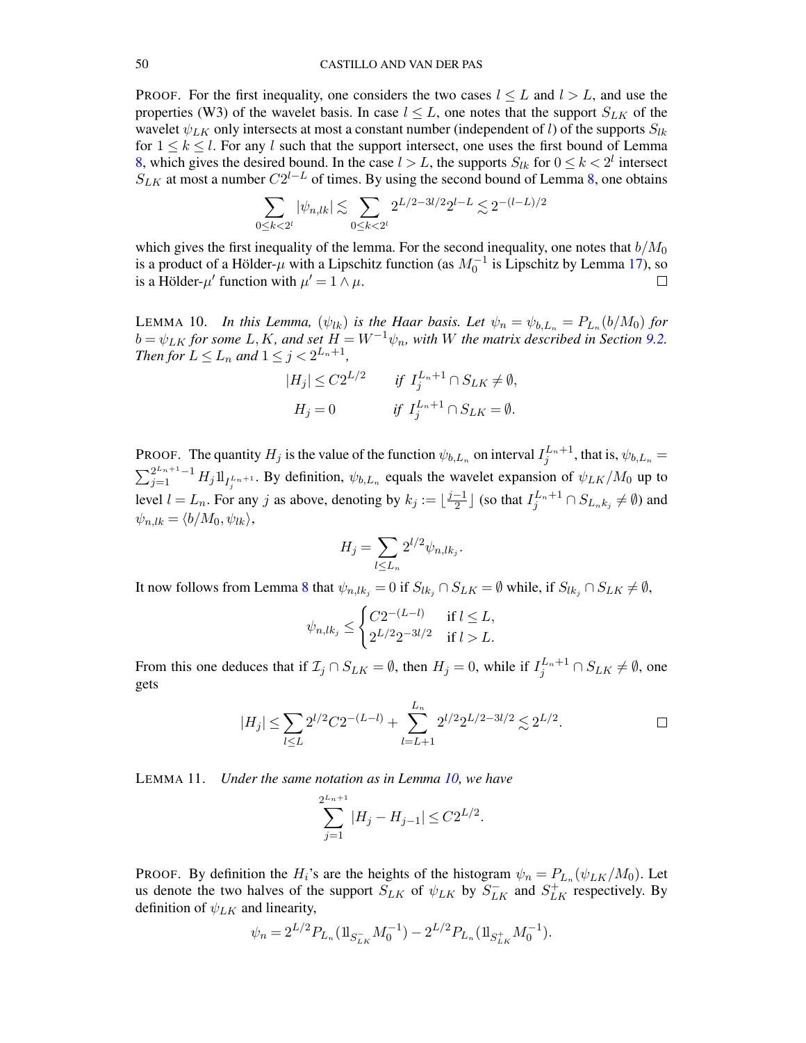PROOF. For the first inequality, one considers the two cases  $l \leq L$  and  $l > L$ , and use the properties (W3) of the wavelet basis. In case  $l \leq L$ , one notes that the support  $S_{LK}$  of the wavelet  $\psi_{LK}$  only intersects at most a constant number (independent of l) of the supports  $S_{lk}$ for  $1 \leq k \leq l$ . For any l such that the support intersect, one uses the first bound of Lemma [8,](#page-48-3) which gives the desired bound. In the case  $l > L$ , the supports  $S_{lk}$  for  $0 \le k < 2^l$  intersect  $S_{LK}$  at most a number  $C2^{l-L}$  of times. By using the second bound of Lemma [8,](#page-48-3) one obtains

$$
\sum_{0\le k < 2^l} |\psi_{n,lk}| \lesssim \sum_{0\le k < 2^l} 2^{L/2 - 3l/2} 2^{l-L} \lesssim 2^{-(l-L)/2}
$$

which gives the first inequality of the lemma. For the second inequality, one notes that  $b/M_0$ is a product of a Hölder- $\mu$  with a Lipschitz function (as  $M_0^{-1}$  is Lipschitz by Lemma [17\)](#page-61-2), so is a Hölder- $\mu'$  function with  $\mu' = 1 \wedge \mu$ .  $\Box$ 

<span id="page-49-0"></span>LEMMA 10. *In this Lemma,*  $(\psi_{lk})$  *is the Haar basis. Let*  $\psi_n = \psi_{b,L_n} = P_{L_n}(b/M_0)$  for  $b = \psi_{LK}$  for some L, K, and set  $H = W^{-1}\psi_n$ , with W the matrix described in Section [9.2.](#page-25-0) *Then for*  $L \le L_n$  *and*  $1 \le j < 2^{L_n+1}$ *,* 

$$
|H_j| \leq C2^{L/2} \quad \text{if } I_j^{L_n+1} \cap S_{LK} \neq \emptyset,
$$
  

$$
H_j = 0 \quad \text{if } I_j^{L_n+1} \cap S_{LK} = \emptyset.
$$

PROOF. The quantity  $H_j$  is the value of the function  $\psi_{b,L_n}$  on interval  $I_j^{L_n+1}$ , that is,  $\psi_{b,L_n} =$  $\sum_{j=1}^{2^{L_n+1}-1} H_j 1\!\!1_{I_j^{L_n+1}}$ . By definition,  $\psi_{b,L_n}$  equals the wavelet expansion of  $\psi_{LK}/M_0$  up to level  $l = L_n$ . For any j as above, denoting by  $k_j := \lfloor \frac{j-1}{2} \rfloor$  $\frac{-1}{2}$  ] (so that  $I_j^{L_n+1} \cap S_{L_n k_j} \neq \emptyset$ ) and  $\psi_{n,lk} = \langle b/M_0, \psi_{lk} \rangle,$ 

$$
H_j=\sum_{l\leq L_n}2^{l/2}\psi_{n,lk_j}.
$$

It now follows from Lemma [8](#page-48-3) that  $\psi_{n,lk_j} = 0$  if  $S_{lk_j} \cap S_{LK} = \emptyset$  while, if  $S_{lk_j} \cap S_{LK} \neq \emptyset$ ,

$$
\psi_{n,lk_j} \leq \begin{cases}\n C2^{-(L-l)} & \text{if } l \leq L, \\
 2^{L/2}2^{-3l/2} & \text{if } l > L.\n\end{cases}
$$

From this one deduces that if  $\mathcal{I}_j \cap S_{LK} = \emptyset$ , then  $H_j = 0$ , while if  $I_j^{L_n+1} \cap S_{LK} \neq \emptyset$ , one gets

$$
|H_j| \le \sum_{l \le L} 2^{l/2} C 2^{-(L-l)} + \sum_{l=L+1}^{L_n} 2^{l/2} 2^{L/2 - 3l/2} \lesssim 2^{L/2}.
$$

<span id="page-49-1"></span>LEMMA 11. *Under the same notation as in Lemma [10,](#page-49-0) we have*

$$
\sum_{j=1}^{2^{L_n+1}} |H_j - H_{j-1}| \le C2^{L/2}.
$$

PROOF. By definition the  $H_i$ 's are the heights of the histogram  $\psi_n = P_{L_n}(\psi_{LK}/M_0)$ . Let us denote the two halves of the support  $S_{LK}$  of  $\psi_{LK}$  by  $S_{LK}^-$  and  $S_{LK}^+$  respectively. By definition of  $\psi_{LK}$  and linearity,

$$
\psi_n = 2^{L/2} P_{L_n} (\mathbb{1}_{S^-_{LK}} M_0^{-1}) - 2^{L/2} P_{L_n} (\mathbb{1}_{S^+_{LK}} M_0^{-1}).
$$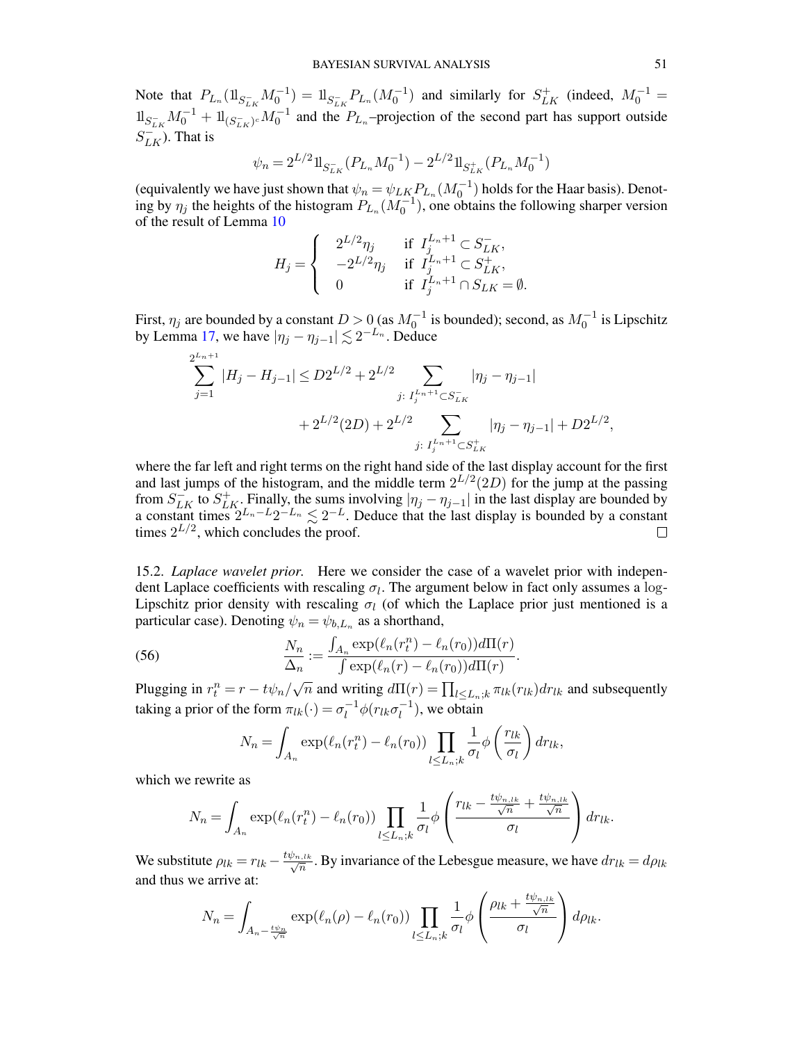Note that  $P_{L_n}(\mathbb{1}_{S^-_{LK}}M_0^{-1}) = \mathbb{1}_{S^-_{LK}}P_{L_n}(M_0^{-1})$  and similarly for  $S^+_{LK}$  (indeed,  $M_0^{-1} =$  $\ln \frac{1}{\sum_{LK} M_0^{-1}} + \ln \frac{1}{\sum_{LK} M_0^{-1}}$  and the  $P_{L_n}$ -projection of the second part has support outside  $S_{LK}^{-}$ ). That is

$$
\psi_n = 2^{L/2} \mathbb{1}_{S^-_{LK}}(P_{L_n} M_0^{-1}) - 2^{L/2} \mathbb{1}_{S^+_{LK}}(P_{L_n} M_0^{-1})
$$

(equivalently we have just shown that  $\psi_n = \psi_{LK_1} P_{L_n}(M_0^{-1})$  holds for the Haar basis). Denoting by  $\eta_j$  the heights of the histogram  $P_{L_n}(M_0^{-1})$ , one obtains the following sharper version of the result of Lemma [10](#page-49-0)

$$
H_j=\left\{\begin{array}{cl}2^{L/2}\eta_j&\text{if }I_j^{L_n+1}\subset S^-_{LK},\\-2^{L/2}\eta_j&\text{if }I_j^{L_n+1}\subset S^+_{LK},\\0&\text{if }I_j^{L_n+1}\cap S_{LK}=\emptyset.\end{array}\right.
$$

First,  $\eta_j$  are bounded by a constant  $D > 0$  (as  $M_0^{-1}$  is bounded); second, as  $M_0^{-1}$  is Lipschitz by Lemma [17,](#page-61-2) we have  $|\eta_j - \eta_{j-1}| \lesssim 2^{-L_n}$ . Deduce

$$
\sum_{j=1}^{2^{L_n+1}} |H_j - H_{j-1}| \le D2^{L/2} + 2^{L/2} \sum_{j: I_j^{L_n+1} \subset S_{LK}^-} |\eta_j - \eta_{j-1}|
$$
  
+ 
$$
2^{L/2}(2D) + 2^{L/2} \sum_{j: I_j^{L_n+1} \subset S_{LK}^+} |\eta_j - \eta_{j-1}| + D2^{L/2},
$$

where the far left and right terms on the right hand side of the last display account for the first and last jumps of the histogram, and the middle term  $2^{L/2}(2D)$  for the jump at the passing from  $S_{LK}^-$  to  $S_{LK}^+$ . Finally, the sums involving  $|\eta_j - \eta_{j-1}|$  in the last display are bounded by a constant times  $2^{L_n-L}2^{-L_n} \lesssim 2^{-L}$ . Deduce that the last display is bounded by a constant times  $2^{L/2}$ , which concludes the proof.  $\Box$ 

<span id="page-50-0"></span>15.2. *Laplace wavelet prior.* Here we consider the case of a wavelet prior with independent Laplace coefficients with rescaling  $\sigma_l$ . The argument below in fact only assumes a log-Lipschitz prior density with rescaling  $\sigma_l$  (of which the Laplace prior just mentioned is a particular case). Denoting  $\psi_n = \psi_{b,L_n}$  as a shorthand,

(56) 
$$
\frac{N_n}{\Delta_n} := \frac{\int_{A_n} \exp(\ell_n(r_t^n) - \ell_n(r_0))d\Pi(r)}{\int \exp(\ell_n(r) - \ell_n(r_0))d\Pi(r)}.
$$

Plugging in  $r_t^n = r - t\psi_n/\sqrt{n}$  and writing  $d\Pi(r) = \prod_{l \le L_n; k} \pi_{lk}(r_{lk}) dr_{lk}$  and subsequently taking a prior of the form  $\pi_{lk}(\cdot) = \sigma_l^{-1}$  $l_l^{-1}\phi(r_{lk}\sigma_l^{-1})$  $\binom{-1}{l}$ , we obtain

<span id="page-50-1"></span>
$$
N_n = \int_{A_n} \exp(\ell_n(r_t^n) - \ell_n(r_0)) \prod_{l \le L_n; k} \frac{1}{\sigma_l} \phi\left(\frac{r_{lk}}{\sigma_l}\right) dr_{lk},
$$

which we rewrite as

$$
N_n = \int_{A_n} \exp(\ell_n(r_t^n) - \ell_n(r_0)) \prod_{l \leq L_n; k} \frac{1}{\sigma_l} \phi \left( \frac{r_{lk} - \frac{t\psi_{n, lk}}{\sqrt{n}} + \frac{t\psi_{n, lk}}{\sqrt{n}} \right) dr_{lk}.
$$

We substitute  $\rho_{lk} = r_{lk} - \frac{t\psi_{n, lk}}{\sqrt{n}}$ . By invariance of the Lebesgue measure, we have  $dr_{lk} = d\rho_{lk}$ and thus we arrive at:

$$
N_n = \int_{A_n - \frac{t\psi_n}{\sqrt{n}}} \exp(\ell_n(\rho) - \ell_n(r_0)) \prod_{l \le L_n; k} \frac{1}{\sigma_l} \phi \left( \frac{\rho_{lk} + \frac{t\psi_{n, lk}}{\sqrt{n}}}{\sigma_l} \right) d\rho_{lk}.
$$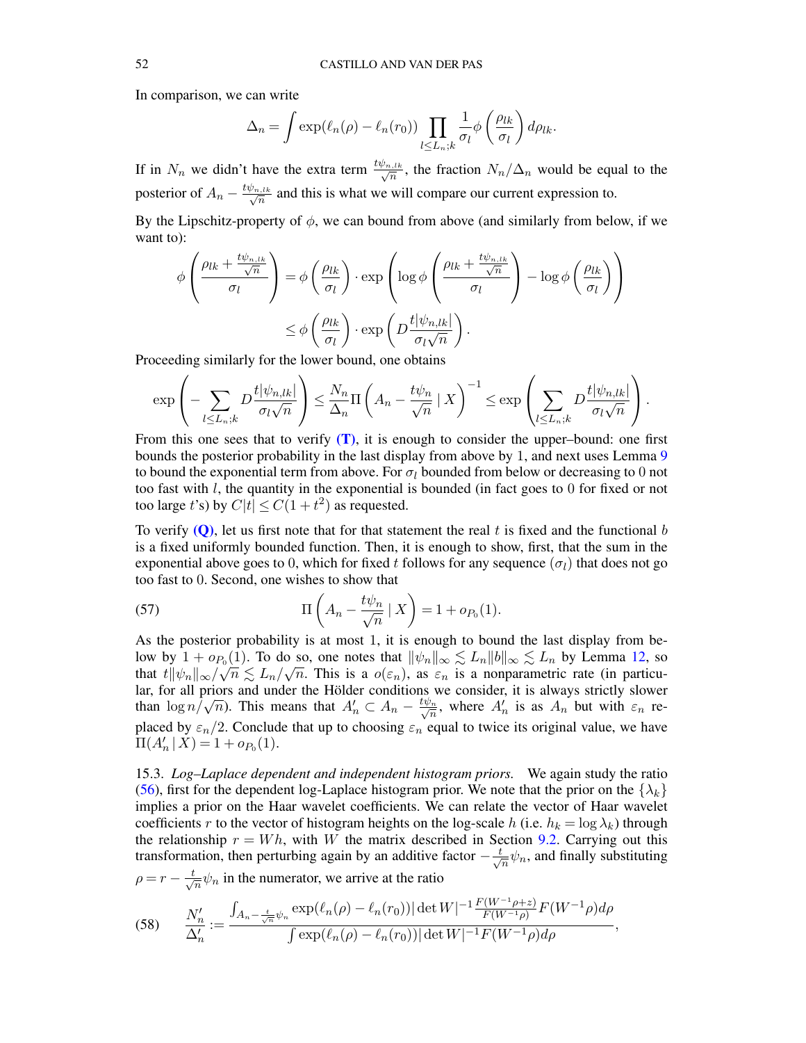In comparison, we can write

$$
\Delta_n = \int \exp(\ell_n(\rho) - \ell_n(r_0)) \prod_{l \le L_n, k} \frac{1}{\sigma_l} \phi\left(\frac{\rho_{lk}}{\sigma_l}\right) d\rho_{lk}.
$$

If in  $N_n$  we didn't have the extra term  $\frac{t\psi_{n,l,k}}{\sqrt{n}}$ , the fraction  $N_n/\Delta_n$  would be equal to the posterior of  $A_n - \frac{t\psi_{n,l,k}}{\sqrt{n}}$  and this is what we will compare our current expression to.

By the Lipschitz-property of  $\phi$ , we can bound from above (and similarly from below, if we want to):

$$
\phi \left( \frac{\rho_{lk} + \frac{t\psi_{n, lk}}{\sigma_l}}{\sigma_l} \right) = \phi \left( \frac{\rho_{lk}}{\sigma_l} \right) \cdot \exp \left( \log \phi \left( \frac{\rho_{lk} + \frac{t\psi_{n, lk}}{\sigma_l}}{\sigma_l} \right) - \log \phi \left( \frac{\rho_{lk}}{\sigma_l} \right) \right)
$$

$$
\leq \phi \left( \frac{\rho_{lk}}{\sigma_l} \right) \cdot \exp \left( D \frac{t|\psi_{n, lk}|}{\sigma_l \sqrt{n}} \right).
$$

Proceeding similarly for the lower bound, one obtains

$$
\exp\left(-\sum_{l\leq L_n;k}D\frac{t|\psi_{n,lk}|}{\sigma_l\sqrt{n}}\right)\leq \frac{N_n}{\Delta_n}\Pi\left(A_n-\frac{t\psi_n}{\sqrt{n}}\mid X\right)^{-1}\leq \exp\left(\sum_{l\leq L_n;k}D\frac{t|\psi_{n,lk}|}{\sigma_l\sqrt{n}}\right).
$$

From this one sees that to verify  $(T)$ , it is enough to consider the upper–bound: one first bounds the posterior probability in the last display from above by 1, and next uses Lemma [9](#page-48-2) to bound the exponential term from above. For  $\sigma_l$  bounded from below or decreasing to 0 not too fast with  $l$ , the quantity in the exponential is bounded (in fact goes to 0 for fixed or not too large t's) by  $C|t| \leq C(1+t^2)$  as requested.

To verify  $(Q)$ , let us first note that for that statement the real t is fixed and the functional b is a fixed uniformly bounded function. Then, it is enough to show, first, that the sum in the exponential above goes to 0, which for fixed t follows for any sequence ( $\sigma_l$ ) that does not go too fast to 0. Second, one wishes to show that

<span id="page-51-1"></span>(57) 
$$
\Pi\left(A_n - \frac{t\psi_n}{\sqrt{n}} \mid X\right) = 1 + o_{P_0}(1).
$$

As the posterior probability is at most 1, it is enough to bound the last display from below by  $1 + o_{P_0}(1)$ . To do so, one notes that  $\|\psi_n\|_{\infty} \lesssim L_n \|b\|_{\infty} \lesssim L_n$  by Lemma [12,](#page-55-2) so that  $t \|\psi_n\|_{\infty} / \sqrt{n} \lesssim L_n / \sqrt{n}$  $\overline{n}$ . This is a  $o(\varepsilon_n)$ , as  $\varepsilon_n$  is a nonparametric rate (in particular, for all priors and under the Hölder conditions we consider, it is always strictly slower than  $\log n/\sqrt{n}$ ). This means that  $A'_n \subset A_n - \frac{t\psi_n}{\sqrt{n}}$ , where  $A'_n$  is as  $A_n$  but with  $\varepsilon_n$  replaced by  $\varepsilon_n/2$ . Conclude that up to choosing  $\varepsilon_n$  equal to twice its original value, we have  $\Pi(A'_n | X) = 1 + o_{P_0}(1).$ 

<span id="page-51-0"></span>15.3. *Log–Laplace dependent and independent histogram priors.* We again study the ratio [\(56\)](#page-50-1), first for the dependent log-Laplace histogram prior. We note that the prior on the  $\{\lambda_k\}$ implies a prior on the Haar wavelet coefficients. We can relate the vector of Haar wavelet coefficients r to the vector of histogram heights on the log-scale h (i.e.  $h_k = \log \lambda_k$ ) through the relationship  $r = Wh$ , with W the matrix described in Section [9.2.](#page-25-0) Carrying out this transformation, then perturbing again by an additive factor  $-\frac{t}{\sqrt{2}}$  $\frac{1}{n}\psi_n$ , and finally substituting  $\rho = r - \frac{t}{\sqrt{t}}$  $\frac{1}{n}\psi_n$  in the numerator, we arrive at the ratio

(58) 
$$
\frac{N'_n}{\Delta'_n} := \frac{\int_{A_n - \frac{t}{\sqrt{n}} \psi_n} \exp(\ell_n(\rho) - \ell_n(r_0)) |\det W|^{-1} \frac{F(W^{-1} \rho + z)}{F(W^{-1} \rho)} F(W^{-1} \rho) d\rho}{\int \exp(\ell_n(\rho) - \ell_n(r_0)) |\det W|^{-1} F(W^{-1} \rho) d\rho},
$$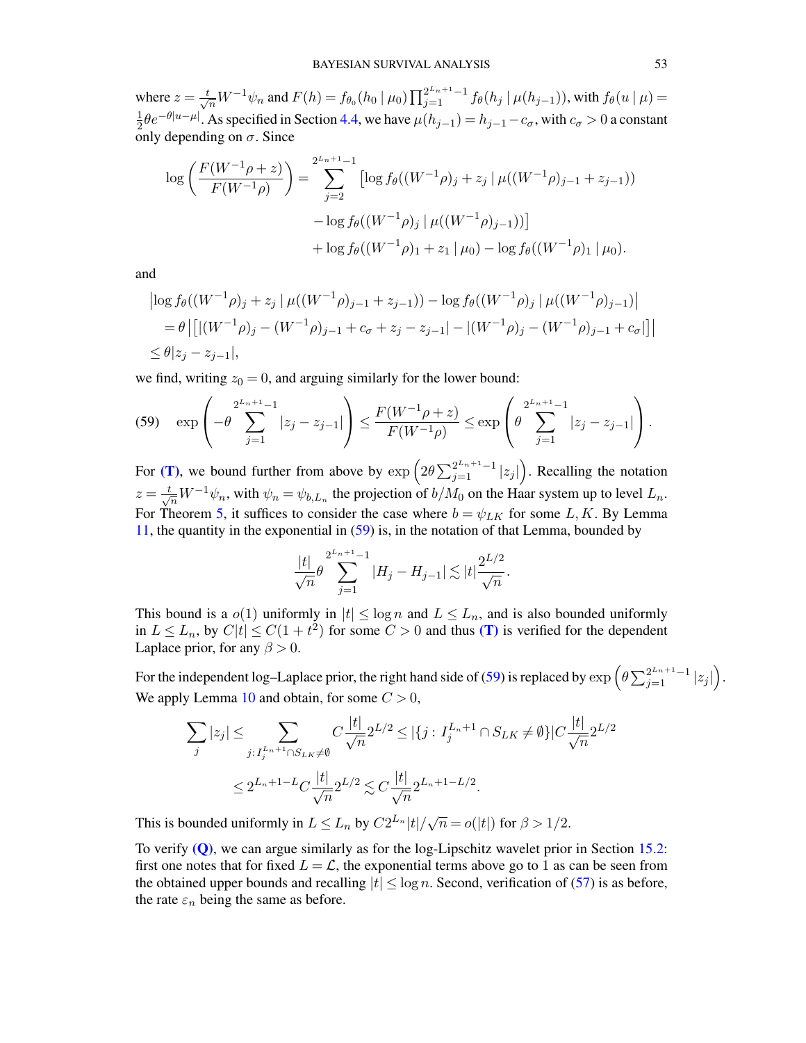where  $z = \frac{t}{\sqrt{n}} W^{-1} \psi_n$  and  $F(h) = f_{\theta_0}(h_0 \mid \mu_0) \prod_{j=1}^{2^{L_n+1}-1} f_{\theta}(h_j \mid \mu(h_{j-1}))$ , with  $f_{\theta}(u \mid \mu) =$ 1  $\frac{1}{2}\theta e^{-\theta|u-\mu|}$ . As specified in Section [4.4,](#page-11-0) we have  $\mu(h_{j-1}) = h_{j-1} - c_{\sigma}$ , with  $c_{\sigma} > 0$  a constant only depending on  $\sigma$ . Since

$$
\log \left( \frac{F(W^{-1}\rho + z)}{F(W^{-1}\rho)} \right) = \sum_{j=2}^{2^{L_n+1}-1} \left[ \log f_{\theta}((W^{-1}\rho)_j + z_j \mid \mu((W^{-1}\rho)_{j-1} + z_{j-1})) \right. \\ \left. - \log f_{\theta}((W^{-1}\rho)_j \mid \mu((W^{-1}\rho)_{j-1})) \right] \\ \left. + \log f_{\theta}((W^{-1}\rho)_1 + z_1 \mid \mu_0) - \log f_{\theta}((W^{-1}\rho)_1 \mid \mu_0) .
$$

and

$$
\begin{aligned} \left| \log f_{\theta}((W^{-1}\rho)_j + z_j \mid \mu((W^{-1}\rho)_{j-1} + z_{j-1})) - \log f_{\theta}((W^{-1}\rho)_j \mid \mu((W^{-1}\rho)_{j-1}) \right| \\ &= \theta \left| \left[ |(W^{-1}\rho)_j - (W^{-1}\rho)_{j-1} + c_{\sigma} + z_j - z_{j-1} \right| - |(W^{-1}\rho)_j - (W^{-1}\rho)_{j-1} + c_{\sigma} \right| \right] \right| \\ &\le \theta |z_j - z_{j-1}|, \end{aligned}
$$

we find, writing  $z_0 = 0$ , and arguing similarly for the lower bound:

<span id="page-52-0"></span>
$$
(59) \quad \exp\left(-\theta \sum_{j=1}^{2^{L_n+1}-1} |z_j - z_{j-1}|\right) \le \frac{F(W^{-1}\rho + z)}{F(W^{-1}\rho)} \le \exp\left(\theta \sum_{j=1}^{2^{L_n+1}-1} |z_j - z_{j-1}|\right).
$$

For [\(T\)](#page-9-1), we bound further from above by  $\exp\left(2\theta \sum_{j=1}^{2^{L_n+1}-1} |z_j|\right)$ . Recalling the notation  $z = \frac{t}{\sqrt{n}} W^{-1} \psi_n$ , with  $\psi_n = \psi_{b,L_n}$  the projection of  $b/M_0$  on the Haar system up to level  $L_n$ . For Theorem [5,](#page-12-0) it suffices to consider the case where  $b = \psi_{LK}$  for some L, K. By Lemma [11,](#page-49-1) the quantity in the exponential in [\(59\)](#page-52-0) is, in the notation of that Lemma, bounded by

$$
\frac{|t|}{\sqrt{n}} \theta \sum_{j=1}^{2^{L_n+1}-1} |H_j - H_{j-1}| \lesssim |t| \frac{2^{L/2}}{\sqrt{n}}.
$$

This bound is a  $o(1)$  uniformly in  $|t| \leq \log n$  and  $L \leq L_n$ , and is also bounded uniformly in  $L \le L_n$ , by  $C|t| \le C(1+t^2)$  for some  $C > 0$  and thus [\(T\)](#page-9-1) is verified for the dependent Laplace prior, for any  $\beta > 0$ .

For the independent log–Laplace prior, the right hand side of [\(59\)](#page-52-0) is replaced by  $\exp\left(\theta \sum_{j=1}^{2^{L_n+1}-1} |z_j|\right)$ . We apply Lemma [10](#page-49-0) and obtain, for some  $C > 0$ ,

$$
\sum_{j} |z_j| \leq \sum_{j: I_j^{L_n+1} \cap S_{LK} \neq \emptyset} C \frac{|t|}{\sqrt{n}} 2^{L/2} \leq |\{j: I_j^{L_n+1} \cap S_{LK} \neq \emptyset\}| C \frac{|t|}{\sqrt{n}} 2^{L/2}
$$
  

$$
\leq 2^{L_n+1-L} C \frac{|t|}{\sqrt{n}} 2^{L/2} \lesssim C \frac{|t|}{\sqrt{n}} 2^{L_n+1-L/2}.
$$

This is bounded uniformly in  $L \le L_n$  by  $C2^{L_n}|t|/\sqrt{n} = o(|t|)$  for  $\beta > 1/2$ .

To verify  $(0)$ , we can argue similarly as for the log-Lipschitz wavelet prior in Section [15.2:](#page-50-0) first one notes that for fixed  $L = \mathcal{L}$ , the exponential terms above go to 1 as can be seen from the obtained upper bounds and recalling  $|t| \leq \log n$ . Second, verification of [\(57\)](#page-51-1) is as before, the rate  $\varepsilon_n$  being the same as before.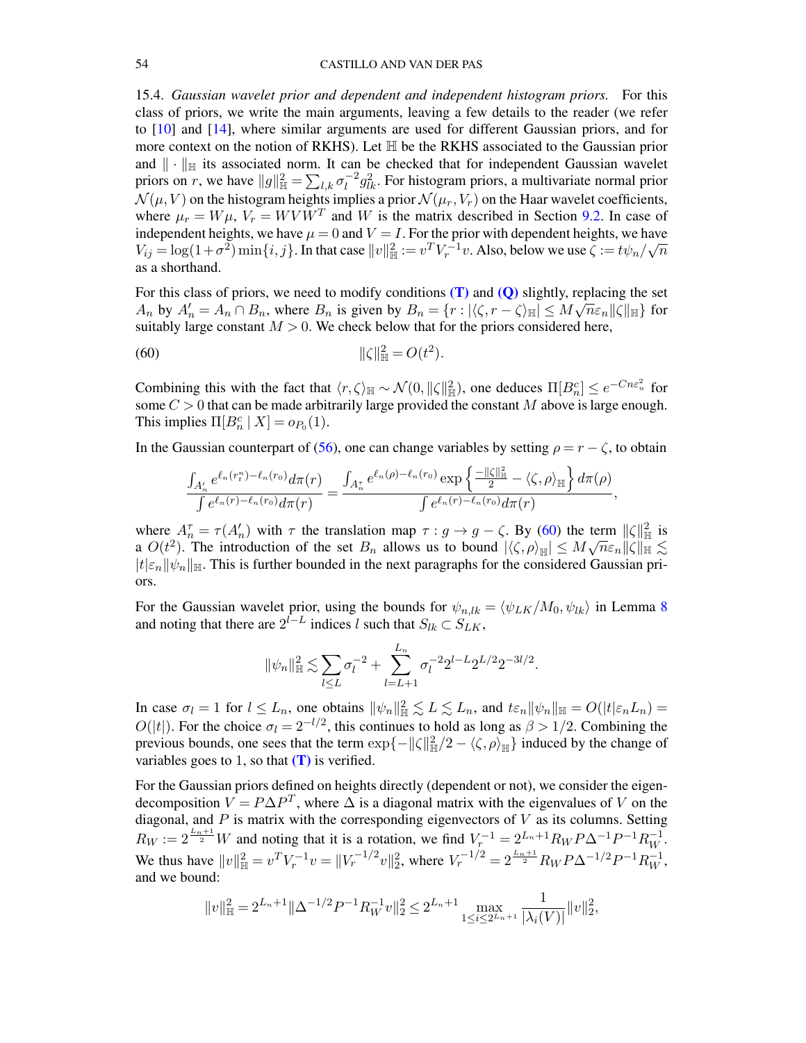<span id="page-53-0"></span>15.4. *Gaussian wavelet prior and dependent and independent histogram priors.* For this class of priors, we write the main arguments, leaving a few details to the reader (we refer to [\[10\]](#page-68-5) and [\[14\]](#page-69-5), where similar arguments are used for different Gaussian priors, and for more context on the notion of RKHS). Let H be the RKHS associated to the Gaussian prior and  $\|\cdot\|_{\mathbb{H}}$  its associated norm. It can be checked that for independent Gaussian wavelet priors on r, we have  $||g||_{\mathbb{H}}^2 = \sum_{l,k} \sigma_l^{-2}$  $\int_l^{-2} g_{lk}^2$ . For histogram priors, a multivariate normal prior  $\mathcal{N}(\mu, V)$  on the histogram heights implies a prior  $\mathcal{N}(\mu_r, V_r)$  on the Haar wavelet coefficients, where  $\mu_r = W\mu$ ,  $V_r = WVW^T$  and W is the matrix described in Section [9.2.](#page-25-0) In case of independent heights, we have  $\mu = 0$  and  $V = I$ . For the prior with dependent heights, we have  $V_{ij} = \log(1+\sigma^2) \min\{i, j\}$ . In that case  $||v||_{\mathbb{H}}^2 := v^T V_r^{-1} v$ . Also, below we use  $\zeta := t \psi_n /$ µa∖  $\overline{n}$ as a shorthand.

For this class of priors, we need to modify conditions  $(T)$  and  $(Q)$  slightly, replacing the set  $A_n$  by  $A'_n = A_n \cap B_n$ , where  $B_n$  is given by  $B_n = \{r : |\langle \zeta, r - \zeta \rangle_{\mathbb{H}}| \leq M \sqrt{n} \varepsilon_n ||\zeta||_{\mathbb{H}}\}$  for suitably large constant  $M > 0$ . We check below that for the priors considered here,

(60) 
$$
\|\zeta\|_{\mathbb{H}}^2 = O(t^2).
$$

Combining this with the fact that  $\langle r, \zeta \rangle_{\mathbb{H}} \sim \mathcal{N}(0, \|\zeta\|_{\mathbb{H}}^2)$ , one deduces  $\Pi[B_n^c] \leq e^{-Cn\epsilon_n^2}$  for some  $C > 0$  that can be made arbitrarily large provided the constant M above is large enough. This implies  $\Pi[B_n^c \mid X] = o_{P_0}(1)$ .

In the Gaussian counterpart of [\(56\)](#page-50-1), one can change variables by setting  $\rho = r - \zeta$ , to obtain

<span id="page-53-1"></span>
$$
\frac{\int_{A'_n}e^{\ell_n(r^n_t)-\ell_n(r_0)}d\pi(r)}{\int e^{\ell_n(r)-\ell_n(r_0)}d\pi(r)}=\frac{\int_{A''_n}e^{\ell_n(\rho)-\ell_n(r_0)}\exp\left\{\frac{-\|\zeta\|^2_{\mathbb{H}}}{2}-\langle \zeta,\rho\rangle_{\mathbb{H}}\right\}d\pi(\rho)}{\int e^{\ell_n(r)-\ell_n(r_0)}d\pi(r)},
$$

where  $A_n^{\tau} = \tau(A_n)$  with  $\tau$  the translation map  $\tau : g \to g - \zeta$ . By [\(60\)](#page-53-1) the term  $\|\zeta\|_{\mathbb{H}}^2$  is a  $O(t^2)$ . The introduction of the set  $B_n$  allows us to bound  $|\langle \zeta, \rho \rangle_{\mathbb{H}}| \leq M \sqrt{n} \varepsilon_n ||\zeta||_{\mathbb{H}} \lesssim$  $|t|\varepsilon_n||\psi_n||_{\mathbb{H}}$ . This is further bounded in the next paragraphs for the considered Gaussian priors.

For the Gaussian wavelet prior, using the bounds for  $\psi_{n,lk} = \langle \psi_{LK}/M_0, \psi_{lk} \rangle$  in Lemma [8](#page-48-3) and noting that there are  $2^{l-L}$  indices l such that  $S_{lk} \subset S_{LK}$ ,

$$
\|\psi_n\|_{\mathbb{H}}^2 \lesssim \sum_{l \leq L} \sigma_l^{-2} + \sum_{l=L+1}^{L_n} \sigma_l^{-2} 2^{l-L} 2^{L/2} 2^{-3l/2}.
$$

In case  $\sigma_l = 1$  for  $l \leq L_n$ , one obtains  $||\psi_n||_{\mathbb{H}}^2 \leq L \leq L_n$ , and  $t \varepsilon_n ||\psi_n||_{\mathbb{H}} = O(|t| \varepsilon_n L_n)$  $O(|t|)$ . For the choice  $\sigma_l = 2^{-l/2}$ , this continues to hold as long as  $\beta > 1/2$ . Combining the previous bounds, one sees that the term  $\exp\{-\|\zeta\|_{\mathbb{H}}^2/2 - \langle \zeta, \rho \rangle_{\mathbb{H}}\}$  induced by the change of variables goes to 1, so that  $(T)$  is verified.

For the Gaussian priors defined on heights directly (dependent or not), we consider the eigendecomposition  $V = P\Delta P^T$ , where  $\Delta$  is a diagonal matrix with the eigenvalues of V on the diagonal, and  $P$  is matrix with the corresponding eigenvectors of  $V$  as its columns. Setting  $R_W := 2^{\frac{L_n+1}{2}} W$  and noting that it is a rotation, we find  $V_r^{-1} = 2^{L_n+1} R_W P \Delta^{-1} P^{-1} R_W^{-1}$ . We thus have  $||v||_{\mathbb{H}}^2 = v^T V_r^{-1} v = ||V_r^{-1/2} v||_2^2$ , where  $V_r^{-1/2} = 2^{\frac{L_n+1}{2}} R_W P \Delta^{-1/2} P^{-1} R_W^{-1}$ , and we bound:

$$
\|v\|_{\mathbb{H}}^2=2^{L_n+1}\|\Delta^{-1/2}P^{-1}R_W^{-1}v\|_2^2\leq 2^{L_n+1}\max_{1\leq i\leq 2^{L_n+1}}\frac{1}{|\lambda_i(V)|}\|v\|_2^2,
$$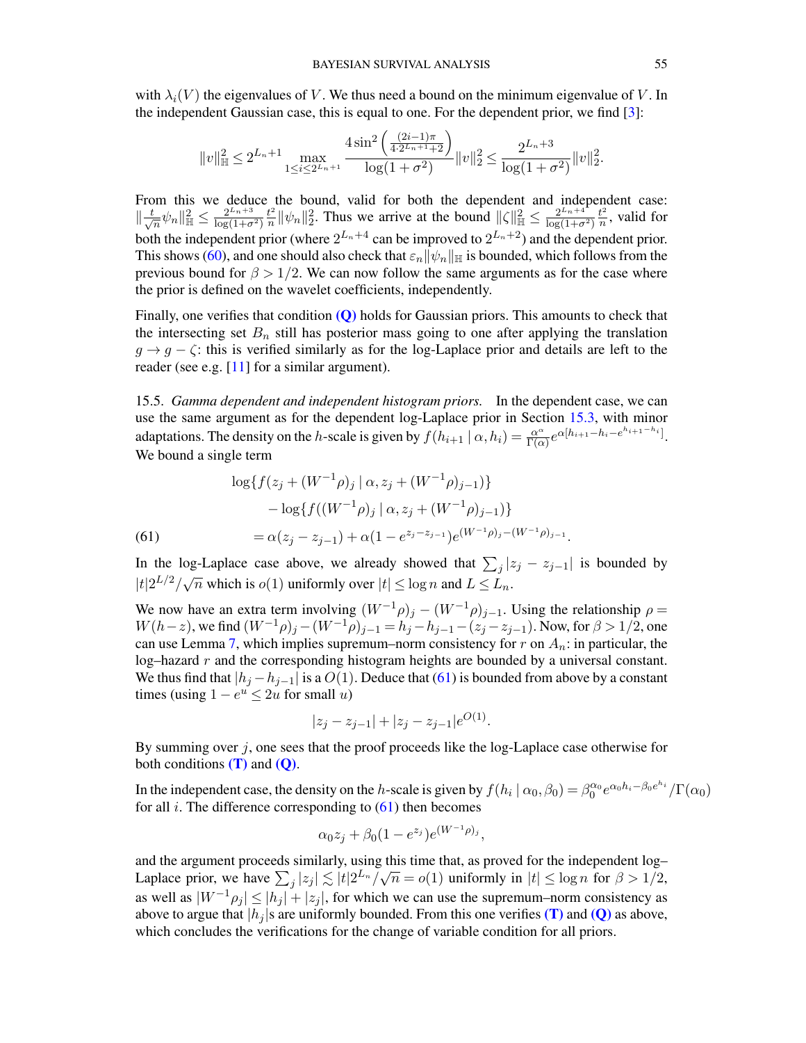with  $\lambda_i(V)$  the eigenvalues of V. We thus need a bound on the minimum eigenvalue of V. In the independent Gaussian case, this is equal to one. For the dependent prior, we find [\[3\]](#page-68-9):

$$
||v||_{\mathbb{H}}^{2} \leq 2^{L_{n}+1} \max_{1 \leq i \leq 2^{L_{n}+1}} \frac{4 \sin^{2}\left(\frac{(2i-1)\pi}{4 \cdot 2^{L_{n}+1}+2}\right)}{\log(1+\sigma^{2})} ||v||_{2}^{2} \leq \frac{2^{L_{n}+3}}{\log(1+\sigma^{2})} ||v||_{2}^{2}.
$$

From this we deduce the bound, valid for both the dependent and independent case:  $\Vert \frac{t}{\sqrt{2}}$  $\frac{1}{\sqrt{n}}\psi_n\|_{\mathbb{H}}^2\leq \frac{2^{L_n+3}}{\log(1+\sigma)}$  $log(1+\sigma^2)$  $t^2$  $\frac{t^2}{n} ||\psi_n||_2^2$ . Thus we arrive at the bound  $||\zeta||_{\mathbb{H}}^2 \le \frac{2^{L_n+4}}{\log(1+\sigma)}$  $log(1+\sigma^2)$  $t^2$  $\frac{t^2}{n}$ , valid for both the independent prior (where  $2^{L_n+4}$  can be improved to  $2^{L_n+2}$ ) and the dependent prior. This shows [\(60\)](#page-53-1), and one should also check that  $\varepsilon_n ||\psi_n||_{\mathbb{H}}$  is bounded, which follows from the previous bound for  $\beta > 1/2$ . We can now follow the same arguments as for the case where the prior is defined on the wavelet coefficients, independently.

Finally, one verifies that condition  $(Q)$  holds for Gaussian priors. This amounts to check that the intersecting set  $B_n$  still has posterior mass going to one after applying the translation  $g \to g - \zeta$ : this is verified similarly as for the log-Laplace prior and details are left to the reader (see e.g. [\[11\]](#page-68-4) for a similar argument).

<span id="page-54-0"></span>15.5. *Gamma dependent and independent histogram priors.* In the dependent case, we can use the same argument as for the dependent log-Laplace prior in Section [15.3,](#page-51-0) with minor adaptations. The density on the h-scale is given by  $f(h_{i+1} | \alpha, h_i) = \frac{\alpha^{\alpha}}{\Gamma(\alpha)}$  $\frac{\alpha^{\alpha}}{\Gamma(\alpha)}e^{\alpha[h_{i+1}-h_i-e^{h_{i+1}-h_i}]}$ . We bound a single term

(61)  
\n
$$
\log\{f(z_j + (W^{-1}\rho)_j \mid \alpha, z_j + (W^{-1}\rho)_{j-1})\}
$$
\n
$$
- \log\{f((W^{-1}\rho)_j \mid \alpha, z_j + (W^{-1}\rho)_{j-1})\}
$$
\n
$$
= \alpha(z_j - z_{j-1}) + \alpha(1 - e^{z_j - z_{j-1}})e^{(W^{-1}\rho)_j - (W^{-1}\rho)_{j-1}}.
$$

<span id="page-54-1"></span>In the log-Laplace case above, we already showed that  $\sum_j |z_j - z_{j-1}|$  is bounded by If the log Explore case above, we already showed that  $\sum_{j}$   $\frac{1}{n}$ <br> $|t|2^{L/2}/\sqrt{n}$  which is  $o(1)$  uniformly over  $|t| \le \log n$  and  $L \le L_n$ .

We now have an extra term involving  $(W^{-1}\rho)_j - (W^{-1}\rho)_{j-1}$ . Using the relationship  $\rho =$  $W(h-z)$ , we find  $(W^{-1}\rho)_j - (W^{-1}\rho)_{j-1} = h_j - h_{j-1} - (z_j - z_{j-1})$ . Now, for  $\beta > 1/2$ , one can use Lemma [7,](#page-43-0) which implies supremum–norm consistency for r on  $A_n$ : in particular, the log–hazard  $r$  and the corresponding histogram heights are bounded by a universal constant. We thus find that  $|h_j - h_{j-1}|$  is a  $O(1)$ . Deduce that [\(61\)](#page-54-1) is bounded from above by a constant times (using  $1 - e^u \le 2u$  for small u)

$$
|z_j - z_{j-1}| + |z_j - z_{j-1}| e^{O(1)}.
$$

By summing over  $i$ , one sees that the proof proceeds like the log-Laplace case otherwise for both conditions  $(T)$  and  $(Q)$ .

In the independent case, the density on the h-scale is given by  $f(h_i | \alpha_0, \beta_0) = \beta_0^{\alpha_0} e^{\alpha_0 h_i - \beta_0 e^{h_i}} / \Gamma(\alpha_0)$ for all  $i$ . The difference corresponding to  $(61)$  then becomes

$$
\alpha_0 z_j + \beta_0 (1 - e^{z_j}) e^{(W^{-1}\rho)_j},
$$

and the argument proceeds similarly, using this time that, as proved for the independent log– Laplace prior, we have  $\sum_j |z_j| \lesssim |t| 2^{\frac{L_n}{\sqrt{n}}} = o(1)$  uniformly in  $|t| \leq \log n$  for  $\beta > 1/2$ , as well as  $|W^{-1}\rho_i| \leq |h_i| + |z_i|$ , for which we can use the supremum–norm consistency as above to argue that  $|h_i|$ s are uniformly bounded. From this one verifies [\(T\)](#page-9-1) and [\(Q\)](#page-7-5) as above, which concludes the verifications for the change of variable condition for all priors.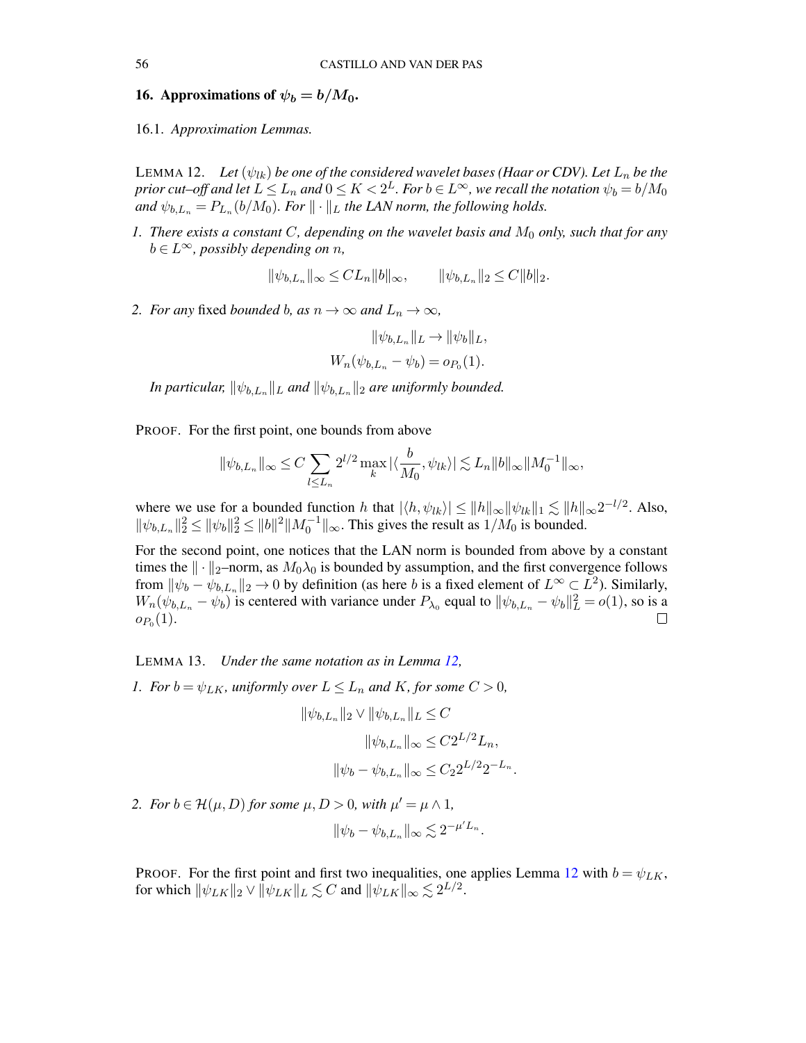## <span id="page-55-0"></span>16. Approximations of  $\psi_b = b/M_0$ .

<span id="page-55-1"></span>16.1. *Approximation Lemmas.*

<span id="page-55-2"></span>LEMMA 12. Let  $(\psi_{lk})$  be one of the considered wavelet bases (Haar or CDV). Let  $L_n$  be the prior cut–off and let  $L\le L_n$  and  $0\le K < 2^L$ . For  $b\in L^\infty$ , we recall the notation  $\psi_b=b/M_0$ and  $\psi_{b,L_n} = P_{L_n}(b/M_0)$ . For  $\|\cdot\|_L$  the LAN norm, the following holds.

*1. There exists a constant C, depending on the wavelet basis and*  $M_0$  *only, such that for any*  $b \in L^{\infty}$ *, possibly depending on n,* 

$$
\|\psi_{b,L_n}\|_{\infty} \leq CL_n \|b\|_{\infty}, \qquad \|\psi_{b,L_n}\|_{2} \leq C \|b\|_{2}.
$$

*2. For any* fixed *bounded* b, as  $n \to \infty$  *and*  $L_n \to \infty$ *,* 

$$
\|\psi_{b,L_n}\|_{L} \to \|\psi_b\|_{L},
$$
  

$$
W_n(\psi_{b,L_n} - \psi_b) = o_{P_0}(1).
$$

In particular,  $\|\psi_{b,L_n}\|_L$  and  $\|\psi_{b,L_n}\|_2$  are uniformly bounded.

PROOF. For the first point, one bounds from above

$$
\|\psi_{b,L_n}\|_\infty \leq C \sum_{l\leq L_n} 2^{l/2} \max_k |\langle \frac{b}{M_0}, \psi_{lk}\rangle| \lesssim L_n \|b\|_\infty \|M_0^{-1}\|_\infty,
$$

where we use for a bounded function h that  $|\langle h, \psi_{lk} \rangle| \le ||h||_{\infty} ||\psi_{lk}||_1 \lesssim ||h||_{\infty} 2^{-l/2}$ . Also,  $\|\psi_{b,L_n}\|_2^2 \le \|\psi_b\|_2^2 \le \|b\|^2 \|M_0^{-1}\|_{\infty}$ . This gives the result as  $1/M_0$  is bounded.

For the second point, one notices that the LAN norm is bounded from above by a constant times the  $\|\cdot\|_2$ –norm, as  $M_0\lambda_0$  is bounded by assumption, and the first convergence follows from  $\|\psi_b - \psi_{b,L_n}\|_2 \to 0$  by definition (as here b is a fixed element of  $L^{\infty} \subset L^2$ ). Similarly,  $W_n(\psi_{b,L_n} - \psi_b)$  is centered with variance under  $P_{\lambda_0}$  equal to  $\|\psi_{b,L_n} - \psi_b\|_L^2 = o(1)$ , so is a  $o_{P_0}(1).$ 

<span id="page-55-3"></span>LEMMA 13. *Under the same notation as in Lemma [12,](#page-55-2)*

*1. For*  $b = \psi_{LK}$ *, uniformly over*  $L \leq L_n$  *and*  $K$ *, for some*  $C > 0$ *,* 

$$
\|\psi_{b,L_n}\|_2 \vee \|\psi_{b,L_n}\|_L \leq C
$$
  

$$
\|\psi_{b,L_n}\|_{\infty} \leq C 2^{L/2} L_n,
$$
  

$$
\|\psi_b - \psi_{b,L_n}\|_{\infty} \leq C_2 2^{L/2} 2^{-L_n}.
$$

2. *For*  $b \in \mathcal{H}(\mu, D)$  *for some*  $\mu, D > 0$ *, with*  $\mu' = \mu \wedge 1$ *,* 

$$
\|\psi_b - \psi_{b,L_n}\|_{\infty} \lesssim 2^{-\mu' L_n}.
$$

PROOF. For the first point and first two inequalities, one applies Lemma [12](#page-55-2) with  $b = \psi_{LK}$ , for which  $\|\psi_{LK}\|_2 \vee \|\psi_{LK}\|_L \lesssim C$  and  $\|\psi_{LK}\|_{\infty} \lesssim 2^{L/2}$ .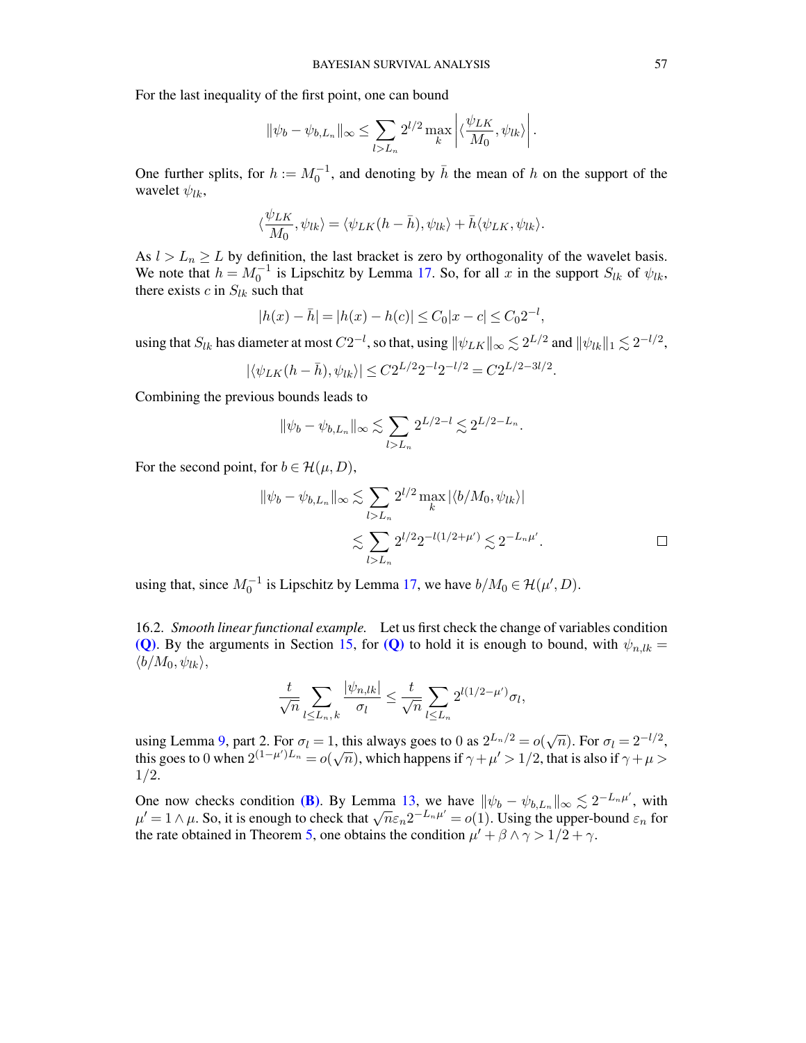For the last inequality of the first point, one can bound

$$
\|\psi_b-\psi_{b,L_n}\|_\infty \leq \sum_{l>L_n} 2^{l/2} \max_{k} \left| \langle \frac{\psi_{LK}}{M_0}, \psi_{lk} \rangle \right|.
$$

 $\mathbf{r} = \mathbf{r}$ 

One further splits, for  $h := M_0^{-1}$ , and denoting by  $\bar{h}$  the mean of h on the support of the wavelet  $\psi_{lk}$ ,

$$
\langle \frac{\psi_{LK}}{M_0}, \psi_{lk} \rangle = \langle \psi_{LK}(h - \bar{h}), \psi_{lk} \rangle + \bar{h} \langle \psi_{LK}, \psi_{lk} \rangle.
$$

As  $l > L_n \geq L$  by definition, the last bracket is zero by orthogonality of the wavelet basis. We note that  $h = M_0^{-1}$  is Lipschitz by Lemma [17.](#page-61-2) So, for all x in the support  $S_{lk}$  of  $\psi_{lk}$ , there exists c in  $S_{lk}$  such that

$$
|h(x) - \bar{h}| = |h(x) - h(c)| \le C_0 |x - c| \le C_0 2^{-l},
$$

using that  $S_{lk}$  has diameter at most  $C2^{-l}$ , so that, using  $\|\psi_{LK}\|_\infty \lesssim 2^{L/2}$  and  $\|\psi_{lk}\|_1 \lesssim 2^{-l/2}$ ,

$$
|\langle \psi_{LK}(h-\bar{h}), \psi_{lk} \rangle| \leq C2^{L/2}2^{-l}2^{-l/2} = C2^{L/2-3l/2}.
$$

Combining the previous bounds leads to

$$
\|\psi_b-\psi_{b,L_n}\|_\infty\lesssim \sum_{l>L_n}2^{L/2-l}\lesssim 2^{L/2-L_n}.
$$

For the second point, for  $b \in \mathcal{H}(\mu, D)$ ,

$$
\|\psi_b - \psi_{b,L_n}\|_{\infty} \lesssim \sum_{l>L_n} 2^{l/2} \max_k |\langle b/M_0, \psi_{lk} \rangle|
$$
  

$$
\lesssim \sum_{l>L_n} 2^{l/2} 2^{-l(1/2 + \mu')} \lesssim 2^{-L_n\mu'}.
$$

using that, since  $M_0^{-1}$  is Lipschitz by Lemma [17,](#page-61-2) we have  $b/M_0 \in \mathcal{H}(\mu', D)$ .

<span id="page-56-0"></span>16.2. *Smooth linear functional example.* Let us first check the change of variables condition [\(Q\)](#page-7-5). By the arguments in Section [15,](#page-48-0) for (Q) to hold it is enough to bound, with  $\psi_{n,l,k} =$  $\langle b/M_0, \psi_{lk} \rangle,$ 

$$
\frac{t}{\sqrt{n}}\sum_{l\leq L_n,k}\frac{|\psi_{n,lk}|}{\sigma_l}\leq \frac{t}{\sqrt{n}}\sum_{l\leq L_n}2^{l(1/2-\mu')}\sigma_l,
$$

using Lemma [9,](#page-48-2) part 2. For  $\sigma_l = 1$ , this always goes to 0 as  $2^{L_n/2} = o(\sqrt{n})$ . For  $\sigma_l = 2^{-l/2}$ , this goes to 0 when  $2^{(1-\mu')L_n} = o(\sqrt{n})$ , which happens if  $\gamma + \mu' > 1/2$ , that is also if  $\gamma + \mu >$ 1/2.

One now checks condition [\(B\)](#page-7-6). By Lemma [13,](#page-55-3) we have  $\|\psi_b - \psi_{b,L_n}\|_{\infty} \lesssim 2^{-L_n\mu'}$ , with One now checks condition (**b**). By Lemma 13, we have  $\|\psi_b - \psi_{b,L_n}\|_{\infty} \ge 2^{-m}$ , with  $\mu' = 1 \wedge \mu$ . So, it is enough to check that  $\sqrt{n} \varepsilon_n 2^{-L_n \mu'} = o(1)$ . Using the upper-bound  $\varepsilon_n$  for the rate obtained in Theorem [5,](#page-12-0) one obtains the condition  $\mu' + \beta \wedge \gamma > 1/2 + \gamma$ .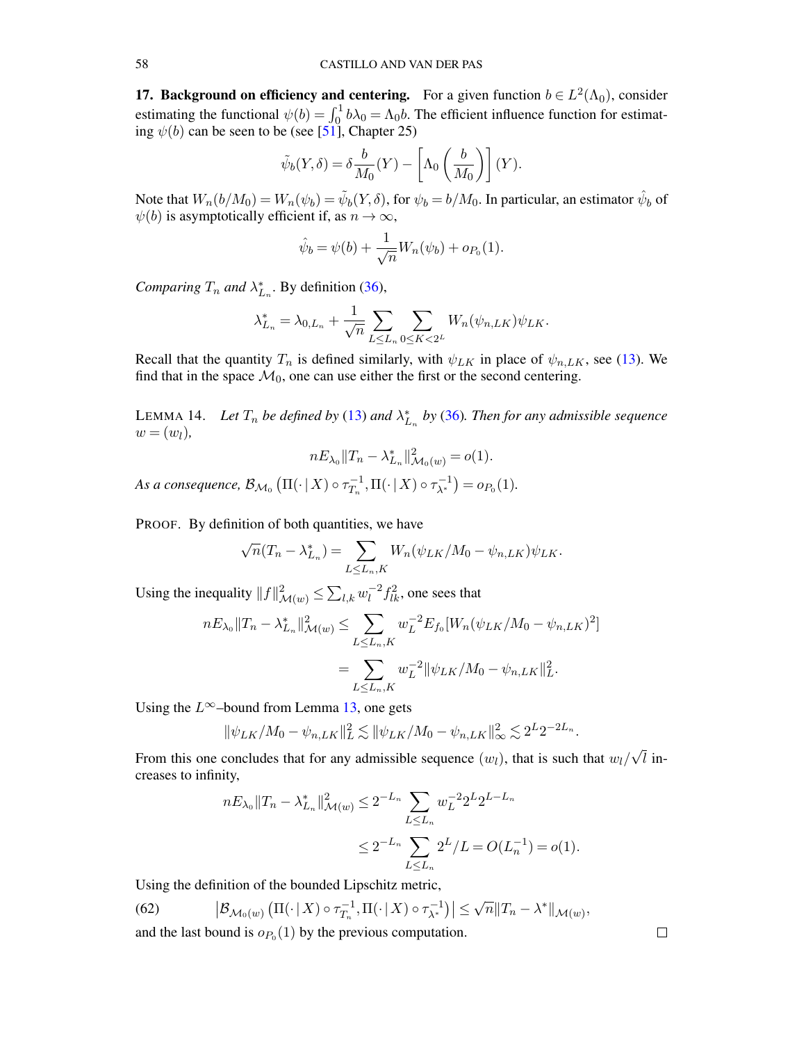<span id="page-57-0"></span>**17. Background on efficiency and centering.** For a given function  $b \in L^2(\Lambda_0)$ , consider estimating the functional  $\psi(b) = \int_0^1 b\lambda_0 = \Lambda_0 b$ . The efficient influence function for estimating  $\psi(b)$  can be seen to be (see [\[51\]](#page-70-15), Chapter 25)

$$
\tilde{\psi}_b(Y,\delta) = \delta \frac{b}{M_0}(Y) - \left[\Lambda_0\left(\frac{b}{M_0}\right)\right](Y).
$$

Note that  $W_n(b/M_0) = W_n(\psi_b) = \tilde{\psi}_b(Y,\delta)$ , for  $\psi_b = b/M_0$ . In particular, an estimator  $\hat{\psi}_b$  of  $\psi(b)$  is asymptotically efficient if, as  $n \to \infty$ ,

$$
\hat{\psi}_b = \psi(b) + \frac{1}{\sqrt{n}} W_n(\psi_b) + o_{P_0}(1).
$$

*Comparing*  $T_n$  *and*  $\lambda_{L_n}^*$ . By definition [\(36\)](#page-30-1),

$$
\lambda_{L_n}^* = \lambda_{0,L_n} + \frac{1}{\sqrt{n}} \sum_{L \le L_n} \sum_{0 \le K < 2^L} W_n(\psi_{n,LK}) \psi_{LK}.
$$

Recall that the quantity  $T_n$  is defined similarly, with  $\psi_{LK}$  in place of  $\psi_{n,LK}$ , see [\(13\)](#page-9-3). We find that in the space  $\mathcal{M}_0$ , one can use either the first or the second centering.

<span id="page-57-1"></span>LEMMA 14. Let  $T_n$  be defined by [\(13\)](#page-9-3) and  $\lambda_{L_n}^*$  by [\(36\)](#page-30-1). Then for any admissible sequence  $w = (w_l)$ ,

$$
nE_{\lambda_0}||T_n - \lambda_{L_n}^*||_{\mathcal{M}_0(w)}^2 = o(1).
$$

As a consequence,  $\mathcal{B}_{\mathcal{M}_0}\left(\Pi(\cdot \,|\, X)\circ \tau^{-1}_{T_n}\right)$  $\overline{T}_n^{-1}, \Pi(\cdot | X) \circ \tau_{\lambda^*}^{-1}$  $(\lambda^{\{-1\}}) = o_{P_0}(1).$ 

PROOF. By definition of both quantities, we have

$$
\sqrt{n}(T_n - \lambda_{L_n}^*) = \sum_{L \le L_n, K} W_n(\psi_{LK}/M_0 - \psi_{n,LK})\psi_{LK}.
$$

Using the inequality  $||f||^2_{\mathcal{M}(w)} \leq \sum_{l,k} w_l^{-2}$  $\int_l^{-2} f_{lk}^2$ , one sees that

$$
nE_{\lambda_0}||T_n - \lambda_{L_n}^*||_{\mathcal{M}(w)}^2 \le \sum_{L \le L_n, K} w_L^{-2} E_{f_0}[W_n(\psi_{LK}/M_0 - \psi_{n,LK})^2]
$$
  
= 
$$
\sum_{L \le L_n, K} w_L^{-2} ||\psi_{LK}/M_0 - \psi_{n,LK}||_L^2.
$$

Using the  $L^{\infty}$ –bound from Lemma [13,](#page-55-3) one gets

$$
\|\psi_{LK}/M_0 - \psi_{n,LK}\|_{L}^2 \lesssim \|\psi_{LK}/M_0 - \psi_{n,LK}\|_{\infty}^2 \lesssim 2^{L} 2^{-2L_n}.
$$

From this one concludes that for any admissible sequence  $(w_l)$ , that is such that  $w_l/$ √  $l$  increases to infinity,

$$
nE_{\lambda_0}||T_n - \lambda_{L_n}^*||_{\mathcal{M}(w)}^2 \le 2^{-L_n} \sum_{L \le L_n} w_L^{-2} 2^{L} 2^{L - L_n}
$$
  

$$
\le 2^{-L_n} \sum_{L \le L_n} 2^L / L = O(L_n^{-1}) = o(1).
$$

Using the definition of the bounded Lipschitz metric,

(62)  $\big| \mathcal{B}_{\mathcal{M}_0(w)} \left( \Pi(\cdot \,|\, X) \circ \tau_{T_n}^{-1} \right)$  $\overline{T}_n^{-1}, \Pi(\cdot | X) \circ \tau_{\lambda^*}^{-1}$  $\left| \frac{(-1)}{\lambda^*} \right| \leq$ √  $\overline{n}$ || $T_n - \lambda^*$ || $\mathcal{M}(w)$ and the last bound is  $o_{P_0}(1)$  by the previous computation.

 $\Box$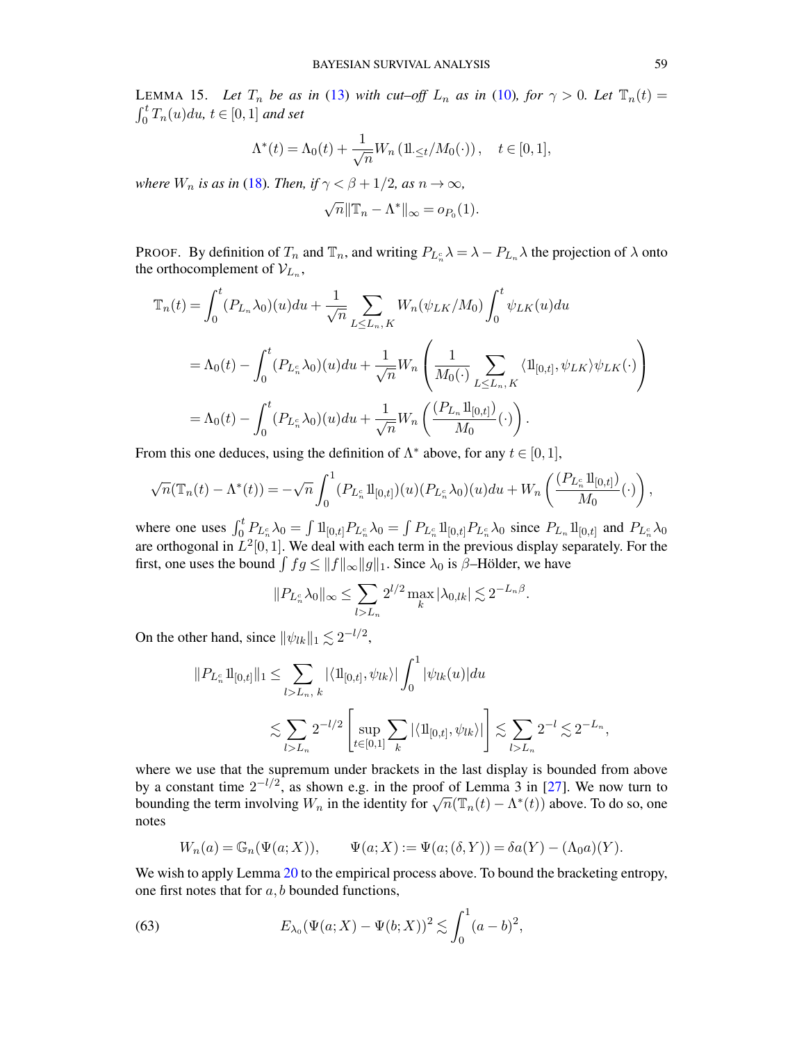<span id="page-58-0"></span>LEMMA 15. Let  $T_n$  be as in [\(13\)](#page-9-3) with cut-off  $L_n$  as in [\(10\)](#page-7-7)*, for*  $\gamma > 0$ *. Let*  $\mathbb{T}_n(t) =$  $\int_0^t T_n(u)du, t \in [0,1]$  and set

$$
\Lambda^*(t) = \Lambda_0(t) + \frac{1}{\sqrt{n}} W_n \left( \frac{1}{2} t / M_0(\cdot) \right), \quad t \in [0, 1],
$$

*where*  $W_n$  *is as in* [\(18\)](#page-19-3)*. Then, if*  $\gamma < \beta + 1/2$ *, as*  $n \to \infty$ *,* 

$$
\sqrt{n} \|\mathbb{T}_n - \Lambda^*\|_{\infty} = o_{P_0}(1).
$$

PROOF. By definition of  $T_n$  and  $\mathbb{T}_n$ , and writing  $P_{L_n} \lambda = \lambda - P_{L_n} \lambda$  the projection of  $\lambda$  onto the orthocomplement of  $\mathcal{V}_{L_n}$ ,

$$
\mathbb{T}_{n}(t) = \int_{0}^{t} (P_{L_{n}} \lambda_{0})(u) du + \frac{1}{\sqrt{n}} \sum_{L \leq L_{n}, K} W_{n}(\psi_{LK}/M_{0}) \int_{0}^{t} \psi_{LK}(u) du
$$
  
\n
$$
= \Lambda_{0}(t) - \int_{0}^{t} (P_{L_{n}^{c}} \lambda_{0})(u) du + \frac{1}{\sqrt{n}} W_{n} \left( \frac{1}{M_{0}(\cdot)} \sum_{L \leq L_{n}, K} \langle \mathbf{1}_{[0,t]}, \psi_{LK} \rangle \psi_{LK}(\cdot) \right)
$$
  
\n
$$
= \Lambda_{0}(t) - \int_{0}^{t} (P_{L_{n}^{c}} \lambda_{0})(u) du + \frac{1}{\sqrt{n}} W_{n} \left( \frac{(P_{L_{n}} \mathbf{1}_{[0,t]})}{M_{0}}(\cdot) \right).
$$

From this one deduces, using the definition of  $\Lambda^*$  above, for any  $t \in [0, 1]$ ,

$$
\sqrt{n}(\mathbb{T}_n(t) - \Lambda^*(t)) = -\sqrt{n} \int_0^1 (P_{L_n^c} \mathbb{1}_{[0,t]}) (u) (P_{L_n^c} \lambda_0) (u) du + W_n \left( \frac{(P_{L_n^c} \mathbb{1}_{[0,t]})}{M_0} (\cdot) \right),
$$

where one uses  $\int_0^t P_{L_n^c} \lambda_0 = \int 1\!{\rm l}_{[0,t]} P_{L_n^c} \lambda_0 = \int P_{L_n^c} 1\!{\rm l}_{[0,t]} P_{L_n^c} \lambda_0$  since  $P_{L_n} 1\!{\rm l}_{[0,t]}$  and  $P_{L_n^c} \lambda_0$ are orthogonal in  $L^2[0,1]$ . We deal with each term in the previous display separately. For the first, one uses the bound  $\int f g \le ||f||_{\infty} ||g||_1$ . Since  $\lambda_0$  is  $\beta$ –Hölder, we have

$$
||P_{L_n^c}\lambda_0||_{\infty} \le \sum_{l>L_n} 2^{l/2} \max_k |\lambda_{0,lk}| \lesssim 2^{-L_n\beta}.
$$

On the other hand, since  $\|\psi_{lk}\|_1 \lesssim 2^{-l/2}$ ,

$$
||P_{L_n^c} \mathbf{1}_{[0,t]}||_1 \le \sum_{l>L_n, k} |\langle \mathbf{1}_{[0,t]}, \psi_{lk} \rangle| \int_0^1 |\psi_{lk}(u)| du
$$
  

$$
\lesssim \sum_{l>L_n} 2^{-l/2} \left[ \sup_{t \in [0,1]} \sum_k |\langle \mathbf{1}_{[0,t]}, \psi_{lk} \rangle| \right] \lesssim \sum_{l>L_n} 2^{-l} \lesssim 2^{-L_n},
$$

where we use that the supremum under brackets in the last display is bounded from above by a constant time  $2^{-l/2}$ , as shown e.g. in the proof of Lemma 3 in [\[27\]](#page-69-19). We now turn to bounding the term involving  $W_n$  in the identity for  $\sqrt{n}(\mathbb{T}_n(t) - \Lambda^*(t))$  above. To do so, one notes

<span id="page-58-1"></span>
$$
W_n(a) = \mathbb{G}_n(\Psi(a;X)), \qquad \Psi(a;X) := \Psi(a;(\delta,Y)) = \delta a(Y) - (\Lambda_0 a)(Y).
$$

We wish to apply Lemma [20](#page-63-1) to the empirical process above. To bound the bracketing entropy, one first notes that for  $a, b$  bounded functions,

(63) 
$$
E_{\lambda_0}(\Psi(a;X) - \Psi(b;X))^2 \lesssim \int_0^1 (a-b)^2,
$$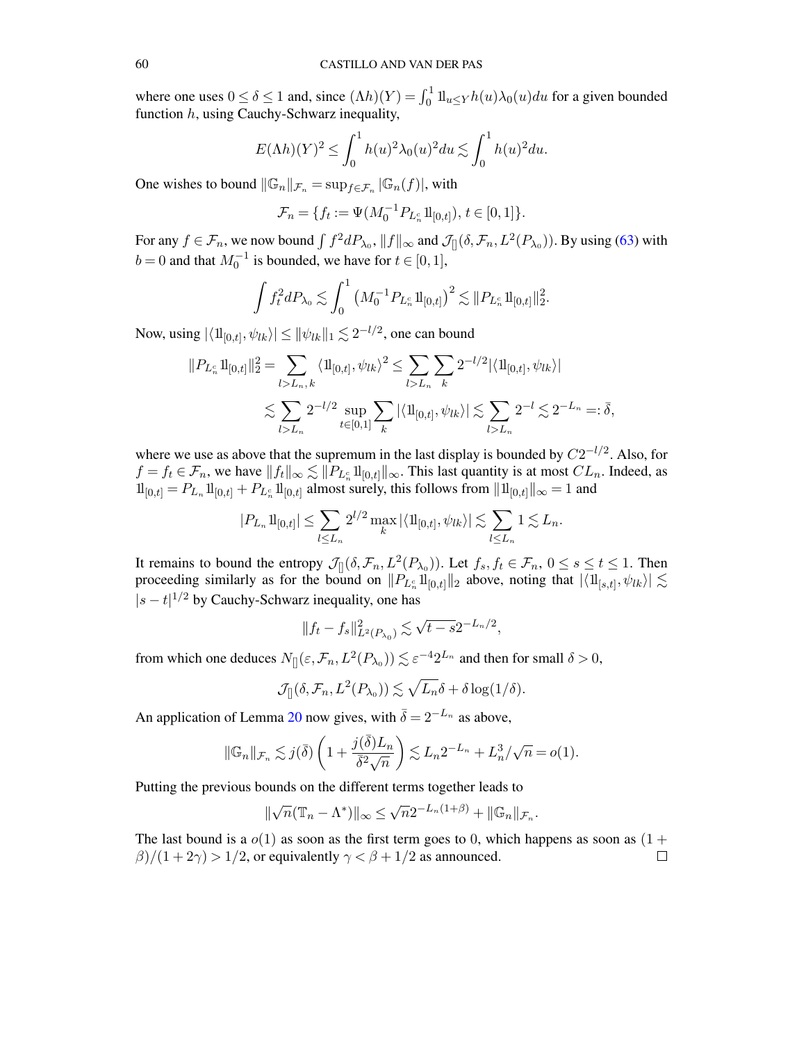where one uses  $0 \le \delta \le 1$  and, since  $(\Lambda h)(Y) = \int_0^1 1\mu \le Y h(u)\lambda_0(u) du$  for a given bounded function h, using Cauchy-Schwarz inequality,

$$
E(\Lambda h)(Y)^2 \le \int_0^1 h(u)^2 \lambda_0(u)^2 du \lesssim \int_0^1 h(u)^2 du.
$$

One wishes to bound  $||\mathbb{G}_n||_{\mathcal{F}_n} = \sup_{f \in \mathcal{F}_n} |\mathbb{G}_n(f)|$ , with

$$
\mathcal{F}_n = \{ f_t := \Psi(M_0^{-1} P_{L_n^c} \mathbf{1}_{[0,t]}), t \in [0,1] \}.
$$

For any  $f \in \mathcal{F}_n$ , we now bound  $\int f^2 dP_{\lambda_0}$ ,  $||f||_{\infty}$  and  $\mathcal{J}_{[}(\delta, \mathcal{F}_n, L^2(P_{\lambda_0}))$ . By using [\(63\)](#page-58-1) with  $b = 0$  and that  $M_0^{-1}$  is bounded, we have for  $t \in [0, 1]$ ,

$$
\int f_t^2 dP_{\lambda_0} \lesssim \int_0^1 \left( M_0^{-1} P_{L_n^c} 1\!{\rm l}_{[0,t]} \right)^2 \lesssim \| P_{L_n^c} 1\!{\rm l}_{[0,t]} \|_2^2.
$$

Now, using  $|\langle \mathbf{1}\mathbf{1}_{[0,t]}, \psi_{lk} \rangle| \leq ||\psi_{lk}||_1 \lesssim 2^{-l/2}$ , one can bound

$$
||P_{L_n^c} \mathbf{1}_{[0,t]}||_2^2 = \sum_{l>L_n, k} \langle \mathbf{1}_{[0,t]}, \psi_{lk} \rangle^2 \le \sum_{l>L_n} \sum_k 2^{-l/2} |\langle \mathbf{1}_{[0,t]}, \psi_{lk} \rangle|
$$
  

$$
\lesssim \sum_{l>L_n} 2^{-l/2} \sup_{t \in [0,1]} \sum_k |\langle \mathbf{1}_{[0,t]}, \psi_{lk} \rangle| \lesssim \sum_{l>L_n} 2^{-l} \lesssim 2^{-L_n} =: \bar{\delta},
$$

where we use as above that the supremum in the last display is bounded by  $C2^{-l/2}$ . Also, for  $f = f_t \in \mathcal{F}_n$ , we have  $||f_t||_{\infty} \lesssim ||P_{L_n^c}1||_{[0,t]}||_{\infty}$ . This last quantity is at most  $CL_n$ . Indeed, as  $1\!{\rm l}_{[0,t]} = P_{L_n} 1\!{\rm l}_{[0,t]} + P_{L_n^c} 1\!{\rm l}_{[0,t]}$  almost surely, this follows from  $||1\!{\rm l}_{[0,t]}||_{\infty} = 1$  and

$$
|P_{L_n}1\!{\rm l}_{[0,t]}|\leq \sum_{l\leq L_n}2^{l/2}\max_k|\langle 1\!{\rm l}_{[0,t]},\psi_{lk}\rangle|\lesssim \sum_{l\leq L_n}1\lesssim L_n.
$$

It remains to bound the entropy  $\mathcal{J}_{[]}(\delta, \mathcal{F}_n, L^2(P_{\lambda_0}))$ . Let  $f_s, f_t \in \mathcal{F}_n$ ,  $0 \le s \le t \le 1$ . Then proceeding similarly as for the bound on  $||P_{L_n^c}1||_{[0,t]}||_2$  above, noting that  $|\langle 1||_{[s,t]}, \psi_{lk}\rangle| \lesssim$  $|s-t|^{1/2}$  by Cauchy-Schwarz inequality, one has

$$
||f_t - f_s||_{L^2(P_{\lambda_0})}^2 \lesssim \sqrt{t - s} 2^{-L_n/2},
$$

from which one deduces  $N_{[]}(\varepsilon, \mathcal{F}_n, L^2(P_{\lambda_0})) \lesssim \varepsilon^{-4} 2^{L_n}$  and then for small  $\delta > 0$ ,

$$
\mathcal{J}_{[]}(\delta, \mathcal{F}_n, L^2(P_{\lambda_0})) \lesssim \sqrt{L_n} \delta + \delta \log(1/\delta).
$$

An application of Lemma [20](#page-63-1) now gives, with  $\overline{\delta} = 2^{-L_n}$  as above,

$$
\|\mathbb{G}_n\|_{\mathcal{F}_n} \lesssim j(\bar{\delta}) \left(1 + \frac{j(\bar{\delta})L_n}{\bar{\delta}^2 \sqrt{n}}\right) \lesssim L_n 2^{-L_n} + L_n^3/\sqrt{n} = o(1).
$$

Putting the previous bounds on the different terms together leads to

$$
\|\sqrt{n}(\mathbb{T}_n-\Lambda^*)\|_\infty\leq \sqrt{n}2^{-L_n(1+\beta)}+\|\mathbb{G}_n\|_{\mathcal{F}_n}.
$$

The last bound is a  $o(1)$  as soon as the first term goes to 0, which happens as soon as  $(1 +$  $\beta$ )/(1+2 $\gamma$ ) > 1/2, or equivalently  $\gamma < \beta + 1/2$  as announced.  $\Box$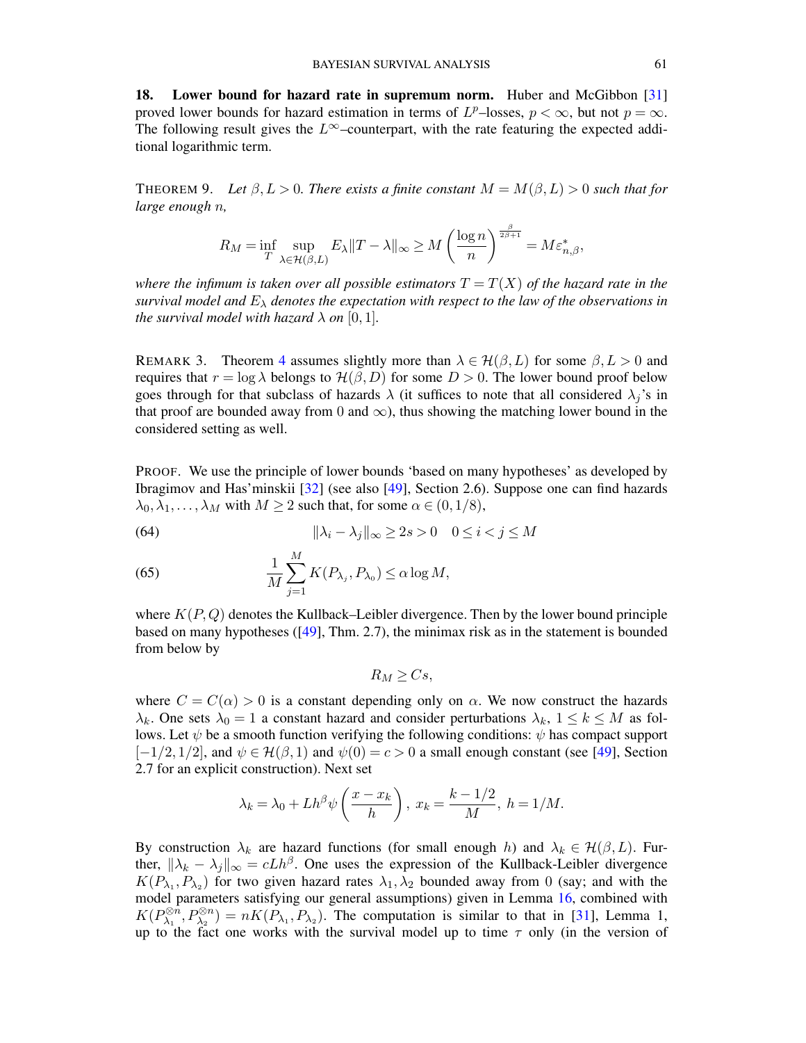<span id="page-60-0"></span>18. Lower bound for hazard rate in supremum norm. Huber and McGibbon [\[31\]](#page-69-20) proved lower bounds for hazard estimation in terms of  $L^p$ -losses,  $p < \infty$ , but not  $p = \infty$ . The following result gives the  $L^{\infty}$ –counterpart, with the rate featuring the expected additional logarithmic term.

<span id="page-60-1"></span>THEOREM 9. Let  $\beta, L > 0$ . There exists a finite constant  $M = M(\beta, L) > 0$  such that for *large enough* n*,*

$$
R_M=\inf_{T}\sup_{\lambda\in\mathcal{H}(\beta,L)}E_\lambda\|T-\lambda\|_\infty\geq M\left(\frac{\log n}{n}\right)^{\frac{\beta}{2\beta+1}}=M\varepsilon_{n,\beta}^*,
$$

*where the infimum is taken over all possible estimators*  $T = T(X)$  *of the hazard rate in the survival model and*  $E_{\lambda}$  *denotes the expectation with respect to the law of the observations in the survival model with hazard*  $\lambda$  *on* [0, 1].

REMARK 3. Theorem [4](#page-11-1) assumes slightly more than  $\lambda \in \mathcal{H}(\beta, L)$  for some  $\beta, L > 0$  and requires that  $r = \log \lambda$  belongs to  $\mathcal{H}(\beta, D)$  for some  $D > 0$ . The lower bound proof below goes through for that subclass of hazards  $\lambda$  (it suffices to note that all considered  $\lambda_j$ 's in that proof are bounded away from 0 and  $\infty$ ), thus showing the matching lower bound in the considered setting as well.

PROOF. We use the principle of lower bounds 'based on many hypotheses' as developed by Ibragimov and Has'minskii [\[32\]](#page-69-21) (see also [\[49\]](#page-70-16), Section 2.6). Suppose one can find hazards  $\lambda_0, \lambda_1, \ldots, \lambda_M$  with  $M \ge 2$  such that, for some  $\alpha \in (0, 1/8)$ ,

(64) 
$$
\|\lambda_i - \lambda_j\|_{\infty} \ge 2s > 0 \quad 0 \le i < j \le M
$$

(65) 
$$
\frac{1}{M} \sum_{j=1}^{M} K(P_{\lambda_j}, P_{\lambda_0}) \leq \alpha \log M,
$$

where  $K(P, Q)$  denotes the Kullback–Leibler divergence. Then by the lower bound principle based on many hypotheses ([\[49\]](#page-70-16), Thm. 2.7), the minimax risk as in the statement is bounded from below by

$$
R_M \geq Cs,
$$

where  $C = C(\alpha) > 0$  is a constant depending only on  $\alpha$ . We now construct the hazards  $\lambda_k$ . One sets  $\lambda_0 = 1$  a constant hazard and consider perturbations  $\lambda_k$ ,  $1 \leq k \leq M$  as follows. Let  $\psi$  be a smooth function verifying the following conditions:  $\psi$  has compact support  $[-1/2, 1/2]$ , and  $\psi \in \mathcal{H}(\beta, 1)$  and  $\psi(0) = c > 0$  a small enough constant (see [\[49\]](#page-70-16), Section 2.7 for an explicit construction). Next set

$$
\lambda_k = \lambda_0 + Lh^{\beta} \psi \left( \frac{x - x_k}{h} \right), \ x_k = \frac{k - 1/2}{M}, \ h = 1/M.
$$

By construction  $\lambda_k$  are hazard functions (for small enough h) and  $\lambda_k \in \mathcal{H}(\beta, L)$ . Further,  $\|\lambda_k - \lambda_j\|_{\infty} = c L h^{\beta}$ . One uses the expression of the Kullback-Leibler divergence  $K(P_{\lambda_1}, P_{\lambda_2})$  for two given hazard rates  $\lambda_1, \lambda_2$  bounded away from 0 (say; and with the model parameters satisfying our general assumptions) given in Lemma [16,](#page-61-3) combined with  $K(P_{\lambda}^{\otimes n})$  $\partial_{\lambda_1}^{\otimes n}, P_{\lambda_2}^{\otimes n}$  =  $nK(P_{\lambda_1}, P_{\lambda_2})$ . The computation is similar to that in [\[31\]](#page-69-20), Lemma 1, up to the fact one works with the survival model up to time  $\tau$  only (in the version of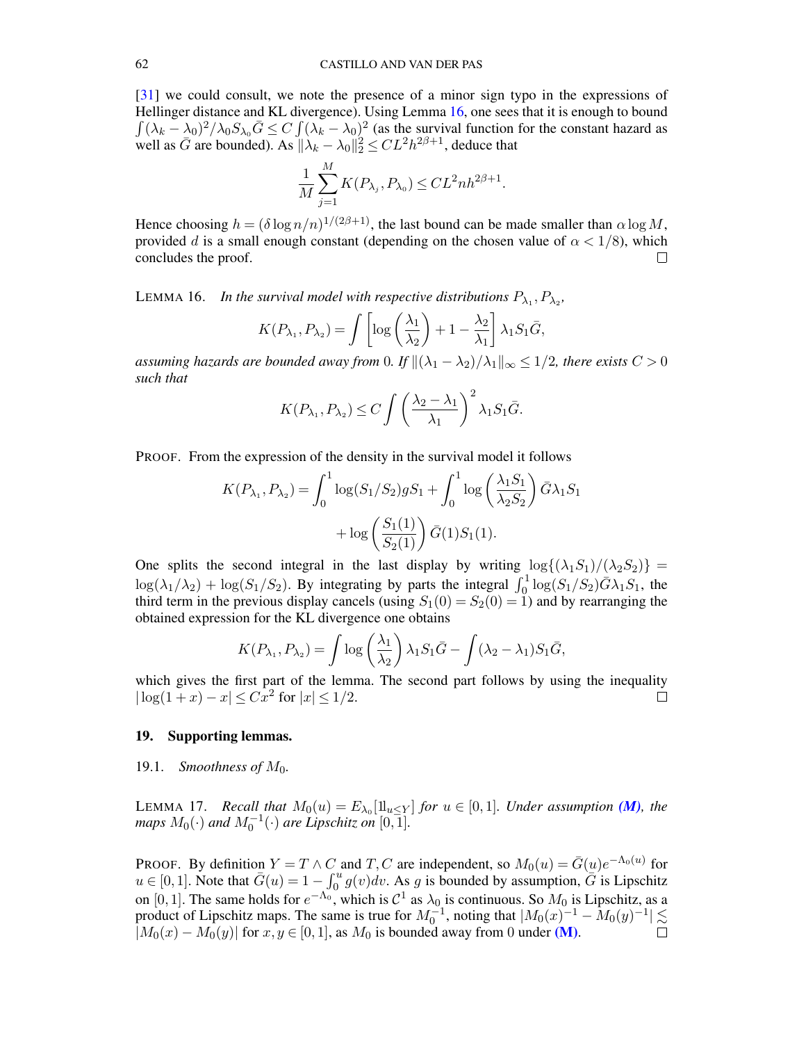[\[31\]](#page-69-20) we could consult, we note the presence of a minor sign typo in the expressions of Hellinger distance and KL divergence). Using Lemma [16,](#page-61-3) one sees that it is enough to bound  $\int (\lambda_k - \lambda_0)^2 / \lambda_0 S_{\lambda_0} \bar{G} \le C \int (\lambda_k - \lambda_0)^2$  (as the survival function for the constant hazard as well as  $\bar{G}$  are bounded). As  $\|\lambda_k - \lambda_0\|_2^2 \leq CL^2 h^{2\beta+1}$ , deduce that

$$
\frac{1}{M}\sum_{j=1}^M K(P_{\lambda_j},P_{\lambda_0}) \leq CL^2 n h^{2\beta+1}.
$$

Hence choosing  $h = (\delta \log n/n)^{1/(2\beta+1)}$ , the last bound can be made smaller than  $\alpha \log M$ , provided d is a small enough constant (depending on the chosen value of  $\alpha < 1/8$ ), which concludes the proof.  $\Box$ 

<span id="page-61-3"></span>LEMMA 16. In the survival model with respective distributions  $P_{\lambda_1}, P_{\lambda_2}$ ,

$$
K(P_{\lambda_1}, P_{\lambda_2}) = \int \left[ \log \left( \frac{\lambda_1}{\lambda_2} \right) + 1 - \frac{\lambda_2}{\lambda_1} \right] \lambda_1 S_1 \bar{G},
$$

*assuming hazards are bounded away from* 0*. If*  $\|(\lambda_1 - \lambda_2)/\lambda_1\|_{\infty} \leq 1/2$ *, there exists*  $C > 0$ *such that*

$$
K(P_{\lambda_1}, P_{\lambda_2}) \le C \int \left(\frac{\lambda_2 - \lambda_1}{\lambda_1}\right)^2 \lambda_1 S_1 \bar{G}.
$$

PROOF. From the expression of the density in the survival model it follows

$$
K(P_{\lambda_1}, P_{\lambda_2}) = \int_0^1 \log(S_1/S_2) g S_1 + \int_0^1 \log\left(\frac{\lambda_1 S_1}{\lambda_2 S_2}\right) \bar{G} \lambda_1 S_1 + \log\left(\frac{S_1(1)}{S_2(1)}\right) \bar{G}(1) S_1(1).
$$

One splits the second integral in the last display by writing  $\log\{(\lambda_1S_1)/(\lambda_2S_2)\}$  =  $\log(\lambda_1/\lambda_2) + \log(S_1/S_2)$ . By integrating by parts the integral  $\int_0^1 \log(S_1/S_2) \bar{G} \lambda_1 S_1$ , the third term in the previous display cancels (using  $S_1(0) = S_2(0) = 1$ ) and by rearranging the obtained expression for the KL divergence one obtains

$$
K(P_{\lambda_1}, P_{\lambda_2}) = \int \log \left(\frac{\lambda_1}{\lambda_2}\right) \lambda_1 S_1 \bar{G} - \int (\lambda_2 - \lambda_1) S_1 \bar{G},
$$

which gives the first part of the lemma. The second part follows by using the inequality  $|\log(1+x)-x| \leq Cx^2$  for  $|x| \leq 1/2$ .  $\Box$ 

#### <span id="page-61-0"></span>19. Supporting lemmas.

#### <span id="page-61-1"></span>19.1. *Smoothness of*  $M_0$ .

<span id="page-61-2"></span>LEMMA 17. *Recall that*  $M_0(u) = E_{\lambda_0}[\mathbb{1}_{u \le Y}]$  *for*  $u \in [0,1]$ *. Under assumption [\(M\)](#page-4-0), the maps*  $M_0(\cdot)$  *and*  $M_0^{-1}(\cdot)$  *are Lipschitz on*  $[0, 1]$ *.* 

PROOF. By definition  $Y = T \wedge C$  and  $T, C$  are independent, so  $M_0(u) = \overline{G}(u)e^{-\Lambda_0(u)}$  for  $u \in [0,1]$ . Note that  $\bar{G}(u) = 1 - \int_0^u g(v) dv$ . As g is bounded by assumption,  $\bar{G}$  is Lipschitz on [0, 1]. The same holds for  $e^{-\Lambda_0}$ , which is  $C^1$  as  $\lambda_0$  is continuous. So  $M_0$  is Lipschitz, as a product of Lipschitz maps. The same is true for  $M_0^{-1}$ , noting that  $|M_0(x)^{-1} - M_0(y)^{-1}| \lesssim$  $|M_0(x) - M_0(y)|$  for  $x, y \in [0, 1]$ , as  $M_0$  is bounded away from 0 under [\(M\)](#page-4-0).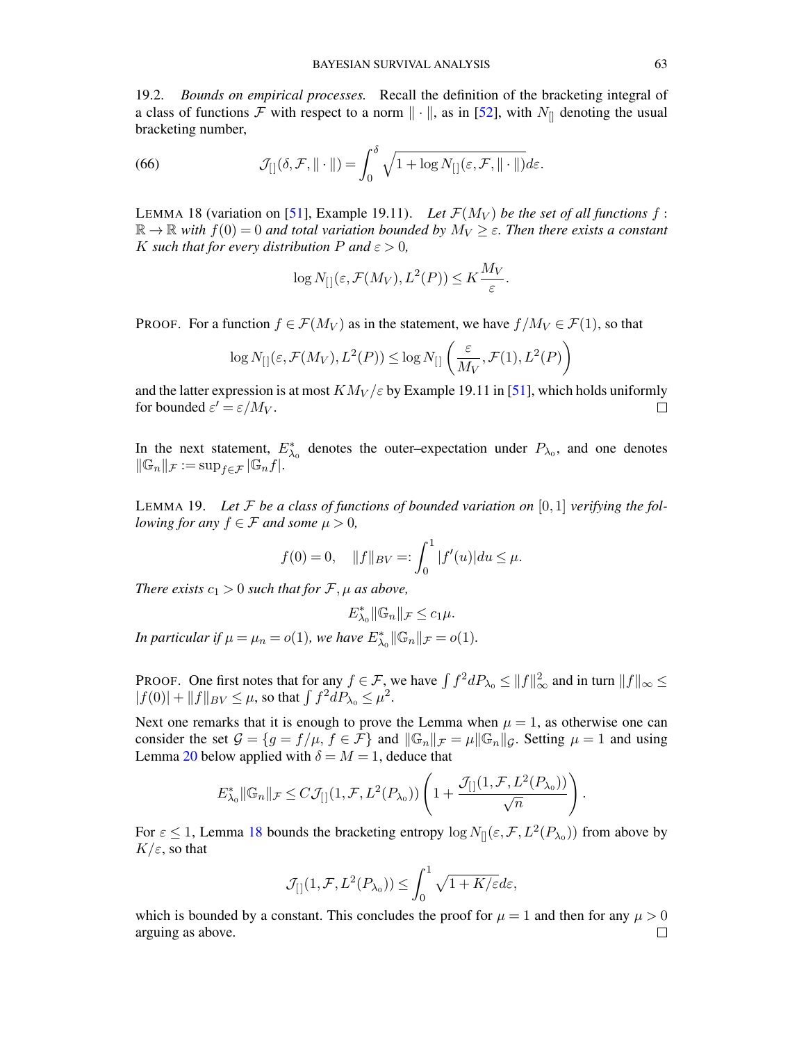<span id="page-62-0"></span>19.2. *Bounds on empirical processes.* Recall the definition of the bracketing integral of a class of functions F with respect to a norm  $\|\cdot\|$ , as in [\[52\]](#page-70-17), with  $N_{\parallel}$  denoting the usual bracketing number,

(66) 
$$
\mathcal{J}_{[]}(\delta, \mathcal{F}, \|\cdot\|) = \int_0^\delta \sqrt{1 + \log N_{[]}(\varepsilon, \mathcal{F}, \|\cdot\|)} d\varepsilon.
$$

<span id="page-62-1"></span>LEMMA 18 (variation on [\[51\]](#page-70-15), Example 19.11). Let  $\mathcal{F}(M_V)$  be the set of all functions f:  $\mathbb{R} \to \mathbb{R}$  with  $f(0) = 0$  and total variation bounded by  $M_V \geq \varepsilon$ . Then there exists a constant K such that for every distribution P and  $\varepsilon > 0$ ,

<span id="page-62-2"></span>
$$
\log N_{[}(\varepsilon, \mathcal{F}(M_V), L^2(P)) \leq K \frac{M_V}{\varepsilon}.
$$

PROOF. For a function  $f \in \mathcal{F}(M_V)$  as in the statement, we have  $f/M_V \in \mathcal{F}(1)$ , so that

$$
\log N_{[\,]}({\varepsilon}, {\mathcal F}(M_V), L^2(P)) \leq \log N_{[\,]}\left(\frac{{\varepsilon}}{M_V}, {\mathcal F}(1), L^2(P)\right)
$$

and the latter expression is at most  $KN_V/\varepsilon$  by Example 19.11 in [\[51\]](#page-70-15), which holds uniformly for bounded  $\varepsilon' = \varepsilon / M_V$ .  $\Box$ 

In the next statement,  $E_{\lambda_0}^*$  denotes the outer–expectation under  $P_{\lambda_0}$ , and one denotes  $\|\mathbb{G}_n\|_{\mathcal{F}} := \sup_{f \in \mathcal{F}} |\mathbb{G}_n f|.$ 

<span id="page-62-3"></span>LEMMA 19. Let  $\mathcal F$  be a class of functions of bounded variation on [0,1] verifying the fol*lowing for any*  $f \in \mathcal{F}$  *and some*  $\mu > 0$ *,* 

$$
f(0) = 0
$$
,  $||f||_{BV} =: \int_0^1 |f'(u)| du \le \mu$ .

*There exists*  $c_1 > 0$  *such that for*  $\mathcal{F}, \mu$  *as above,* 

$$
E_{\lambda_0}^* \|\mathbb{G}_n\|_{\mathcal{F}} \leq c_1\mu.
$$

*In particular if*  $\mu = \mu_n = o(1)$ *, we have*  $E_{\lambda_0}^* || \mathbb{G}_n ||_{\mathcal{F}} = o(1)$ *.* 

PROOF. One first notes that for any  $f \in \mathcal{F}$ , we have  $\int f^2 dP_{\lambda_0} \le ||f||_{\infty}^2$  and in turn  $||f||_{\infty} \le$  $|f(0)| + ||f||_{BV} \leq \mu$ , so that  $\int f^2 dP_{\lambda_0} \leq \mu^2$ .

Next one remarks that it is enough to prove the Lemma when  $\mu = 1$ , as otherwise one can consider the set  $G = \{g = f/\mu, f \in \mathcal{F}\}\$ and  $\|\mathbb{G}_n\|_{\mathcal{F}} = \mu \|\mathbb{G}_n\|_{\mathcal{G}}$ . Setting  $\mu = 1$  and using Lemma [20](#page-63-1) below applied with  $\delta = M = 1$ , deduce that

$$
E_{\lambda_0}^* \|\mathbb{G}_n\|_{\mathcal{F}} \leq C \mathcal{J}_{[]}(1, \mathcal{F}, L^2(P_{\lambda_0})) \left(1 + \frac{\mathcal{J}_{[]}(1, \mathcal{F}, L^2(P_{\lambda_0}))}{\sqrt{n}}\right)
$$

.

For  $\varepsilon \le 1$ , Lemma [18](#page-62-1) bounds the bracketing entropy  $\log N_{\parallel}(\varepsilon, \mathcal{F}, L^2(P_{\lambda_0}))$  from above by  $K/\varepsilon$ , so that

$$
\mathcal{J}_{[]}(1,\mathcal{F},L^2(P_{\lambda_0})) \leq \int_0^1 \sqrt{1+K/\varepsilon} d\varepsilon,
$$

which is bounded by a constant. This concludes the proof for  $\mu = 1$  and then for any  $\mu > 0$ arguing as above. $\Box$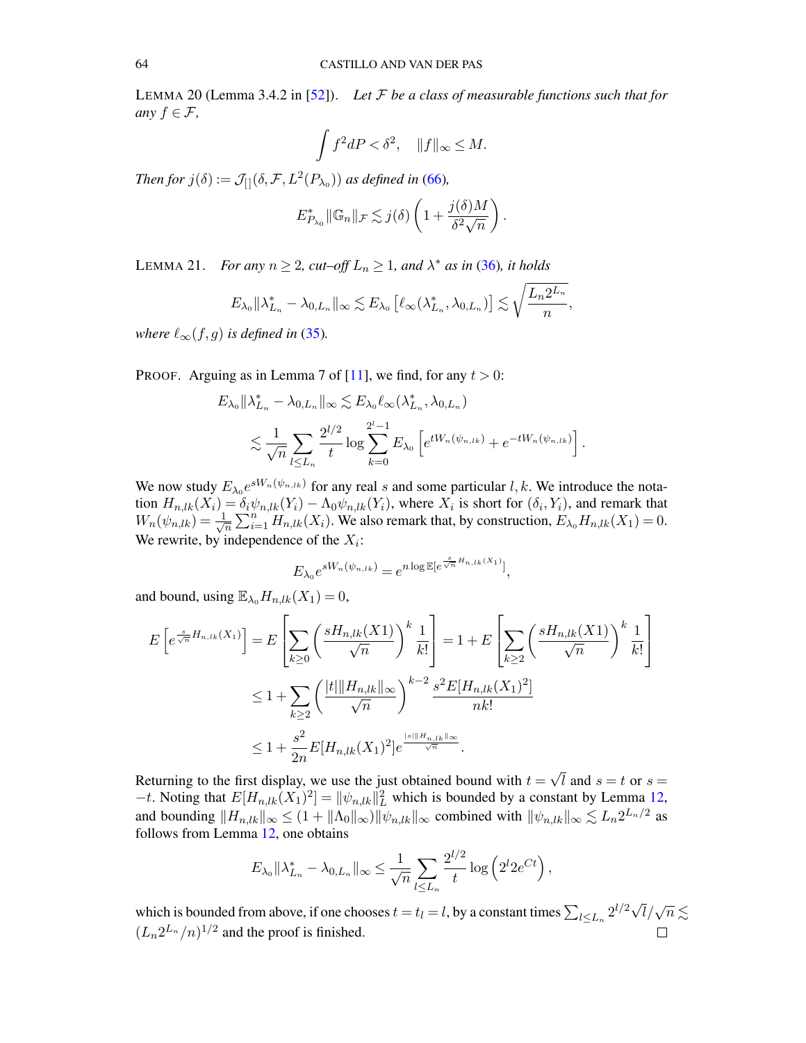<span id="page-63-1"></span>LEMMA 20 (Lemma 3.4.2 in [\[52\]](#page-70-17)). *Let* F *be a class of measurable functions such that for any*  $f \in \mathcal{F}$ ,

$$
\int f^2 dP < \delta^2, \quad ||f||_{\infty} \le M.
$$

*Then for*  $j(\delta) := \mathcal{J}_{[}(\delta, \mathcal{F}, L^2(P_{\lambda_0}))$  *as defined in* [\(66\)](#page-62-2)*,* 

$$
E_{P_{\lambda_0}}^* \|\mathbb{G}_n\|_{\mathcal{F}} \lesssim j(\delta) \left(1 + \frac{j(\delta)M}{\delta^2 \sqrt{n}}\right).
$$

<span id="page-63-0"></span>LEMMA 21. *For any*  $n \ge 2$ ,  $cut-off L_n \ge 1$ , and  $\lambda^*$  as in [\(36\)](#page-30-1), it holds

$$
E_{\lambda_0} \|\lambda_{L_n}^* - \lambda_{0,L_n}\|_{\infty} \lesssim E_{\lambda_0} \left[\ell_{\infty}(\lambda_{L_n}^*, \lambda_{0,L_n})\right] \lesssim \sqrt{\frac{L_n 2^{L_n}}{n}},
$$

*where*  $\ell_{\infty}(f, g)$  *is defined in* [\(35\)](#page-29-6).

PROOF. Arguing as in Lemma 7 of [\[11\]](#page-68-4), we find, for any  $t > 0$ :

$$
E_{\lambda_0} \| \lambda_{L_n}^* - \lambda_{0, L_n} \|_{\infty} \lesssim E_{\lambda_0} \ell_{\infty} (\lambda_{L_n}^*, \lambda_{0, L_n})
$$
  

$$
\lesssim \frac{1}{\sqrt{n}} \sum_{l \le L_n} \frac{2^{l/2}}{t} \log \sum_{k=0}^{2^{l}-1} E_{\lambda_0} \left[ e^{t W_n(\psi_{n,lk})} + e^{-t W_n(\psi_{n,lk})} \right].
$$

We now study  $E_{\lambda_0}e^{sW_n(\psi_{n,lk})}$  for any real s and some particular l, k. We introduce the notation  $H_{n,lk}(X_i) = \delta_i \psi_{n,lk}(Y_i) - \Lambda_0 \psi_{n,lk}(Y_i)$ , where  $X_i$  is short for  $(\delta_i, Y_i)$ , and remark that  $W_n(\psi_{n,lk}) = \frac{1}{\sqrt{k}}$  $\frac{1}{\sqrt{n}}\sum_{i=1}^{n}H_{n,lk}(X_i)$ . We also remark that, by construction,  $E_{\lambda_0}H_{n,lk}(X_1)=0$ . We rewrite, by independence of the  $X_i$ :

$$
E_{\lambda_0} e^{sW_n(\psi_{n,lk})} = e^{n \log \mathbb{E}[e^{\frac{s}{\sqrt{n}} H_{n,lk}(X_1)}]},
$$

and bound, using  $\mathbb{E}_{\lambda_0}H_{n,lk}(X_1)=0$ ,

$$
E\left[e^{\frac{s}{\sqrt{n}}H_{n,lk}(X_1)}\right] = E\left[\sum_{k\geq 0} \left(\frac{sH_{n,lk}(X_1)}{\sqrt{n}}\right)^k \frac{1}{k!}\right] = 1 + E\left[\sum_{k\geq 2} \left(\frac{sH_{n,lk}(X_1)}{\sqrt{n}}\right)^k \frac{1}{k!}\right]
$$
  

$$
\leq 1 + \sum_{k\geq 2} \left(\frac{|t| \|H_{n,lk}\|_{\infty}}{\sqrt{n}}\right)^{k-2} \frac{s^2 E[H_{n,lk}(X_1)^2]}{nk!}
$$
  

$$
\leq 1 + \frac{s^2}{2n} E[H_{n,lk}(X_1)^2] e^{\frac{|s| \|H_{n,lk}\|_{\infty}}{\sqrt{n}}}.
$$

Returning to the first display, we use the just obtained bound with  $t =$ √ l and  $s = t$  or  $s =$  $-t$ . Noting that  $E[H_{n,lk}(X_1)^2] = ||\psi_{n,lk}||_L^2$  which is bounded by a constant by Lemma [12,](#page-55-2) and bounding  $||H_{n,lk}||_{\infty} \leq (1 + ||\Lambda_0||_{\infty}) ||\psi_{n,lk}||_{\infty}$  combined with  $||\psi_{n,lk}||_{\infty} \lesssim L_n 2^{L_n/2}$  as follows from Lemma [12,](#page-55-2) one obtains

$$
E_{\lambda_0} \|\lambda_{L_n}^* - \lambda_{0,L_n}\|_{\infty} \leq \frac{1}{\sqrt{n}} \sum_{l \leq L_n} \frac{2^{l/2}}{t} \log \left(2^l 2e^{Ct}\right),
$$

which is bounded from above, if one chooses  $t = t_l = l$ , by a constant times  $\sum_{l \le L_n} 2^{l/2} \sqrt{l} / \sqrt{n} \lesssim$  $(L_n 2^{L_n}/n)^{1/2}$  and the proof is finished.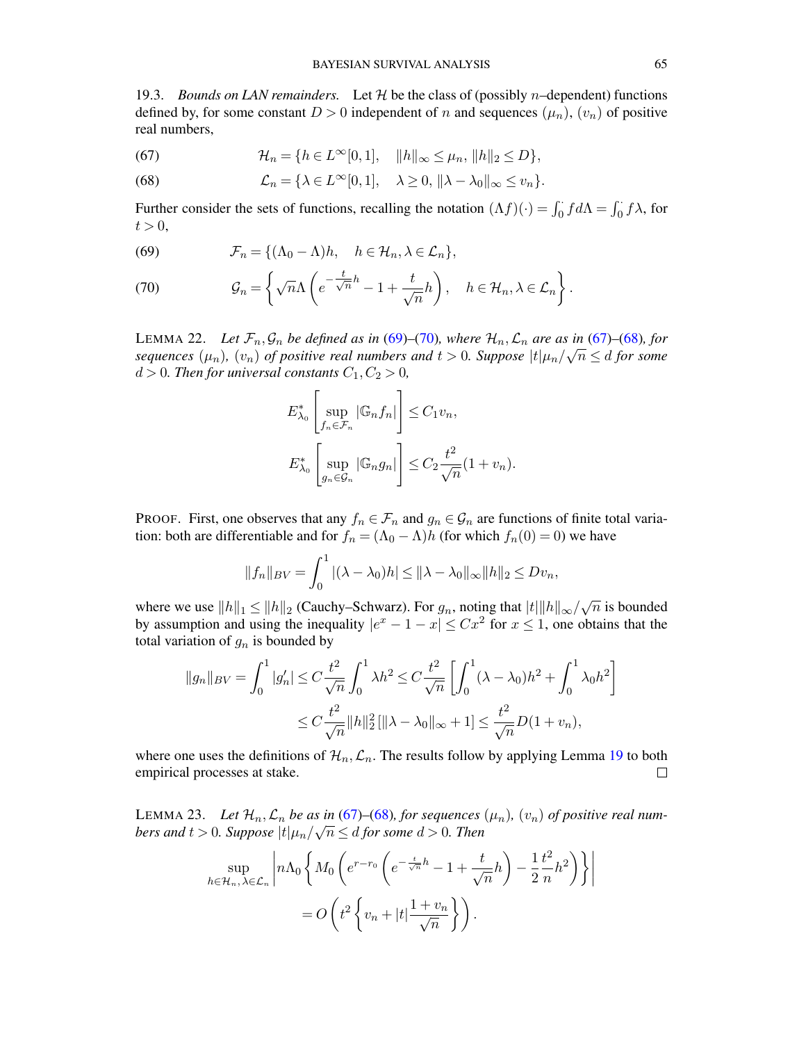<span id="page-64-0"></span>19.3. *Bounds on LAN remainders.* Let  $H$  be the class of (possibly *n*-dependent) functions defined by, for some constant  $D > 0$  independent of n and sequences  $(\mu_n)$ ,  $(v_n)$  of positive real numbers,

<span id="page-64-3"></span>(67) 
$$
\mathcal{H}_n = \{ h \in L^{\infty}[0,1], \quad ||h||_{\infty} \leq \mu_n, ||h||_2 \leq D \},
$$

<span id="page-64-4"></span>(68) 
$$
\mathcal{L}_n = \{ \lambda \in L^{\infty}[0,1], \quad \lambda \geq 0, \|\lambda - \lambda_0\|_{\infty} \leq v_n \}.
$$

Further consider the sets of functions, recalling the notation  $(\Lambda f)(\cdot) = \int_0^{\cdot} f d\Lambda = \int_0^{\cdot} f \lambda$ , for  $t > 0$ ,

<span id="page-64-5"></span>(69) 
$$
\mathcal{F}_n = \{ (\Lambda_0 - \Lambda)h, \quad h \in \mathcal{H}_n, \lambda \in \mathcal{L}_n \},
$$

<span id="page-64-6"></span>(70) 
$$
\mathcal{G}_n = \left\{ \sqrt{n} \Lambda \left( e^{-\frac{t}{\sqrt{n}}h} - 1 + \frac{t}{\sqrt{n}} h \right), \quad h \in \mathcal{H}_n, \lambda \in \mathcal{L}_n \right\}.
$$

<span id="page-64-1"></span>LEMMA 22. Let  $\mathcal{F}_n, \mathcal{G}_n$  be defined as in [\(69\)](#page-64-5)–[\(70\)](#page-64-6)*, where*  $\mathcal{H}_n, \mathcal{L}_n$  are as in [\(67\)](#page-64-3)–(68*), for* sequences  $(\mu_n)$ ,  $(v_n)$  of positive real numbers and  $t > 0$ . Suppose  $|t|\mu_n/\sqrt{n} \leq d$  for some  $d > 0$ *. Then for universal constants*  $C_1, C_2 > 0$ *,* 

$$
E_{\lambda_0}^* \left[ \sup_{f_n \in \mathcal{F}_n} |\mathbb{G}_n f_n| \right] \leq C_1 v_n,
$$
  

$$
E_{\lambda_0}^* \left[ \sup_{g_n \in \mathcal{G}_n} |\mathbb{G}_n g_n| \right] \leq C_2 \frac{t^2}{\sqrt{n}} (1 + v_n).
$$

PROOF. First, one observes that any  $f_n \in \mathcal{F}_n$  and  $g_n \in \mathcal{G}_n$  are functions of finite total variation: both are differentiable and for  $f_n = (\Lambda_0 - \Lambda)h$  (for which  $f_n(0) = 0$ ) we have

$$
||f_n||_{BV} = \int_0^1 |(\lambda - \lambda_0)h| \le ||\lambda - \lambda_0||_{\infty} ||h||_2 \le Dv_n,
$$

where we use  $||h||_1 \le ||h||_2$  (Cauchy–Schwarz). For  $g_n$ , noting that  $|t||h||_{\infty}/\sqrt{2}$  $\overline{n}$  is bounded by assumption and using the inequality  $|e^x - 1 - x| \leq Cx^2$  for  $x \leq 1$ , one obtains that the total variation of  $g_n$  is bounded by

$$
||g_n||_{BV} = \int_0^1 |g'_n| \le C \frac{t^2}{\sqrt{n}} \int_0^1 \lambda h^2 \le C \frac{t^2}{\sqrt{n}} \left[ \int_0^1 (\lambda - \lambda_0) h^2 + \int_0^1 \lambda_0 h^2 \right]
$$
  

$$
\le C \frac{t^2}{\sqrt{n}} ||h||_2^2 [||\lambda - \lambda_0||_{\infty} + 1] \le \frac{t^2}{\sqrt{n}} D(1 + v_n),
$$

where one uses the definitions of  $\mathcal{H}_n$ ,  $\mathcal{L}_n$ . The results follow by applying Lemma [19](#page-62-3) to both empirical processes at stake.  $\Box$ 

<span id="page-64-2"></span>LEMMA 23. Let  $\mathcal{H}_n$ ,  $\mathcal{L}_n$  be as in [\(67\)](#page-64-3)–[\(68\)](#page-64-4), for sequences  $(\mu_n)$ ,  $(v_n)$  of positive real numbers and  $t > 0$ . Suppose  $|t|\mu_n/\sqrt{n} \leq d$  for some  $d > 0$ . Then

$$
\sup_{h \in \mathcal{H}_n, \lambda \in \mathcal{L}_n} \left| n \Lambda_0 \left\{ M_0 \left( e^{r - r_0} \left( e^{-\frac{t}{\sqrt{n}} h} - 1 + \frac{t}{\sqrt{n}} h \right) - \frac{1}{2} \frac{t^2}{n} h^2 \right) \right\} \right|
$$
  
=  $O \left( t^2 \left\{ v_n + |t| \frac{1 + v_n}{\sqrt{n}} \right\} \right).$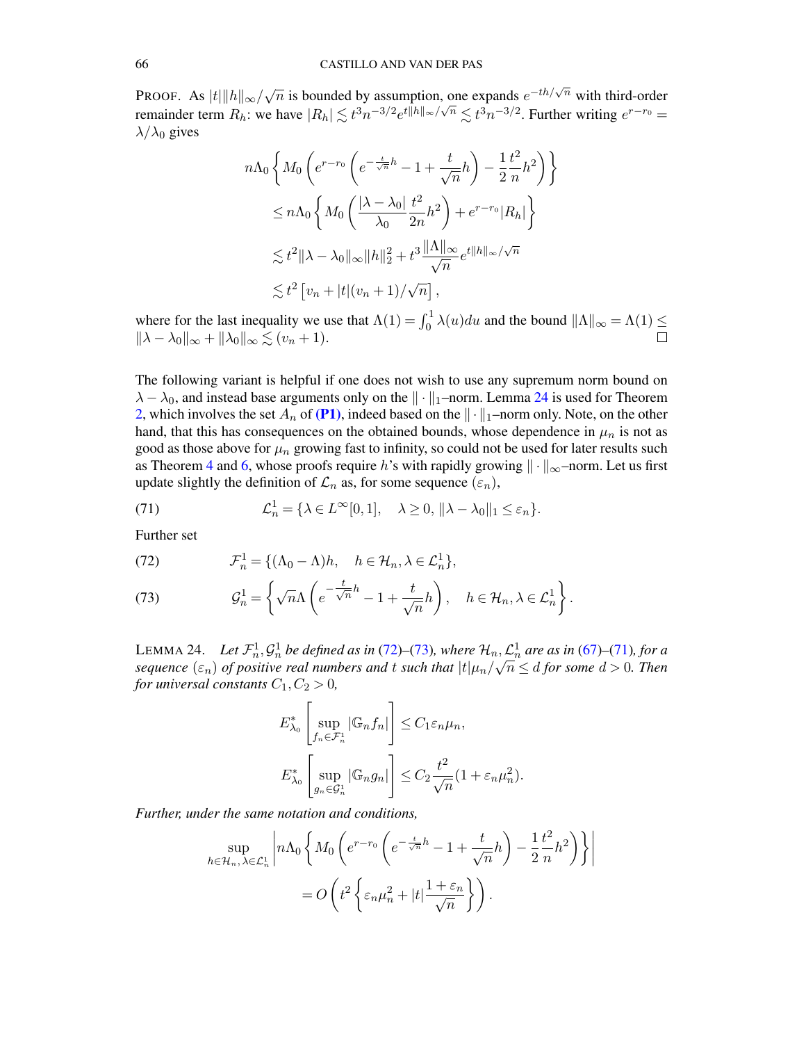Proof. As  $|t| \| h \|_{\infty}/\sqrt{\frac{2}{\sqrt{\pi}}}$  $\overline{n}$  is bounded by assumption, one expands  $e^{-th/\sqrt{n}}$  with third-order remainder term  $R_h$ : we have  $|R_h| \lesssim t^3 n^{-3/2} e^{t||h||_{\infty}/\sqrt{n}} \lesssim t^3 n^{-3/2}$ . Further writing  $e^{r-r_0} =$  $\lambda/\lambda_0$  gives

$$
n\Lambda_0 \left\{ M_0 \left( e^{r-r_0} \left( e^{-\frac{t}{\sqrt{n}}h} - 1 + \frac{t}{\sqrt{n}} h \right) - \frac{1}{2} \frac{t^2}{n} h^2 \right) \right\}
$$
  
\n
$$
\leq n\Lambda_0 \left\{ M_0 \left( \frac{|\lambda - \lambda_0|}{\lambda_0} \frac{t^2}{2n} h^2 \right) + e^{r-r_0} |R_h| \right\}
$$
  
\n
$$
\lesssim t^2 ||\lambda - \lambda_0||_{\infty} ||h||_2^2 + t^3 \frac{||\Lambda||_{\infty}}{\sqrt{n}} e^{t ||h||_{\infty}/\sqrt{n}}
$$
  
\n
$$
\lesssim t^2 \left[ v_n + |t| (v_n + 1) / \sqrt{n} \right],
$$

where for the last inequality we use that  $\Lambda(1) = \int_0^1 \lambda(u) du$  and the bound  $||\Lambda||_{\infty} = \Lambda(1) \le$  $\|\lambda - \lambda_0\|_{\infty} + \|\lambda_0\|_{\infty} \lesssim (v_n + 1).$ 

The following variant is helpful if one does not wish to use any supremum norm bound on  $\lambda - \lambda_0$ , and instead base arguments only on the  $\|\cdot\|_1$ –norm. Lemma [24](#page-65-0) is used for Theorem [2,](#page-7-2) which involves the set  $A_n$  of [\(P1\)](#page-7-4), indeed based on the  $\|\cdot\|_1$ –norm only. Note, on the other hand, that this has consequences on the obtained bounds, whose dependence in  $\mu_n$  is not as good as those above for  $\mu_n$  growing fast to infinity, so could not be used for later results such as Theorem [4](#page-11-1) and [6,](#page-26-0) whose proofs require h's with rapidly growing  $\|\cdot\|_{\infty}$ –norm. Let us first update slightly the definition of  $\mathcal{L}_n$  as, for some sequence  $(\varepsilon_n)$ ,

<span id="page-65-1"></span>(71) 
$$
\mathcal{L}_n^1 = \{ \lambda \in L^\infty[0,1], \quad \lambda \ge 0, \|\lambda - \lambda_0\|_1 \le \varepsilon_n \}.
$$

Further set

<span id="page-65-2"></span>(72) 
$$
\mathcal{F}_n^1 = \{ (\Lambda_0 - \Lambda)h, \quad h \in \mathcal{H}_n, \lambda \in \mathcal{L}_n^1 \},
$$

<span id="page-65-3"></span>(73) 
$$
\mathcal{G}_n^1 = \left\{ \sqrt{n} \Lambda \left( e^{-\frac{t}{\sqrt{n}}h} - 1 + \frac{t}{\sqrt{n}} h \right), \quad h \in \mathcal{H}_n, \lambda \in \mathcal{L}_n^1 \right\}.
$$

<span id="page-65-0"></span>LEMMA 24. *Let*  $\mathcal{F}_n^1, \mathcal{G}_n^1$  be defined as in [\(72\)](#page-65-2)–[\(73\)](#page-65-3), where  $\mathcal{H}_n, \mathcal{L}_n^1$  are as in [\(67\)](#page-64-3)–[\(71\)](#page-65-1)*, for a*<br>  $\mathcal{F}_n^1$  $sequence (\varepsilon_n)$  *of positive real numbers and t such that*  $|t|\mu_n/\sqrt{n} \leq d$  *for some*  $d > 0$ *. Then for universal constants*  $C_1, C_2 > 0$ *,* 

$$
E_{\lambda_0}^* \left[ \sup_{f_n \in \mathcal{F}_n^1} |\mathbb{G}_n f_n| \right] \leq C_1 \varepsilon_n \mu_n,
$$
  

$$
E_{\lambda_0}^* \left[ \sup_{g_n \in \mathcal{G}_n^1} |\mathbb{G}_n g_n| \right] \leq C_2 \frac{t^2}{\sqrt{n}} (1 + \varepsilon_n \mu_n^2).
$$

*Further, under the same notation and conditions,*

$$
\sup_{h \in \mathcal{H}_n, \lambda \in \mathcal{L}_n^1} \left| n \Lambda_0 \left\{ M_0 \left( e^{r - r_0} \left( e^{-\frac{t}{\sqrt{n}}h} - 1 + \frac{t}{\sqrt{n}} h \right) - \frac{1}{2} \frac{t^2}{n} h^2 \right) \right\} \right|
$$
  
=  $O \left( t^2 \left\{ \varepsilon_n \mu_n^2 + |t| \frac{1 + \varepsilon_n}{\sqrt{n}} \right\} \right).$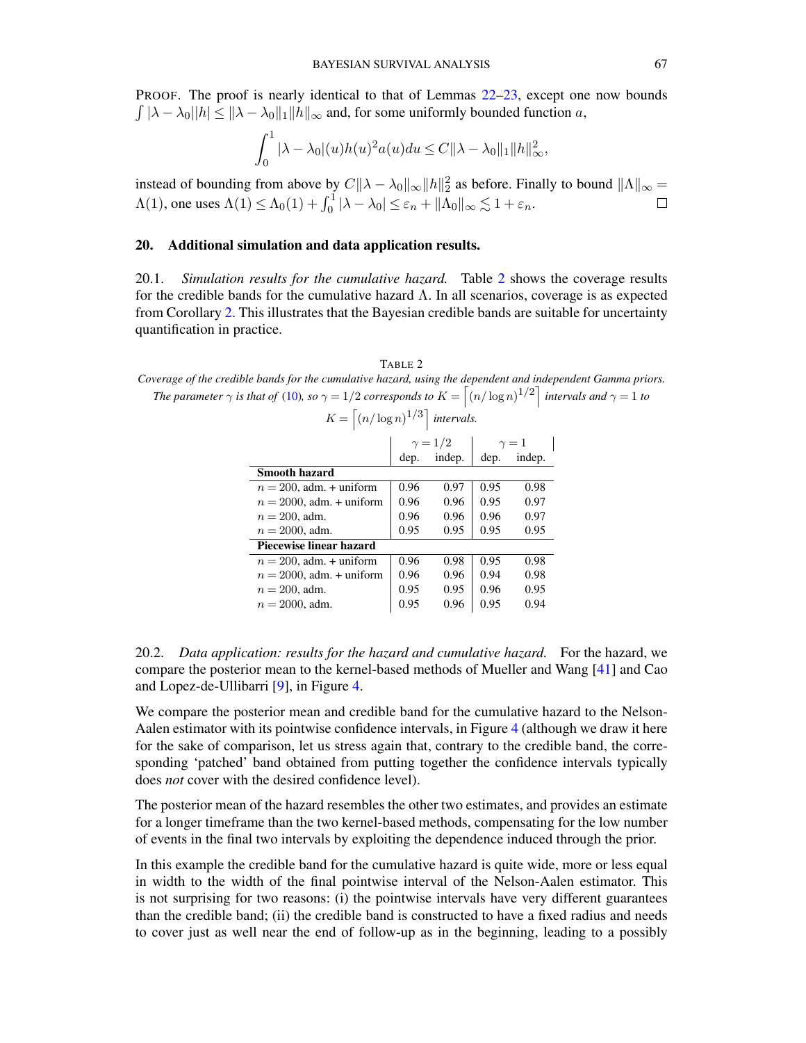PROOF. The proof is nearly identical to that of Lemmas [22](#page-64-1)[–23,](#page-64-2) except one now bounds  $\int |\lambda - \lambda_0| |h| \le ||\lambda - \lambda_0||_1 ||h||_{\infty}$  and, for some uniformly bounded function a,

$$
\int_0^1 |\lambda - \lambda_0|(u)h(u)^2 a(u) du \leq C ||\lambda - \lambda_0||_1 ||h||_{\infty}^2,
$$

instead of bounding from above by  $C\|\lambda-\lambda_0\|_{\infty} \|h\|_2^2$  as before. Finally to bound  $\|\Lambda\|_{\infty} =$  $\Lambda(1)$ , one uses  $\Lambda(1) \leq \Lambda_0(1) + \int_0^1 |\lambda - \lambda_0| \leq \varepsilon_n + ||\Lambda_0||_{\infty} \lesssim 1 + \varepsilon_n$ .

## <span id="page-66-0"></span>20. Additional simulation and data application results.

<span id="page-66-1"></span>20.1. *Simulation results for the cumulative hazard.* Table [2](#page-66-3) shows the coverage results for the credible bands for the cumulative hazard Λ. In all scenarios, coverage is as expected from Corollary [2.](#page-10-2) This illustrates that the Bayesian credible bands are suitable for uncertainty quantification in practice.

<span id="page-66-3"></span>TABLE 2 *Coverage of the credible bands for the cumulative hazard, using the dependent and independent Gamma priors. The parameter*  $\gamma$  *is that of* [\(10\)](#page-7-7)*, so*  $\gamma = 1/2$  *corresponds to*  $K = \left[ (n/\log n)^{1/2} \right]$  *intervals and*  $\gamma = 1$  *to* 

$$
K = \left\lceil (n/\log n)^{1/3} \right\rceil
$$
 intervals.

| $\gamma = 1/2$          |        |      | $\gamma=1$ |  |
|-------------------------|--------|------|------------|--|
| dep.                    | indep. | dep. | indep.     |  |
|                         |        |      |            |  |
| 0.96                    | 0.97   | 0.95 | 0.98       |  |
| 0.96                    | 0.96   | 0.95 | 0.97       |  |
| 0.96                    | 0.96   | 0.96 | 0.97       |  |
| 0.95                    | 0.95   | 0.95 | 0.95       |  |
| Piecewise linear hazard |        |      |            |  |
| 0.96                    | 0.98   | 0.95 | 0.98       |  |
| 0.96                    | 0.96   | 0.94 | 0.98       |  |
| 0.95                    | 0.95   | 0.96 | 0.95       |  |
| 0.95                    | 0.96   | 0.95 | 0.94       |  |
|                         |        |      |            |  |

<span id="page-66-2"></span>20.2. *Data application: results for the hazard and cumulative hazard.* For the hazard, we compare the posterior mean to the kernel-based methods of Mueller and Wang [\[41\]](#page-70-18) and Cao and Lopez-de-Ullibarri [\[9\]](#page-68-10), in Figure [4.](#page-67-1)

We compare the posterior mean and credible band for the cumulative hazard to the Nelson-Aalen estimator with its pointwise confidence intervals, in Figure [4](#page-67-1) (although we draw it here for the sake of comparison, let us stress again that, contrary to the credible band, the corresponding 'patched' band obtained from putting together the confidence intervals typically does *not* cover with the desired confidence level).

The posterior mean of the hazard resembles the other two estimates, and provides an estimate for a longer timeframe than the two kernel-based methods, compensating for the low number of events in the final two intervals by exploiting the dependence induced through the prior.

In this example the credible band for the cumulative hazard is quite wide, more or less equal in width to the width of the final pointwise interval of the Nelson-Aalen estimator. This is not surprising for two reasons: (i) the pointwise intervals have very different guarantees than the credible band; (ii) the credible band is constructed to have a fixed radius and needs to cover just as well near the end of follow-up as in the beginning, leading to a possibly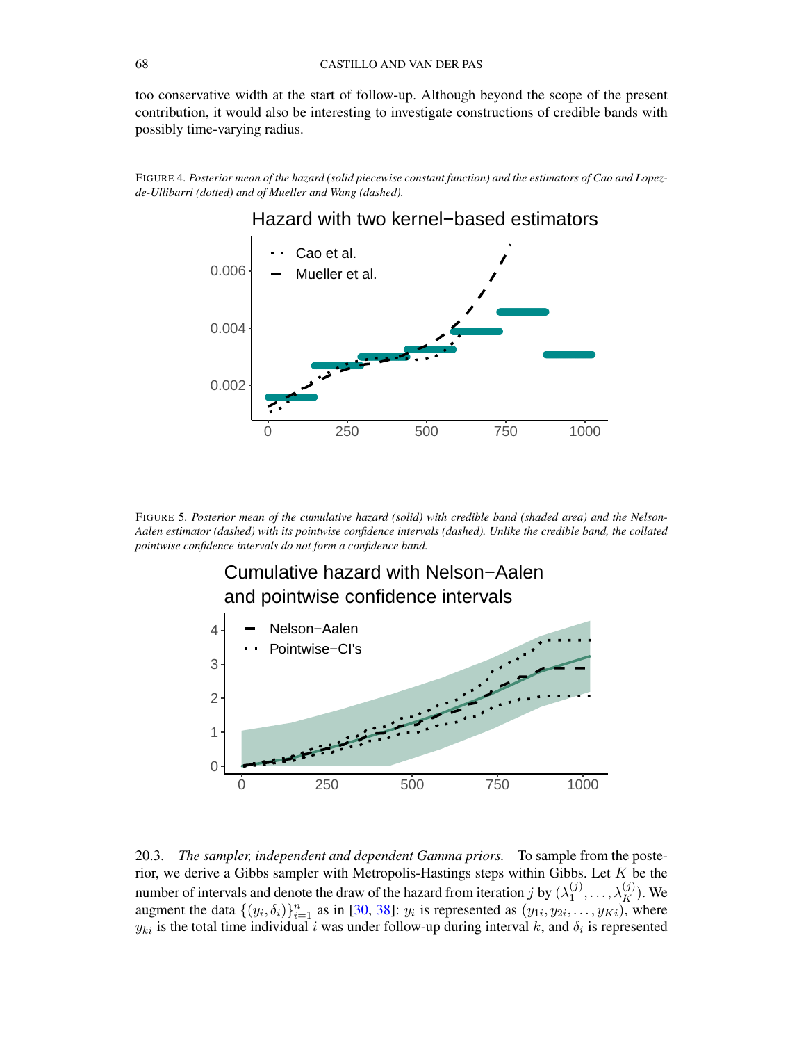too conservative width at the start of follow-up. Although beyond the scope of the present contribution, it would also be interesting to investigate constructions of credible bands with possibly time-varying radius.

<span id="page-67-1"></span>FIGURE 4*. Posterior mean of the hazard (solid piecewise constant function) and the estimators of Cao and Lopezde-Ullibarri (dotted) and of Mueller and Wang (dashed).*

# Hazard with two kernel−based estimators



FIGURE 5*. Posterior mean of the cumulative hazard (solid) with credible band (shaded area) and the Nelson-Aalen estimator (dashed) with its pointwise confidence intervals (dashed). Unlike the credible band, the collated pointwise confidence intervals do not form a confidence band.*



<span id="page-67-0"></span>20.3. *The sampler, independent and dependent Gamma priors.* To sample from the posterior, we derive a Gibbs sampler with Metropolis-Hastings steps within Gibbs. Let  $K$  be the number of intervals and denote the draw of the hazard from iteration j by  $(\lambda_1^{(j)})$  $\lambda_1^{(j)}, \ldots, \lambda_K^{(j)}$ ). We augment the data  $\{(y_i, \delta_i)\}_{i=1}^n$  as in [\[30,](#page-69-14) [38\]](#page-70-10):  $y_i$  is represented as  $(y_{1i}, y_{2i}, \ldots, y_{Ki})$ , where  $y_{ki}$  is the total time individual i was under follow-up during interval k, and  $\delta_i$  is represented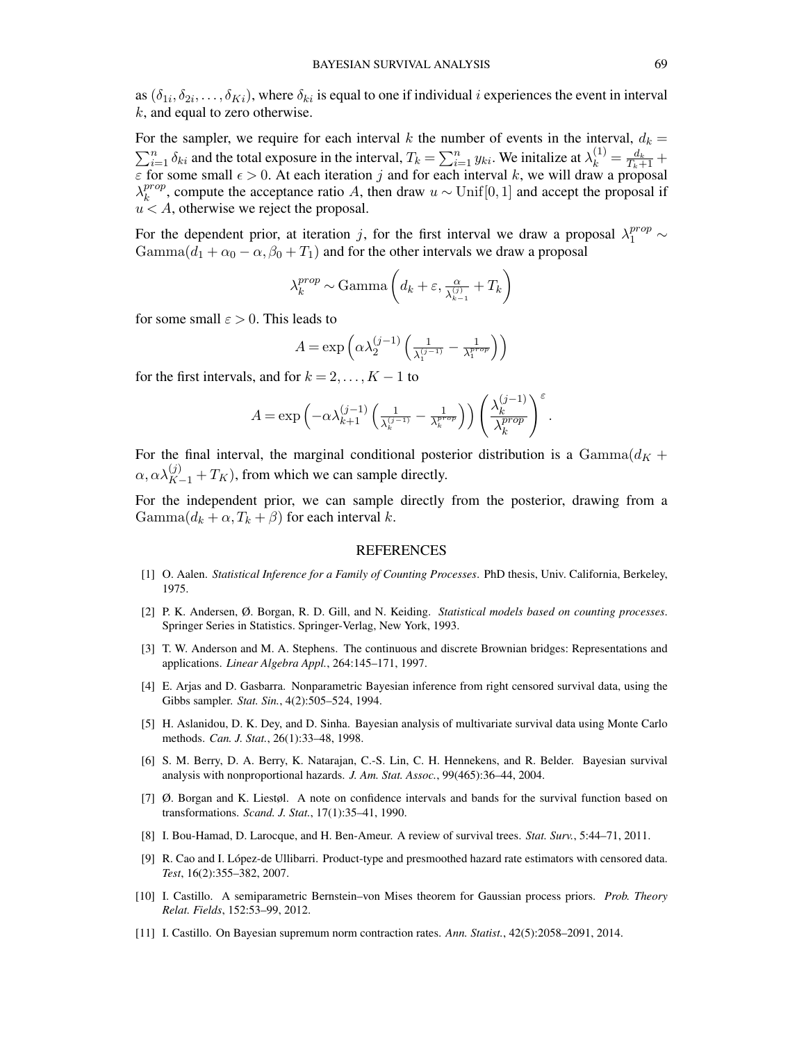as  $(\delta_{1i}, \delta_{2i}, \ldots, \delta_{Ki})$ , where  $\delta_{ki}$  is equal to one if individual i experiences the event in interval k, and equal to zero otherwise.

For the sampler, we require for each interval k the number of events in the interval,  $d_k =$  $\sum_{i=1}^{n} \delta_{ki}$  and the total exposure in the interval,  $T_k = \sum_{i=1}^{n} y_{ki}$ . We initalize at  $\lambda_k^{(1)} = \frac{d_k}{T_k+1} + \frac{1}{T_k+1}$  $\epsilon$  for some small  $\epsilon > 0$ . At each iteration j and for each interval k, we will draw a proposal  $\lambda_k^{prop}$  $_{k}^{prop}$ , compute the acceptance ratio A, then draw  $u \sim \text{Unif}[0,1]$  and accept the proposal if  $u < A$ , otherwise we reject the proposal.

For the dependent prior, at iteration j, for the first interval we draw a proposal  $\lambda_1^{prop} \sim$  $\text{Gamma}(d_1 + \alpha_0 - \alpha, \beta_0 + T_1)$  and for the other intervals we draw a proposal

$$
\lambda_k^{prop} \sim \text{Gamma}\left(d_k + \varepsilon, \frac{\alpha}{\lambda_{k-1}^{(j)}} + T_k\right)
$$

for some small  $\varepsilon > 0$ . This leads to

$$
A = \exp\left(\alpha \lambda_2^{(j-1)} \left( \frac{1}{\lambda_1^{(j-1)}} - \frac{1}{\lambda_1^{prop}} \right) \right)
$$

for the first intervals, and for  $k = 2, \ldots, K - 1$  to

$$
A=\exp\left(-\alpha\lambda_{k+1}^{(j-1)}\left(\tfrac{1}{\lambda_k^{(j-1)}}-\tfrac{1}{\lambda_k^{prop}}\right)\right)\left(\frac{\lambda_k^{(j-1)}}{\lambda_k^{prop}}\right)^\varepsilon.
$$

For the final interval, the marginal conditional posterior distribution is a  $Gamma(d<sub>K</sub> +$  $\alpha, \alpha \lambda_{K-1}^{(j)} + T_K$ ), from which we can sample directly.

For the independent prior, we can sample directly from the posterior, drawing from a  $\text{Gamma}(d_k + \alpha, T_k + \beta)$  for each interval k.

## **REFERENCES**

- <span id="page-68-0"></span>[1] O. Aalen. *Statistical Inference for a Family of Counting Processes*. PhD thesis, Univ. California, Berkeley, 1975.
- <span id="page-68-6"></span>[2] P. K. Andersen, Ø. Borgan, R. D. Gill, and N. Keiding. *Statistical models based on counting processes*. Springer Series in Statistics. Springer-Verlag, New York, 1993.
- <span id="page-68-9"></span>[3] T. W. Anderson and M. A. Stephens. The continuous and discrete Brownian bridges: Representations and applications. *Linear Algebra Appl.*, 264:145–171, 1997.
- <span id="page-68-1"></span>[4] E. Arjas and D. Gasbarra. Nonparametric Bayesian inference from right censored survival data, using the Gibbs sampler. *Stat. Sin.*, 4(2):505–524, 1994.
- <span id="page-68-2"></span>[5] H. Aslanidou, D. K. Dey, and D. Sinha. Bayesian analysis of multivariate survival data using Monte Carlo methods. *Can. J. Stat.*, 26(1):33–48, 1998.
- <span id="page-68-3"></span>[6] S. M. Berry, D. A. Berry, K. Natarajan, C.-S. Lin, C. H. Hennekens, and R. Belder. Bayesian survival analysis with nonproportional hazards. *J. Am. Stat. Assoc.*, 99(465):36–44, 2004.
- <span id="page-68-7"></span>[7] Ø. Borgan and K. Liestøl. A note on confidence intervals and bands for the survival function based on transformations. *Scand. J. Stat.*, 17(1):35–41, 1990.
- <span id="page-68-10"></span><span id="page-68-8"></span>[8] I. Bou-Hamad, D. Larocque, and H. Ben-Ameur. A review of survival trees. *Stat. Surv.*, 5:44–71, 2011.
- [9] R. Cao and I. López-de Ullibarri. Product-type and presmoothed hazard rate estimators with censored data. *Test*, 16(2):355–382, 2007.
- <span id="page-68-5"></span>[10] I. Castillo. A semiparametric Bernstein–von Mises theorem for Gaussian process priors. *Prob. Theory Relat. Fields*, 152:53–99, 2012.
- <span id="page-68-4"></span>[11] I. Castillo. On Bayesian supremum norm contraction rates. *Ann. Statist.*, 42(5):2058–2091, 2014.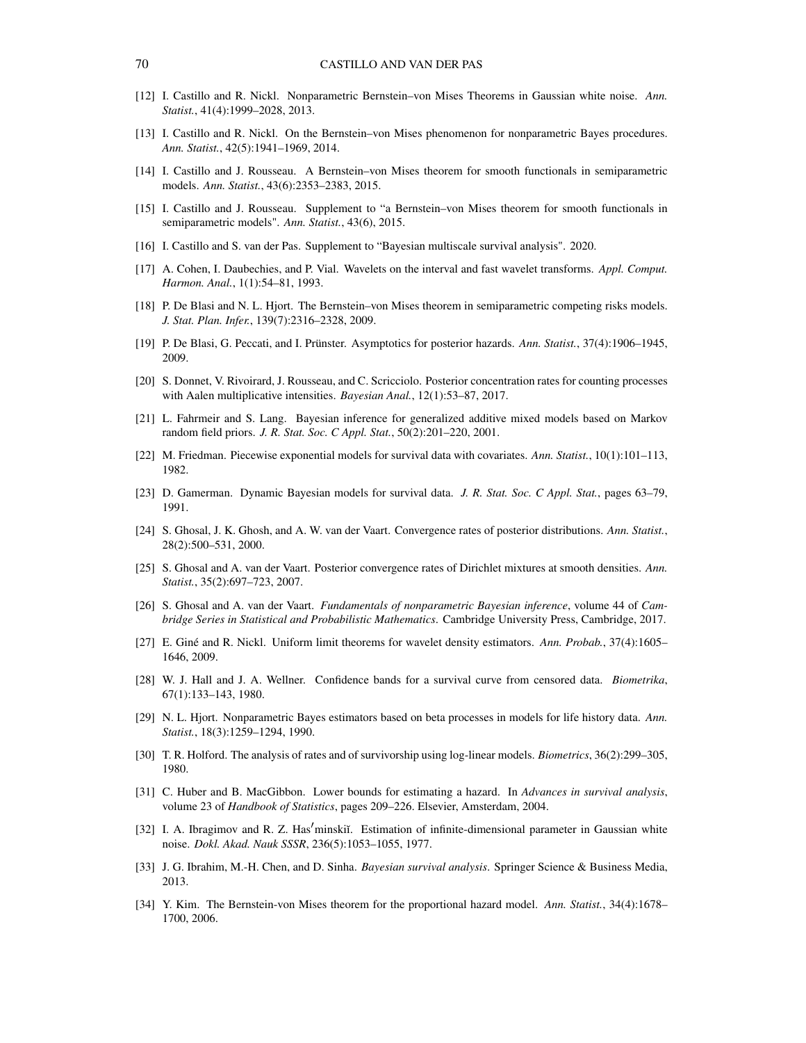- <span id="page-69-3"></span>[12] I. Castillo and R. Nickl. Nonparametric Bernstein–von Mises Theorems in Gaussian white noise. *Ann. Statist.*, 41(4):1999–2028, 2013.
- <span id="page-69-4"></span>[13] I. Castillo and R. Nickl. On the Bernstein–von Mises phenomenon for nonparametric Bayes procedures. *Ann. Statist.*, 42(5):1941–1969, 2014.
- <span id="page-69-5"></span>[14] I. Castillo and J. Rousseau. A Bernstein–von Mises theorem for smooth functionals in semiparametric models. *Ann. Statist.*, 43(6):2353–2383, 2015.
- <span id="page-69-17"></span>[15] I. Castillo and J. Rousseau. Supplement to "a Bernstein–von Mises theorem for smooth functionals in semiparametric models". *Ann. Statist.*, 43(6), 2015.
- <span id="page-69-10"></span>[16] I. Castillo and S. van der Pas. Supplement to "Bayesian multiscale survival analysis". 2020.
- [17] A. Cohen, I. Daubechies, and P. Vial. Wavelets on the interval and fast wavelet transforms. *Appl. Comput. Harmon. Anal.*, 1(1):54–81, 1993.
- <span id="page-69-9"></span>[18] P. De Blasi and N. L. Hjort. The Bernstein–von Mises theorem in semiparametric competing risks models. *J. Stat. Plan. Infer.*, 139(7):2316–2328, 2009.
- <span id="page-69-8"></span>[19] P. De Blasi, G. Peccati, and I. Prünster. Asymptotics for posterior hazards. *Ann. Statist.*, 37(4):1906–1945, 2009.
- <span id="page-69-12"></span>[20] S. Donnet, V. Rivoirard, J. Rousseau, and C. Scricciolo. Posterior concentration rates for counting processes with Aalen multiplicative intensities. *Bayesian Anal.*, 12(1):53–87, 2017.
- <span id="page-69-2"></span>[21] L. Fahrmeir and S. Lang. Bayesian inference for generalized additive mixed models based on Markov random field priors. *J. R. Stat. Soc. C Appl. Stat.*, 50(2):201–220, 2001.
- <span id="page-69-16"></span>[22] M. Friedman. Piecewise exponential models for survival data with covariates. *Ann. Statist.*, 10(1):101–113, 1982.
- <span id="page-69-1"></span>[23] D. Gamerman. Dynamic Bayesian models for survival data. *J. R. Stat. Soc. C Appl. Stat.*, pages 63–79, 1991.
- <span id="page-69-11"></span>[24] S. Ghosal, J. K. Ghosh, and A. W. van der Vaart. Convergence rates of posterior distributions. *Ann. Statist.*, 28(2):500–531, 2000.
- <span id="page-69-18"></span>[25] S. Ghosal and A. van der Vaart. Posterior convergence rates of Dirichlet mixtures at smooth densities. *Ann. Statist.*, 35(2):697–723, 2007.
- <span id="page-69-15"></span>[26] S. Ghosal and A. van der Vaart. *Fundamentals of nonparametric Bayesian inference*, volume 44 of *Cambridge Series in Statistical and Probabilistic Mathematics*. Cambridge University Press, Cambridge, 2017.
- <span id="page-69-19"></span>[27] E. Giné and R. Nickl. Uniform limit theorems for wavelet density estimators. *Ann. Probab.*, 37(4):1605– 1646, 2009.
- <span id="page-69-13"></span>[28] W. J. Hall and J. A. Wellner. Confidence bands for a survival curve from censored data. *Biometrika*, 67(1):133–143, 1980.
- <span id="page-69-6"></span>[29] N. L. Hjort. Nonparametric Bayes estimators based on beta processes in models for life history data. *Ann. Statist.*, 18(3):1259–1294, 1990.
- <span id="page-69-14"></span>[30] T. R. Holford. The analysis of rates and of survivorship using log-linear models. *Biometrics*, 36(2):299–305, 1980.
- <span id="page-69-20"></span>[31] C. Huber and B. MacGibbon. Lower bounds for estimating a hazard. In *Advances in survival analysis*, volume 23 of *Handbook of Statistics*, pages 209–226. Elsevier, Amsterdam, 2004.
- <span id="page-69-21"></span>[32] I. A. Ibragimov and R. Z. Has'minskiĭ. Estimation of infinite-dimensional parameter in Gaussian white noise. *Dokl. Akad. Nauk SSSR*, 236(5):1053–1055, 1977.
- <span id="page-69-0"></span>[33] J. G. Ibrahim, M.-H. Chen, and D. Sinha. *Bayesian survival analysis*. Springer Science & Business Media, 2013.
- <span id="page-69-7"></span>[34] Y. Kim. The Bernstein-von Mises theorem for the proportional hazard model. *Ann. Statist.*, 34(4):1678– 1700, 2006.